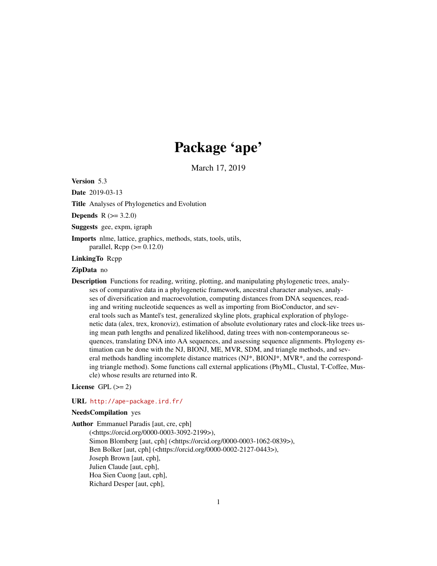# Package 'ape'

March 17, 2019

<span id="page-0-0"></span>Version 5.3

Date 2019-03-13

Title Analyses of Phylogenetics and Evolution

**Depends**  $R (= 3.2.0)$ 

Suggests gee, expm, igraph

Imports nlme, lattice, graphics, methods, stats, tools, utils, parallel,  $\text{Rcpp} (> = 0.12.0)$ 

LinkingTo Rcpp

## ZipData no

Description Functions for reading, writing, plotting, and manipulating phylogenetic trees, analyses of comparative data in a phylogenetic framework, ancestral character analyses, analyses of diversification and macroevolution, computing distances from DNA sequences, reading and writing nucleotide sequences as well as importing from BioConductor, and several tools such as Mantel's test, generalized skyline plots, graphical exploration of phylogenetic data (alex, trex, kronoviz), estimation of absolute evolutionary rates and clock-like trees using mean path lengths and penalized likelihood, dating trees with non-contemporaneous sequences, translating DNA into AA sequences, and assessing sequence alignments. Phylogeny estimation can be done with the NJ, BIONJ, ME, MVR, SDM, and triangle methods, and several methods handling incomplete distance matrices (NJ\*, BIONJ\*, MVR\*, and the corresponding triangle method). Some functions call external applications (PhyML, Clustal, T-Coffee, Muscle) whose results are returned into R.

License GPL  $(>= 2)$ 

#### URL <http://ape-package.ird.fr/>

#### NeedsCompilation yes

Author Emmanuel Paradis [aut, cre, cph] (<https://orcid.org/0000-0003-3092-2199>), Simon Blomberg [aut, cph] (<https://orcid.org/0000-0003-1062-0839>), Ben Bolker [aut, cph] (<https://orcid.org/0000-0002-2127-0443>), Joseph Brown [aut, cph], Julien Claude [aut, cph], Hoa Sien Cuong [aut, cph], Richard Desper [aut, cph],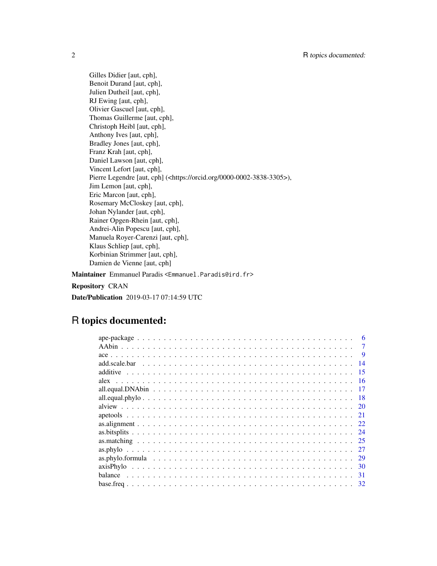Gilles Didier [aut, cph], Benoit Durand [aut, cph], Julien Dutheil [aut, cph], RJ Ewing [aut, cph], Olivier Gascuel [aut, cph], Thomas Guillerme [aut, cph], Christoph Heibl [aut, cph], Anthony Ives [aut, cph], Bradley Jones [aut, cph], Franz Krah [aut, cph], Daniel Lawson [aut, cph], Vincent Lefort [aut, cph], Pierre Legendre [aut, cph] (<https://orcid.org/0000-0002-3838-3305>), Jim Lemon [aut, cph], Eric Marcon [aut, cph], Rosemary McCloskey [aut, cph], Johan Nylander [aut, cph], Rainer Opgen-Rhein [aut, cph], Andrei-Alin Popescu [aut, cph], Manuela Royer-Carenzi [aut, cph], Klaus Schliep [aut, cph], Korbinian Strimmer [aut, cph], Damien de Vienne [aut, cph]

Maintainer Emmanuel Paradis <Emmanuel.Paradis@ird.fr>

Repository CRAN

Date/Publication 2019-03-17 07:14:59 UTC

## R topics documented:

| -9   |
|------|
| 14   |
| 15   |
| 16   |
|      |
| - 18 |
|      |
| 21   |
|      |
| -24  |
| -25  |
| -27  |
| - 29 |
| - 30 |
| 31   |
|      |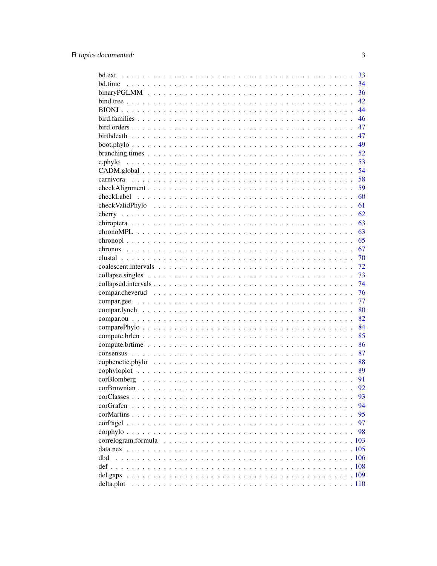|                     | 33       |
|---------------------|----------|
|                     | 34       |
|                     | 36       |
|                     | 42       |
|                     | 44       |
|                     | 46       |
|                     | 47       |
|                     | 47       |
|                     | 49       |
|                     | 52       |
|                     | 53       |
|                     | 54       |
|                     | 58       |
|                     | 59       |
|                     | 60       |
|                     | 61       |
|                     | 62       |
|                     | 63       |
|                     | 63       |
|                     | 65       |
|                     | 67       |
|                     | 70       |
|                     | 72       |
|                     | 73       |
|                     | 74       |
|                     | 76       |
|                     | 77       |
|                     | 80       |
|                     | 82       |
|                     | 84       |
|                     | 85       |
|                     | 86       |
|                     | 87       |
|                     | 88       |
|                     | 89       |
|                     | 91       |
|                     | 92       |
|                     |          |
|                     | 93<br>94 |
|                     |          |
|                     | 95       |
|                     | 97       |
|                     | 98       |
| correlogram.formula | .103     |
|                     |          |
| dbd                 |          |
|                     |          |
|                     |          |
|                     |          |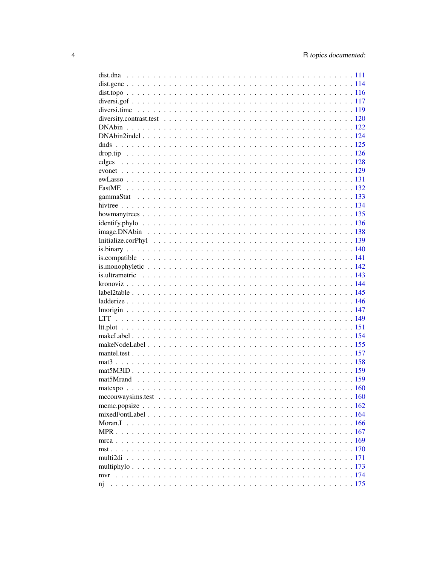| edges              |  |
|--------------------|--|
|                    |  |
|                    |  |
|                    |  |
|                    |  |
|                    |  |
|                    |  |
| identity, phy, 136 |  |
|                    |  |
|                    |  |
|                    |  |
|                    |  |
|                    |  |
|                    |  |
|                    |  |
|                    |  |
|                    |  |
|                    |  |
|                    |  |
|                    |  |
|                    |  |
|                    |  |
|                    |  |
|                    |  |
|                    |  |
|                    |  |
|                    |  |
|                    |  |
|                    |  |
|                    |  |
|                    |  |
|                    |  |
|                    |  |
|                    |  |
|                    |  |
|                    |  |
|                    |  |
|                    |  |
| n <sub>1</sub>     |  |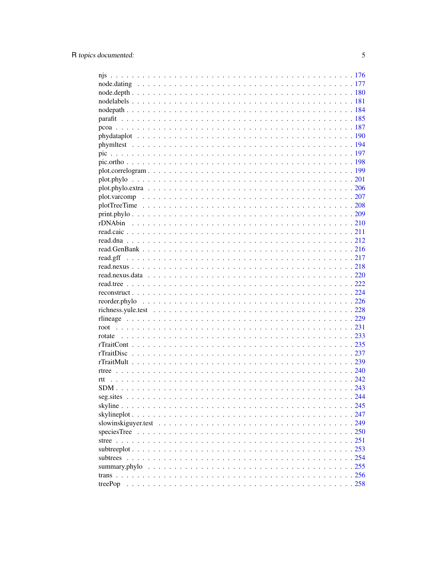| subtrees      |  |
|---------------|--|
| summary.phylo |  |
|               |  |
|               |  |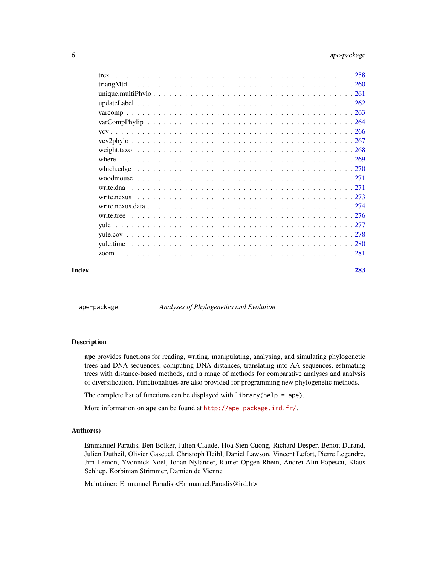<span id="page-5-0"></span>

|       | trex      |     |
|-------|-----------|-----|
|       |           |     |
|       |           |     |
|       |           |     |
|       |           |     |
|       |           |     |
|       |           |     |
|       |           |     |
|       |           |     |
|       |           |     |
|       |           |     |
|       |           |     |
|       | write.dna |     |
|       |           |     |
|       |           |     |
|       |           |     |
|       |           |     |
|       |           |     |
|       |           |     |
|       | zoom      |     |
| Index |           | 283 |

ape-package *Analyses of Phylogenetics and Evolution*

## Description

ape provides functions for reading, writing, manipulating, analysing, and simulating phylogenetic trees and DNA sequences, computing DNA distances, translating into AA sequences, estimating trees with distance-based methods, and a range of methods for comparative analyses and analysis of diversification. Functionalities are also provided for programming new phylogenetic methods.

The complete list of functions can be displayed with  $l$ ibrary(help = ape).

More information on ape can be found at  $http://ape-package.ird.fr/.$  $http://ape-package.ird.fr/.$ 

### Author(s)

Emmanuel Paradis, Ben Bolker, Julien Claude, Hoa Sien Cuong, Richard Desper, Benoit Durand, Julien Dutheil, Olivier Gascuel, Christoph Heibl, Daniel Lawson, Vincent Lefort, Pierre Legendre, Jim Lemon, Yvonnick Noel, Johan Nylander, Rainer Opgen-Rhein, Andrei-Alin Popescu, Klaus Schliep, Korbinian Strimmer, Damien de Vienne

Maintainer: Emmanuel Paradis <Emmanuel.Paradis@ird.fr>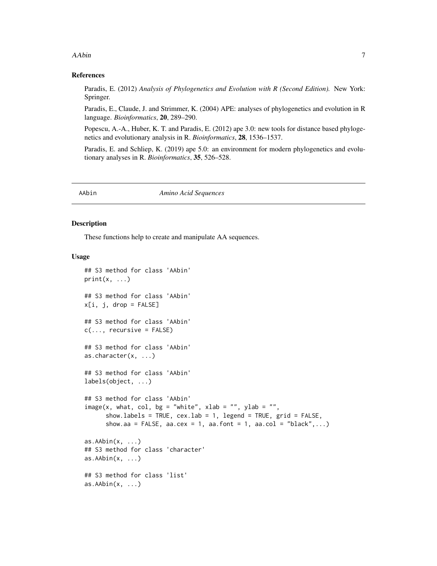#### <span id="page-6-0"></span>AAbin 7

#### References

Paradis, E. (2012) *Analysis of Phylogenetics and Evolution with R (Second Edition).* New York: Springer.

Paradis, E., Claude, J. and Strimmer, K. (2004) APE: analyses of phylogenetics and evolution in R language. *Bioinformatics*, 20, 289–290.

Popescu, A.-A., Huber, K. T. and Paradis, E. (2012) ape 3.0: new tools for distance based phylogenetics and evolutionary analysis in R. *Bioinformatics*, 28, 1536–1537.

Paradis, E. and Schliep, K. (2019) ape 5.0: an environment for modern phylogenetics and evolutionary analyses in R. *Bioinformatics*, 35, 526–528.

AAbin *Amino Acid Sequences*

#### Description

These functions help to create and manipulate AA sequences.

#### Usage

```
## S3 method for class 'AAbin'
print(x, \ldots)## S3 method for class 'AAbin'
x[i, j, drop = FALSE]## S3 method for class 'AAbin'
c(\ldots, recursive = FALSE)
## S3 method for class 'AAbin'
as.character(x, ...)
## S3 method for class 'AAbin'
labels(object, ...)
## S3 method for class 'AAbin'
image(x, what, col, bg = "white", xlab = "", ylab = "",show.labels = TRUE, cex.lab = 1, legend = TRUE, grid = FALSE,
      show.aa = FALSE, aa.cex = 1, aa.font = 1, aa.col = "black",...)
as.AAbin(x, \ldots)## S3 method for class 'character'
as.AAbin(x, \ldots)## S3 method for class 'list'
as.AAbin(x, \ldots)
```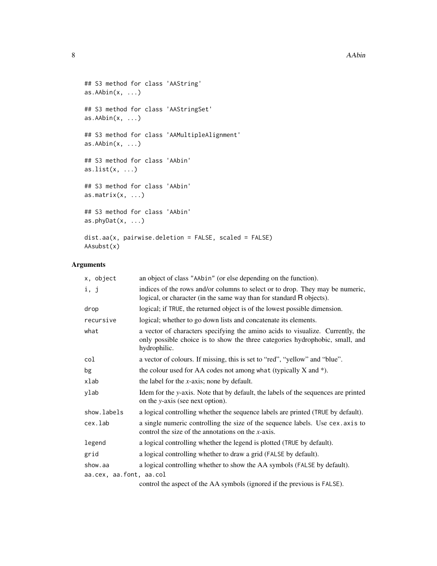```
## S3 method for class 'AAString'
as.AAbin(x, \ldots)## S3 method for class 'AAStringSet'
as.AAbin(x, ...)
## S3 method for class 'AAMultipleAlignment'
as.AAbin(x, ...)## S3 method for class 'AAbin'
as.list(x, \ldots)## S3 method for class 'AAbin'
as.matrix(x, \ldots)## S3 method for class 'AAbin'
as.phyDat(x, \ldots)dist.aa(x, pairwise.deletion = FALSE, scaled = FALSE)
AAsubst(x)
```
## Arguments

| x, object               | an object of class "AAbin" (or else depending on the function).                                                                                                                |
|-------------------------|--------------------------------------------------------------------------------------------------------------------------------------------------------------------------------|
| i, j                    | indices of the rows and/or columns to select or to drop. They may be numeric,<br>logical, or character (in the same way than for standard R objects).                          |
| drop                    | logical; if TRUE, the returned object is of the lowest possible dimension.                                                                                                     |
| recursive               | logical; whether to go down lists and concatenate its elements.                                                                                                                |
| what                    | a vector of characters specifying the amino acids to visualize. Currently, the<br>only possible choice is to show the three categories hydrophobic, small, and<br>hydrophilic. |
| col                     | a vector of colours. If missing, this is set to "red", "yellow" and "blue".                                                                                                    |
| bg                      | the colour used for AA codes not among what (typically $X$ and $*$ ).                                                                                                          |
| xlab                    | the label for the $x$ -axis; none by default.                                                                                                                                  |
| ylab                    | Idem for the y-axis. Note that by default, the labels of the sequences are printed<br>on the y-axis (see next option).                                                         |
| show.labels             | a logical controlling whether the sequence labels are printed (TRUE by default).                                                                                               |
| cex.lab                 | a single numeric controlling the size of the sequence labels. Use cex. axis to<br>control the size of the annotations on the $x$ -axis.                                        |
| legend                  | a logical controlling whether the legend is plotted (TRUE by default).                                                                                                         |
| grid                    | a logical controlling whether to draw a grid (FALSE by default).                                                                                                               |
| show.aa                 | a logical controlling whether to show the AA symbols (FALSE by default).                                                                                                       |
| aa.cex, aa.font, aa.col |                                                                                                                                                                                |
|                         | control the cancer of the $\Lambda$ $\Lambda$ cumbels (concred if the measure is $\Gamma$ <sup><math>\Lambda</math></sup>                                                      |

control the aspect of the AA symbols (ignored if the previous is FALSE).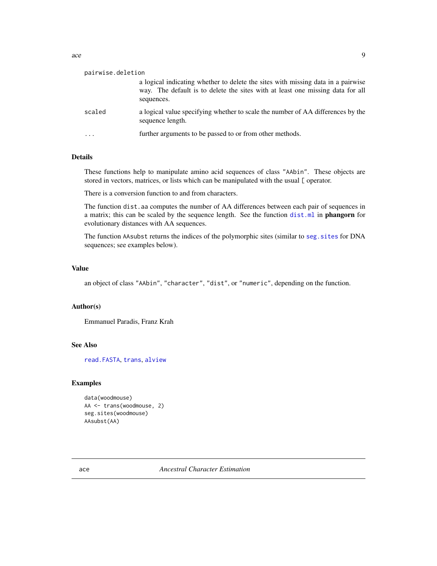<span id="page-8-0"></span>

| pairwise.deletion | a logical indicating whether to delete the sites with missing data in a pairwise                    |
|-------------------|-----------------------------------------------------------------------------------------------------|
|                   | way. The default is to delete the sites with at least one missing data for all<br>sequences.        |
| scaled            | a logical value specifying whether to scale the number of AA differences by the<br>sequence length. |
| .                 | further arguments to be passed to or from other methods.                                            |

## Details

These functions help to manipulate amino acid sequences of class "AAbin". These objects are stored in vectors, matrices, or lists which can be manipulated with the usual [ operator.

There is a conversion function to and from characters.

The function dist.aa computes the number of AA differences between each pair of sequences in a matrix; this can be scaled by the sequence length. See the function [dist.ml](#page-0-0) in phangorn for evolutionary distances with AA sequences.

The function AAsubst returns the indices of the polymorphic sites (similar to [seg.sites](#page-243-1) for DNA sequences; see examples below).

## Value

an object of class "AAbin", "character", "dist", or "numeric", depending on the function.

#### Author(s)

Emmanuel Paradis, Franz Krah

#### See Also

[read.FASTA](#page-211-1), [trans](#page-255-1), [alview](#page-19-1)

#### Examples

```
data(woodmouse)
AA <- trans(woodmouse, 2)
seg.sites(woodmouse)
AAsubst(AA)
```
ace *Ancestral Character Estimation*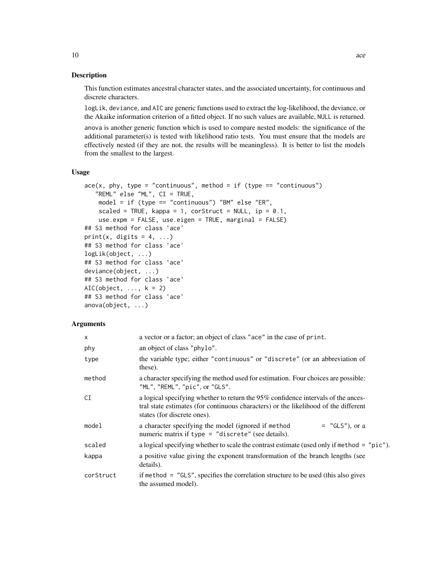#### Description

This function estimates ancestral character states, and the associated uncertainty, for continuous and discrete characters.

logLik, deviance, and AIC are generic functions used to extract the log-likelihood, the deviance, or the Akaike information criterion of a fitted object. If no such values are available, NULL is returned.

anova is another generic function which is used to compare nested models: the significance of the additional parameter(s) is tested with likelihood ratio tests. You must ensure that the models are effectively nested (if they are not, the results will be meaningless). It is better to list the models from the smallest to the largest.

#### Usage

```
ace(x, phy, type = "continuous", method = if (type == "continuous")"REML" else "ML", CI = TRUE,
   model = if (type == "continuous") "BM" else "ER",
    scaled = TRUE, kappa = 1, corStruct = NULL, ip = 0.1,
    use.expm = FALSE, use.eigen = TRUE, marginal = FALSE)
## S3 method for class 'ace'
print(x, digits = 4, ...)
## S3 method for class 'ace'
logLik(object, ...)
## S3 method for class 'ace'
deviance(object, ...)
## S3 method for class 'ace'
AIC(object, \ldots, k = 2)
## S3 method for class 'ace'
anova(object, ...)
```
#### **Arguments**

| $\times$  | a vector or a factor; an object of class "ace" in the case of print.                                                                                                                                    |  |
|-----------|---------------------------------------------------------------------------------------------------------------------------------------------------------------------------------------------------------|--|
| phy       | an object of class "phylo".                                                                                                                                                                             |  |
| type      | the variable type; either "continuous" or "discrete" (or an abbreviation of<br>these).                                                                                                                  |  |
| method    | a character specifying the method used for estimation. Four choices are possible:<br>"ML", "REML", "pic", or "GLS".                                                                                     |  |
| CI        | a logical specifying whether to return the 95% confidence intervals of the ances-<br>tral state estimates (for continuous characters) or the likelihood of the different<br>states (for discrete ones). |  |
| model     | $=$ "GLS"), or a<br>a character specifying the model (ignored if method<br>numeric matrix if type $=$ "discrete" (see details).                                                                         |  |
| scaled    | a logical specifying whether to scale the contrast estimate (used only if method = "pic").                                                                                                              |  |
| kappa     | a positive value giving the exponent transformation of the branch lengths (see<br>details).                                                                                                             |  |
| corStruct | if method $=$ "GLS", specifies the correlation structure to be used (this also gives<br>the assumed model).                                                                                             |  |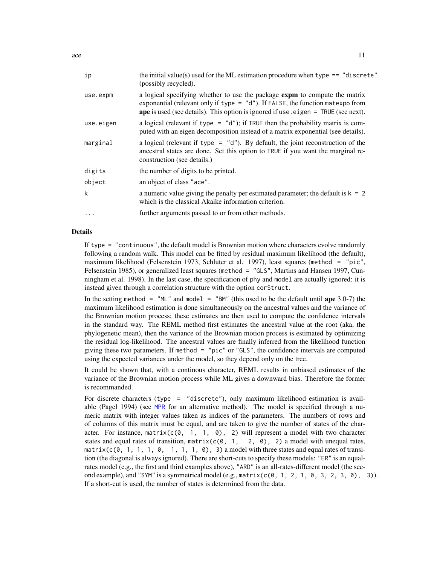| ip        | the initial value(s) used for the ML estimation procedure when type $==$ "discrete"<br>(possibly recycled).                                                                                                                                              |
|-----------|----------------------------------------------------------------------------------------------------------------------------------------------------------------------------------------------------------------------------------------------------------|
| use.expm  | a logical specifying whether to use the package expm to compute the matrix<br>exponential (relevant only if type $=$ "d"). If FALSE, the function mates po from<br>ape is used (see details). This option is ignored if use $e$ eigen = TRUE (see next). |
| use.eigen | a logical (relevant if type = $"d"$ ); if TRUE then the probability matrix is com-<br>puted with an eigen decomposition instead of a matrix exponential (see details).                                                                                   |
| marginal  | a logical (relevant if type = $"d"$ ). By default, the joint reconstruction of the<br>ancestral states are done. Set this option to TRUE if you want the marginal re-<br>construction (see details.)                                                     |
| digits    | the number of digits to be printed.                                                                                                                                                                                                                      |
| object    | an object of class "ace".                                                                                                                                                                                                                                |
| k         | a numeric value giving the penalty per estimated parameter; the default is $k = 2$<br>which is the classical Akaike information criterion.                                                                                                               |
| $\cdots$  | further arguments passed to or from other methods.                                                                                                                                                                                                       |

#### Details

If type = "continuous", the default model is Brownian motion where characters evolve randomly following a random walk. This model can be fitted by residual maximum likelihood (the default), maximum likelihood (Felsenstein 1973, Schluter et al. 1997), least squares (method = "pic", Felsenstein 1985), or generalized least squares (method = "GLS", Martins and Hansen 1997, Cunningham et al. 1998). In the last case, the specification of phy and model are actually ignored: it is instead given through a correlation structure with the option corStruct.

In the setting method =  $^{\prime\prime}$ ML" and model =  $^{\prime\prime}$ BM" (this used to be the default until ape 3.0-7) the maximum likelihood estimation is done simultaneously on the ancestral values and the variance of the Brownian motion process; these estimates are then used to compute the confidence intervals in the standard way. The REML method first estimates the ancestral value at the root (aka, the phylogenetic mean), then the variance of the Brownian motion process is estimated by optimizing the residual log-likelihood. The ancestral values are finally inferred from the likelihood function giving these two parameters. If method = "pic" or "GLS", the confidence intervals are computed using the expected variances under the model, so they depend only on the tree.

It could be shown that, with a continous character, REML results in unbiased estimates of the variance of the Brownian motion process while ML gives a downward bias. Therefore the former is recommanded.

For discrete characters (type = "discrete"), only maximum likelihood estimation is available (Pagel 1994) (see [MPR](#page-166-1) for an alternative method). The model is specified through a numeric matrix with integer values taken as indices of the parameters. The numbers of rows and of columns of this matrix must be equal, and are taken to give the number of states of the character. For instance, matrix( $c(0, 1, 1, 0)$ , 2) will represent a model with two character states and equal rates of transition,  $matrix(c(0, 1, 2, 0), 2)$  a model with unequal rates, matrix( $c(0, 1, 1, 1, 0, 1, 1, 1, 0)$ , 3) a model with three states and equal rates of transition (the diagonal is always ignored). There are short-cuts to specify these models: "ER" is an equalrates model (e.g., the first and third examples above), "ARD" is an all-rates-different model (the second example), and "SYM" is a symmetrical model (e.g., matrix( $c(0, 1, 2, 1, 0, 3, 2, 3, 0)$ , 3)). If a short-cut is used, the number of states is determined from the data.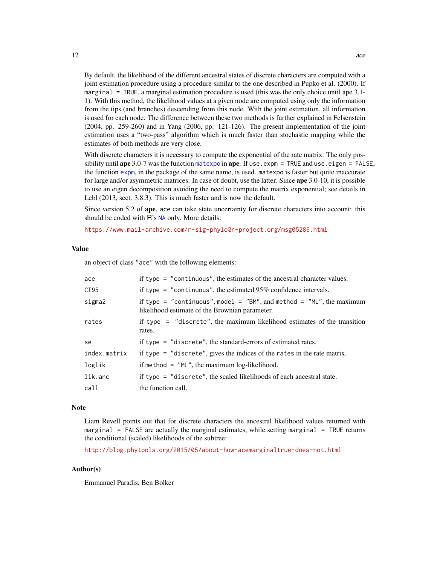By default, the likelihood of the different ancestral states of discrete characters are computed with a joint estimation procedure using a procedure similar to the one described in Pupko et al. (2000). If marginal = TRUE, a marginal estimation procedure is used (this was the only choice until ape 3.1- 1). With this method, the likelihood values at a given node are computed using only the information from the tips (and branches) descending from this node. With the joint estimation, all information is used for each node. The difference between these two methods is further explained in Felsenstein (2004, pp. 259-260) and in Yang (2006, pp. 121-126). The present implementation of the joint estimation uses a "two-pass" algorithm which is much faster than stochastic mapping while the estimates of both methods are very close.

With discrete characters it is necessary to compute the exponential of the rate matrix. The only possibility until ape 3.0-7 was the function [matexpo](#page-159-1) in ape. If use, expm  $=$  TRUE and use, eigen  $=$  FALSE, the function [expm](#page-0-0), in the package of the same name, is used. matexpo is faster but quite inaccurate for large and/or asymmetric matrices. In case of doubt, use the latter. Since ape 3.0-10, it is possible to use an eigen decomposition avoiding the need to compute the matrix exponential; see details in Lebl (2013, sect. 3.8.3). This is much faster and is now the default.

Since version 5.2 of ape, ace can take state uncertainty for discrete characters into account: this should be coded with R's [NA](#page-0-0) only. More details:

<https://www.mail-archive.com/r-sig-phylo@r-project.org/msg05286.html>

#### Value

an object of class "ace" with the following elements:

| ace          | if type $=$ "continuous", the estimates of the ancestral character values.                                             |
|--------------|------------------------------------------------------------------------------------------------------------------------|
| CI95         | if type = $"continuous",$ the estimated 95% confidence intervals.                                                      |
| sigma2       | if type = "continuous", model = "BM", and method = "ML", the maximum<br>likelihood estimate of the Brownian parameter. |
| rates        | if type = $"discrete",$ the maximum likelihood estimates of the transition<br>rates.                                   |
| se           | if type $=$ "discrete", the standard-errors of estimated rates.                                                        |
| index.matrix | if type $=$ "discrete", gives the indices of the rates in the rate matrix.                                             |
| loglik       | if method $=$ "ML", the maximum log-likelihood.                                                                        |
| lik.anc      | if type $=$ "discrete", the scaled likelihoods of each ancestral state.                                                |
| call         | the function call.                                                                                                     |

#### **Note**

Liam Revell points out that for discrete characters the ancestral likelihood values returned with marginal = FALSE are actually the marginal estimates, while setting marginal = TRUE returns the conditional (scaled) likelihoods of the subtree:

<http://blog.phytools.org/2015/05/about-how-acemarginaltrue-does-not.html>

#### Author(s)

Emmanuel Paradis, Ben Bolker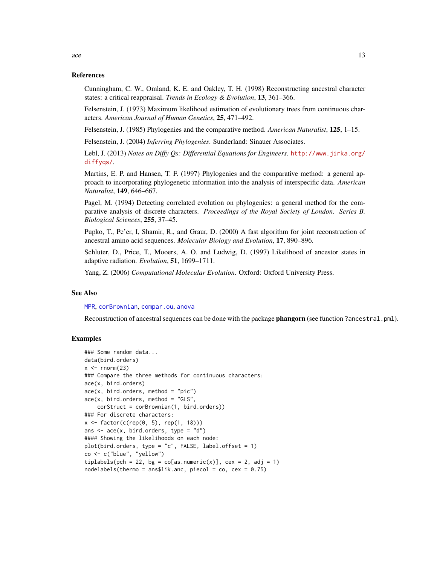#### References

Cunningham, C. W., Omland, K. E. and Oakley, T. H. (1998) Reconstructing ancestral character states: a critical reappraisal. *Trends in Ecology & Evolution*, 13, 361–366.

Felsenstein, J. (1973) Maximum likelihood estimation of evolutionary trees from continuous characters. *American Journal of Human Genetics*, 25, 471–492.

Felsenstein, J. (1985) Phylogenies and the comparative method. *American Naturalist*, 125, 1–15.

Felsenstein, J. (2004) *Inferring Phylogenies*. Sunderland: Sinauer Associates.

Lebl, J. (2013) *Notes on Diffy Qs: Differential Equations for Engineers*. [http://www.jirka.org/](http://www.jirka.org/diffyqs/) [diffyqs/](http://www.jirka.org/diffyqs/).

Martins, E. P. and Hansen, T. F. (1997) Phylogenies and the comparative method: a general approach to incorporating phylogenetic information into the analysis of interspecific data. *American Naturalist*, 149, 646–667.

Pagel, M. (1994) Detecting correlated evolution on phylogenies: a general method for the comparative analysis of discrete characters. *Proceedings of the Royal Society of London. Series B. Biological Sciences*, 255, 37–45.

Pupko, T., Pe'er, I, Shamir, R., and Graur, D. (2000) A fast algorithm for joint reconstruction of ancestral amino acid sequences. *Molecular Biology and Evolution*, 17, 890–896.

Schluter, D., Price, T., Mooers, A. O. and Ludwig, D. (1997) Likelihood of ancestor states in adaptive radiation. *Evolution*, 51, 1699–1711.

Yang, Z. (2006) *Computational Molecular Evolution*. Oxford: Oxford University Press.

#### See Also

[MPR](#page-166-1), [corBrownian](#page-91-1), [compar.ou](#page-81-1), [anova](#page-0-0)

Reconstruction of ancestral sequences can be done with the package phangorn (see function ?ancestral.pml).

## Examples

```
### Some random data...
data(bird.orders)
x \le - rnorm(23)
### Compare the three methods for continuous characters:
ace(x, bird.orders)
ace(x, bird.orders, method = "pic")ace(x, bird.orders, method = "GLS")corStruct = corBrownian(1, bird.orders))
### For discrete characters:
x \leq - factor(c(rep(0, 5), rep(1, 18)))
ans \leq ace(x, bird.orders, type = "d")
#### Showing the likelihoods on each node:
plot(bird.orders, type = "c", FALSE, label.offset = 1)co <- c("blue", "yellow")
tiplabels(pch = 22, bg = co[as.numeric(x)], cex = 2, adj = 1)
nodelabels(thermo = ans$lik.anc, piecol = co, cex = 0.75)
```
 $\int$  13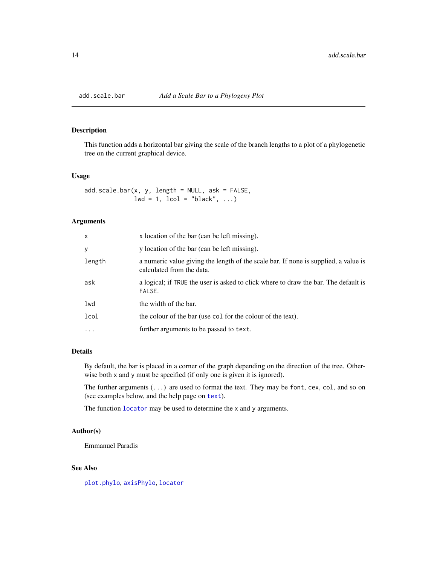<span id="page-13-1"></span><span id="page-13-0"></span>

## Description

This function adds a horizontal bar giving the scale of the branch lengths to a plot of a phylogenetic tree on the current graphical device.

#### Usage

add.scale.bar(x, y, length = NULL, ask = FALSE,  $1wd = 1$ ,  $1col = "black", ...)$ 

## Arguments

| x        | x location of the bar (can be left missing).                                                                     |
|----------|------------------------------------------------------------------------------------------------------------------|
| y        | y location of the bar (can be left missing).                                                                     |
| length   | a numeric value giving the length of the scale bar. If none is supplied, a value is<br>calculated from the data. |
| ask      | a logical; if TRUE the user is asked to click where to draw the bar. The default is<br>FALSE.                    |
| lwd      | the width of the bar.                                                                                            |
| lcol     | the colour of the bar (use col for the colour of the text).                                                      |
| $\cdots$ | further arguments to be passed to text.                                                                          |

#### Details

By default, the bar is placed in a corner of the graph depending on the direction of the tree. Otherwise both x and y must be specified (if only one is given it is ignored).

The further arguments (...) are used to format the text. They may be font, cex, col, and so on (see examples below, and the help page on [text](#page-0-0)).

The function [locator](#page-0-0) may be used to determine the x and y arguments.

#### Author(s)

Emmanuel Paradis

## See Also

[plot.phylo](#page-200-1), [axisPhylo](#page-29-1), [locator](#page-0-0)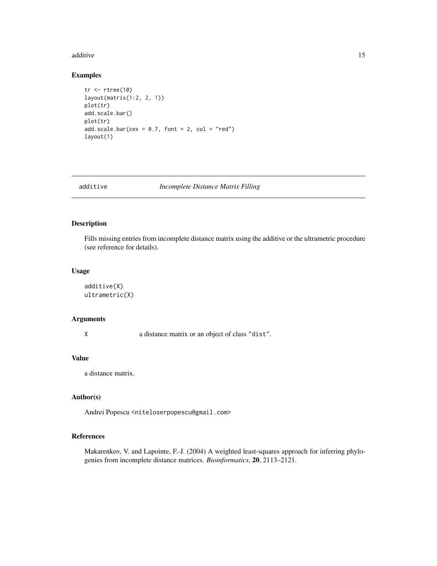#### <span id="page-14-0"></span>additive the contract of the contract of the contract of the contract of the contract of the contract of the contract of the contract of the contract of the contract of the contract of the contract of the contract of the c

## Examples

```
tr <- rtree(10)
layout(matrix(1:2, 2, 1))
plot(tr)
add.scale.bar()
plot(tr)
add.scale.bar(cex = 0.7, font = 2, col = "red")
layout(1)
```
additive *Incomplete Distance Matrix Filling*

## Description

Fills missing entries from incomplete distance matrix using the additive or the ultrametric procedure (see reference for details).

## Usage

```
additive(X)
ultrametric(X)
```
## Arguments

X a distance matrix or an object of class "dist".

## Value

a distance matrix.

## Author(s)

Andrei Popescu <niteloserpopescu@gmail.com>

## References

Makarenkov, V. and Lapointe, F.-J. (2004) A weighted least-squares approach for inferring phylogenies from incomplete distance matrices. *Bioinformatics*, 20, 2113–2121.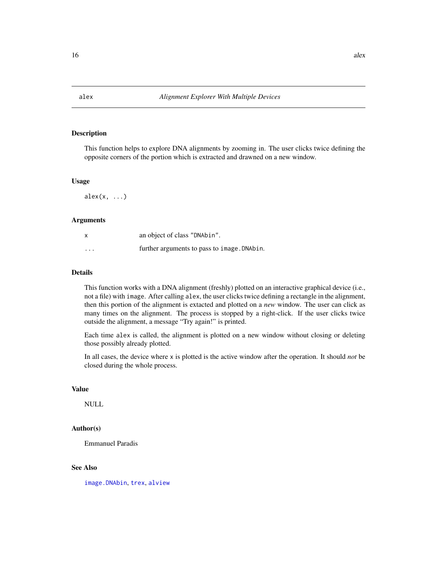<span id="page-15-1"></span><span id="page-15-0"></span>

## Description

This function helps to explore DNA alignments by zooming in. The user clicks twice defining the opposite corners of the portion which is extracted and drawned on a new window.

#### Usage

 $\text{alex}(x, \ldots)$ 

## Arguments

|          | an object of class "DNAbin".                |
|----------|---------------------------------------------|
| $\cdots$ | further arguments to pass to image. DNAbin. |

## Details

This function works with a DNA alignment (freshly) plotted on an interactive graphical device (i.e., not a file) with image. After calling alex, the user clicks twice defining a rectangle in the alignment, then this portion of the alignment is extacted and plotted on a *new* window. The user can click as many times on the alignment. The process is stopped by a right-click. If the user clicks twice outside the alignment, a message "Try again!" is printed.

Each time alex is called, the alignment is plotted on a new window without closing or deleting those possibly already plotted.

In all cases, the device where x is plotted is the active window after the operation. It should *not* be closed during the whole process.

#### Value

NULL

## Author(s)

Emmanuel Paradis

## See Also

[image.DNAbin](#page-137-1), [trex](#page-257-1), [alview](#page-19-1)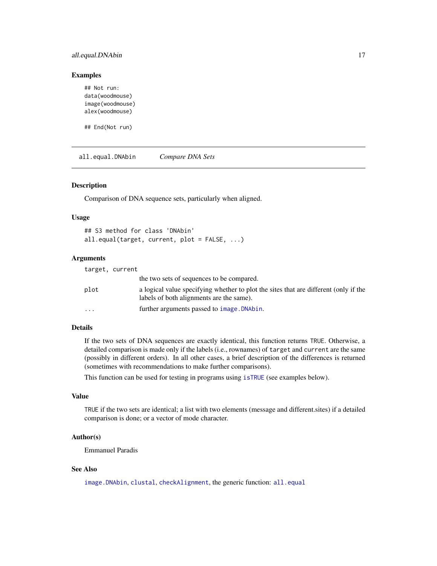## <span id="page-16-0"></span>all.equal.DNAbin 17

#### Examples

```
## Not run:
data(woodmouse)
image(woodmouse)
alex(woodmouse)
```
## End(Not run)

<span id="page-16-1"></span>all.equal.DNAbin *Compare DNA Sets*

## Description

Comparison of DNA sequence sets, particularly when aligned.

## Usage

## S3 method for class 'DNAbin' all.equal(target, current, plot = FALSE, ...)

### Arguments

|          | target, current                                                                                                                  |
|----------|----------------------------------------------------------------------------------------------------------------------------------|
|          | the two sets of sequences to be compared.                                                                                        |
| plot     | a logical value specifying whether to plot the sites that are different (only if the<br>labels of both alignments are the same). |
| $\cdots$ | further arguments passed to <i>image</i> . DNAbin.                                                                               |

## Details

If the two sets of DNA sequences are exactly identical, this function returns TRUE. Otherwise, a detailed comparison is made only if the labels (i.e., rownames) of target and current are the same (possibly in different orders). In all other cases, a brief description of the differences is returned (sometimes with recommendations to make further comparisons).

This function can be used for testing in programs using [isTRUE](#page-0-0) (see examples below).

## Value

TRUE if the two sets are identical; a list with two elements (message and different.sites) if a detailed comparison is done; or a vector of mode character.

## Author(s)

Emmanuel Paradis

## See Also

[image.DNAbin](#page-137-1), [clustal](#page-69-1), [checkAlignment](#page-58-1), the generic function: [all.equal](#page-0-0)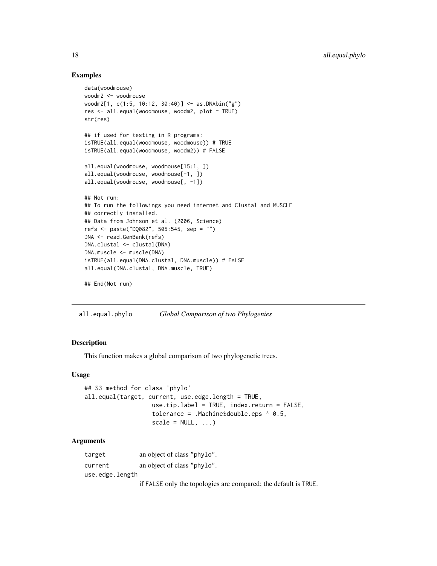## Examples

```
data(woodmouse)
woodm2 <- woodmouse
woodm2[1, c(1:5, 10:12, 30:40)] <- as.DNAbin("g")
res <- all.equal(woodmouse, woodm2, plot = TRUE)
str(res)
## if used for testing in R programs:
isTRUE(all.equal(woodmouse, woodmouse)) # TRUE
isTRUE(all.equal(woodmouse, woodm2)) # FALSE
all.equal(woodmouse, woodmouse[15:1, ])
all.equal(woodmouse, woodmouse[-1, ])
all.equal(woodmouse, woodmouse[, -1])
## Not run:
## To run the followings you need internet and Clustal and MUSCLE
## correctly installed.
## Data from Johnson et al. (2006, Science)
refs <- paste("DQ082", 505:545, sep = "")
DNA <- read.GenBank(refs)
DNA.clustal <- clustal(DNA)
DNA.muscle <- muscle(DNA)
isTRUE(all.equal(DNA.clustal, DNA.muscle)) # FALSE
all.equal(DNA.clustal, DNA.muscle, TRUE)
## End(Not run)
```
all.equal.phylo *Global Comparison of two Phylogenies*

### Description

This function makes a global comparison of two phylogenetic trees.

#### Usage

```
## S3 method for class 'phylo'
all.equal(target, current, use.edge.length = TRUE,
                   use.tip.label = TRUE, index.return = FALSE,
                   tolerance = .Machine$double.eps ^ 0.5,
                   scale = NULL, ...)
```
## Arguments

| target          | an object of class "phylo".                                     |  |
|-----------------|-----------------------------------------------------------------|--|
| current         | an object of class "phylo".                                     |  |
| use.edge.length |                                                                 |  |
|                 | if FALSE only the topologies are compared; the default is TRUE. |  |

<span id="page-17-0"></span>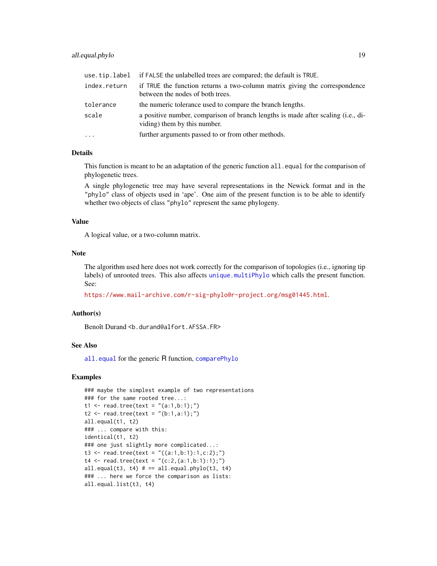## all.equal.phylo 19

|              | use, tip. label if FALSE the unlabelled trees are compared; the default is TRUE.                                 |
|--------------|------------------------------------------------------------------------------------------------------------------|
| index.return | if TRUE the function returns a two-column matrix giving the correspondence<br>between the nodes of both trees.   |
| tolerance    | the numeric tolerance used to compare the branch lengths.                                                        |
| scale        | a positive number, comparison of branch lengths is made after scaling (i.e., di-<br>viding) them by this number. |
| $\ddots$     | further arguments passed to or from other methods.                                                               |

## Details

This function is meant to be an adaptation of the generic function all. equal for the comparison of phylogenetic trees.

A single phylogenetic tree may have several representations in the Newick format and in the "phylo" class of objects used in 'ape'. One aim of the present function is to be able to identify whether two objects of class "phylo" represent the same phylogeny.

#### Value

A logical value, or a two-column matrix.

#### Note

The algorithm used here does not work correctly for the comparison of topologies (i.e., ignoring tip labels) of unrooted trees. This also affects [unique.multiPhylo](#page-260-1) which calls the present function. See:

<https://www.mail-archive.com/r-sig-phylo@r-project.org/msg01445.html>.

#### Author(s)

Benoît Durand <b.durand@alfort.AFSSA.FR>

## See Also

[all.equal](#page-0-0) for the generic R function, [comparePhylo](#page-83-1)

#### Examples

```
### maybe the simplest example of two representations
### for the same rooted tree...:
t1 <- read.tree(text = "(a:1,b:1);")t2 \le - read.tree(text = "(b:1,a:1);")
all.equal(t1, t2)
### ... compare with this:
identical(t1, t2)
### one just slightly more complicated...:
t3 <- read.tree(text = "((a:1,b:1):1,c:2);")
t4 \leftarrow \text{read-tree(text} = "(c:2,(a:1,b:1):1);")all.equal(t3, t4) # == all.equals.php(t3, t4)### ... here we force the comparison as lists:
all.equal.list(t3, t4)
```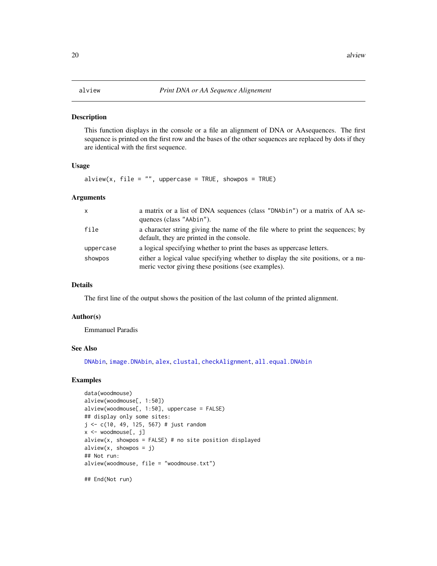## <span id="page-19-1"></span><span id="page-19-0"></span>Description

This function displays in the console or a file an alignment of DNA or AAsequences. The first sequence is printed on the first row and the bases of the other sequences are replaced by dots if they are identical with the first sequence.

#### Usage

 $alview(x, file = "", uppercase = TRUE, shows = TRUE)$ 

#### Arguments

| $\mathsf{x}$ | a matrix or a list of DNA sequences (class "DNAbin") or a matrix of AA se-<br>quences (class "AAbin").                                   |
|--------------|------------------------------------------------------------------------------------------------------------------------------------------|
| file         | a character string giving the name of the file where to print the sequences; by<br>default, they are printed in the console.             |
| uppercase    | a logical specifying whether to print the bases as uppercase letters.                                                                    |
| showpos      | either a logical value specifying whether to display the site positions, or a nu-<br>meric vector giving these positions (see examples). |

#### Details

The first line of the output shows the position of the last column of the printed alignment.

#### Author(s)

Emmanuel Paradis

#### See Also

[DNAbin](#page-121-1), [image.DNAbin](#page-137-1), [alex](#page-15-1), [clustal](#page-69-1), [checkAlignment](#page-58-1), [all.equal.DNAbin](#page-16-1)

#### Examples

```
data(woodmouse)
alview(woodmouse[, 1:50])
alview(woodmouse[, 1:50], uppercase = FALSE)
## display only some sites:
j \leq c(10, 49, 125, 567) # just random
x <- woodmouse[, j]
alview(x, showpos = FALSE) # no site position displayed
alview(x, showpos = j)## Not run:
alview(woodmouse, file = "woodmouse.txt")
```
## End(Not run)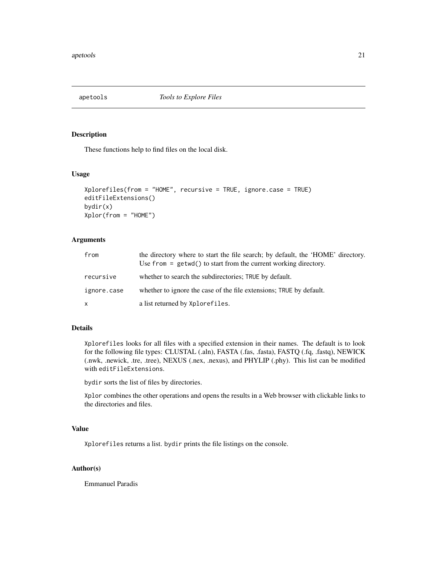<span id="page-20-0"></span>

## Description

These functions help to find files on the local disk.

## Usage

```
Xplorefiles(from = "HOME", recursive = TRUE, ignore.case = TRUE)
editFileExtensions()
bydir(x)
Xplor(from = "HOME")
```
## Arguments

| from         | the directory where to start the file search; by default, the 'HOME' directory.<br>Use $from = getwd()$ to start from the current working directory. |
|--------------|------------------------------------------------------------------------------------------------------------------------------------------------------|
| recursive    | whether to search the subdirectories; TRUE by default.                                                                                               |
| ignore.case  | whether to ignore the case of the file extensions; TRUE by default.                                                                                  |
| $\mathsf{X}$ | a list returned by Xplorefiles.                                                                                                                      |

#### Details

Xplorefiles looks for all files with a specified extension in their names. The default is to look for the following file types: CLUSTAL (.aln), FASTA (.fas, .fasta), FASTQ (.fq, .fastq), NEWICK (.nwk, .newick, .tre, .tree), NEXUS (.nex, .nexus), and PHYLIP (.phy). This list can be modified with editFileExtensions.

bydir sorts the list of files by directories.

Xplor combines the other operations and opens the results in a Web browser with clickable links to the directories and files.

## Value

Xplorefiles returns a list. bydir prints the file listings on the console.

## Author(s)

Emmanuel Paradis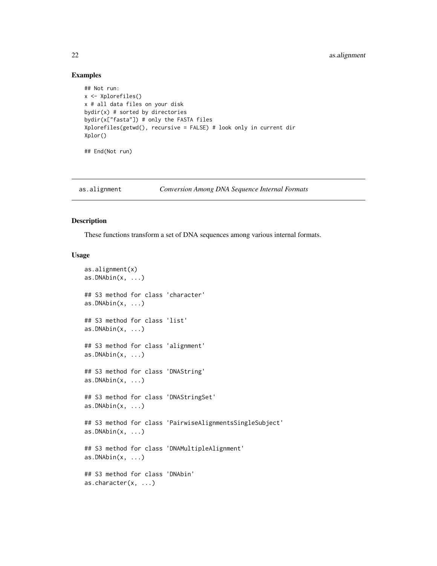## Examples

```
## Not run:
x <- Xplorefiles()
x # all data files on your disk
bydir(x) # sorted by directories
bydir(x["fasta"]) # only the FASTA files
Xplorefiles(getwd(), recursive = FALSE) # look only in current dir
Xplor()
## End(Not run)
```
## as.alignment *Conversion Among DNA Sequence Internal Formats*

## Description

These functions transform a set of DNA sequences among various internal formats.

#### Usage

```
as.alignment(x)
as.DNAbin(x, \ldots)## S3 method for class 'character'
as.DNAbin(x, \ldots)## S3 method for class 'list'
as.DNAbin(x, ...)## S3 method for class 'alignment'
as.DNAbin(x, \ldots)## S3 method for class 'DNAString'
as.DNAbin(x, ...)## S3 method for class 'DNAStringSet'
as.DNAbin(x, ...)## S3 method for class 'PairwiseAlignmentsSingleSubject'
as.DNAbin(x, \ldots)## S3 method for class 'DNAMultipleAlignment'
as.DNAbin(x, \ldots)## S3 method for class 'DNAbin'
as.character(x, ...)
```
<span id="page-21-0"></span>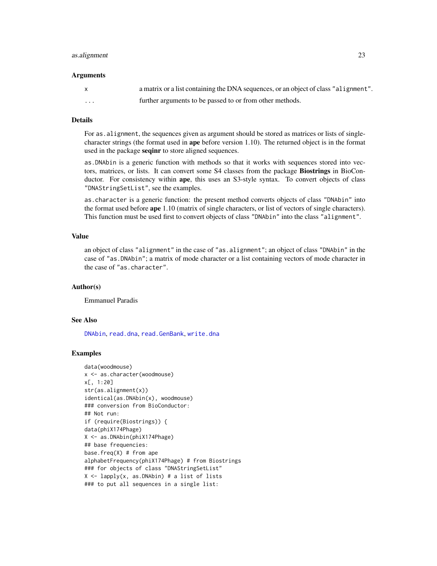### as.alignment 23

#### Arguments

|   | a matrix or a list containing the DNA sequences, or an object of class "alignment". |
|---|-------------------------------------------------------------------------------------|
| . | further arguments to be passed to or from other methods.                            |

#### Details

For as. alignment, the sequences given as argument should be stored as matrices or lists of singlecharacter strings (the format used in ape before version 1.10). The returned object is in the format used in the package seqinr to store aligned sequences.

as.DNAbin is a generic function with methods so that it works with sequences stored into vectors, matrices, or lists. It can convert some S4 classes from the package Biostrings in BioConductor. For consistency within ape, this uses an S3-style syntax. To convert objects of class "DNAStringSetList", see the examples.

as.character is a generic function: the present method converts objects of class "DNAbin" into the format used before ape 1.10 (matrix of single characters, or list of vectors of single characters). This function must be used first to convert objects of class "DNAbin" into the class "alignment".

## Value

an object of class "alignment" in the case of "as.alignment"; an object of class "DNAbin" in the case of "as.DNAbin"; a matrix of mode character or a list containing vectors of mode character in the case of "as.character".

## Author(s)

Emmanuel Paradis

#### See Also

[DNAbin](#page-121-1), [read.dna](#page-211-2), [read.GenBank](#page-215-1), [write.dna](#page-270-1)

#### Examples

```
data(woodmouse)
x <- as.character(woodmouse)
x[, 1:20]
str(as.alignment(x))
identical(as.DNAbin(x), woodmouse)
### conversion from BioConductor:
## Not run:
if (require(Biostrings)) {
data(phiX174Phage)
X <- as.DNAbin(phiX174Phage)
## base frequencies:
base.freq(X) # from ape
alphabetFrequency(phiX174Phage) # from Biostrings
### for objects of class "DNAStringSetList"
X \leftarrow \text{lapply}(x, \text{ as.} \text{DNAbin}) # a list of lists
### to put all sequences in a single list:
```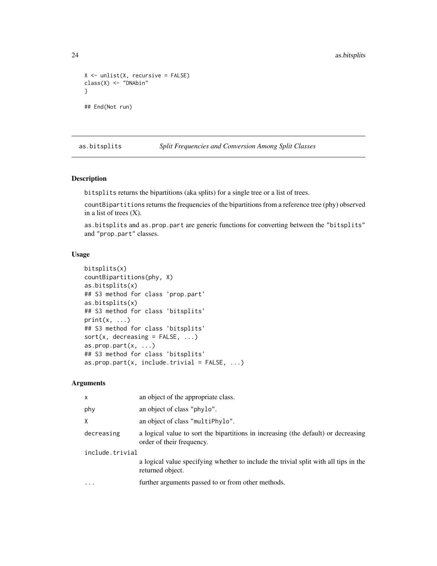```
X \leftarrow \text{unlist}(X, \text{ recursive} = \text{FALSE})class(X) <- "DNAbin"
}
## End(Not run)
```
as.bitsplits *Split Frequencies and Conversion Among Split Classes*

## Description

bitsplits returns the bipartitions (aka splits) for a single tree or a list of trees.

countBipartitions returns the frequencies of the bipartitions from a reference tree (phy) observed in a list of trees  $(X)$ .

as.bitsplits and as.prop.part are generic functions for converting between the "bitsplits" and "prop.part" classes.

#### Usage

```
bitsplits(x)
countBipartitions(phy, X)
as.bitsplits(x)
## S3 method for class 'prop.part'
as.bitsplits(x)
## S3 method for class 'bitsplits'
print(x, \ldots)## S3 method for class 'bitsplits'
sort(x, decreasing = FALSE, ...)as.prop.part(x, ...)
## S3 method for class 'bitsplits'
as.prop.part(x, include.trivial = FALSE, ...)
```
#### Arguments

| x               | an object of the appropriate class.                                                                             |  |
|-----------------|-----------------------------------------------------------------------------------------------------------------|--|
| phy             | an object of class "phylo".                                                                                     |  |
| χ               | an object of class "multiPhylo".                                                                                |  |
| decreasing      | a logical value to sort the bipartitions in increasing (the default) or decreasing<br>order of their frequency. |  |
| include.trivial |                                                                                                                 |  |
|                 | a logical value specifying whether to include the trivial split with all tips in the<br>returned object.        |  |
| .               | further arguments passed to or from other methods.                                                              |  |
|                 |                                                                                                                 |  |

<span id="page-23-0"></span>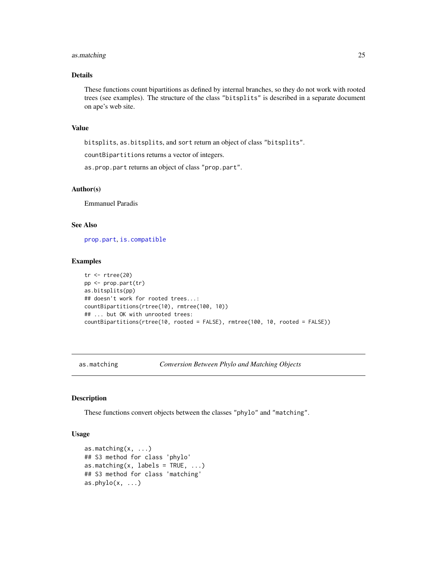## <span id="page-24-0"></span>as.matching 25

## Details

These functions count bipartitions as defined by internal branches, so they do not work with rooted trees (see examples). The structure of the class "bitsplits" is described in a separate document on ape's web site.

#### Value

bitsplits, as.bitsplits, and sort return an object of class "bitsplits".

countBipartitions returns a vector of integers.

as.prop.part returns an object of class "prop.part".

## Author(s)

Emmanuel Paradis

## See Also

[prop.part](#page-48-1), [is.compatible](#page-140-1)

#### Examples

```
tr < -rtree(20)pp <- prop.part(tr)
as.bitsplits(pp)
## doesn't work for rooted trees...:
countBipartitions(rtree(10), rmtree(100, 10))
## ... but OK with unrooted trees:
countBipartitions(rtree(10, rooted = FALSE), rmtree(100, 10, rooted = FALSE))
```
as.matching *Conversion Between Phylo and Matching Objects*

#### Description

These functions convert objects between the classes "phylo" and "matching".

#### Usage

```
as.matching(x, ...)
## S3 method for class 'phylo'
as.matching(x, labels = TRUE, ...)
## S3 method for class 'matching'
as. phylo(x, \ldots)
```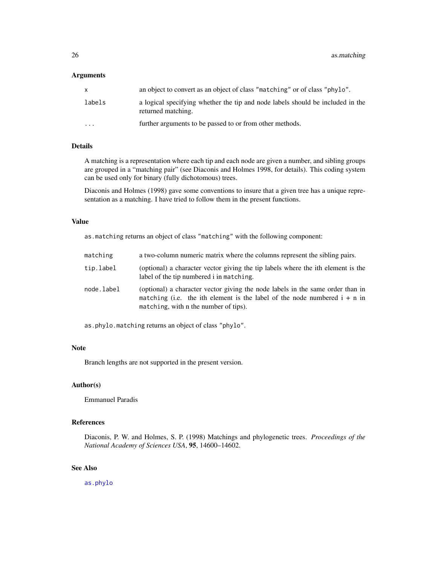#### Arguments

| X        | an object to convert as an object of class "matching" or of class "phylo".                           |
|----------|------------------------------------------------------------------------------------------------------|
| labels   | a logical specifying whether the tip and node labels should be included in the<br>returned matching. |
| $\cdots$ | further arguments to be passed to or from other methods.                                             |

## Details

A matching is a representation where each tip and each node are given a number, and sibling groups are grouped in a "matching pair" (see Diaconis and Holmes 1998, for details). This coding system can be used only for binary (fully dichotomous) trees.

Diaconis and Holmes (1998) gave some conventions to insure that a given tree has a unique representation as a matching. I have tried to follow them in the present functions.

#### Value

as.matching returns an object of class "matching" with the following component:

| matching   | a two-column numeric matrix where the columns represent the sibling pairs.                                                                                                                             |
|------------|--------------------------------------------------------------------------------------------------------------------------------------------------------------------------------------------------------|
| tip.label  | (optional) a character vector giving the tip labels where the ith element is the<br>label of the tip numbered i in matching.                                                                           |
| node.label | (optional) a character vector giving the node labels in the same order than in<br>matching (i.e. the ith element is the label of the node numbered $i + n$ in<br>matching, with n the number of tips). |

as.phylo.matching returns an object of class "phylo".

## Note

Branch lengths are not supported in the present version.

## Author(s)

Emmanuel Paradis

### References

Diaconis, P. W. and Holmes, S. P. (1998) Matchings and phylogenetic trees. *Proceedings of the National Academy of Sciences USA*, 95, 14600–14602.

## See Also

[as.phylo](#page-26-1)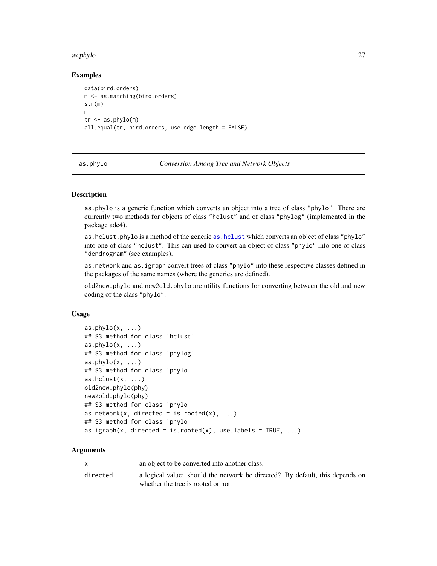#### <span id="page-26-0"></span>as.phylo 27

## Examples

```
data(bird.orders)
m <- as.matching(bird.orders)
str(m)
m
tr < -as.phplo(m)all.equal(tr, bird.orders, use.edge.length = FALSE)
```
<span id="page-26-1"></span>

as.phylo *Conversion Among Tree and Network Objects*

## **Description**

as.phylo is a generic function which converts an object into a tree of class "phylo". There are currently two methods for objects of class "hclust" and of class "phylog" (implemented in the package ade4).

as.hclust.phylo is a method of the generic [as.hclust](#page-0-0) which converts an object of class "phylo" into one of class "hclust". This can used to convert an object of class "phylo" into one of class "dendrogram" (see examples).

as.network and as.igraph convert trees of class "phylo" into these respective classes defined in the packages of the same names (where the generics are defined).

old2new.phylo and new2old.phylo are utility functions for converting between the old and new coding of the class "phylo".

#### Usage

```
as. phylo(x, \ldots)## S3 method for class 'hclust'
as. phylo(x, ...)## S3 method for class 'phylog'
as. phylo(x, ...)## S3 method for class 'phylo'
as.hclust(x, \ldots)old2new.phylo(phy)
new2old.phylo(phy)
## S3 method for class 'phylo'
as.network(x, directed = is.rooted(x), \dots)
## S3 method for class 'phylo'
as.igraph(x, directed = is.rooted(x), use.labels = TRUE, ...)
```
#### Arguments

|          | an object to be converted into another class.                                |
|----------|------------------------------------------------------------------------------|
| directed | a logical value: should the network be directed? By default, this depends on |
|          | whether the tree is rooted or not.                                           |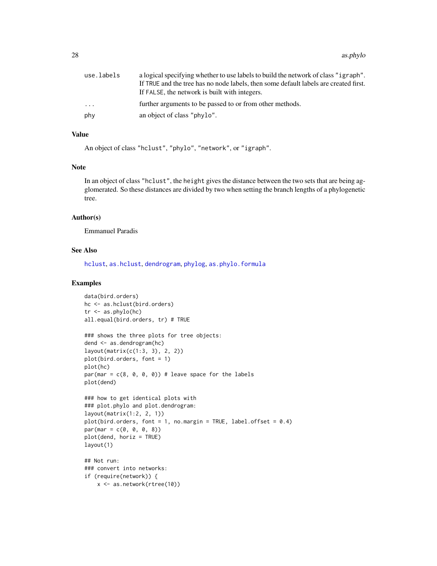| use.labels | a logical specifying whether to use labels to build the network of class "igraph".   |
|------------|--------------------------------------------------------------------------------------|
|            | If TRUE and the tree has no node labels, then some default labels are created first. |
|            | If FALSE, the network is built with integers.                                        |
| .          | further arguments to be passed to or from other methods.                             |
| phy        | an object of class "phylo".                                                          |

## Value

An object of class "hclust", "phylo", "network", or "igraph".

#### Note

In an object of class "hclust", the height gives the distance between the two sets that are being agglomerated. So these distances are divided by two when setting the branch lengths of a phylogenetic tree.

## Author(s)

Emmanuel Paradis

#### See Also

[hclust](#page-0-0), [as.hclust](#page-0-0), [dendrogram](#page-0-0), [phylog](#page-0-0), [as.phylo.formula](#page-28-1)

## Examples

```
data(bird.orders)
hc <- as.hclust(bird.orders)
tr <- as.phylo(hc)
all.equal(bird.orders, tr) # TRUE
### shows the three plots for tree objects:
dend <- as.dendrogram(hc)
layout(matrix(c(1:3, 3), 2, 2))
plot(bird.orders, font = 1)
plot(hc)
par(max = c(8, 0, 0, 0)) # leave space for the labels
plot(dend)
### how to get identical plots with
### plot.phylo and plot.dendrogram:
layout(matrix(1:2, 2, 1))
plot(bird.orders, font = 1, no.margin = TRUE, label.offset = 0.4)
par(max = c(0, 0, 0, 8))plot(dend, horiz = TRUE)
layout(1)
## Not run:
### convert into networks:
if (require(network)) {
   x <- as.network(rtree(10))
```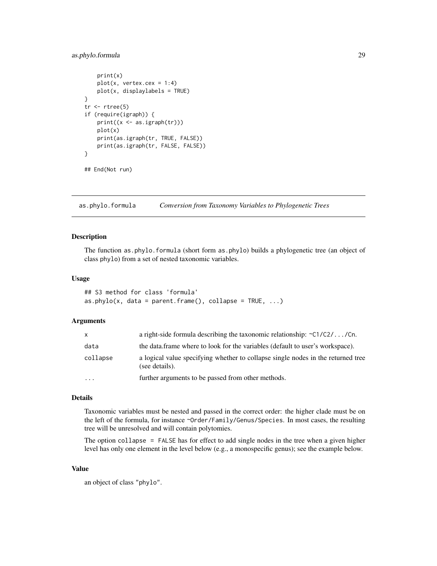## <span id="page-28-0"></span>as.phylo.formula 29

```
print(x)
   plot(x, vertex.cex = 1:4)plot(x, displaylabels = TRUE)
}
tr < -rtree(5)if (require(igraph)) {
   print((x \leftarrow as .igraph(tr)))plot(x)
   print(as.igraph(tr, TRUE, FALSE))
   print(as.igraph(tr, FALSE, FALSE))
}
## End(Not run)
```
<span id="page-28-1"></span>as.phylo.formula *Conversion from Taxonomy Variables to Phylogenetic Trees*

## Description

The function as.phylo.formula (short form as.phylo) builds a phylogenetic tree (an object of class phylo) from a set of nested taxonomic variables.

## Usage

```
## S3 method for class 'formula'
as.phylo(x, data = parent.frame(), collapse = TRUE, ...)
```
#### Arguments

| X.        | a right-side formula describing the taxonomic relationship: $\sim C1/C2/\ldots$ /Cn.               |
|-----------|----------------------------------------------------------------------------------------------------|
| data      | the data frame where to look for the variables (default to user's workspace).                      |
| collapse  | a logical value specifying whether to collapse single nodes in the returned tree<br>(see details). |
| $\ddotsc$ | further arguments to be passed from other methods.                                                 |
|           |                                                                                                    |

## Details

Taxonomic variables must be nested and passed in the correct order: the higher clade must be on the left of the formula, for instance ~Order/Family/Genus/Species. In most cases, the resulting tree will be unresolved and will contain polytomies.

The option collapse = FALSE has for effect to add single nodes in the tree when a given higher level has only one element in the level below (e.g., a monospecific genus); see the example below.

## Value

an object of class "phylo".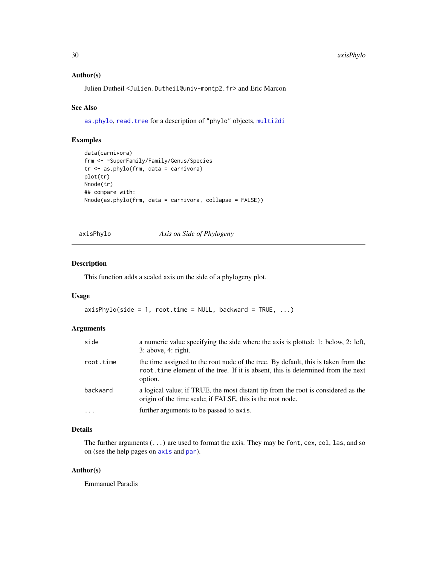### <span id="page-29-0"></span>Author(s)

Julien Dutheil <Julien.Dutheil@univ-montp2.fr> and Eric Marcon

#### See Also

[as.phylo](#page-26-1), [read.tree](#page-221-1) for a description of "phylo" objects, [multi2di](#page-170-1)

## Examples

```
data(carnivora)
frm <- ~SuperFamily/Family/Genus/Species
tr <- as.phylo(frm, data = carnivora)
plot(tr)
Nnode(tr)
## compare with:
Nnode(as.phylo(frm, data = carnivora, collapse = FALSE))
```
<span id="page-29-1"></span>axisPhylo *Axis on Side of Phylogeny*

## Description

This function adds a scaled axis on the side of a phylogeny plot.

#### Usage

```
axisPhylo(side = 1, root.time = NULL, backward = TRUE, ...)
```
#### Arguments

| side      | a numeric value specifying the side where the axis is plotted: 1: below, 2: left,<br>3: above, 4: right.                                                                           |
|-----------|------------------------------------------------------------------------------------------------------------------------------------------------------------------------------------|
| root.time | the time assigned to the root node of the tree. By default, this is taken from the<br>root. time element of the tree. If it is absent, this is determined from the next<br>option. |
| backward  | a logical value; if TRUE, the most distant tip from the root is considered as the<br>origin of the time scale; if FALSE, this is the root node.                                    |
| $\cdot$   | further arguments to be passed to axis.                                                                                                                                            |

## Details

The further arguments (...) are used to format the axis. They may be font, cex, col, las, and so on (see the help pages on [axis](#page-0-0) and [par](#page-0-0)).

#### Author(s)

Emmanuel Paradis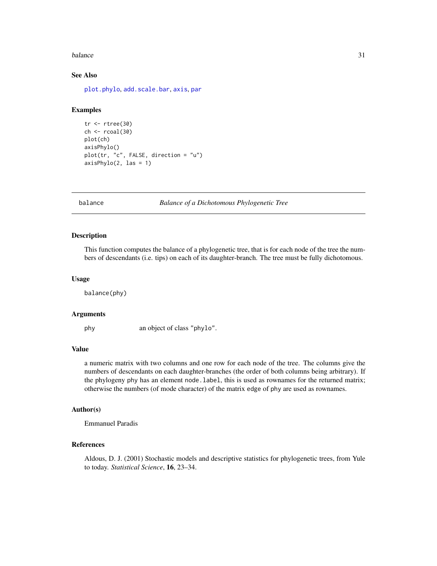#### <span id="page-30-0"></span>balance 31 and 31 and 32 and 32 and 32 and 33 and 33 and 33 and 33 and 33 and 34 and 34 and 35 and 35 and 35 and 35 and 36 and 36 and 36 and 36 and 36 and 36 and 36 and 36 and 36 and 36 and 36 and 36 and 36 and 36 and 36 a

## See Also

[plot.phylo](#page-200-1), [add.scale.bar](#page-13-1), [axis](#page-0-0), [par](#page-0-0)

## Examples

```
tr <- rtree(30)
ch < -rcoal(30)plot(ch)
axisPhylo()
plot(tr, "c", FALSE, direction = "u")
axisPhylo(2, las = 1)
```
balance *Balance of a Dichotomous Phylogenetic Tree*

## Description

This function computes the balance of a phylogenetic tree, that is for each node of the tree the numbers of descendants (i.e. tips) on each of its daughter-branch. The tree must be fully dichotomous.

## Usage

balance(phy)

## Arguments

phy an object of class "phylo".

#### Value

a numeric matrix with two columns and one row for each node of the tree. The columns give the numbers of descendants on each daughter-branches (the order of both columns being arbitrary). If the phylogeny phy has an element node.label, this is used as rownames for the returned matrix; otherwise the numbers (of mode character) of the matrix edge of phy are used as rownames.

## Author(s)

Emmanuel Paradis

#### References

Aldous, D. J. (2001) Stochastic models and descriptive statistics for phylogenetic trees, from Yule to today. *Statistical Science*, 16, 23–34.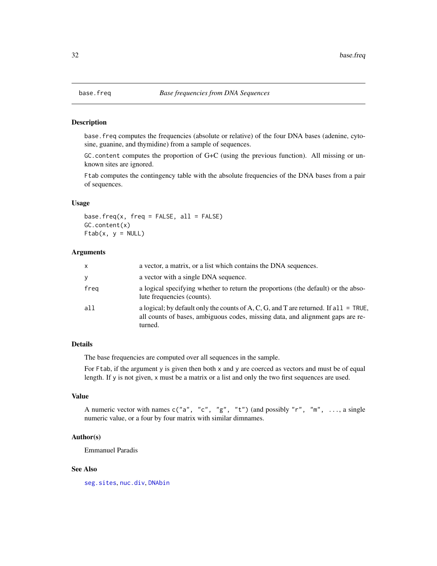<span id="page-31-0"></span>

#### Description

base.freq computes the frequencies (absolute or relative) of the four DNA bases (adenine, cytosine, guanine, and thymidine) from a sample of sequences.

GC.content computes the proportion of G+C (using the previous function). All missing or unknown sites are ignored.

Ftab computes the contingency table with the absolute frequencies of the DNA bases from a pair of sequences.

#### Usage

base.freq(x, freq = FALSE, all = FALSE) GC.content(x)  $Ftab(x, y = NULL)$ 

#### **Arguments**

| x    | a vector, a matrix, or a list which contains the DNA sequences.                                                                                                                   |
|------|-----------------------------------------------------------------------------------------------------------------------------------------------------------------------------------|
| y    | a vector with a single DNA sequence.                                                                                                                                              |
| freq | a logical specifying whether to return the proportions (the default) or the abso-<br>lute frequencies (counts).                                                                   |
| all  | a logical; by default only the counts of A, C, G, and T are returned. If all = TRUE,<br>all counts of bases, ambiguous codes, missing data, and alignment gaps are re-<br>turned. |

## Details

The base frequencies are computed over all sequences in the sample.

For Ftab, if the argument y is given then both x and y are coerced as vectors and must be of equal length. If y is not given, x must be a matrix or a list and only the two first sequences are used.

## Value

A numeric vector with names  $c("a", "c", "g", "t")$  (and possibly "r", "m", ..., a single numeric value, or a four by four matrix with similar dimnames.

#### Author(s)

Emmanuel Paradis

#### See Also

[seg.sites](#page-243-1), [nuc.div](#page-0-0), [DNAbin](#page-121-1)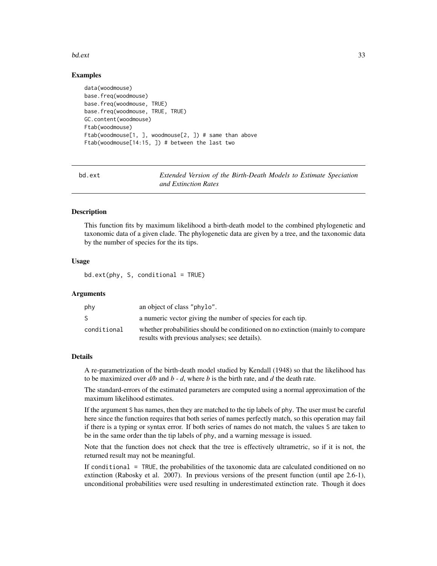#### <span id="page-32-0"></span>bd.ext 33

## Examples

```
data(woodmouse)
base.freq(woodmouse)
base.freq(woodmouse, TRUE)
base.freq(woodmouse, TRUE, TRUE)
GC.content(woodmouse)
Ftab(woodmouse)
Ftab(woodmouse[1, ], woodmouse[2, ]) # same than above
Ftab(woodmouse[14:15, ]) # between the last two
```
bd.ext *Extended Version of the Birth-Death Models to Estimate Speciation and Extinction Rates*

## Description

This function fits by maximum likelihood a birth-death model to the combined phylogenetic and taxonomic data of a given clade. The phylogenetic data are given by a tree, and the taxonomic data by the number of species for the its tips.

## Usage

 $bd.exit(phy, S, conditional = TRUE)$ 

## Arguments

| an object of class "phylo".                                                                                                      |
|----------------------------------------------------------------------------------------------------------------------------------|
| a numeric vector giving the number of species for each tip.                                                                      |
| whether probabilities should be conditioned on no extinction (mainly to compare<br>results with previous analyses; see details). |
|                                                                                                                                  |

#### Details

A re-parametrization of the birth-death model studied by Kendall (1948) so that the likelihood has to be maximized over  $d/b$  and  $b - d$ , where  $b$  is the birth rate, and  $d$  the death rate.

The standard-errors of the estimated parameters are computed using a normal approximation of the maximum likelihood estimates.

If the argument S has names, then they are matched to the tip labels of phy. The user must be careful here since the function requires that both series of names perfectly match, so this operation may fail if there is a typing or syntax error. If both series of names do not match, the values S are taken to be in the same order than the tip labels of phy, and a warning message is issued.

Note that the function does not check that the tree is effectively ultrametric, so if it is not, the returned result may not be meaningful.

If conditional = TRUE, the probabilities of the taxonomic data are calculated conditioned on no extinction (Rabosky et al. 2007). In previous versions of the present function (until ape 2.6-1), unconditional probabilities were used resulting in underestimated extinction rate. Though it does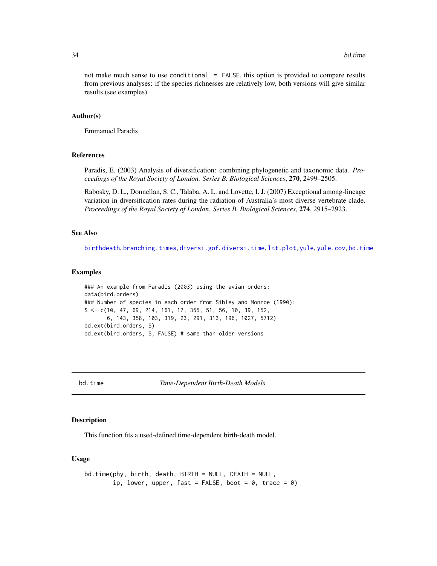<span id="page-33-0"></span>not make much sense to use conditional = FALSE, this option is provided to compare results from previous analyses: if the species richnesses are relatively low, both versions will give similar results (see examples).

#### Author(s)

Emmanuel Paradis

## References

Paradis, E. (2003) Analysis of diversification: combining phylogenetic and taxonomic data. *Proceedings of the Royal Society of London. Series B. Biological Sciences*, 270, 2499–2505.

Rabosky, D. L., Donnellan, S. C., Talaba, A. L. and Lovette, I. J. (2007) Exceptional among-lineage variation in diversification rates during the radiation of Australia's most diverse vertebrate clade. *Proceedings of the Royal Society of London. Series B. Biological Sciences*, 274, 2915–2923.

## See Also

[birthdeath](#page-46-1), [branching.times](#page-51-1), [diversi.gof](#page-116-1), [diversi.time](#page-118-1), [ltt.plot](#page-150-1), [yule](#page-276-1), [yule.cov](#page-277-1), [bd.time](#page-33-1)

#### Examples

### An example from Paradis (2003) using the avian orders: data(bird.orders) ### Number of species in each order from Sibley and Monroe (1990): S <- c(10, 47, 69, 214, 161, 17, 355, 51, 56, 10, 39, 152, 6, 143, 358, 103, 319, 23, 291, 313, 196, 1027, 5712) bd.ext(bird.orders, S) bd.ext(bird.orders, S, FALSE) # same than older versions

<span id="page-33-1"></span>bd.time *Time-Dependent Birth-Death Models*

## Description

This function fits a used-defined time-dependent birth-death model.

## Usage

```
bd.time(phy, birth, death, BIRTH = NULL, DEATH = NULL,
        ip, lower, upper, fast = FALSE, boot = 0, trace = 0)
```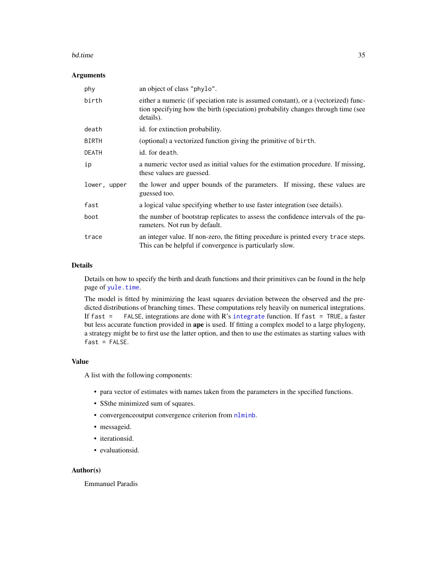#### bd.time 35

#### Arguments

| phy          | an object of class "phylo".                                                                                                                                                         |
|--------------|-------------------------------------------------------------------------------------------------------------------------------------------------------------------------------------|
| birth        | either a numeric (if speciation rate is assumed constant), or a (vectorized) func-<br>tion specifying how the birth (speciation) probability changes through time (see<br>details). |
| death        | id. for extinction probability.                                                                                                                                                     |
| <b>BIRTH</b> | (optional) a vectorized function giving the primitive of birth.                                                                                                                     |
| DEATH        | id. for death.                                                                                                                                                                      |
| ip           | a numeric vector used as initial values for the estimation procedure. If missing,<br>these values are guessed.                                                                      |
| lower, upper | the lower and upper bounds of the parameters. If missing, these values are<br>guessed too.                                                                                          |
| fast         | a logical value specifying whether to use faster integration (see details).                                                                                                         |
| boot         | the number of bootstrap replicates to assess the confidence intervals of the pa-<br>rameters. Not run by default.                                                                   |
| trace        | an integer value. If non-zero, the fitting procedure is printed every trace steps.<br>This can be helpful if convergence is particularly slow.                                      |

## Details

Details on how to specify the birth and death functions and their primitives can be found in the help page of [yule.time](#page-279-1).

The model is fitted by minimizing the least squares deviation between the observed and the predicted distributions of branching times. These computations rely heavily on numerical integrations. If fast = FALSE, integrations are done with R's [integrate](#page-0-0) function. If fast = TRUE, a faster but less accurate function provided in ape is used. If fitting a complex model to a large phylogeny, a strategy might be to first use the latter option, and then to use the estimates as starting values with  $fast = FALSE.$ 

## Value

A list with the following components:

- para vector of estimates with names taken from the parameters in the specified functions.
- SSthe minimized sum of squares.
- convergenceoutput convergence criterion from [nlminb](#page-0-0).
- messageid.
- iterationsid.
- evaluationsid.

#### Author(s)

Emmanuel Paradis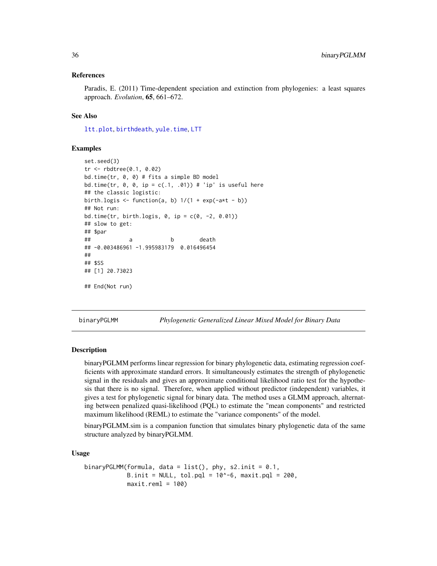### <span id="page-35-0"></span>References

Paradis, E. (2011) Time-dependent speciation and extinction from phylogenies: a least squares approach. *Evolution*, 65, 661–672.

#### See Also

[ltt.plot](#page-150-1), [birthdeath](#page-46-1), [yule.time](#page-279-1), [LTT](#page-148-1)

#### Examples

```
set.seed(3)
tr <- rbdtree(0.1, 0.02)
bd.time(tr, 0, 0) # fits a simple BD model
bd.time(tr, \theta, \theta, ip = c(.1, .01)) # 'ip' is useful here
## the classic logistic:
birth.logis \leq function(a, b) 1/(1 + \exp(-a*t - b))## Not run:
bd.time(tr, birth.logis, 0, ip = c(0, -2, 0.01))
## slow to get:
## $par
## a b death
## -0.003486961 -1.995983179 0.016496454
##
## $SS
## [1] 20.73023
## End(Not run)
```
binaryPGLMM *Phylogenetic Generalized Linear Mixed Model for Binary Data*

#### **Description**

binaryPGLMM performs linear regression for binary phylogenetic data, estimating regression coefficients with approximate standard errors. It simultaneously estimates the strength of phylogenetic signal in the residuals and gives an approximate conditional likelihood ratio test for the hypothesis that there is no signal. Therefore, when applied without predictor (independent) variables, it gives a test for phylogenetic signal for binary data. The method uses a GLMM approach, alternating between penalized quasi-likelihood (PQL) to estimate the "mean components" and restricted maximum likelihood (REML) to estimate the "variance components" of the model.

binaryPGLMM.sim is a companion function that simulates binary phylogenetic data of the same structure analyzed by binaryPGLMM.

#### Usage

```
binaryPGLMM(formula, data = list(), phy, s2.init = 0.1,
            B.init = NULL, tol.pql = 10^{\circ}-6, maxit.pql = 200,
            maxit.rem1 = 100
```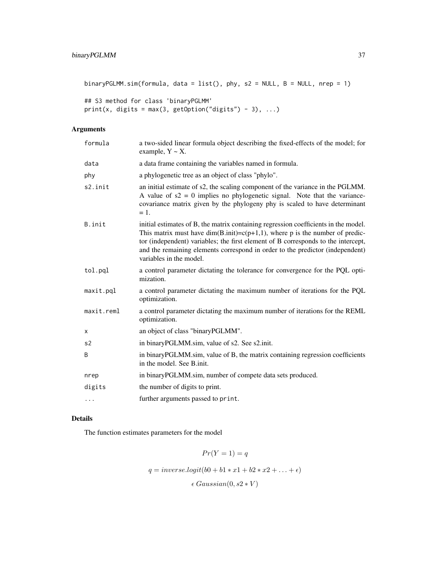```
binaryPGLMM.sim(formula, data = list(), phy, s2 = NULL, B = NULL, nrep = 1)
## S3 method for class 'binaryPGLMM'
print(x, digits = max(3, getOption("digits") - 3), ...)
```
# Arguments

| formula    | a two-sided linear formula object describing the fixed-effects of the model; for<br>example, $Y \sim X$ .                                                                                                                                                                                                                                                                |
|------------|--------------------------------------------------------------------------------------------------------------------------------------------------------------------------------------------------------------------------------------------------------------------------------------------------------------------------------------------------------------------------|
| data       | a data frame containing the variables named in formula.                                                                                                                                                                                                                                                                                                                  |
| phy        | a phylogenetic tree as an object of class "phylo".                                                                                                                                                                                                                                                                                                                       |
| s2.init    | an initial estimate of s2, the scaling component of the variance in the PGLMM.<br>A value of $s2 = 0$ implies no phylogenetic signal. Note that the variance-<br>covariance matrix given by the phylogeny phy is scaled to have determinant<br>$=$ 1.                                                                                                                    |
| B.init     | initial estimates of B, the matrix containing regression coefficients in the model.<br>This matrix must have dim(B.init)= $c(p+1,1)$ , where p is the number of predic-<br>tor (independent) variables; the first element of B corresponds to the intercept,<br>and the remaining elements correspond in order to the predictor (independent)<br>variables in the model. |
| tol.pql    | a control parameter dictating the tolerance for convergence for the PQL opti-<br>mization.                                                                                                                                                                                                                                                                               |
| maxit.pql  | a control parameter dictating the maximum number of iterations for the PQL<br>optimization.                                                                                                                                                                                                                                                                              |
| maxit.reml | a control parameter dictating the maximum number of iterations for the REML<br>optimization.                                                                                                                                                                                                                                                                             |
| X          | an object of class "binaryPGLMM".                                                                                                                                                                                                                                                                                                                                        |
| s2         | in binaryPGLMM.sim, value of s2. See s2.init.                                                                                                                                                                                                                                                                                                                            |
| B          | in binaryPGLMM.sim, value of B, the matrix containing regression coefficients<br>in the model. See B.init.                                                                                                                                                                                                                                                               |
| nrep       | in binaryPGLMM.sim, number of compete data sets produced.                                                                                                                                                                                                                                                                                                                |
| digits     | the number of digits to print.                                                                                                                                                                                                                                                                                                                                           |
| $\cdots$   | further arguments passed to print.                                                                                                                                                                                                                                                                                                                                       |

# Details

The function estimates parameters for the model

$$
Pr(Y = 1) = q
$$

 $q = inverse.logit(b0 + b1 * x1 + b2 * x2 + ... + \epsilon)$ 

 $\epsilon$  Gaussian(0, s2  $*$  V)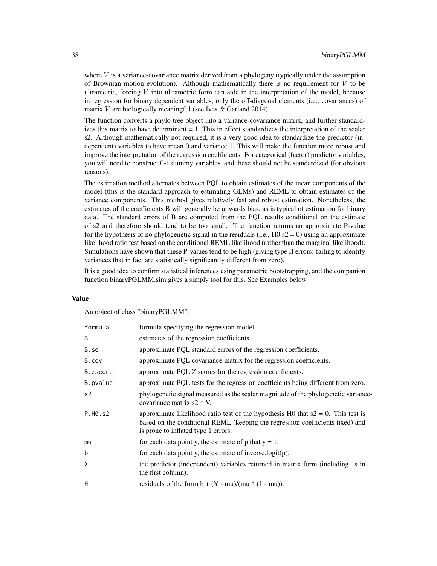where  $V$  is a variance-covariance matrix derived from a phylogeny (typically under the assumption of Brownian motion evolution). Although mathematically there is no requirement for  $V$  to be ultrametric, forcing V into ultrametric form can aide in the interpretation of the model, because in regression for binary dependent variables, only the off-diagonal elements (i.e., covariances) of matrix V are biologically meaningful (see Ives & Garland 2014).

The function converts a phylo tree object into a variance-covariance matrix, and further standardizes this matrix to have determinant = 1. This in effect standardizes the interpretation of the scalar s2. Although mathematically not required, it is a very good idea to standardize the predictor (independent) variables to have mean 0 and variance 1. This will make the function more robust and improve the interpretation of the regression coefficients. For categorical (factor) predictor variables, you will need to construct 0-1 dummy variables, and these should not be standardized (for obvious reasons).

The estimation method alternates between PQL to obtain estimates of the mean components of the model (this is the standard approach to estimating GLMs) and REML to obtain estimates of the variance components. This method gives relatively fast and robust estimation. Nonetheless, the estimates of the coefficients B will generally be upwards bias, as is typical of estimation for binary data. The standard errors of B are computed from the PQL results conditional on the estimate of s2 and therefore should tend to be too small. The function returns an approximate P-value for the hypothesis of no phylogenetic signal in the residuals (i.e.,  $H0: s2 = 0$ ) using an approximate likelihood ratio test based on the conditional REML likelihood (rather than the marginal likelihood). Simulations have shown that these P-values tend to be high (giving type II errors: failing to identify variances that in fact are statistically significantly different from zero).

It is a good idea to confirm statistical inferences using parametric bootstrapping, and the companion function binaryPGLMM.sim gives a simply tool for this. See Examples below.

# Value

An object of class "binaryPGLMM".

| formula  | formula specifying the regression model.                                                                                                                                                                    |
|----------|-------------------------------------------------------------------------------------------------------------------------------------------------------------------------------------------------------------|
| B        | estimates of the regression coefficients.                                                                                                                                                                   |
| B.se     | approximate PQL standard errors of the regression coefficients.                                                                                                                                             |
| B.cov    | approximate PQL covariance matrix for the regression coefficients.                                                                                                                                          |
| B.zscore | approximate PQL Z scores for the regression coefficients.                                                                                                                                                   |
| B.pvalue | approximate PQL tests for the regression coefficients being different from zero.                                                                                                                            |
| s2       | phylogenetic signal measured as the scalar magnitude of the phylogenetic variance-<br>covariance matrix $s2 * V$ .                                                                                          |
| P.H0.s2  | approximate likelihood ratio test of the hypothesis H0 that $s2 = 0$ . This test is<br>based on the conditional REML (keeping the regression coefficients fixed) and<br>is prone to inflated type 1 errors. |
| mu       | for each data point y, the estimate of p that $y = 1$ .                                                                                                                                                     |
| b        | for each data point y, the estimate of inverse $logit(p)$ .                                                                                                                                                 |
| X        | the predictor (independent) variables returned in matrix form (including 1s in<br>the first column).                                                                                                        |
| H        | residuals of the form $b + (Y - mu)/(mu * (1 - mu)).$                                                                                                                                                       |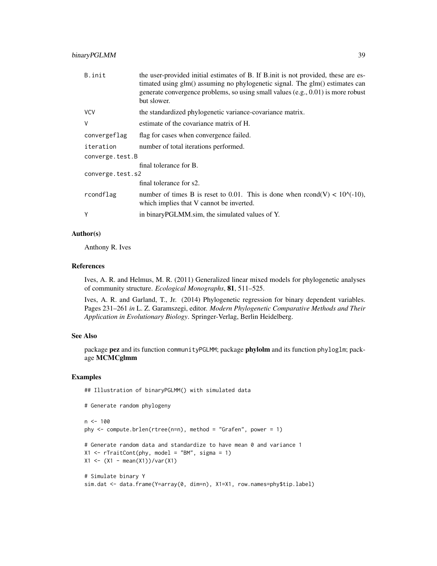# binaryPGLMM 39

| B.init           | the user-provided initial estimates of B. If B. init is not provided, these are es-<br>timated using glm() assuming no phylogenetic signal. The glm() estimates can<br>generate convergence problems, so using small values (e.g., $0.01$ ) is more robust<br>but slower. |  |
|------------------|---------------------------------------------------------------------------------------------------------------------------------------------------------------------------------------------------------------------------------------------------------------------------|--|
| <b>VCV</b>       | the standardized phylogenetic variance-covariance matrix.                                                                                                                                                                                                                 |  |
| V                | estimate of the covariance matrix of H.                                                                                                                                                                                                                                   |  |
| convergeflag     | flag for cases when convergence failed.                                                                                                                                                                                                                                   |  |
| iteration        | number of total iterations performed.                                                                                                                                                                                                                                     |  |
| converge.test.B  |                                                                                                                                                                                                                                                                           |  |
|                  | final tolerance for B.                                                                                                                                                                                                                                                    |  |
| converge.test.s2 |                                                                                                                                                                                                                                                                           |  |
|                  | final tolerance for s2.                                                                                                                                                                                                                                                   |  |
| rcondflag        | number of times B is reset to 0.01. This is done when rcond(V) < $10^{(4)}$ (-10),<br>which implies that V cannot be inverted.                                                                                                                                            |  |
| Y                | in binary PGLMM.sim, the simulated values of Y.                                                                                                                                                                                                                           |  |
|                  |                                                                                                                                                                                                                                                                           |  |

# Author(s)

Anthony R. Ives

#### References

Ives, A. R. and Helmus, M. R. (2011) Generalized linear mixed models for phylogenetic analyses of community structure. *Ecological Monographs*, 81, 511–525.

Ives, A. R. and Garland, T., Jr. (2014) Phylogenetic regression for binary dependent variables. Pages 231–261 *in* L. Z. Garamszegi, editor. *Modern Phylogenetic Comparative Methods and Their Application in Evolutionary Biology*. Springer-Verlag, Berlin Heidelberg.

## See Also

package pez and its function communityPGLMM; package phylolm and its function phyloglm; package MCMCglmm

# Examples

## Illustration of binaryPGLMM() with simulated data

# Generate random phylogeny

```
n < -100phy \leq compute.brlen(rtree(n=n), method = "Grafen", power = 1)
# Generate random data and standardize to have mean 0 and variance 1
X1 \leftarrow rTrainCont(phy, model = "BM", sigma = 1)X1 \leftarrow (X1 - \text{mean}(X1)) / \text{var}(X1)# Simulate binary Y
sim.dat <- data.frame(Y=array(0, dim=n), X1=X1, row.names=phy$tip.label)
```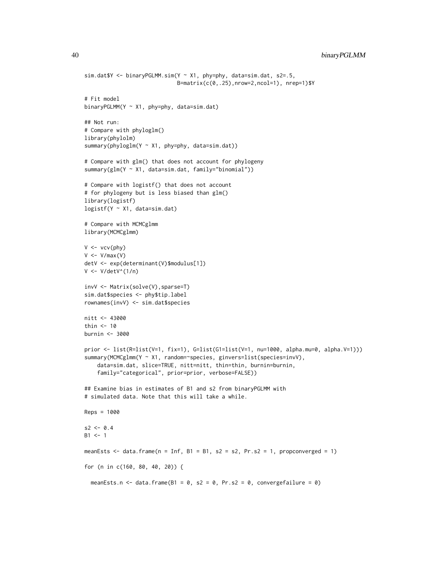40 binaryPGLMM

```
sim.dat$Y <- binaryPGLMM.sim(Y ~ X1, phy=phy, data=sim.dat, s2=.5,
                             B=matrix(c(0,.25),nrow=2,ncol=1), nrep=1)$Y
# Fit model
binaryPGLMM(Y \sim X1, phy=phy, data=sim.dat)
## Not run:
# Compare with phyloglm()
library(phylolm)
summary(phyloglm(Y ~ X1, phy=phy, data=sim.dat))
# Compare with glm() that does not account for phylogeny
summary(glm(Y ~ X1, data=sim.dat, family="binomial"))
# Compare with logistf() that does not account
# for phylogeny but is less biased than glm()
library(logistf)
logistf(Y ~ X1, data=sim.dat)
# Compare with MCMCglmm
library(MCMCglmm)
V \leftarrow \text{vcv}(\text{phy})V < -V/max(V)detV <- exp(determinant(V)$modulus[1])
V <- V/detV^(1/n)
invV <- Matrix(solve(V),sparse=T)
sim.dat$species <- phy$tip.label
rownames(invV) <- sim.dat$species
nitt <- 43000
thin <-10burnin <- 3000
prior <- list(R=list(V=1, fix=1), G=list(G1=list(V=1, nu=1000, alpha.mu=0, alpha.V=1)))
summary(MCMCglmm(Y ~ X1, random=~species, ginvers=list(species=invV),
    data=sim.dat, slice=TRUE, nitt=nitt, thin=thin, burnin=burnin,
    family="categorical", prior=prior, verbose=FALSE))
## Examine bias in estimates of B1 and s2 from binaryPGLMM with
# simulated data. Note that this will take a while.
Reps = 1000
s2 < -0.4B1 < -1meanEsts \le - data.frame(n = Inf, B1 = B1, s2 = s2, Pr.s2 = 1, propconverged = 1)
for (n in c(160, 80, 40, 20)) {
  meanEsts.n <- data.frame(B1 = 0, s2 = 0, Pr.s2 = 0, convergefailure = 0)
```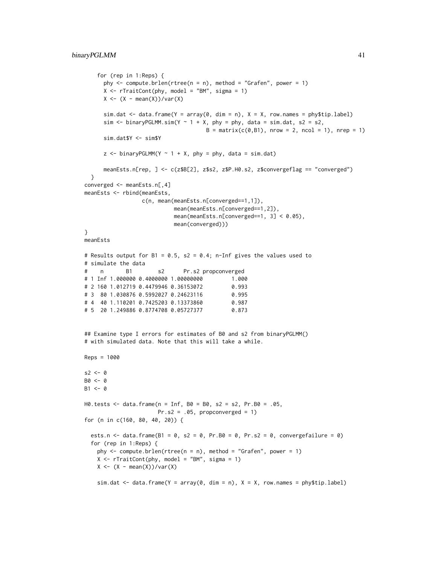```
for (rep in 1:Reps) {
      phy \leq compute.brlen(rtree(n = n), method = "Grafen", power = 1)
      X \leq rTraitCont(phy, model = "BM", sigma = 1)
      X \leftarrow (X - \text{mean}(X)) / \text{var}(X)sim.dat \leq data.frame(Y = array(0, dim = n), X = X, row.names = phy$tip.label)
      sim \le binaryPGLMM.sim(Y \sim 1 + X, phy = phy, data = sim.dat, s2 = s2,
                                       B = matrix(c(0, B1), nrow = 2, ncol = 1), nrep = 1)sim.dat$Y <- sim$Y
      z \le -\text{binaryPGLMM}(Y \sim 1 + X, \text{phy} = \text{phy}, \text{ data} = \text{sim.dat})meanEsts.n[rep, ] <- c(z$B[2], z$s2, z$P.H0.s2, z$convergeflag == "converged")
  }
converged <- meanEsts.n[,4]
meanEsts <- rbind(meanEsts,
                  c(n, mean(meanEsts.n[converged==1,1]),
                            mean(meanEsts.n[converged==1,2]),
                             mean(meanEsts.n[converged==1, 3] < 0.05),
                             mean(converged)))
}
meanEsts
# Results output for B1 = 0.5, s2 = 0.4; n-Inf gives the values used to
# simulate the data
# n B1 s2 Pr.s2 propconverged
# 1 Inf 1.000000 0.4000000 1.00000000 1.000
# 2 160 1.012719 0.4479946 0.36153072 0.993
# 3 80 1.030876 0.5992027 0.24623116 0.995
# 4 40 1.110201 0.7425203 0.13373860 0.987
# 5 20 1.249886 0.8774708 0.05727377 0.873
## Examine type I errors for estimates of B0 and s2 from binaryPGLMM()
# with simulated data. Note that this will take a while.
Reps = 1000
s2 < -0B0 < - 0B1 \leftarrow 0H0.tests <- data.frame(n = Inf, B0 = B0, s2 = s2, Pr.B0 = .05,
                       Pr.s2 = .05, propconverged = 1)
for (n in c(160, 80, 40, 20)) {
  ests.n <- data.frame(B1 = 0, s2 = 0, Pr.B0 = 0, Pr.s2 = 0, convergefailure = 0)
  for (rep in 1:Reps) {
    phy \leq compute.brlen(rtree(n = n), method = "Grafen", power = 1)
   X <- rTraitCont(phy, model = "BM", sigma = 1)
   X \leftarrow (X - \text{mean}(X)) / \text{var}(X)sim.dat \leq data.frame(Y = array(0, dim = n), X = X, row.names = phy$tip.label)
```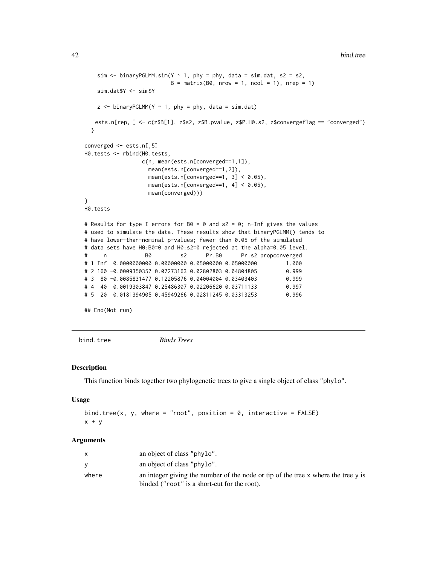```
sim \le binaryPGLMM.sim(Y \sim 1, phy = phy, data = sim.dat, s2 = s2,
                         B = matrix(B0, nrow = 1, ncol = 1), nrep = 1)sim.dat$Y <- sim$Y
   z <- binaryPGLMM(Y ~ 1, phy = phy, data = sim.dat)
   ests.n[rep, ] <- c(z$B[1], z$s2, z$B.pvalue, z$P.H0.s2, z$convergeflag == "converged")
 }
converged <- ests.n[,5]
H0.tests <- rbind(H0.tests,
                 c(n, mean(ests.n[converged==1,1]),
                   mean(ests.n[converged==1,2]),
                   mean(ests.n[converged==1, 3] < 0.05),
                  mean(ests.n[converged==1, 4] < 0.05),
                  mean(converged)))
}
H0.tests
# Results for type I errors for B0 = 0 and s2 = 0; n-Inf gives the values
# used to simulate the data. These results show that binaryPGLMM() tends to
# have lower-than-nominal p-values; fewer than 0.05 of the simulated
# data sets have H0:B0=0 and H0:s2=0 rejected at the alpha=0.05 level.
# n B0 s2 Pr.B0 Pr.s2 propconverged
# 1 Inf 0.0000000000 0.00000000 0.05000000 0.05000000 1.000
# 2 160 -0.0009350357 0.07273163 0.02802803 0.04804805 0.999
# 3 80 -0.0085831477 0.12205876 0.04004004 0.03403403 0.999
# 4 40 0.0019303847 0.25486307 0.02206620 0.03711133 0.997
# 5 20 0.0181394905 0.45949266 0.02811245 0.03313253 0.996
## End(Not run)
```
bind.tree *Binds Trees*

#### Description

This function binds together two phylogenetic trees to give a single object of class "phylo".

#### Usage

```
bind.tree(x, y, where = "root", position = 0, interactive = FALSE)
x + y
```
## Arguments

|       | an object of class "phylo".                                                           |
|-------|---------------------------------------------------------------------------------------|
|       | an object of class "phylo".                                                           |
| where | an integer giving the number of the node or tip of the tree $x$ where the tree $y$ is |
|       | binded ("root" is a short-cut for the root).                                          |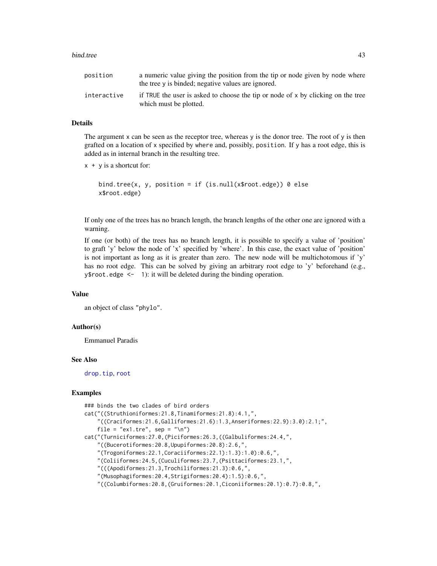#### bind.tree and the set of the set of the set of the set of the set of the set of the set of the set of the set of the set of the set of the set of the set of the set of the set of the set of the set of the set of the set of

| position    | a numeric value giving the position from the tip or node given by node where<br>the tree y is binded; negative values are ignored. |
|-------------|------------------------------------------------------------------------------------------------------------------------------------|
| interactive | if TRUE the user is asked to choose the tip or node of $x$ by clicking on the tree<br>which must be plotted.                       |

# Details

The argument x can be seen as the receptor tree, whereas y is the donor tree. The root of y is then grafted on a location of x specified by where and, possibly, position. If y has a root edge, this is added as in internal branch in the resulting tree.

```
x + y is a shortcut for:
```

```
bind.tree(x, y, position = if (is.null(x$root.edge)) 0 else
x$root.edge)
```
If only one of the trees has no branch length, the branch lengths of the other one are ignored with a warning.

If one (or both) of the trees has no branch length, it is possible to specify a value of 'position' to graft 'y' below the node of 'x' specified by 'where'. In this case, the exact value of 'position' is not important as long as it is greater than zero. The new node will be multichotomous if 'y' has no root edge. This can be solved by giving an arbitrary root edge to 'y' beforehand (e.g., y\$root.edge <- 1): it will be deleted during the binding operation.

## Value

an object of class "phylo".

# Author(s)

Emmanuel Paradis

#### See Also

[drop.tip](#page-125-0), [root](#page-230-0)

## Examples

```
### binds the two clades of bird orders
cat("((Struthioniformes:21.8,Tinamiformes:21.8):4.1,",
    "((Craciformes:21.6,Galliformes:21.6):1.3,Anseriformes:22.9):3.0):2.1;",
    file = "ex1.tre", sep = "\n")
cat("(Turniciformes:27.0,(Piciformes:26.3,((Galbuliformes:24.4,",
    "((Bucerotiformes:20.8,Upupiformes:20.8):2.6,",
    "(Trogoniformes:22.1,Coraciiformes:22.1):1.3):1.0):0.6,",
    "(Coliiformes:24.5,(Cuculiformes:23.7,(Psittaciformes:23.1,",
    "(((Apodiformes:21.3,Trochiliformes:21.3):0.6,",
    "(Musophagiformes:20.4,Strigiformes:20.4):1.5):0.6,",
    "((Columbiformes:20.8,(Gruiformes:20.1,Ciconiiformes:20.1):0.7):0.8,",
```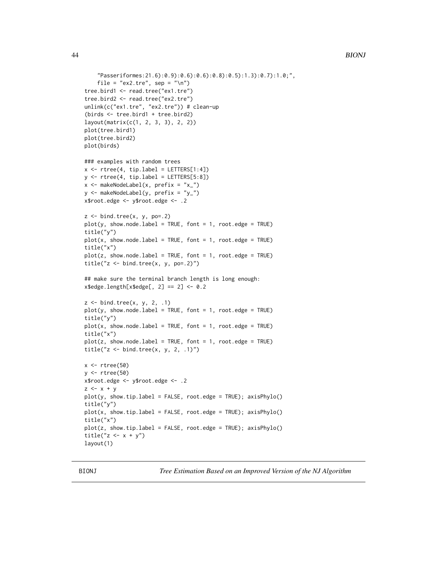```
"Passeriformes:21.6):0.9):0.6):0.6):0.8):0.5):1.3):0.7):1.0;",
    file = "ex2.tre", sep = "\n")
tree.bird1 <- read.tree("ex1.tre")
tree.bird2 <- read.tree("ex2.tre")
unlink(c("ex1.tre", "ex2.tre")) # clean-up
(birds <- tree.bird1 + tree.bird2)
layout(matrix(c(1, 2, 3, 3), 2, 2))
plot(tree.bird1)
plot(tree.bird2)
plot(birds)
### examples with random trees
x \le - rtree(4, tip.label = LETTERS[1:4])
y \le -r tree(4, tip.label = LETTERS[5:8])
x <- makeNodeLabel(x, prefix = "x_")
y <- makeNodeLabel(y, prefix = "y_")
x$root.edge <- y$root.edge <- .2
z \leftarrow bind.tree(x, y, po=.2)
plot(y, show.node.label = TRUE, font = 1, root. edge = TRUE)title("y")
plot(x, show.node.label = TRUE, font = 1, root. edge = TRUE)title("x")
plot(z, show.node.label = TRUE, font = 1, root. edge = TRUE)title("z \le - bind.tree(x, y, po = .2)")
## make sure the terminal branch length is long enough:
x$edge.length[x$edge[, 2] == 2] <- 0.2
z \le bind.tree(x, y, 2, .1)
plot(y, show.node.label = TRUE, font = 1, root. edge = TRUE)title("y")
plot(x, show.node.label = TRUE, font = 1, root. edge = TRUE)title("x")
plot(z, show.node.label = TRUE, font = 1, root. edge = TRUE)title("z <- bind.tree(x, y, 2, .1)")
x \leftarrow rtree(50)
y <- rtree(50)
x$root.edge <- y$root.edge <- .2
z \le -x + yplot(y, show.tip.label = FALSE, root.edge = TRUE); axisPhylo()
title("y")
plot(x, show.tip.label = FALSE, root.edge = TRUE); axisPhylo()
title("x")
plot(z, show.tip.label = FALSE, root.edge = TRUE); axisPhylo()
title("z \leftarrow x + y")
layout(1)
```
BIONJ *Tree Estimation Based on an Improved Version of the NJ Algorithm*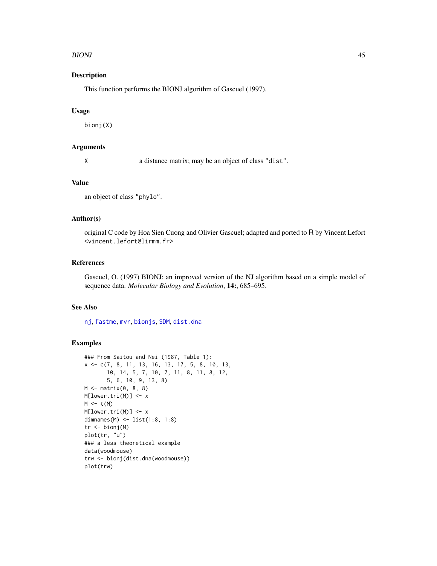#### BIONJ za stali se obrazoval se obrazoval se obrazoval se obrazoval se obrazoval se obrazoval se obrazoval se o

# Description

This function performs the BIONJ algorithm of Gascuel (1997).

#### Usage

bionj(X)

#### Arguments

X a distance matrix; may be an object of class "dist".

## Value

an object of class "phylo".

# Author(s)

original C code by Hoa Sien Cuong and Olivier Gascuel; adapted and ported to R by Vincent Lefort <vincent.lefort@lirmm.fr>

# References

Gascuel, O. (1997) BIONJ: an improved version of the NJ algorithm based on a simple model of sequence data. *Molecular Biology and Evolution*, 14:, 685–695.

# See Also

[nj](#page-174-0), [fastme](#page-131-0), [mvr](#page-173-0), [bionjs](#page-175-0), [SDM](#page-242-0), [dist.dna](#page-110-0)

## Examples

```
### From Saitou and Nei (1987, Table 1):
x <- c(7, 8, 11, 13, 16, 13, 17, 5, 8, 10, 13,
       10, 14, 5, 7, 10, 7, 11, 8, 11, 8, 12,
       5, 6, 10, 9, 13, 8)
M \leftarrow matrix(0, 8, 8)M[lower.tri(M)] <- x
M \leftarrow t(M)M[lower.tri(M)] <- x
dimnames(M) <- list(1:8, 1:8)
tr <- bionj(M)
plot(tr, "u")
### a less theoretical example
data(woodmouse)
trw <- bionj(dist.dna(woodmouse))
plot(trw)
```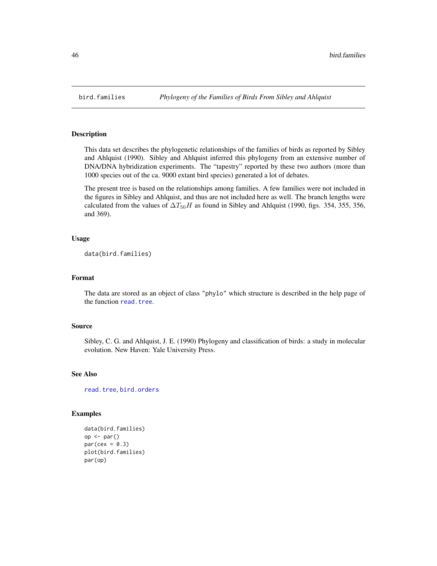<span id="page-45-0"></span>

## Description

This data set describes the phylogenetic relationships of the families of birds as reported by Sibley and Ahlquist (1990). Sibley and Ahlquist inferred this phylogeny from an extensive number of DNA/DNA hybridization experiments. The "tapestry" reported by these two authors (more than 1000 species out of the ca. 9000 extant bird species) generated a lot of debates.

The present tree is based on the relationships among families. A few families were not included in the figures in Sibley and Ahlquist, and thus are not included here as well. The branch lengths were calculated from the values of  $\Delta T_{50}H$  as found in Sibley and Ahlquist (1990, figs. 354, 355, 356, and 369).

# Usage

```
data(bird.families)
```
# Format

The data are stored as an object of class "phylo" which structure is described in the help page of the function [read.tree](#page-221-0).

#### Source

Sibley, C. G. and Ahlquist, J. E. (1990) Phylogeny and classification of birds: a study in molecular evolution. New Haven: Yale University Press.

# See Also

[read.tree](#page-221-0), [bird.orders](#page-46-0)

# Examples

```
data(bird.families)
op <- par()
par(cex = 0.3)plot(bird.families)
par(op)
```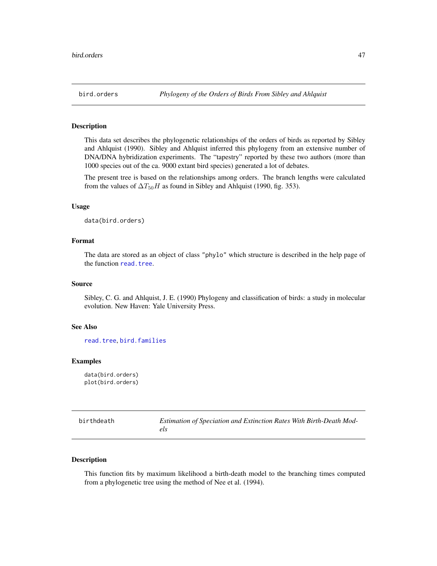<span id="page-46-0"></span>

## Description

This data set describes the phylogenetic relationships of the orders of birds as reported by Sibley and Ahlquist (1990). Sibley and Ahlquist inferred this phylogeny from an extensive number of DNA/DNA hybridization experiments. The "tapestry" reported by these two authors (more than 1000 species out of the ca. 9000 extant bird species) generated a lot of debates.

The present tree is based on the relationships among orders. The branch lengths were calculated from the values of  $\Delta T_{50}H$  as found in Sibley and Ahlquist (1990, fig. 353).

# Usage

data(bird.orders)

# Format

The data are stored as an object of class "phylo" which structure is described in the help page of the function [read.tree](#page-221-0).

# Source

Sibley, C. G. and Ahlquist, J. E. (1990) Phylogeny and classification of birds: a study in molecular evolution. New Haven: Yale University Press.

# See Also

[read.tree](#page-221-0), [bird.families](#page-45-0)

# Examples

data(bird.orders) plot(bird.orders)

| birthdeath | Estimation of Speciation and Extinction Rates With Birth-Death Mod- |
|------------|---------------------------------------------------------------------|
|            | els                                                                 |

## Description

This function fits by maximum likelihood a birth-death model to the branching times computed from a phylogenetic tree using the method of Nee et al. (1994).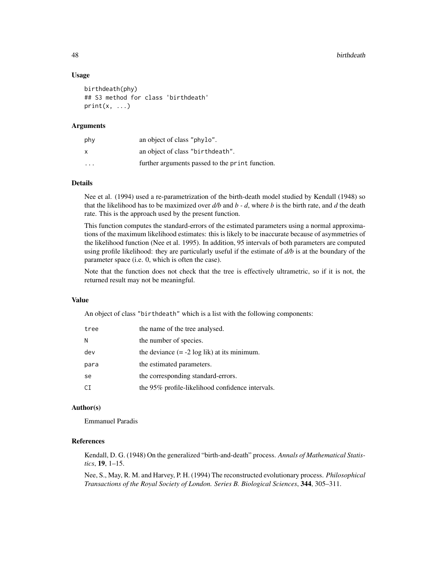#### 48 birthdeath and the contract of the contract of the contract of the contract of the contract of the contract of the contract of the contract of the contract of the contract of the contract of the contract of the contract

## Usage

```
birthdeath(phy)
## S3 method for class 'birthdeath'
print(x, \ldots)
```
## Arguments

| phy                     | an object of class "phylo".                     |
|-------------------------|-------------------------------------------------|
| x                       | an object of class "birthdeath".                |
| $\cdot$ $\cdot$ $\cdot$ | further arguments passed to the print function. |

# Details

Nee et al. (1994) used a re-parametrization of the birth-death model studied by Kendall (1948) so that the likelihood has to be maximized over *d/b* and *b - d*, where *b* is the birth rate, and *d* the death rate. This is the approach used by the present function.

This function computes the standard-errors of the estimated parameters using a normal approximations of the maximum likelihood estimates: this is likely to be inaccurate because of asymmetries of the likelihood function (Nee et al. 1995). In addition, 95 intervals of both parameters are computed using profile likelihood: they are particularly useful if the estimate of *d/b* is at the boundary of the parameter space (i.e. 0, which is often the case).

Note that the function does not check that the tree is effectively ultrametric, so if it is not, the returned result may not be meaningful.

## Value

An object of class "birthdeath" which is a list with the following components:

| tree | the name of the tree analysed.                        |
|------|-------------------------------------------------------|
| N    | the number of species.                                |
| dev  | the deviance $(= -2 \log \text{lik})$ at its minimum. |
| para | the estimated parameters.                             |
| se   | the corresponding standard-errors.                    |
| СI   | the 95% profile-likelihood confidence intervals.      |

# Author(s)

Emmanuel Paradis

# References

Kendall, D. G. (1948) On the generalized "birth-and-death" process. *Annals of Mathematical Statistics*, 19, 1–15.

Nee, S., May, R. M. and Harvey, P. H. (1994) The reconstructed evolutionary process. *Philosophical Transactions of the Royal Society of London. Series B. Biological Sciences*, 344, 305–311.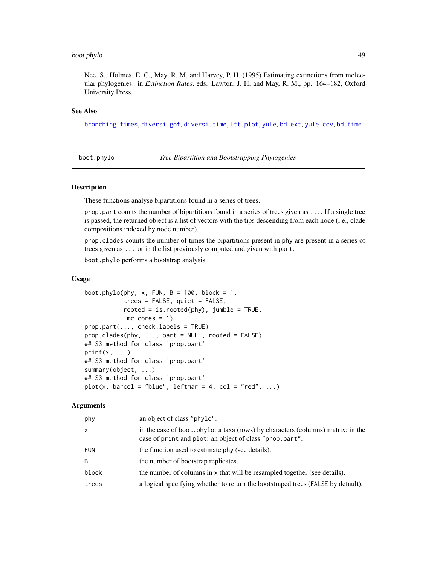#### boot.phylo 49

Nee, S., Holmes, E. C., May, R. M. and Harvey, P. H. (1995) Estimating extinctions from molecular phylogenies. in *Extinction Rates*, eds. Lawton, J. H. and May, R. M., pp. 164–182, Oxford University Press.

# See Also

[branching.times](#page-51-0), [diversi.gof](#page-116-0), [diversi.time](#page-118-0), [ltt.plot](#page-150-0), [yule](#page-276-0), [bd.ext](#page-32-0), [yule.cov](#page-277-0), [bd.time](#page-33-0)

boot.phylo *Tree Bipartition and Bootstrapping Phylogenies*

#### Description

These functions analyse bipartitions found in a series of trees.

prop.part counts the number of bipartitions found in a series of trees given as .... If a single tree is passed, the returned object is a list of vectors with the tips descending from each node (i.e., clade compositions indexed by node number).

prop.clades counts the number of times the bipartitions present in phy are present in a series of trees given as ... or in the list previously computed and given with part.

boot.phylo performs a bootstrap analysis.

#### Usage

```
boot.phylo(phy, x, FUN, B = 100, block = 1,
           trees = FALSE, quiet = FALSE,
           rooted = isrooted(phy), jumble = TRUE,
           mc.core = 1)
prop.part(..., check.labels = TRUE)
prop.class(phy, ..., part = NULL, rooted = FALSE)## S3 method for class 'prop.part'
print(x, \ldots)## S3 method for class 'prop.part'
summary(object, ...)
## S3 method for class 'prop.part'
plot(x, barcol = "blue", leftmar = 4, col = "red", ...)
```
#### Arguments

| phy          | an object of class "phylo".                                                                                                                 |
|--------------|---------------------------------------------------------------------------------------------------------------------------------------------|
| $\mathsf{x}$ | in the case of boot. phylo: a taxa (rows) by characters (columns) matrix; in the<br>case of print and plot: an object of class "prop.part". |
| <b>FUN</b>   | the function used to estimate phy (see details).                                                                                            |
| B            | the number of bootstrap replicates.                                                                                                         |
| block        | the number of columns in x that will be resampled together (see details).                                                                   |
| trees        | a logical specifying whether to return the bootstraped trees (FALSE by default).                                                            |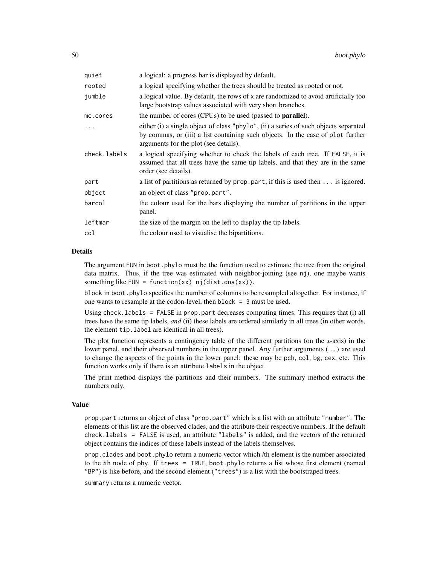| a logical: a progress bar is displayed by default.                                                                                                                                                               |
|------------------------------------------------------------------------------------------------------------------------------------------------------------------------------------------------------------------|
| a logical specifying whether the trees should be treated as rooted or not.                                                                                                                                       |
| a logical value. By default, the rows of x are randomized to avoid artificially too<br>large bootstrap values associated with very short branches.                                                               |
| the number of cores (CPUs) to be used (passed to <b>parallel</b> ).                                                                                                                                              |
| either (i) a single object of class "phylo", (ii) a series of such objects separated<br>by commas, or (iii) a list containing such objects. In the case of plot further<br>arguments for the plot (see details). |
| a logical specifying whether to check the labels of each tree. If FALSE, it is<br>assumed that all trees have the same tip labels, and that they are in the same<br>order (see details).                         |
| a list of partitions as returned by $prop$ . part; if this is used then $\dots$ is ignored.                                                                                                                      |
| an object of class "prop.part".                                                                                                                                                                                  |
| the colour used for the bars displaying the number of partitions in the upper<br>panel.                                                                                                                          |
| the size of the margin on the left to display the tip labels.                                                                                                                                                    |
| the colour used to visualise the bipartitions.                                                                                                                                                                   |
|                                                                                                                                                                                                                  |

# Details

The argument FUN in boot.phylo must be the function used to estimate the tree from the original data matrix. Thus, if the tree was estimated with neighbor-joining (see nj), one maybe wants something like FUN = function(xx)  $nj(dist.data(xx))$ .

block in boot.phylo specifies the number of columns to be resampled altogether. For instance, if one wants to resample at the codon-level, then block = 3 must be used.

Using check. labels  $=$  FALSE in prop. part decreases computing times. This requires that (i) all trees have the same tip labels, *and* (ii) these labels are ordered similarly in all trees (in other words, the element tip.label are identical in all trees).

The plot function represents a contingency table of the different partitions (on the *x*-axis) in the lower panel, and their observed numbers in the upper panel. Any further arguments  $(\dots)$  are used to change the aspects of the points in the lower panel: these may be pch, col, bg, cex, etc. This function works only if there is an attribute labels in the object.

The print method displays the partitions and their numbers. The summary method extracts the numbers only.

# Value

prop.part returns an object of class "prop.part" which is a list with an attribute "number". The elements of this list are the observed clades, and the attribute their respective numbers. If the default check.labels = FALSE is used, an attribute "labels" is added, and the vectors of the returned object contains the indices of these labels instead of the labels themselves.

prop.clades and boot.phylo return a numeric vector which *i*th element is the number associated to the *i*th node of phy. If trees = TRUE, boot.phylo returns a list whose first element (named "BP") is like before, and the second element ("trees") is a list with the bootstraped trees.

summary returns a numeric vector.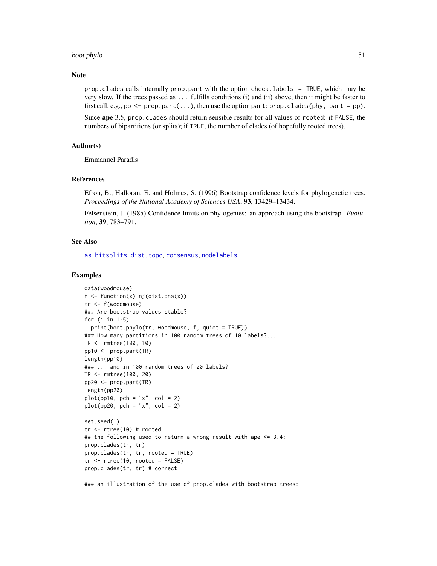#### boot.phylo 51

#### **Note**

prop.clades calls internally prop.part with the option check.labels = TRUE, which may be very slow. If the trees passed as ... fulfills conditions (i) and (ii) above, then it might be faster to first call, e.g.,  $pp \leq prop.parent(...)$ , then use the option part: prop.clades(phy, part = pp).

Since ape 3.5, prop.clades should return sensible results for all values of rooted: if FALSE, the numbers of bipartitions (or splits); if TRUE, the number of clades (of hopefully rooted trees).

## Author(s)

Emmanuel Paradis

## References

Efron, B., Halloran, E. and Holmes, S. (1996) Bootstrap confidence levels for phylogenetic trees. *Proceedings of the National Academy of Sciences USA*, 93, 13429–13434.

Felsenstein, J. (1985) Confidence limits on phylogenies: an approach using the bootstrap. *Evolution*, 39, 783–791.

#### See Also

[as.bitsplits](#page-23-0), [dist.topo](#page-115-0), [consensus](#page-86-0), [nodelabels](#page-180-0)

#### Examples

```
data(woodmouse)
f \leftarrow function(x) \text{ nj}(dist.data(x))tr <- f(woodmouse)
### Are bootstrap values stable?
for (i in 1:5)
  print(boot.phylo(tr, woodmouse, f, quiet = TRUE))
### How many partitions in 100 random trees of 10 labels?...
TR <- rmtree(100, 10)
pp10 <- prop.part(TR)
length(pp10)
### ... and in 100 random trees of 20 labels?
TR <- rmtree(100, 20)
pp20 <- prop.part(TR)
length(pp20)
plot(pp10, pch = "x", col = 2)plot(pp20, pch = "x", col = 2)set.seed(1)
tr \le rtree(10) # rooted
## the following used to return a wrong result with ape <= 3.4:
prop.clades(tr, tr)
prop.clades(tr, tr, rooted = TRUE)
tr < -rtree(10, rooted = FALSE)
prop.clades(tr, tr) # correct
```
### an illustration of the use of prop.clades with bootstrap trees: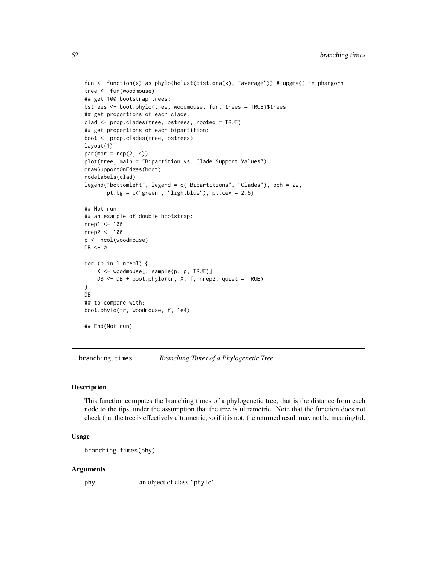```
fun <- function(x) as.phylo(hclust(dist.dna(x), "average")) # upgma() in phangorn
tree <- fun(woodmouse)
## get 100 bootstrap trees:
bstrees <- boot.phylo(tree, woodmouse, fun, trees = TRUE)$trees
## get proportions of each clade:
clad <- prop.clades(tree, bstrees, rooted = TRUE)
## get proportions of each bipartition:
boot <- prop.clades(tree, bstrees)
layout(1)
par(max = rep(2, 4))plot(tree, main = "Bipartition vs. Clade Support Values")
drawSupportOnEdges(boot)
nodelabels(clad)
legend("bottomleft", legend = c("Bipartitions", "Clades"), pch = 22,
       pt.bg = c("green", "lightblue"), pt.cex = 2.5)
## Not run:
## an example of double bootstrap:
nrep1 <- 100
nrep2 <- 100
p <- ncol(woodmouse)
DB < - 0for (b in 1:nrep1) {
   X <- woodmouse[, sample(p, p, TRUE)]
   DB \leq -DB + boot.phplo(tr, X, f, nrep2, quiet = TRUE)}
DB
## to compare with:
boot.phylo(tr, woodmouse, f, 1e4)
## End(Not run)
```
<span id="page-51-0"></span>branching.times *Branching Times of a Phylogenetic Tree*

## Description

This function computes the branching times of a phylogenetic tree, that is the distance from each node to the tips, under the assumption that the tree is ultrametric. Note that the function does not check that the tree is effectively ultrametric, so if it is not, the returned result may not be meaningful.

## Usage

```
branching.times(phy)
```
#### Arguments

phy an object of class "phylo".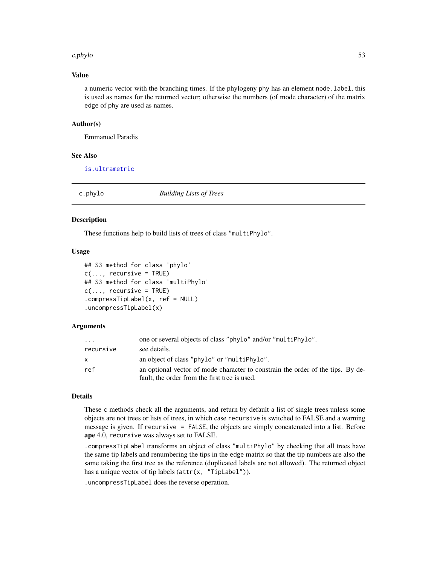#### c.phylo 53

# Value

a numeric vector with the branching times. If the phylogeny phy has an element node.label, this is used as names for the returned vector; otherwise the numbers (of mode character) of the matrix edge of phy are used as names.

## Author(s)

Emmanuel Paradis

# See Also

[is.ultrametric](#page-142-0)

c.phylo *Building Lists of Trees*

#### Description

These functions help to build lists of trees of class "multiPhylo".

# Usage

```
## S3 method for class 'phylo'
c(\ldots, recursive = TRUE)
## S3 method for class 'multiPhylo'
c(\ldots, recursive = TRUE)
.compressTipLabel(x, ref = NULL)
.uncompressTipLabel(x)
```
## Arguments

| $\cdots$  | one or several objects of class "phylo" and/or "multiPhylo".                    |
|-----------|---------------------------------------------------------------------------------|
| recursive | see details.                                                                    |
| X         | an object of class "phylo" or "multiPhylo".                                     |
| ref       | an optional vector of mode character to constrain the order of the tips. By de- |
|           | fault, the order from the first tree is used.                                   |

## Details

These c methods check all the arguments, and return by default a list of single trees unless some objects are not trees or lists of trees, in which case recursive is switched to FALSE and a warning message is given. If recursive = FALSE, the objects are simply concatenated into a list. Before ape 4.0, recursive was always set to FALSE.

.compressTipLabel transforms an object of class "multiPhylo" by checking that all trees have the same tip labels and renumbering the tips in the edge matrix so that the tip numbers are also the same taking the first tree as the reference (duplicated labels are not allowed). The returned object has a unique vector of tip labels (attr(x, "TipLabel")).

.uncompressTipLabel does the reverse operation.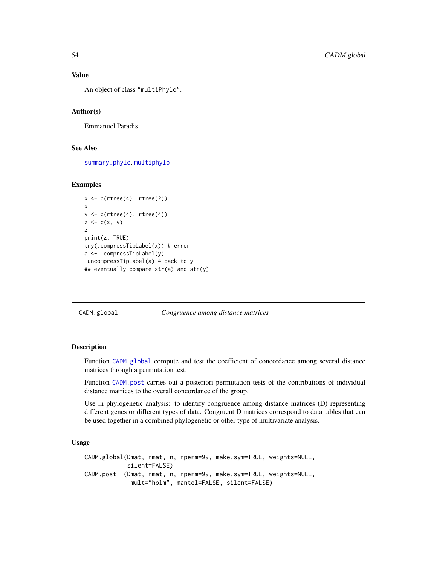# Value

An object of class "multiPhylo".

## Author(s)

Emmanuel Paradis

## See Also

[summary.phylo](#page-254-0), [multiphylo](#page-172-0)

# Examples

```
x \leftarrow c(rtree(4), rtree(2))x
y \leftarrow c(rtree(4), rtree(4))z \leq c(x, y)z
print(z, TRUE)
try(.compressTipLabel(x)) # error
a <- .compressTipLabel(y)
.uncompressTipLabel(a) # back to y
## eventually compare str(a) and str(y)
```
<span id="page-53-0"></span>CADM.global *Congruence among distance matrices*

## <span id="page-53-1"></span>Description

Function [CADM.global](#page-53-0) compute and test the coefficient of concordance among several distance matrices through a permutation test.

Function [CADM.post](#page-53-1) carries out a posteriori permutation tests of the contributions of individual distance matrices to the overall concordance of the group.

Use in phylogenetic analysis: to identify congruence among distance matrices (D) representing different genes or different types of data. Congruent D matrices correspond to data tables that can be used together in a combined phylogenetic or other type of multivariate analysis.

## Usage

CADM.global(Dmat, nmat, n, nperm=99, make.sym=TRUE, weights=NULL, silent=FALSE) CADM.post (Dmat, nmat, n, nperm=99, make.sym=TRUE, weights=NULL, mult="holm", mantel=FALSE, silent=FALSE)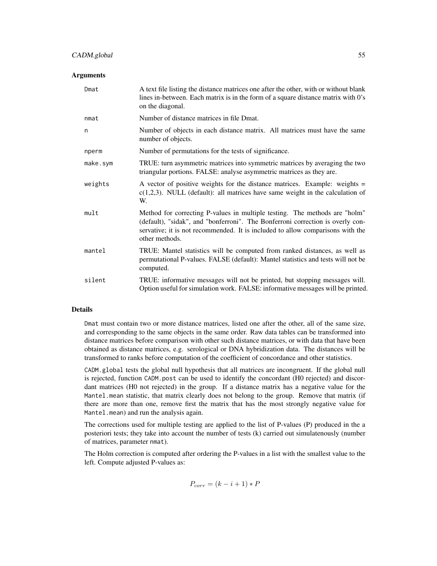# CADM.global 55

## **Arguments**

| Dmat     | A text file listing the distance matrices one after the other, with or without blank<br>lines in-between. Each matrix is in the form of a square distance matrix with 0's<br>on the diagonal.                                                                    |
|----------|------------------------------------------------------------------------------------------------------------------------------------------------------------------------------------------------------------------------------------------------------------------|
| nmat     | Number of distance matrices in file Dmat.                                                                                                                                                                                                                        |
| n        | Number of objects in each distance matrix. All matrices must have the same<br>number of objects.                                                                                                                                                                 |
| nperm    | Number of permutations for the tests of significance.                                                                                                                                                                                                            |
| make.sym | TRUE: turn asymmetric matrices into symmetric matrices by averaging the two<br>triangular portions. FALSE: analyse asymmetric matrices as they are.                                                                                                              |
| weights  | A vector of positive weights for the distance matrices. Example: weights =<br>$c(1,2,3)$ . NULL (default): all matrices have same weight in the calculation of<br>W.                                                                                             |
| mult     | Method for correcting P-values in multiple testing. The methods are "holm"<br>(default), "sidak", and "bonferroni". The Bonferroni correction is overly con-<br>servative; it is not recommended. It is included to allow comparisons with the<br>other methods. |
| mantel   | TRUE: Mantel statistics will be computed from ranked distances, as well as<br>permutational P-values. FALSE (default): Mantel statistics and tests will not be<br>computed.                                                                                      |
| silent   | TRUE: informative messages will not be printed, but stopping messages will.<br>Option useful for simulation work. FALSE: informative messages will be printed.                                                                                                   |

## Details

Dmat must contain two or more distance matrices, listed one after the other, all of the same size, and corresponding to the same objects in the same order. Raw data tables can be transformed into distance matrices before comparison with other such distance matrices, or with data that have been obtained as distance matrices, e.g. serological or DNA hybridization data. The distances will be transformed to ranks before computation of the coefficient of concordance and other statistics.

CADM.global tests the global null hypothesis that all matrices are incongruent. If the global null is rejected, function CADM.post can be used to identify the concordant (H0 rejected) and discordant matrices (H0 not rejected) in the group. If a distance matrix has a negative value for the Mantel.mean statistic, that matrix clearly does not belong to the group. Remove that matrix (if there are more than one, remove first the matrix that has the most strongly negative value for Mantel.mean) and run the analysis again.

The corrections used for multiple testing are applied to the list of P-values (P) produced in the a posteriori tests; they take into account the number of tests (k) carried out simulatenously (number of matrices, parameter nmat).

The Holm correction is computed after ordering the P-values in a list with the smallest value to the left. Compute adjusted P-values as:

$$
P_{corr} = (k - i + 1) * P
$$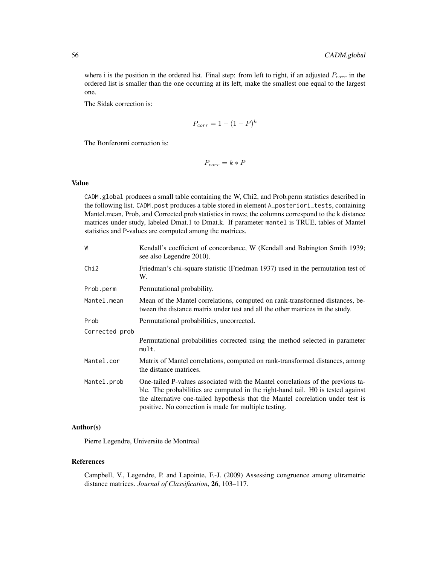where i is the position in the ordered list. Final step: from left to right, if an adjusted  $P_{corr}$  in the ordered list is smaller than the one occurring at its left, make the smallest one equal to the largest one.

The Sidak correction is:

$$
P_{corr} = 1 - (1 - P)^k
$$

The Bonferonni correction is:

$$
P_{corr} = k \ast P
$$

#### Value

CADM.global produces a small table containing the W, Chi2, and Prob.perm statistics described in the following list. CADM.post produces a table stored in element A\_posteriori\_tests, containing Mantel.mean, Prob, and Corrected.prob statistics in rows; the columns correspond to the k distance matrices under study, labeled Dmat.1 to Dmat.k. If parameter mantel is TRUE, tables of Mantel statistics and P-values are computed among the matrices.

| W                | Kendall's coefficient of concordance, W (Kendall and Babington Smith 1939;<br>see also Legendre 2010).                                                                                                                                                                                                          |
|------------------|-----------------------------------------------------------------------------------------------------------------------------------------------------------------------------------------------------------------------------------------------------------------------------------------------------------------|
| Chi <sub>2</sub> | Friedman's chi-square statistic (Friedman 1937) used in the permutation test of<br>W.                                                                                                                                                                                                                           |
| Prob.perm        | Permutational probability.                                                                                                                                                                                                                                                                                      |
| Mantel.mean      | Mean of the Mantel correlations, computed on rank-transformed distances, be-<br>tween the distance matrix under test and all the other matrices in the study.                                                                                                                                                   |
| Prob             | Permutational probabilities, uncorrected.                                                                                                                                                                                                                                                                       |
| Corrected prob   |                                                                                                                                                                                                                                                                                                                 |
|                  | Permutational probabilities corrected using the method selected in parameter<br>mult.                                                                                                                                                                                                                           |
| Mantel.cor       | Matrix of Mantel correlations, computed on rank-transformed distances, among<br>the distance matrices.                                                                                                                                                                                                          |
| Mantel.prob      | One-tailed P-values associated with the Mantel correlations of the previous ta-<br>ble. The probabilities are computed in the right-hand tail. HO is tested against<br>the alternative one-tailed hypothesis that the Mantel correlation under test is<br>positive. No correction is made for multiple testing. |

# Author(s)

Pierre Legendre, Universite de Montreal

# References

Campbell, V., Legendre, P. and Lapointe, F.-J. (2009) Assessing congruence among ultrametric distance matrices. *Journal of Classification*, 26, 103–117.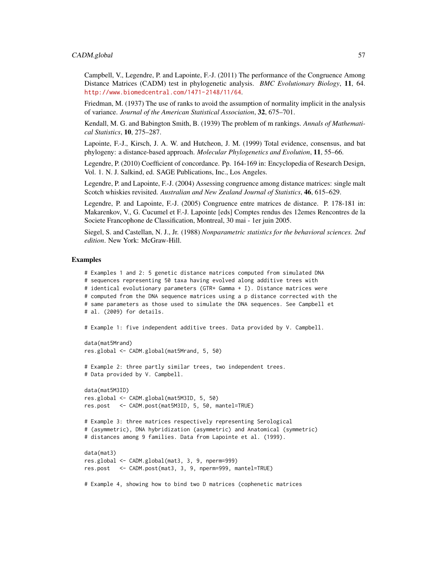## CADM.global 57

Campbell, V., Legendre, P. and Lapointe, F.-J. (2011) The performance of the Congruence Among Distance Matrices (CADM) test in phylogenetic analysis. *BMC Evolutionary Biology*, 11, 64. <http://www.biomedcentral.com/1471-2148/11/64>.

Friedman, M. (1937) The use of ranks to avoid the assumption of normality implicit in the analysis of variance. *Journal of the American Statistical Association*, 32, 675–701.

Kendall, M. G. and Babington Smith, B. (1939) The problem of m rankings. *Annals of Mathematical Statistics*, 10, 275–287.

Lapointe, F.-J., Kirsch, J. A. W. and Hutcheon, J. M. (1999) Total evidence, consensus, and bat phylogeny: a distance-based approach. *Molecular Phylogenetics and Evolution*, 11, 55–66.

Legendre, P. (2010) Coefficient of concordance. Pp. 164-169 in: Encyclopedia of Research Design, Vol. 1. N. J. Salkind, ed. SAGE Publications, Inc., Los Angeles.

Legendre, P. and Lapointe, F.-J. (2004) Assessing congruence among distance matrices: single malt Scotch whiskies revisited. *Australian and New Zealand Journal of Statistics*, 46, 615–629.

Legendre, P. and Lapointe, F.-J. (2005) Congruence entre matrices de distance. P. 178-181 in: Makarenkov, V., G. Cucumel et F.-J. Lapointe [eds] Comptes rendus des 12emes Rencontres de la Societe Francophone de Classification, Montreal, 30 mai - 1er juin 2005.

Siegel, S. and Castellan, N. J., Jr. (1988) *Nonparametric statistics for the behavioral sciences. 2nd edition*. New York: McGraw-Hill.

## Examples

```
# Examples 1 and 2: 5 genetic distance matrices computed from simulated DNA
# sequences representing 50 taxa having evolved along additive trees with
# identical evolutionary parameters (GTR+ Gamma + I). Distance matrices were
# computed from the DNA sequence matrices using a p distance corrected with the
# same parameters as those used to simulate the DNA sequences. See Campbell et
# al. (2009) for details.
# Example 1: five independent additive trees. Data provided by V. Campbell.
data(mat5Mrand)
res.global <- CADM.global(mat5Mrand, 5, 50)
# Example 2: three partly similar trees, two independent trees.
# Data provided by V. Campbell.
data(mat5M3ID)
res.global <- CADM.global(mat5M3ID, 5, 50)
res.post <- CADM.post(mat5M3ID, 5, 50, mantel=TRUE)
# Example 3: three matrices respectively representing Serological
# (asymmetric), DNA hybridization (asymmetric) and Anatomical (symmetric)
# distances among 9 families. Data from Lapointe et al. (1999).
data(mat3)
res.global <- CADM.global(mat3, 3, 9, nperm=999)
res.post <- CADM.post(mat3, 3, 9, nperm=999, mantel=TRUE)
# Example 4, showing how to bind two D matrices (cophenetic matrices
```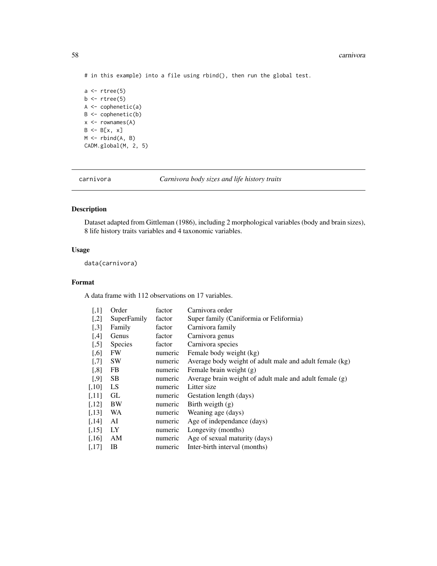# in this example) into a file using rbind(), then run the global test.

```
a \leftarrow rtree(5)
b \leftarrow rtree(5)
A \leftarrow \text{cophenetic(a)}B <- cophenetic(b)
x \leftarrow rownames(A)
B \leftarrow B[x, x]M \leftarrow \text{rbind}(A, B)CADM.global(M, 2, 5)
```
carnivora *Carnivora body sizes and life history traits*

# Description

Dataset adapted from Gittleman (1986), including 2 morphological variables (body and brain sizes), 8 life history traits variables and 4 taxonomic variables.

# Usage

data(carnivora)

# Format

A data frame with 112 observations on 17 variables.

| $[$                  | Order       | factor  | Carnivora order                                         |
|----------------------|-------------|---------|---------------------------------------------------------|
| $[$                  | SuperFamily | factor  | Super family (Caniformia or Feliformia)                 |
| $[0.3]$              | Family      | factor  | Carnivora family                                        |
| $[4]$                | Genus       | factor  | Carnivora genus                                         |
| $[$                  | Species     | factor  | Carnivora species                                       |
| $[0.6]$              | <b>FW</b>   | numeric | Female body weight (kg)                                 |
| $[0.7]$              | <b>SW</b>   | numeric | Average body weight of adult male and adult female (kg) |
| $[$ 8]               | <b>FB</b>   | numeric | Female brain weight (g)                                 |
| $[$ .9]              | SB.         | numeric | Average brain weight of adult male and adult female (g) |
| $[0.10]$             | LS.         | numeric | Litter size                                             |
| [,11]                | GL          | numeric | Gestation length (days)                                 |
| $\left[ .12 \right]$ | BW          | numeric | Birth weigth (g)                                        |
| [,13]                | <b>WA</b>   | numeric | Weaning age (days)                                      |
| [,14]                | AI          | numeric | Age of independance (days)                              |
| [,15]                | LY          | numeric | Longevity (months)                                      |
| [,16]                | AM          | numeric | Age of sexual maturity (days)                           |
| [.17]                | IB          | numeric | Inter-birth interval (months)                           |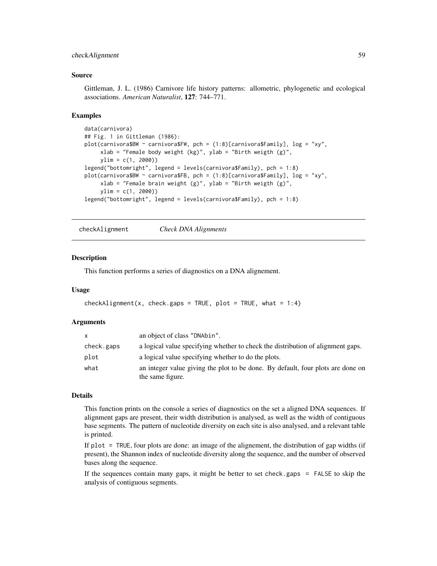# checkAlignment 59

### Source

Gittleman, J. L. (1986) Carnivore life history patterns: allometric, phylogenetic and ecological associations. *American Naturalist*, 127: 744–771.

#### Examples

```
data(carnivora)
## Fig. 1 in Gittleman (1986):
plot(carnivora$BW ~ carnivora$FW, pch = (1:8)[carnivora$Family], log = "xy",
    xlab = "Female body weight (kg)", ylab = "Birth weigth (g)",
    ylim = c(1, 2000)legend("bottomright", legend = levels(carnivora$Family), pch = 1:8)
plot(carnivora$BW ~ carnivora$FB, pch = (1:8)[carnivora$Family], log = "xy",
    xlab = "Female brain weight (g)", ylab = "Birth weigth (g)",
     ylim = c(1, 2000))
legend("bottomright", legend = levels(carnivora$Family), pch = 1:8)
```
<span id="page-58-0"></span>checkAlignment *Check DNA Alignments*

#### Description

This function performs a series of diagnostics on a DNA alignement.

#### Usage

```
checkAlignment(x, check.gaps = TRUE, plot = TRUE, what = 1:4)
```
## Arguments

| x          | an object of class "DNAbin".                                                                        |
|------------|-----------------------------------------------------------------------------------------------------|
| check.gaps | a logical value specifying whether to check the distribution of alignment gaps.                     |
| plot       | a logical value specifying whether to do the plots.                                                 |
| what       | an integer value giving the plot to be done. By default, four plots are done on<br>the same figure. |

#### Details

This function prints on the console a series of diagnostics on the set a aligned DNA sequences. If alignment gaps are present, their width distribution is analysed, as well as the width of contiguous base segments. The pattern of nucleotide diversity on each site is also analysed, and a relevant table is printed.

If plot = TRUE, four plots are done: an image of the alignement, the distribution of gap widths (if present), the Shannon index of nucleotide diversity along the sequence, and the number of observed bases along the sequence.

If the sequences contain many gaps, it might be better to set check.gaps = FALSE to skip the analysis of contiguous segments.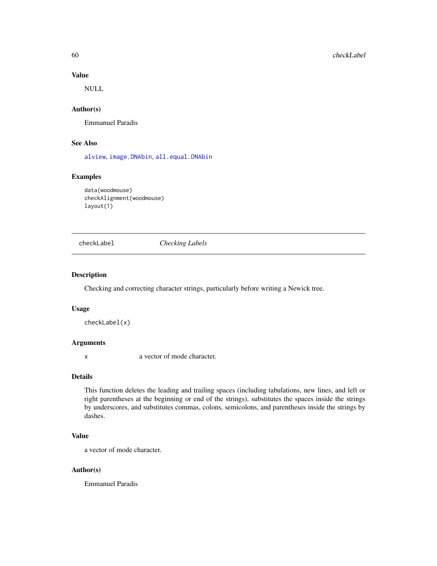# Value

NULL

# Author(s)

Emmanuel Paradis

# See Also

[alview](#page-19-0), [image.DNAbin](#page-137-0), [all.equal.DNAbin](#page-16-0)

# Examples

```
data(woodmouse)
checkAlignment(woodmouse)
layout(1)
```
checkLabel *Checking Labels*

# Description

Checking and correcting character strings, particularly before writing a Newick tree.

# Usage

checkLabel(x)

# Arguments

x a vector of mode character.

#### Details

This function deletes the leading and trailing spaces (including tabulations, new lines, and left or right parentheses at the beginning or end of the strings), substitutes the spaces inside the strings by underscores, and substitutes commas, colons, semicolons, and parentheses inside the strings by dashes.

# Value

a vector of mode character.

## Author(s)

Emmanuel Paradis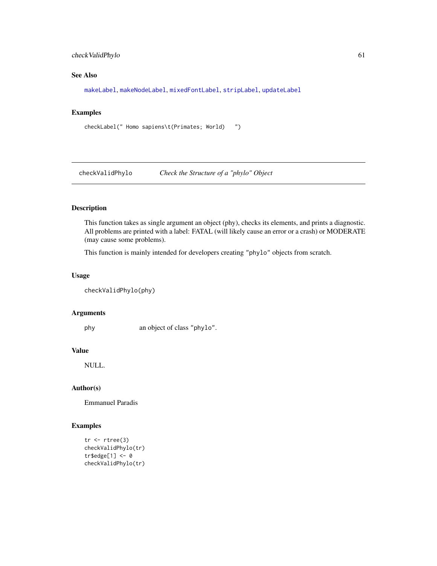# checkValidPhylo 61

# See Also

[makeLabel](#page-153-0), [makeNodeLabel](#page-154-0), [mixedFontLabel](#page-163-0), [stripLabel](#page-144-0), [updateLabel](#page-261-0)

# Examples

```
checkLabel(" Homo sapiens\t(Primates; World) ")
```
checkValidPhylo *Check the Structure of a "phylo" Object*

# Description

This function takes as single argument an object (phy), checks its elements, and prints a diagnostic. All problems are printed with a label: FATAL (will likely cause an error or a crash) or MODERATE (may cause some problems).

This function is mainly intended for developers creating "phylo" objects from scratch.

# Usage

checkValidPhylo(phy)

#### Arguments

phy an object of class "phylo".

# Value

NULL.

# Author(s)

Emmanuel Paradis

# Examples

```
tr < -rtree(3)checkValidPhylo(tr)
tr$edge[1] <- 0
checkValidPhylo(tr)
```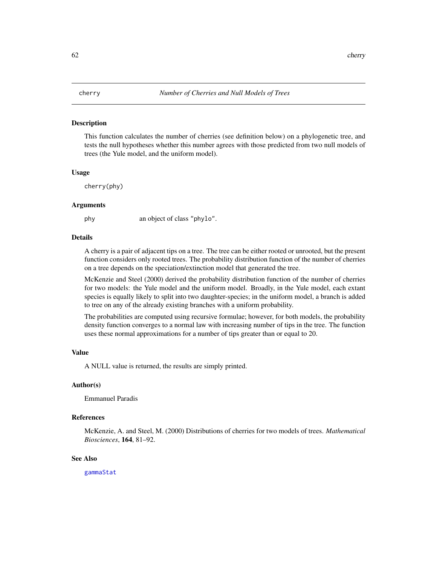## Description

This function calculates the number of cherries (see definition below) on a phylogenetic tree, and tests the null hypotheses whether this number agrees with those predicted from two null models of trees (the Yule model, and the uniform model).

#### Usage

cherry(phy)

#### Arguments

phy an object of class "phylo".

#### Details

A cherry is a pair of adjacent tips on a tree. The tree can be either rooted or unrooted, but the present function considers only rooted trees. The probability distribution function of the number of cherries on a tree depends on the speciation/extinction model that generated the tree.

McKenzie and Steel (2000) derived the probability distribution function of the number of cherries for two models: the Yule model and the uniform model. Broadly, in the Yule model, each extant species is equally likely to split into two daughter-species; in the uniform model, a branch is added to tree on any of the already existing branches with a uniform probability.

The probabilities are computed using recursive formulae; however, for both models, the probability density function converges to a normal law with increasing number of tips in the tree. The function uses these normal approximations for a number of tips greater than or equal to 20.

#### Value

A NULL value is returned, the results are simply printed.

# Author(s)

Emmanuel Paradis

## References

McKenzie, A. and Steel, M. (2000) Distributions of cherries for two models of trees. *Mathematical Biosciences*, 164, 81–92.

## See Also

[gammaStat](#page-132-0)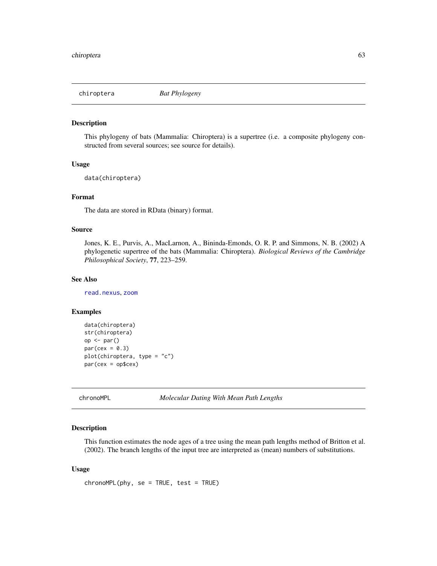# Description

This phylogeny of bats (Mammalia: Chiroptera) is a supertree (i.e. a composite phylogeny constructed from several sources; see source for details).

# Usage

data(chiroptera)

# Format

The data are stored in RData (binary) format.

# Source

Jones, K. E., Purvis, A., MacLarnon, A., Bininda-Emonds, O. R. P. and Simmons, N. B. (2002) A phylogenetic supertree of the bats (Mammalia: Chiroptera). *Biological Reviews of the Cambridge Philosophical Society*, 77, 223–259.

## See Also

[read.nexus](#page-217-0), [zoom](#page-280-0)

# Examples

```
data(chiroptera)
str(chiroptera)
op <- par()
par(cex = 0.3)plot(chiroptera, type = "c")
par(cex = op$cex)
```
<span id="page-62-0"></span>chronoMPL *Molecular Dating With Mean Path Lengths*

# Description

This function estimates the node ages of a tree using the mean path lengths method of Britton et al. (2002). The branch lengths of the input tree are interpreted as (mean) numbers of substitutions.

## Usage

 $chromoMPL(phy, se = TRUE, test = TRUE)$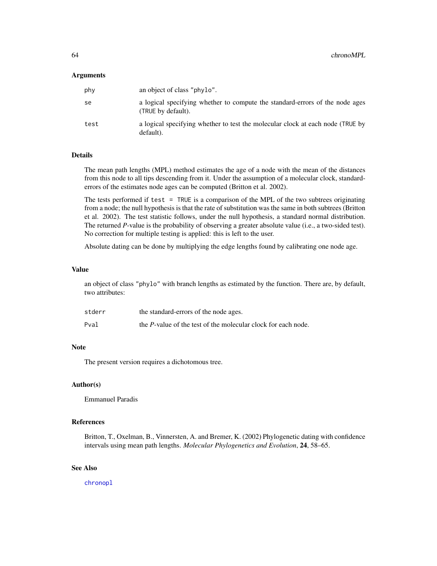#### Arguments

| phy  | an object of class "phylo".                                                                        |
|------|----------------------------------------------------------------------------------------------------|
| se   | a logical specifying whether to compute the standard-errors of the node ages<br>(TRUE by default). |
| test | a logical specifying whether to test the molecular clock at each node (TRUE by<br>default).        |

# **Details**

The mean path lengths (MPL) method estimates the age of a node with the mean of the distances from this node to all tips descending from it. Under the assumption of a molecular clock, standarderrors of the estimates node ages can be computed (Britton et al. 2002).

The tests performed if test  $=$  TRUE is a comparison of the MPL of the two subtrees originating from a node; the null hypothesis is that the rate of substitution was the same in both subtrees (Britton et al. 2002). The test statistic follows, under the null hypothesis, a standard normal distribution. The returned *P*-value is the probability of observing a greater absolute value (i.e., a two-sided test). No correction for multiple testing is applied: this is left to the user.

Absolute dating can be done by multiplying the edge lengths found by calibrating one node age.

#### Value

an object of class "phylo" with branch lengths as estimated by the function. There are, by default, two attributes:

| stderr | the standard-errors of the node ages.                                 |
|--------|-----------------------------------------------------------------------|
| Pval   | the <i>P</i> -value of the test of the molecular clock for each node. |

## Note

The present version requires a dichotomous tree.

# Author(s)

Emmanuel Paradis

### References

Britton, T., Oxelman, B., Vinnersten, A. and Bremer, K. (2002) Phylogenetic dating with confidence intervals using mean path lengths. *Molecular Phylogenetics and Evolution*, 24, 58–65.

# See Also

[chronopl](#page-64-0)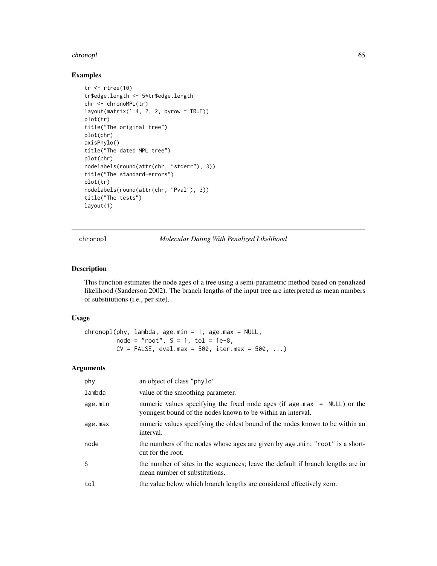#### chronopl<sup>65</sup> chronopl<sup>65</sup>

# Examples

```
tr < -rtree(10)tr$edge.length <- 5*tr$edge.length
chr <- chronoMPL(tr)
layout(matrix(1:4, 2, 2, byrow = TRUE))plot(tr)
title("The original tree")
plot(chr)
axisPhylo()
title("The dated MPL tree")
plot(chr)
nodelabels(round(attr(chr, "stderr"), 3))
title("The standard-errors")
plot(tr)
nodelabels(round(attr(chr, "Pval"), 3))
title("The tests")
layout(1)
```
<span id="page-64-0"></span>chronopl *Molecular Dating With Penalized Likelihood*

# Description

This function estimates the node ages of a tree using a semi-parametric method based on penalized likelihood (Sanderson 2002). The branch lengths of the input tree are interpreted as mean numbers of substitutions (i.e., per site).

# Usage

 $chronopl(phy, lambda, age.min = 1, age.max = NULL,$ node = " $root$ ",  $S = 1$ ,  $tol = 1e-8$ ,  $CV = FALSE, eval.max = 500, iter.max = 500, ...$ 

# Arguments

| phy     | an object of class "phylo".                                                                                                                |
|---------|--------------------------------------------------------------------------------------------------------------------------------------------|
| lambda  | value of the smoothing parameter.                                                                                                          |
| age.min | numeric values specifying the fixed node ages (if $age.max = NULL$ ) or the<br>youngest bound of the nodes known to be within an interval. |
| age.max | numeric values specifying the oldest bound of the nodes known to be within an<br>interval.                                                 |
| node    | the numbers of the nodes whose ages are given by age.min; "root" is a short-<br>cut for the root.                                          |
| S       | the number of sites in the sequences; leave the default if branch lengths are in<br>mean number of substitutions.                          |
| tol     | the value below which branch lengths are considered effectively zero.                                                                      |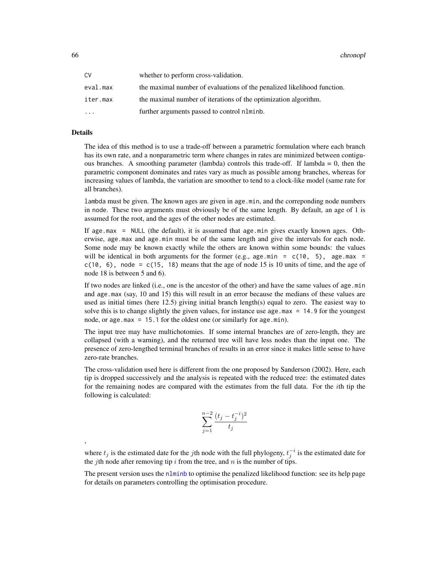66 chronopl

| C٧        | whether to perform cross-validation.                                    |
|-----------|-------------------------------------------------------------------------|
| eval.max  | the maximal number of evaluations of the penalized likelihood function. |
| iter.max  | the maximal number of iterations of the optimization algorithm.         |
| $\ddotsc$ | further arguments passed to control nlminb.                             |

# Details

,

The idea of this method is to use a trade-off between a parametric formulation where each branch has its own rate, and a nonparametric term where changes in rates are minimized between contiguous branches. A smoothing parameter (lambda) controls this trade-off. If lambda  $= 0$ , then the parametric component dominates and rates vary as much as possible among branches, whereas for increasing values of lambda, the variation are smoother to tend to a clock-like model (same rate for all branches).

lambda must be given. The known ages are given in age.min, and the correponding node numbers in node. These two arguments must obviously be of the same length. By default, an age of 1 is assumed for the root, and the ages of the other nodes are estimated.

If age.max = NULL (the default), it is assumed that age.min gives exactly known ages. Otherwise, age.max and age.min must be of the same length and give the intervals for each node. Some node may be known exactly while the others are known within some bounds: the values will be identical in both arguments for the former (e.g., age.min =  $c(10, 5)$ , age.max =  $c(10, 6)$ , node =  $c(15, 18)$  means that the age of node 15 is 10 units of time, and the age of node 18 is between 5 and 6).

If two nodes are linked (i.e., one is the ancestor of the other) and have the same values of age.min and age.max (say, 10 and 15) this will result in an error because the medians of these values are used as initial times (here 12.5) giving initial branch length(s) equal to zero. The easiest way to solve this is to change slightly the given values, for instance use age.max = 14.9 for the youngest node, or age.max = 15.1 for the oldest one (or similarly for age.min).

The input tree may have multichotomies. If some internal branches are of zero-length, they are collapsed (with a warning), and the returned tree will have less nodes than the input one. The presence of zero-lengthed terminal branches of results in an error since it makes little sense to have zero-rate branches.

The cross-validation used here is different from the one proposed by Sanderson (2002). Here, each tip is dropped successively and the analysis is repeated with the reduced tree: the estimated dates for the remaining nodes are compared with the estimates from the full data. For the ith tip the following is calculated:

$$
\sum_{j=1}^{n-2} \frac{(t_j - t_j^{-i})^2}{t_j}
$$

where  $t_j$  is the estimated date for the jth node with the full phylogeny,  $t_j^{-i}$  is the estimated date for the jth node after removing tip i from the tree, and n is the number of tips.

The present version uses the [nlminb](#page-0-0) to optimise the penalized likelihood function: see its help page for details on parameters controlling the optimisation procedure.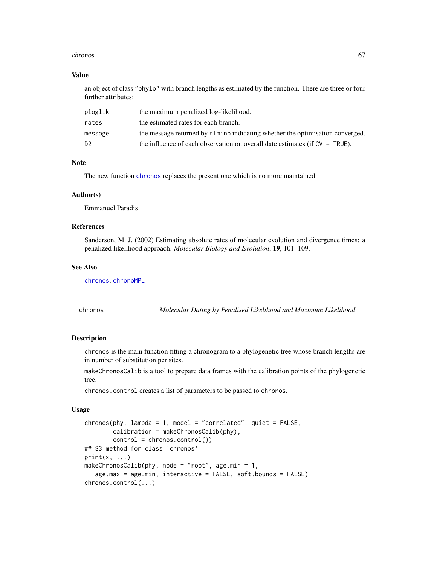#### chronos 67

# Value

an object of class "phylo" with branch lengths as estimated by the function. There are three or four further attributes:

| ploglik        | the maximum penalized log-likelihood.                                            |
|----------------|----------------------------------------------------------------------------------|
| rates          | the estimated rates for each branch.                                             |
| message        | the message returned by no number indicating whether the optimisation converged. |
| D <sub>2</sub> | the influence of each observation on overall date estimates (if $CV = TRUE$ ).   |

# Note

The new function [chronos](#page-66-0) replaces the present one which is no more maintained.

#### Author(s)

Emmanuel Paradis

## References

Sanderson, M. J. (2002) Estimating absolute rates of molecular evolution and divergence times: a penalized likelihood approach. *Molecular Biology and Evolution*, 19, 101–109.

### See Also

[chronos](#page-66-0), [chronoMPL](#page-62-0)

<span id="page-66-0"></span>chronos *Molecular Dating by Penalised Likelihood and Maximum Likelihood*

# **Description**

chronos is the main function fitting a chronogram to a phylogenetic tree whose branch lengths are in number of substitution per sites.

makeChronosCalib is a tool to prepare data frames with the calibration points of the phylogenetic tree.

chronos.control creates a list of parameters to be passed to chronos.

## Usage

```
chronos(\text{phy}, \text{lambda} = 1, \text{ model} = "correlated", \text{ quiet} = FALSE,calibration = makeChronosCalib(phy),
        control = chronos.control())
## S3 method for class 'chronos'
print(x, \ldots)makeChronosCalib(phy, node = "root", age.min = 1,
   age.max = age.min, interactive = FALSE, soft.bounds = FALSE)
chronos.control(...)
```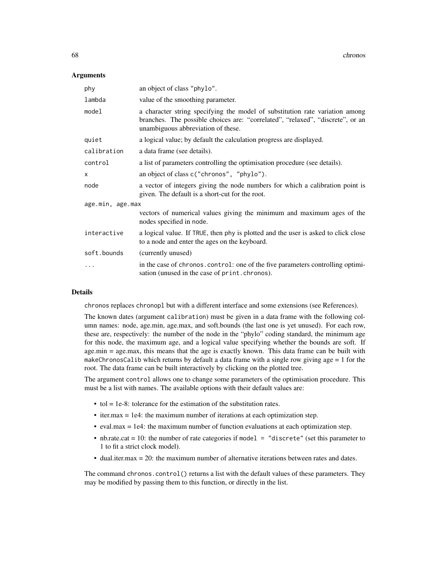## Arguments

| phy              | an object of class "phylo".                                                                                                                                                                          |  |
|------------------|------------------------------------------------------------------------------------------------------------------------------------------------------------------------------------------------------|--|
| lambda           | value of the smoothing parameter.                                                                                                                                                                    |  |
| model            | a character string specifying the model of substitution rate variation among<br>branches. The possible choices are: "correlated", "relaxed", "discrete", or an<br>unambiguous abbreviation of these. |  |
| quiet            | a logical value; by default the calculation progress are displayed.                                                                                                                                  |  |
| calibration      | a data frame (see details).                                                                                                                                                                          |  |
| control          | a list of parameters controlling the optimisation procedure (see details).                                                                                                                           |  |
| X                | an object of class c("chronos", "phylo").                                                                                                                                                            |  |
| node             | a vector of integers giving the node numbers for which a calibration point is<br>given. The default is a short-cut for the root.                                                                     |  |
| age.min, age.max |                                                                                                                                                                                                      |  |
|                  | vectors of numerical values giving the minimum and maximum ages of the<br>nodes specified in node.                                                                                                   |  |
| interactive      | a logical value. If TRUE, then phy is plotted and the user is asked to click close<br>to a node and enter the ages on the keyboard.                                                                  |  |
| soft.bounds      | (currently unused)                                                                                                                                                                                   |  |
| $\ddotsc$        | in the case of chronos. control: one of the five parameters controlling optimi-<br>sation (unused in the case of print. chronos).                                                                    |  |

# Details

chronos replaces chronopl but with a different interface and some extensions (see References).

The known dates (argument calibration) must be given in a data frame with the following column names: node, age.min, age.max, and soft.bounds (the last one is yet unused). For each row, these are, respectively: the number of the node in the "phylo" coding standard, the minimum age for this node, the maximum age, and a logical value specifying whether the bounds are soft. If age.min = age.max, this means that the age is exactly known. This data frame can be built with makeChronosCalib which returns by default a data frame with a single row giving  $\text{age} = 1$  for the root. The data frame can be built interactively by clicking on the plotted tree.

The argument control allows one to change some parameters of the optimisation procedure. This must be a list with names. The available options with their default values are:

- tol = 1e-8: tolerance for the estimation of the substitution rates.
- iter.max = 1e4: the maximum number of iterations at each optimization step.
- eval.max = 1e4: the maximum number of function evaluations at each optimization step.
- nb.rate.cat = 10: the number of rate categories if model = "discrete" (set this parameter to 1 to fit a strict clock model).
- dual.iter.max = 20: the maximum number of alternative iterations between rates and dates.

The command chronos.control() returns a list with the default values of these parameters. They may be modified by passing them to this function, or directly in the list.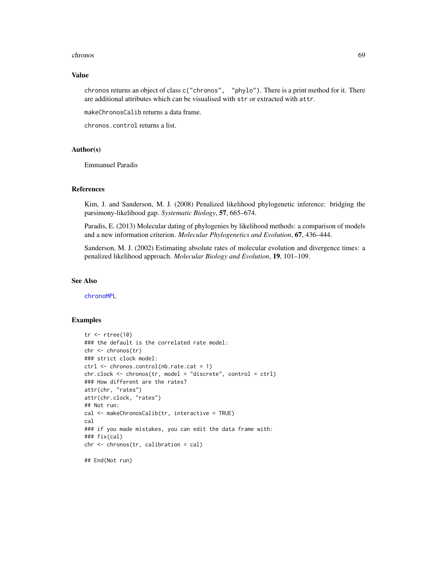#### chronos 69

# Value

chronos returns an object of class c("chronos", "phylo"). There is a print method for it. There are additional attributes which can be visualised with str or extracted with attr.

makeChronosCalib returns a data frame.

chronos.control returns a list.

# Author(s)

Emmanuel Paradis

# References

Kim, J. and Sanderson, M. J. (2008) Penalized likelihood phylogenetic inference: bridging the parsimony-likelihood gap. *Systematic Biology*, 57, 665–674.

Paradis, E. (2013) Molecular dating of phylogenies by likelihood methods: a comparison of models and a new information criterion. *Molecular Phylogenetics and Evolution*, 67, 436–444.

Sanderson, M. J. (2002) Estimating absolute rates of molecular evolution and divergence times: a penalized likelihood approach. *Molecular Biology and Evolution*, 19, 101–109.

### See Also

[chronoMPL](#page-62-0)

## Examples

```
tr < -rtree(10)### the default is the correlated rate model:
chr <- chronos(tr)
### strict clock model:
ctrl <- chronos.control(nb.rate.cat = 1)
chr.clock <- chronos(tr, model = "discrete", control = ctrl)
### How different are the rates?
attr(chr, "rates")
attr(chr.clock, "rates")
## Not run:
cal <- makeChronosCalib(tr, interactive = TRUE)
cal
### if you made mistakes, you can edit the data frame with:
### fix(cal)
chr <- chronos(tr, calibration = cal)
```
## End(Not run)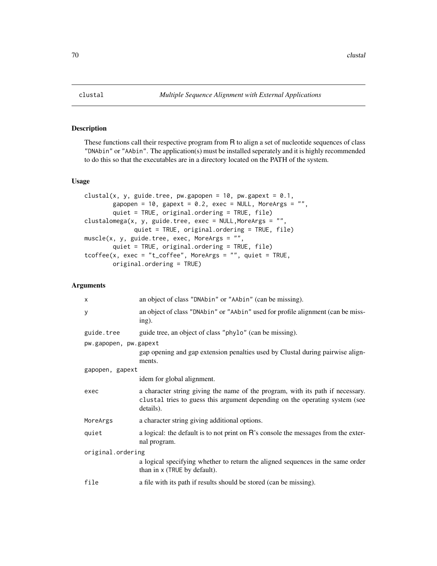# Description

These functions call their respective program from R to align a set of nucleotide sequences of class "DNAbin" or "AAbin". The application(s) must be installed seperately and it is highly recommended to do this so that the executables are in a directory located on the PATH of the system.

# Usage

```
clustal(x, y, guide.tree, pw.gapopen = 10, pw.gapext = 0.1,
        gapopen = 10, gapext = 0.2, exec = NULL, MoreArgs = "",
        quiet = TRUE, original.ordering = TRUE, file)
clustalomega(x, y, guide.tree, exec = NULL, MoreArgs = ",
              quiet = TRUE, original.ordering = TRUE, file)
muscle(x, y, guide.tree, exec, MoreArgs = "",
        quiet = TRUE, original.ordering = TRUE, file)
tcofree(x, exec = "t_coffee", MoreArgs = "", quiet = TRUE,original.ordering = TRUE)
```
## Arguments

| $\times$              | an object of class "DNAbin" or "AAbin" (can be missing).                                                                                                                   |  |
|-----------------------|----------------------------------------------------------------------------------------------------------------------------------------------------------------------------|--|
| У                     | an object of class "DNAbin" or "AAbin" used for profile alignment (can be miss-<br>ing).                                                                                   |  |
| guide.tree            | guide tree, an object of class "phylo" (can be missing).                                                                                                                   |  |
| pw.gapopen, pw.gapext |                                                                                                                                                                            |  |
|                       | gap opening and gap extension penalties used by Clustal during pairwise align-<br>ments.                                                                                   |  |
| gapopen, gapext       |                                                                                                                                                                            |  |
|                       | idem for global alignment.                                                                                                                                                 |  |
| exec                  | a character string giving the name of the program, with its path if necessary.<br>clustal tries to guess this argument depending on the operating system (see<br>details). |  |
| MoreArgs              | a character string giving additional options.                                                                                                                              |  |
| quiet                 | a logical: the default is to not print on R's console the messages from the exter-<br>nal program.                                                                         |  |
| original.ordering     |                                                                                                                                                                            |  |
|                       | a logical specifying whether to return the aligned sequences in the same order<br>than in x (TRUE by default).                                                             |  |
| file                  | a file with its path if results should be stored (can be missing).                                                                                                         |  |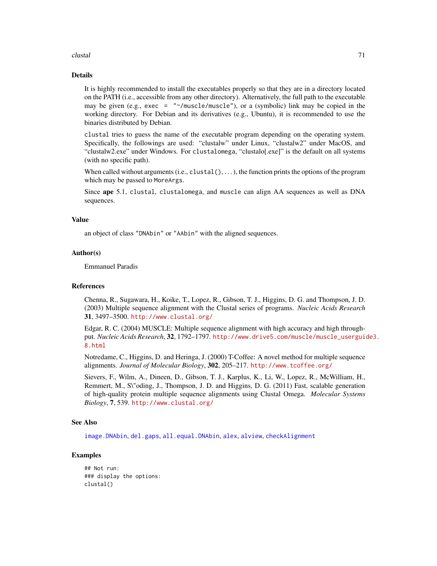#### clustal 71

# Details

It is highly recommended to install the executables properly so that they are in a directory located on the PATH (i.e., accessible from any other directory). Alternatively, the full path to the executable may be given (e.g., exec = "~/muscle/muscle"), or a (symbolic) link may be copied in the working directory. For Debian and its derivatives (e.g., Ubuntu), it is recommended to use the binaries distributed by Debian.

clustal tries to guess the name of the executable program depending on the operating system. Specifically, the followings are used: "clustalw" under Linux, "clustalw2" under MacOS, and "clustalw2.exe" under Windows. For clustalomega, "clustalo[.exe]" is the default on all systems (with no specific path).

When called without arguments  $(i.e.,  $clustal()$ , ...)$ , the function prints the options of the program which may be passed to MoreArgs.

Since ape 5.1, clustal, clustalomega, and muscle can align AA sequences as well as DNA sequences.

# Value

an object of class "DNAbin" or "AAbin" with the aligned sequences.

## Author(s)

Emmanuel Paradis

## References

Chenna, R., Sugawara, H., Koike, T., Lopez, R., Gibson, T. J., Higgins, D. G. and Thompson, J. D. (2003) Multiple sequence alignment with the Clustal series of programs. *Nucleic Acids Research* 31, 3497–3500. <http://www.clustal.org/>

Edgar, R. C. (2004) MUSCLE: Multiple sequence alignment with high accuracy and high throughput. *Nucleic Acids Research*, 32, 1792–1797. [http://www.drive5.com/muscle/muscle\\_userguid](http://www.drive5.com/muscle/muscle_userguide3.8.html)e3. [8.html](http://www.drive5.com/muscle/muscle_userguide3.8.html)

Notredame, C., Higgins, D. and Heringa, J. (2000) T-Coffee: A novel method for multiple sequence alignments. *Journal of Molecular Biology*, 302, 205–217. <http://www.tcoffee.org/>

Sievers, F., Wilm, A., Dineen, D., Gibson, T. J., Karplus, K., Li, W., Lopez, R., McWilliam, H., Remmert, M., S\"oding, J., Thompson, J. D. and Higgins, D. G. (2011) Fast, scalable generation of high-quality protein multiple sequence alignments using Clustal Omega. *Molecular Systems Biology*, 7, 539. <http://www.clustal.org/>

# See Also

[image.DNAbin](#page-137-0), [del.gaps](#page-108-0), [all.equal.DNAbin](#page-16-0), [alex](#page-15-0), [alview](#page-19-0), [checkAlignment](#page-58-0)

# Examples

## Not run: ### display the options: clustal()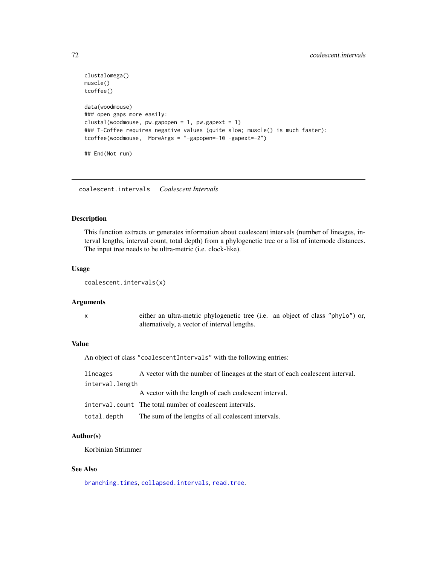```
clustalomega()
muscle()
tcoffee()
data(woodmouse)
### open gaps more easily:
clustal(woodmouse, pw.ga popen = 1, pw.ga pext = 1)### T-Coffee requires negative values (quite slow; muscle() is much faster):
tcoffee(woodmouse, MoreArgs = "-gapopen=-10 -gapext=-2")
## End(Not run)
```
coalescent.intervals *Coalescent Intervals*

#### Description

This function extracts or generates information about coalescent intervals (number of lineages, interval lengths, interval count, total depth) from a phylogenetic tree or a list of internode distances. The input tree needs to be ultra-metric (i.e. clock-like).

## Usage

```
coalescent.intervals(x)
```
# Arguments

x either an ultra-metric phylogenetic tree (i.e. an object of class "phylo") or, alternatively, a vector of interval lengths.

# Value

An object of class "coalescentIntervals" with the following entries:

| lineages        | A vector with the number of lineages at the start of each coalescent interval. |
|-----------------|--------------------------------------------------------------------------------|
| interval.length |                                                                                |
|                 | A vector with the length of each coalescent interval.                          |
|                 | interval.count The total number of coalescent intervals.                       |
| total.depth     | The sum of the lengths of all coalescent intervals.                            |

# Author(s)

Korbinian Strimmer

# See Also

[branching.times](#page-51-0), [collapsed.intervals](#page-73-0), [read.tree](#page-221-0).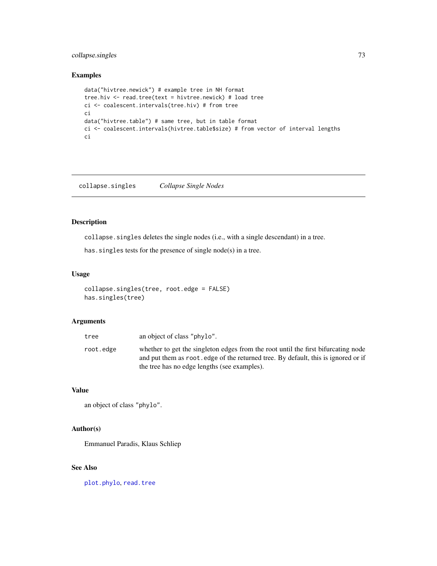# collapse.singles 73

## Examples

```
data("hivtree.newick") # example tree in NH format
tree.hiv <- read.tree(text = hivtree.newick) # load tree
ci <- coalescent.intervals(tree.hiv) # from tree
ci
data("hivtree.table") # same tree, but in table format
ci <- coalescent.intervals(hivtree.table$size) # from vector of interval lengths
ci
```
collapse.singles *Collapse Single Nodes*

# Description

collapse.singles deletes the single nodes (i.e., with a single descendant) in a tree.

has. singles tests for the presence of single node(s) in a tree.

#### Usage

```
collapse.singles(tree, root.edge = FALSE)
has.singles(tree)
```
## Arguments

| tree      | an object of class "phylo".                                                                                                                                                                                             |
|-----------|-------------------------------------------------------------------------------------------------------------------------------------------------------------------------------------------------------------------------|
| root.edge | whether to get the singleton edges from the root until the first bifurcating node<br>and put them as root, edge of the returned tree. By default, this is ignored or if<br>the tree has no edge lengths (see examples). |
|           |                                                                                                                                                                                                                         |

## Value

```
an object of class "phylo".
```
# Author(s)

Emmanuel Paradis, Klaus Schliep

# See Also

[plot.phylo](#page-200-0), [read.tree](#page-221-0)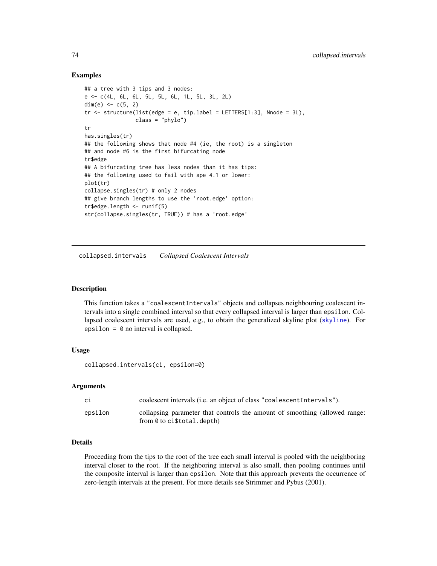## Examples

```
## a tree with 3 tips and 3 nodes:
e <- c(4L, 6L, 6L, 5L, 5L, 6L, 1L, 5L, 3L, 2L)
dim(e) <-c(5, 2)tr < - structure(list(edge = e, tip.label = LETTERS[1:3], Nnode = 3L),
                class = "phylo")
tr
has.singles(tr)
## the following shows that node #4 (ie, the root) is a singleton
## and node #6 is the first bifurcating node
tr$edge
## A bifurcating tree has less nodes than it has tips:
## the following used to fail with ape 4.1 or lower:
plot(tr)
collapse.singles(tr) # only 2 nodes
## give branch lengths to use the 'root.edge' option:
tr$edge.length <- runif(5)
str(collapse.singles(tr, TRUE)) # has a 'root.edge'
```
collapsed.intervals *Collapsed Coalescent Intervals*

#### Description

This function takes a "coalescentIntervals" objects and collapses neighbouring coalescent intervals into a single combined interval so that every collapsed interval is larger than epsilon. Collapsed coalescent intervals are used, e.g., to obtain the generalized skyline plot ([skyline](#page-244-0)). For epsilon =  $\theta$  no interval is collapsed.

## Usage

collapsed.intervals(ci, epsilon=0)

## Arguments

| сi      | coalescent intervals (i.e. an object of class "coalescent Intervals").                                          |
|---------|-----------------------------------------------------------------------------------------------------------------|
| epsilon | collapsing parameter that controls the amount of smoothing (allowed range:<br>from $\theta$ to ci\$total.depth) |

## Details

Proceeding from the tips to the root of the tree each small interval is pooled with the neighboring interval closer to the root. If the neighboring interval is also small, then pooling continues until the composite interval is larger than epsilon. Note that this approach prevents the occurrence of zero-length intervals at the present. For more details see Strimmer and Pybus (2001).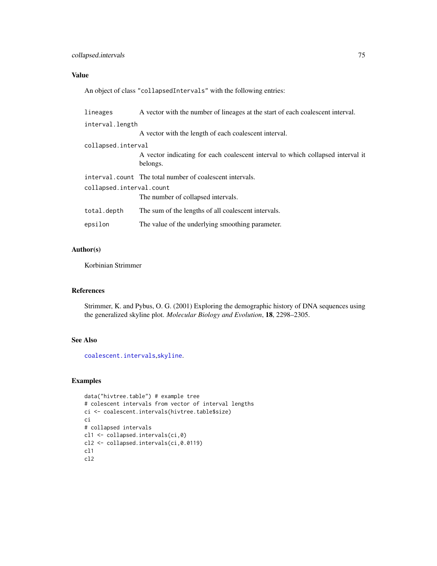# collapsed.intervals 75

# Value

An object of class "collapsedIntervals" with the following entries:

| lineages                 | A vector with the number of lineages at the start of each coalescent interval.              |  |
|--------------------------|---------------------------------------------------------------------------------------------|--|
| interval.length          |                                                                                             |  |
|                          | A vector with the length of each coalescent interval.                                       |  |
| collapsed.interval       |                                                                                             |  |
|                          | A vector indicating for each coalescent interval to which collapsed interval it<br>belongs. |  |
|                          | interval.count The total number of coalescent intervals.                                    |  |
| collapsed.interval.count |                                                                                             |  |
|                          | The number of collapsed intervals.                                                          |  |
| total.depth              | The sum of the lengths of all coalescent intervals.                                         |  |
| epsilon                  | The value of the underlying smoothing parameter.                                            |  |

# Author(s)

Korbinian Strimmer

# References

Strimmer, K. and Pybus, O. G. (2001) Exploring the demographic history of DNA sequences using the generalized skyline plot. *Molecular Biology and Evolution*, 18, 2298–2305.

# See Also

[coalescent.intervals](#page-71-0),[skyline](#page-244-0).

# Examples

```
data("hivtree.table") # example tree
# colescent intervals from vector of interval lengths
ci <- coalescent.intervals(hivtree.table$size)
ci
# collapsed intervals
cl1 <- collapsed.intervals(ci,0)
cl2 <- collapsed.intervals(ci,0.0119)
cl1
cl2
```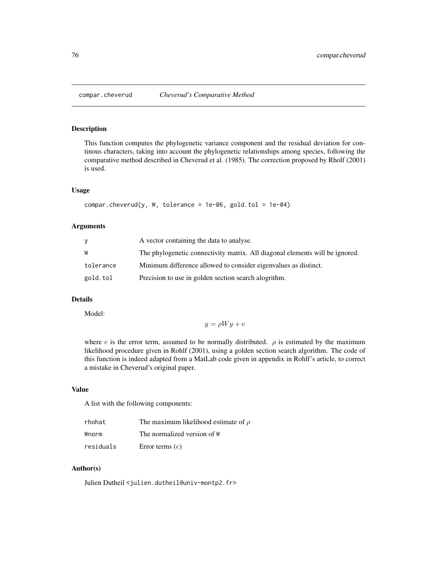#### Description

This function computes the phylogenetic variance component and the residual deviation for continous characters, taking into account the phylogenetic relationships among species, following the comparative method described in Cheverud et al. (1985). The correction proposed by Rholf (2001) is used.

#### Usage

```
compar.cheverud(y, W, tolerance = 1e-06, gold.tol = 1e-04)
```
#### Arguments

|           | A vector containing the data to analyse.                                     |
|-----------|------------------------------------------------------------------------------|
| W         | The phylogenetic connectivity matrix. All diagonal elements will be ignored. |
| tolerance | Minimum difference allowed to consider eigenvalues as distinct.              |
| gold.tol  | Precision to use in golden section search alogrithm.                         |

# Details

Model:

$$
y = \rho Wy + e
$$

where e is the error term, assumed to be normally distributed.  $\rho$  is estimated by the maximum likelihood procedure given in Rohlf (2001), using a golden section search algorithm. The code of this function is indeed adapted from a MatLab code given in appendix in Rohlf's article, to correct a mistake in Cheverud's original paper.

## Value

A list with the following components:

| rhohat    | The maximum likelihood estimate of $\rho$ |
|-----------|-------------------------------------------|
| Wnorm     | The normalized version of W               |
| residuals | Error terms $(e)$                         |

# Author(s)

Julien Dutheil <julien.dutheil@univ-montp2.fr>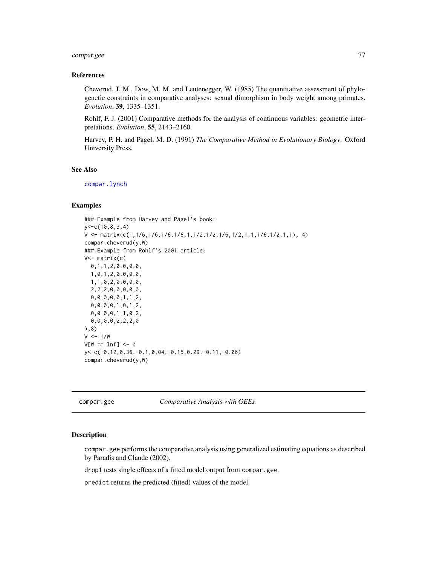# compar.gee 77

## References

Cheverud, J. M., Dow, M. M. and Leutenegger, W. (1985) The quantitative assessment of phylogenetic constraints in comparative analyses: sexual dimorphism in body weight among primates. *Evolution*, 39, 1335–1351.

Rohlf, F. J. (2001) Comparative methods for the analysis of continuous variables: geometric interpretations. *Evolution*, 55, 2143–2160.

Harvey, P. H. and Pagel, M. D. (1991) *The Comparative Method in Evolutionary Biology*. Oxford University Press.

#### See Also

[compar.lynch](#page-79-0)

## Examples

```
### Example from Harvey and Pagel's book:
y<-c(10,8,3,4)
W <- matrix(c(1,1/6,1/6,1/6,1/6,1,1/2,1/2,1/6,1/2,1,1,1/6,1/2,1,1), 4)
compar.cheverud(y,W)
### Example from Rohlf's 2001 article:
W<- matrix(c(
 0,1,1,2,0,0,0,0,
 1,0,1,2,0,0,0,0,
 1,1,0,2,0,0,0,0,
 2,2,2,0,0,0,0,0,
 0,0,0,0,0,1,1,2,
 0,0,0,0,1,0,1,2,
 0,0,0,0,1,1,0,2,
 0,0,0,0,2,2,2,0
),8)
W < -1/WW[W == Inf] < -\emptysety<-c(-0.12,0.36,-0.1,0.04,-0.15,0.29,-0.11,-0.06)
compar.cheverud(y,W)
```
<span id="page-76-0"></span>compar.gee *Comparative Analysis with GEEs*

#### Description

compar.gee performs the comparative analysis using generalized estimating equations as described by Paradis and Claude (2002).

drop1 tests single effects of a fitted model output from compar.gee.

predict returns the predicted (fitted) values of the model.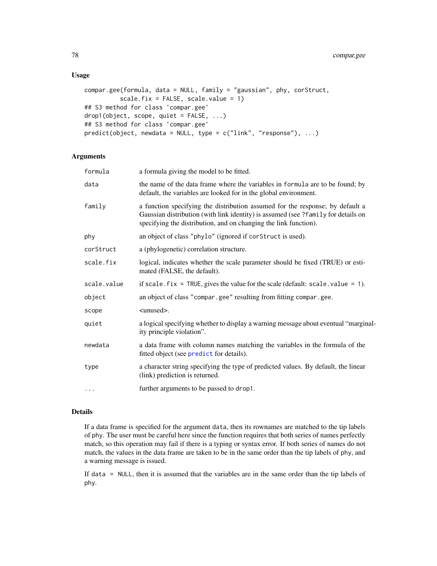## Usage

```
compar.gee(formula, data = NULL, family = "gaussian", phy, corStruct,
          scale.fix = FALSE, scale.value = 1)## S3 method for class 'compar.gee'
drop1(object, scope, quiet = FALSE, ...)
## S3 method for class 'compar.gee'
predict(object, new data = NULL, type = c("link", "response"), ...)
```
## Arguments

| formula     | a formula giving the model to be fitted.                                                                                                                                                                                               |
|-------------|----------------------------------------------------------------------------------------------------------------------------------------------------------------------------------------------------------------------------------------|
| data        | the name of the data frame where the variables in formula are to be found; by<br>default, the variables are looked for in the global environment.                                                                                      |
| family      | a function specifying the distribution assumed for the response; by default a<br>Gaussian distribution (with link identity) is assumed (see ?family for details on<br>specifying the distribution, and on changing the link function). |
| phy         | an object of class "phylo" (ignored if corstruct is used).                                                                                                                                                                             |
| corStruct   | a (phylogenetic) correlation structure.                                                                                                                                                                                                |
| scale.fix   | logical, indicates whether the scale parameter should be fixed (TRUE) or esti-<br>mated (FALSE, the default).                                                                                                                          |
| scale.value | if scale. $fix = TRUE$ , gives the value for the scale (default: scale. value = 1).                                                                                                                                                    |
| object      | an object of class "compar.gee" resulting from fitting compar.gee.                                                                                                                                                                     |
| scope       | $\langle$ unused $\rangle$ .                                                                                                                                                                                                           |
| quiet       | a logical specifying whether to display a warning message about eventual "marginal-<br>ity principle violation".                                                                                                                       |
| newdata     | a data frame with column names matching the variables in the formula of the<br>fitted object (see predict for details).                                                                                                                |
| type        | a character string specifying the type of predicted values. By default, the linear<br>(link) prediction is returned.                                                                                                                   |
| $\cdots$    | further arguments to be passed to drop1.                                                                                                                                                                                               |

## Details

If a data frame is specified for the argument data, then its rownames are matched to the tip labels of phy. The user must be careful here since the function requires that both series of names perfectly match, so this operation may fail if there is a typing or syntax error. If both series of names do not match, the values in the data frame are taken to be in the same order than the tip labels of phy, and a warning message is issued.

If data = NULL, then it is assumed that the variables are in the same order than the tip labels of phy.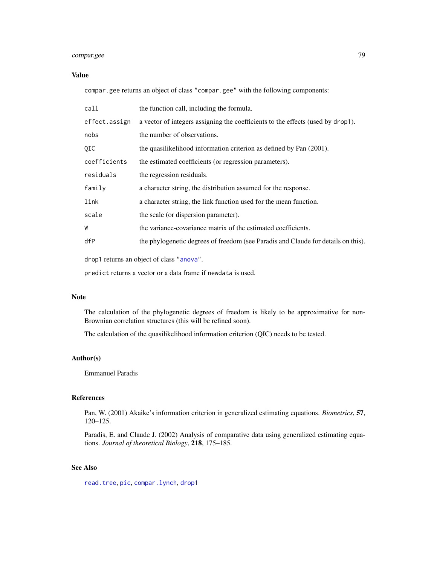# compar.gee 79

## Value

compar.gee returns an object of class "compar.gee" with the following components:

| call                                      | the function call, including the formula.                                         |
|-------------------------------------------|-----------------------------------------------------------------------------------|
| effect.assign                             | a vector of integers assigning the coefficients to the effects (used by drop1).   |
| nobs                                      | the number of observations.                                                       |
| 0IC                                       | the quasilikelihood information criterion as defined by Pan (2001).               |
| coefficients                              | the estimated coefficients (or regression parameters).                            |
| residuals                                 | the regression residuals.                                                         |
| family                                    | a character string, the distribution assumed for the response.                    |
| link                                      | a character string, the link function used for the mean function.                 |
| scale                                     | the scale (or dispersion parameter).                                              |
| W                                         | the variance-covariance matrix of the estimated coefficients.                     |
| dfP                                       | the phylogenetic degrees of freedom (see Paradis and Claude for details on this). |
| drop1 returns an object of class "anova". |                                                                                   |

predict returns a vector or a data frame if newdata is used.

## Note

The calculation of the phylogenetic degrees of freedom is likely to be approximative for non-Brownian correlation structures (this will be refined soon).

The calculation of the quasilikelihood information criterion (QIC) needs to be tested.

# Author(s)

Emmanuel Paradis

# References

Pan, W. (2001) Akaike's information criterion in generalized estimating equations. *Biometrics*, 57, 120–125.

Paradis, E. and Claude J. (2002) Analysis of comparative data using generalized estimating equations. *Journal of theoretical Biology*, 218, 175–185.

## See Also

[read.tree](#page-221-0), [pic](#page-196-0), [compar.lynch](#page-79-0), [drop1](#page-0-0)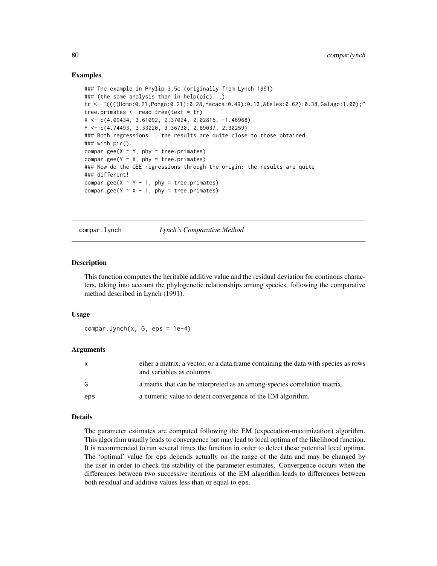## Examples

```
### The example in Phylip 3.5c (originally from Lynch 1991)
### (the same analysis than in help(pic)...)
tr <- "((((Homo:0.21,Pongo:0.21):0.28,Macaca:0.49):0.13,Ateles:0.62):0.38,Galago:1.00);"
tree.primates <- read.tree(text = tr)
X <- c(4.09434, 3.61092, 2.37024, 2.02815, -1.46968)
Y <- c(4.74493, 3.33220, 3.36730, 2.89037, 2.30259)
### Both regressions... the results are quite close to those obtained
### with pic().
compar.gee(X \sim Y, phy = tree.primates)
compar.gee(Y \sim X, phy = tree.primates)
### Now do the GEE regressions through the origin: the results are quite
### different!
compar.gee(X \sim Y - 1, phy = tree.primates)
compar.gee(Y \sim X - 1, phy = tree.primates)
```
<span id="page-79-0"></span>compar.lynch *Lynch's Comparative Method*

#### Description

This function computes the heritable additive value and the residual deviation for continous characters, taking into account the phylogenetic relationships among species, following the comparative method described in Lynch (1991).

## Usage

 $compar.lynch(x, G, eps = 1e-4)$ 

## Arguments

| X   | eiher a matrix, a vector, or a data. frame containing the data with species as rows<br>and variables as columns. |
|-----|------------------------------------------------------------------------------------------------------------------|
| G   | a matrix that can be interpreted as an among-species correlation matrix.                                         |
| eps | a numeric value to detect convergence of the EM algorithm.                                                       |

#### Details

The parameter estimates are computed following the EM (expectation-maximization) algorithm. This algorithm usually leads to convergence but may lead to local optima of the likelihood function. It is recommended to run several times the function in order to detect these potential local optima. The 'optimal' value for eps depends actually on the range of the data and may be changed by the user in order to check the stability of the parameter estimates. Convergence occurs when the differences between two successive iterations of the EM algorithm leads to differences between both residual and additive values less than or equal to eps.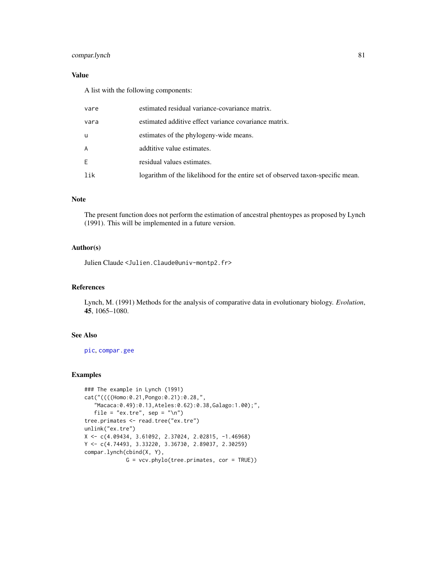# compar.lynch 81

# Value

A list with the following components:

| vare | estimated residual variance-covariance matrix.                                  |
|------|---------------------------------------------------------------------------------|
| vara | estimated additive effect variance covariance matrix.                           |
| u    | estimates of the phylogeny-wide means.                                          |
| A    | additive value estimates.                                                       |
| E    | residual values estimates.                                                      |
| lik  | logarithm of the likelihood for the entire set of observed taxon-specific mean. |

## Note

The present function does not perform the estimation of ancestral phentoypes as proposed by Lynch (1991). This will be implemented in a future version.

## Author(s)

Julien Claude <Julien.Claude@univ-montp2.fr>

# References

Lynch, M. (1991) Methods for the analysis of comparative data in evolutionary biology. *Evolution*, 45, 1065–1080.

# See Also

[pic](#page-196-0), [compar.gee](#page-76-0)

## Examples

```
### The example in Lynch (1991)
cat("((((Homo:0.21,Pongo:0.21):0.28,",
   "Macaca:0.49):0.13,Ateles:0.62):0.38,Galago:1.00);",
   file = "ex.tre", sep = "\n\pi")
tree.primates <- read.tree("ex.tre")
unlink("ex.tre")
X <- c(4.09434, 3.61092, 2.37024, 2.02815, -1.46968)
Y <- c(4.74493, 3.33220, 3.36730, 2.89037, 2.30259)
compar.lynch(cbind(X, Y),
             G = vcv.phylo(tree.primates, cor = TRUE))
```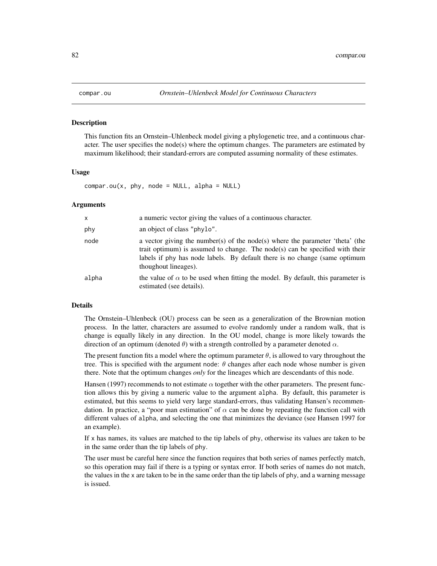#### Description

This function fits an Ornstein–Uhlenbeck model giving a phylogenetic tree, and a continuous character. The user specifies the node(s) where the optimum changes. The parameters are estimated by maximum likelihood; their standard-errors are computed assuming normality of these estimates.

## Usage

 $compar.out(x, phy, node = NULL, alpha = NULL)$ 

#### Arguments

| X     | a numeric vector giving the values of a continuous character.                                                                                                                                                                                                       |
|-------|---------------------------------------------------------------------------------------------------------------------------------------------------------------------------------------------------------------------------------------------------------------------|
| phy   | an object of class "phylo".                                                                                                                                                                                                                                         |
| node  | a vector giving the number(s) of the node(s) where the parameter 'theta' (the<br>trait optimum) is assumed to change. The node(s) can be specified with their<br>labels if phy has node labels. By default there is no change (same optimum<br>thoughout lineages). |
| alpha | the value of $\alpha$ to be used when fitting the model. By default, this parameter is<br>estimated (see details).                                                                                                                                                  |

#### Details

The Ornstein–Uhlenbeck (OU) process can be seen as a generalization of the Brownian motion process. In the latter, characters are assumed to evolve randomly under a random walk, that is change is equally likely in any direction. In the OU model, change is more likely towards the direction of an optimum (denoted  $\theta$ ) with a strength controlled by a parameter denoted  $\alpha$ .

The present function fits a model where the optimum parameter  $\theta$ , is allowed to vary throughout the tree. This is specified with the argument node:  $\theta$  changes after each node whose number is given there. Note that the optimum changes *only* for the lineages which are descendants of this node.

Hansen (1997) recommends to not estimate  $\alpha$  together with the other parameters. The present function allows this by giving a numeric value to the argument alpha. By default, this parameter is estimated, but this seems to yield very large standard-errors, thus validating Hansen's recommendation. In practice, a "poor man estimation" of  $\alpha$  can be done by repeating the function call with different values of alpha, and selecting the one that minimizes the deviance (see Hansen 1997 for an example).

If x has names, its values are matched to the tip labels of phy, otherwise its values are taken to be in the same order than the tip labels of phy.

The user must be careful here since the function requires that both series of names perfectly match, so this operation may fail if there is a typing or syntax error. If both series of names do not match, the values in the x are taken to be in the same order than the tip labels of phy, and a warning message is issued.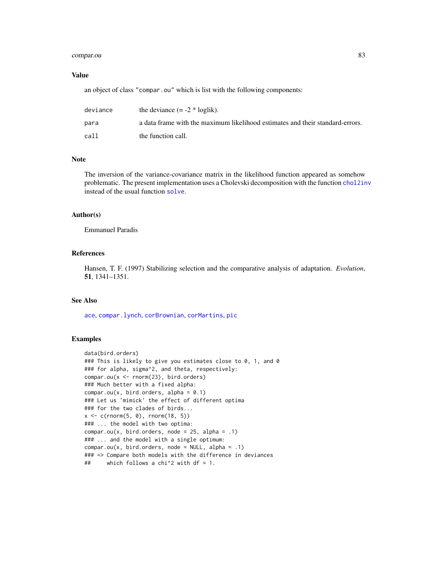# compar.ou 83

## Value

an object of class "compar.ou" which is list with the following components:

| deviance | the deviance $(= -2 * loglik)$ .                                              |
|----------|-------------------------------------------------------------------------------|
| para     | a data frame with the maximum likelihood estimates and their standard-errors. |
| call.    | the function call.                                                            |

## Note

The inversion of the variance-covariance matrix in the likelihood function appeared as somehow problematic. The present implementation uses a Cholevski decomposition with the function [chol2inv](#page-0-0) instead of the usual function [solve](#page-0-0).

## Author(s)

Emmanuel Paradis

# References

Hansen, T. F. (1997) Stabilizing selection and the comparative analysis of adaptation. *Evolution*, 51, 1341–1351.

# See Also

[ace](#page-8-0), [compar.lynch](#page-79-0), [corBrownian](#page-91-0), [corMartins](#page-94-0), [pic](#page-196-0)

# Examples

```
data(bird.orders)
### This is likely to give you estimates close to 0, 1, and 0
### for alpha, sigma^2, and theta, respectively:
compar.ou(x <- rnorm(23), bird.orders)
### Much better with a fixed alpha:
compar.out(x, bird.orders, alpha = 0.1)### Let us 'mimick' the effect of different optima
### for the two clades of birds...
x \leq c(\text{norm}(5, 0), \text{norm}(18, 5))### ... the model with two optima:
compar.out(x, bird.orders, node = 25, alpha = .1)### ... and the model with a single optimum:
compar.out(x, bird.orders, node = NULL, alpha = .1)### => Compare both models with the difference in deviances
## which follows a chi^2 with df = 1.
```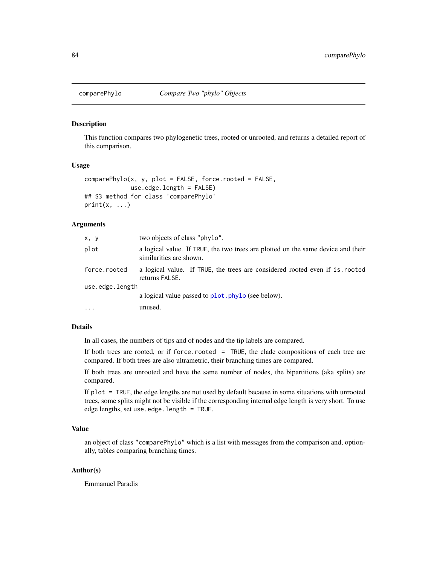#### Description

This function compares two phylogenetic trees, rooted or unrooted, and returns a detailed report of this comparison.

#### Usage

```
comparePhylo(x, y, plot = FALSE, force. rooted = FALSE,use.edge.length = FALSE)
## S3 method for class 'comparePhylo'
print(x, \ldots)
```
## Arguments

| x, y            | two objects of class "phylo".                                                                               |  |
|-----------------|-------------------------------------------------------------------------------------------------------------|--|
| plot            | a logical value. If TRUE, the two trees are plotted on the same device and their<br>similarities are shown. |  |
| force.rooted    | a logical value. If TRUE, the trees are considered rooted even if is rooted<br>returns FALSE.               |  |
| use.edge.length |                                                                                                             |  |
|                 | a logical value passed to plot. phylo (see below).                                                          |  |
| $\cdots$        | unused.                                                                                                     |  |
|                 |                                                                                                             |  |

# Details

In all cases, the numbers of tips and of nodes and the tip labels are compared.

If both trees are rooted, or if force.rooted = TRUE, the clade compositions of each tree are compared. If both trees are also ultrametric, their branching times are compared.

If both trees are unrooted and have the same number of nodes, the bipartitions (aka splits) are compared.

If plot = TRUE, the edge lengths are not used by default because in some situations with unrooted trees, some splits might not be visible if the corresponding internal edge length is very short. To use edge lengths, set use.edge.length = TRUE.

## Value

an object of class "comparePhylo" which is a list with messages from the comparison and, optionally, tables comparing branching times.

## Author(s)

Emmanuel Paradis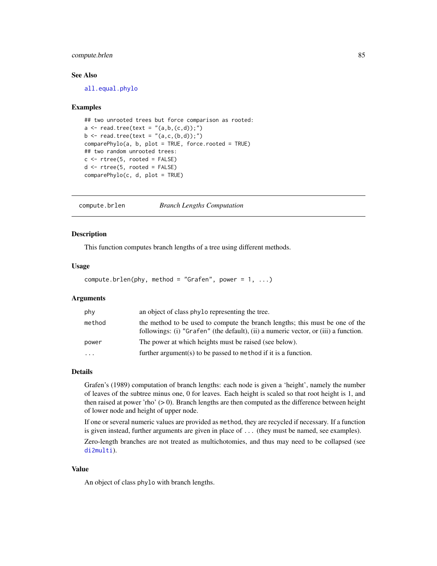## compute.brlen 85

## See Also

[all.equal.phylo](#page-17-0)

#### Examples

```
## two unrooted trees but force comparison as rooted:
a \leq read.tree(text = "(a,b,(c,d));")
b \le - read.tree(text = "(a,c,(b,d));")
comparePhylo(a, b, plot = TRUE, force.rooted = TRUE)
## two random unrooted trees:
c \leftarrow rtree(5, rooted = FALSE)
d \leq r rtree(5, rooted = FALSE)
comparePhylo(c, d, plot = TRUE)
```
<span id="page-84-0"></span>compute.brlen *Branch Lengths Computation*

#### Description

This function computes branch lengths of a tree using different methods.

#### Usage

compute.brlen(phy, method = "Grafen", power =  $1, ...$ )

## Arguments

| phy    | an object of class phylo representing the tree.                                                                                                                     |
|--------|---------------------------------------------------------------------------------------------------------------------------------------------------------------------|
| method | the method to be used to compute the branch lengths; this must be one of the<br>followings: (i) "Grafen" (the default), (ii) a numeric vector, or (iii) a function. |
| power  | The power at which heights must be raised (see below).                                                                                                              |
| .      | further argument(s) to be passed to method if it is a function.                                                                                                     |

#### Details

Grafen's (1989) computation of branch lengths: each node is given a 'height', namely the number of leaves of the subtree minus one, 0 for leaves. Each height is scaled so that root height is 1, and then raised at power 'rho' (> 0). Branch lengths are then computed as the difference between height of lower node and height of upper node.

If one or several numeric values are provided as method, they are recycled if necessary. If a function is given instead, further arguments are given in place of ... (they must be named, see examples).

Zero-length branches are not treated as multichotomies, and thus may need to be collapsed (see [di2multi](#page-170-0)).

## Value

An object of class phylo with branch lengths.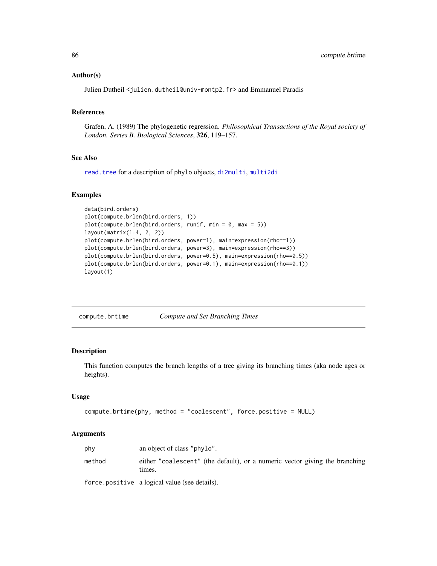#### Author(s)

Julien Dutheil <julien.dutheil@univ-montp2.fr> and Emmanuel Paradis

## References

Grafen, A. (1989) The phylogenetic regression. *Philosophical Transactions of the Royal society of London. Series B. Biological Sciences*, 326, 119–157.

## See Also

[read.tree](#page-221-0) for a description of phylo objects, [di2multi](#page-170-0), [multi2di](#page-170-1)

#### Examples

```
data(bird.orders)
plot(compute.brlen(bird.orders, 1))
plot(compute.brlen(bird.orders, runif, min = 0, max = 5))
layout(matrix(1:4, 2, 2))
plot(compute.brlen(bird.orders, power=1), main=expression(rho==1))
plot(compute.brlen(bird.orders, power=3), main=expression(rho==3))
plot(compute.brlen(bird.orders, power=0.5), main=expression(rho==0.5))
plot(compute.brlen(bird.orders, power=0.1), main=expression(rho==0.1))
layout(1)
```
compute.brtime *Compute and Set Branching Times*

## Description

This function computes the branch lengths of a tree giving its branching times (aka node ages or heights).

## Usage

```
compute.brtime(phy, method = "coalescent", force.positive = NULL)
```
#### Arguments

| phy    | an object of class "phylo".                                                           |
|--------|---------------------------------------------------------------------------------------|
| method | either "coalescent" (the default), or a numeric vector giving the branching<br>times. |

force.positive a logical value (see details).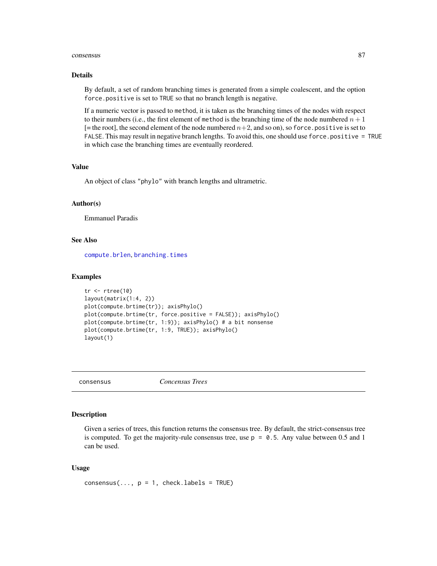#### consensus 87

#### Details

By default, a set of random branching times is generated from a simple coalescent, and the option force.positive is set to TRUE so that no branch length is negative.

If a numeric vector is passed to method, it is taken as the branching times of the nodes with respect to their numbers (i.e., the first element of method is the branching time of the node numbered  $n + 1$  $[=$  the root], the second element of the node numbered  $n+2$ , and so on), so force. positive is set to FALSE. This may result in negative branch lengths. To avoid this, one should use force.positive = TRUE in which case the branching times are eventually reordered.

## Value

An object of class "phylo" with branch lengths and ultrametric.

#### Author(s)

Emmanuel Paradis

# See Also

[compute.brlen](#page-84-0), [branching.times](#page-51-0)

#### Examples

```
tr < -rtree(10)layout(matrix(1:4, 2))
plot(compute.brtime(tr)); axisPhylo()
plot(compute.brtime(tr, force.positive = FALSE)); axisPhylo()
plot(compute.brtime(tr, 1:9)); axisPhylo() # a bit nonsense
plot(compute.brtime(tr, 1:9, TRUE)); axisPhylo()
layout(1)
```
consensus *Concensus Trees*

#### Description

Given a series of trees, this function returns the consensus tree. By default, the strict-consensus tree is computed. To get the majority-rule consensus tree, use  $p = 0.5$ . Any value between 0.5 and 1 can be used.

## Usage

```
consensus(..., p = 1, check.labels = TRUE)
```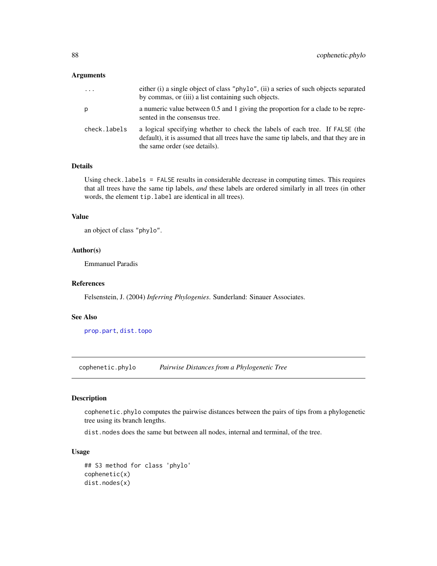#### Arguments

| $\cdots$     | either (i) a single object of class "phylo", (ii) a series of such objects separated<br>by commas, or (iii) a list containing such objects.                                                            |
|--------------|--------------------------------------------------------------------------------------------------------------------------------------------------------------------------------------------------------|
| p            | a numeric value between 0.5 and 1 giving the proportion for a clade to be repre-<br>sented in the consensus tree.                                                                                      |
| check.labels | a logical specifying whether to check the labels of each tree. If FALSE (the<br>default), it is assumed that all trees have the same tip labels, and that they are in<br>the same order (see details). |

# Details

Using check.labels = FALSE results in considerable decrease in computing times. This requires that all trees have the same tip labels, *and* these labels are ordered similarly in all trees (in other words, the element tip.label are identical in all trees).

## Value

```
an object of class "phylo".
```
## Author(s)

Emmanuel Paradis

## References

Felsenstein, J. (2004) *Inferring Phylogenies*. Sunderland: Sinauer Associates.

#### See Also

[prop.part](#page-48-0), [dist.topo](#page-115-0)

cophenetic.phylo *Pairwise Distances from a Phylogenetic Tree*

## Description

cophenetic.phylo computes the pairwise distances between the pairs of tips from a phylogenetic tree using its branch lengths.

dist.nodes does the same but between all nodes, internal and terminal, of the tree.

# Usage

```
## S3 method for class 'phylo'
cophenetic(x)
dist.nodes(x)
```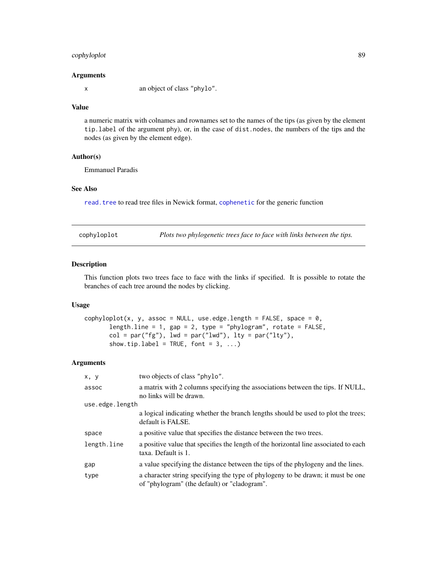# cophyloplot 89

#### Arguments

x an object of class "phylo".

#### Value

a numeric matrix with colnames and rownames set to the names of the tips (as given by the element tip.label of the argument phy), or, in the case of dist.nodes, the numbers of the tips and the nodes (as given by the element edge).

# Author(s)

Emmanuel Paradis

## See Also

[read.tree](#page-221-0) to read tree files in Newick format, [cophenetic](#page-0-0) for the generic function

cophyloplot *Plots two phylogenetic trees face to face with links between the tips.*

## Description

This function plots two trees face to face with the links if specified. It is possible to rotate the branches of each tree around the nodes by clicking.

#### Usage

```
cophyloplot(x, y, assoc = NULL, use.edge.length = FALSE, space = 0,
       length.line = 1, gap = 2, type = "phylogram", rotate = FALSE,
       col = par("fg"), lwd = par("lwd"), lty = par("lty"),
       show.tip.label = TRUE, font = 3, ...)
```
## Arguments

| x, y            | two objects of class "phylo".                                                                                                   |
|-----------------|---------------------------------------------------------------------------------------------------------------------------------|
| assoc           | a matrix with 2 columns specifying the associations between the tips. If NULL,<br>no links will be drawn.                       |
| use.edge.length |                                                                                                                                 |
|                 | a logical indicating whether the branch lengths should be used to plot the trees;<br>default is FALSE.                          |
| space           | a positive value that specifies the distance between the two trees.                                                             |
| length.line     | a positive value that specifies the length of the horizontal line associated to each<br>taxa. Default is 1.                     |
| gap             | a value specifying the distance between the tips of the phylogeny and the lines.                                                |
| type            | a character string specifying the type of phylogeny to be drawn; it must be one<br>of "phylogram" (the default) or "cladogram". |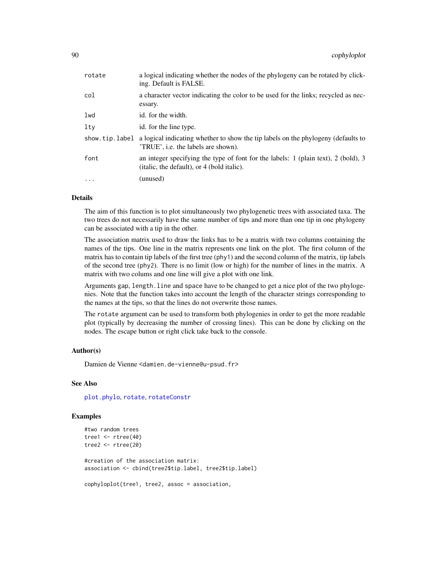| rotate   | a logical indicating whether the nodes of the phylogeny can be rotated by click-<br>ing. Default is FALSE.                                |
|----------|-------------------------------------------------------------------------------------------------------------------------------------------|
| col      | a character vector indicating the color to be used for the links; recycled as nec-<br>essary.                                             |
| lwd      | id. for the width.                                                                                                                        |
| ltv      | id. for the line type.                                                                                                                    |
|          | show, tip. label a logical indicating whether to show the tip labels on the phylogeny (defaults to<br>'TRUE', i.e. the labels are shown). |
| font     | an integer specifying the type of font for the labels: 1 (plain text), 2 (bold), 3<br>(italic, the default), or 4 (bold italic).          |
| $\cdots$ | (unused)                                                                                                                                  |

#### Details

The aim of this function is to plot simultaneously two phylogenetic trees with associated taxa. The two trees do not necessarily have the same number of tips and more than one tip in one phylogeny can be associated with a tip in the other.

The association matrix used to draw the links has to be a matrix with two columns containing the names of the tips. One line in the matrix represents one link on the plot. The first column of the matrix has to contain tip labels of the first tree (phy1) and the second column of the matrix, tip labels of the second tree (phy2). There is no limit (low or high) for the number of lines in the matrix. A matrix with two colums and one line will give a plot with one link.

Arguments gap, length.line and space have to be changed to get a nice plot of the two phylogenies. Note that the function takes into account the length of the character strings corresponding to the names at the tips, so that the lines do not overwrite those names.

The rotate argument can be used to transform both phylogenies in order to get the more readable plot (typically by decreasing the number of crossing lines). This can be done by clicking on the nodes. The escape button or right click take back to the console.

## Author(s)

Damien de Vienne <damien.de-vienne@u-psud.fr>

#### See Also

[plot.phylo](#page-200-0), [rotate](#page-232-0), [rotateConstr](#page-232-1)

#### Examples

```
#two random trees
tree1 <- rtree(40)
tree2 <- rtree(20)
#creation of the association matrix:
association <- cbind(tree2$tip.label, tree2$tip.label)
cophyloplot(tree1, tree2, assoc = association,
```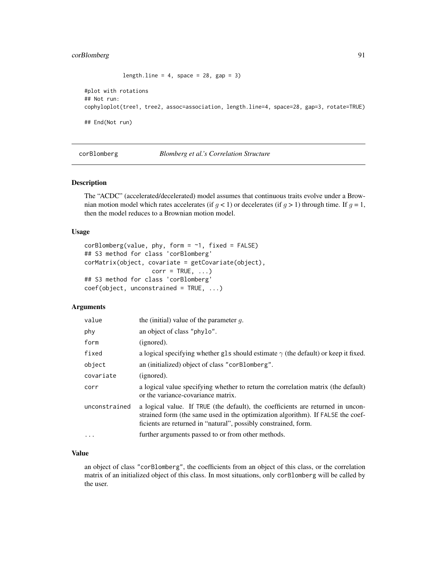# corBlomberg 91

```
length.line = 4, space = 28, gap = 3)
```

```
#plot with rotations
## Not run:
cophyloplot(tree1, tree2, assoc=association, length.line=4, space=28, gap=3, rotate=TRUE)
## End(Not run)
```
<span id="page-90-0"></span>corBlomberg *Blomberg et al.'s Correlation Structure*

#### Description

The "ACDC" (accelerated/decelerated) model assumes that continuous traits evolve under a Brownian motion model which rates accelerates (if  $g < 1$ ) or decelerates (if  $g > 1$ ) through time. If  $g = 1$ , then the model reduces to a Brownian motion model.

## Usage

```
corBlomberg(value, phy, form = ~1, fixed = FALSE)## S3 method for class 'corBlomberg'
corMatrix(object, covariate = getCovariate(object),
                  corr = TRUE, ...## S3 method for class 'corBlomberg'
coef(object, unconstrained = TRUE, ...)
```
## Arguments

| value         | the (initial) value of the parameter $q$ .                                                                                                                                                                                            |
|---------------|---------------------------------------------------------------------------------------------------------------------------------------------------------------------------------------------------------------------------------------|
| phy           | an object of class "phylo".                                                                                                                                                                                                           |
| form          | (ignored).                                                                                                                                                                                                                            |
| fixed         | a logical specifying whether gls should estimate $\gamma$ (the default) or keep it fixed.                                                                                                                                             |
| object        | an (initialized) object of class "corBlomberg".                                                                                                                                                                                       |
| covariate     | (ignored).                                                                                                                                                                                                                            |
| corr          | a logical value specifying whether to return the correlation matrix (the default)<br>or the variance-covariance matrix.                                                                                                               |
| unconstrained | a logical value. If TRUE (the default), the coefficients are returned in uncon-<br>strained form (the same used in the optimization algorithm). If FALSE the coef-<br>ficients are returned in "natural", possibly constrained, form. |
| $\cdot$       | further arguments passed to or from other methods.                                                                                                                                                                                    |

# Value

an object of class "corBlomberg", the coefficients from an object of this class, or the correlation matrix of an initialized object of this class. In most situations, only corBlomberg will be called by the user.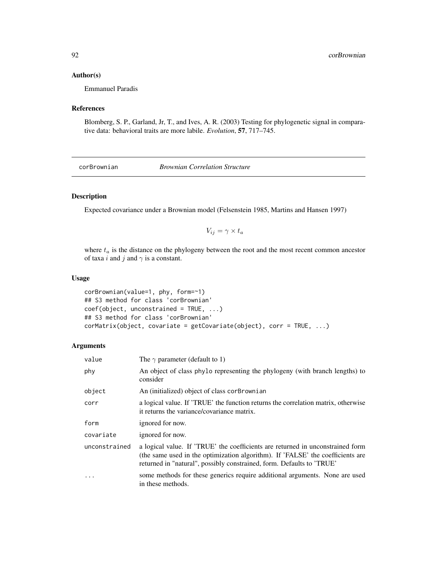## Author(s)

Emmanuel Paradis

# References

Blomberg, S. P., Garland, Jr, T., and Ives, A. R. (2003) Testing for phylogenetic signal in comparative data: behavioral traits are more labile. *Evolution*, 57, 717–745.

<span id="page-91-0"></span>corBrownian *Brownian Correlation Structure*

# Description

Expected covariance under a Brownian model (Felsenstein 1985, Martins and Hansen 1997)

$$
V_{ij} = \gamma \times t_a
$$

where  $t_a$  is the distance on the phylogeny between the root and the most recent common ancestor of taxa i and j and  $\gamma$  is a constant.

## Usage

```
corBrownian(value=1, phy, form=~1)
## S3 method for class 'corBrownian'
coef(object, unconstrained = TRUE, ...)
## S3 method for class 'corBrownian'
corMatrix(object, covariate = getCovariate(object), corr = TRUE, ...)
```
# Arguments

| value         | The $\gamma$ parameter (default to 1)                                                                                                                                                                                                     |
|---------------|-------------------------------------------------------------------------------------------------------------------------------------------------------------------------------------------------------------------------------------------|
| phy           | An object of class phylo representing the phylogeny (with branch lengths) to<br>consider                                                                                                                                                  |
| object        | An (initialized) object of class corBrownian                                                                                                                                                                                              |
| corr          | a logical value. If 'TRUE' the function returns the correlation matrix, otherwise<br>it returns the variance/covariance matrix.                                                                                                           |
| form          | ignored for now.                                                                                                                                                                                                                          |
| covariate     | ignored for now.                                                                                                                                                                                                                          |
| unconstrained | a logical value. If 'TRUE' the coefficients are returned in unconstrained form<br>(the same used in the optimization algorithm). If 'FALSE' the coefficients are<br>returned in "natural", possibly constrained, form. Defaults to 'TRUE' |
| .             | some methods for these generics require additional arguments. None are used<br>in these methods.                                                                                                                                          |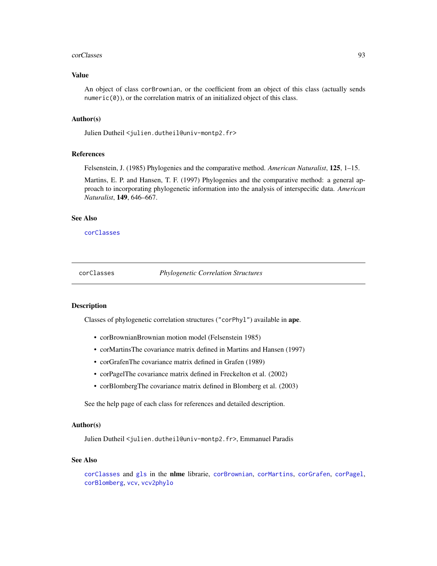#### corClasses 93

## Value

An object of class corBrownian, or the coefficient from an object of this class (actually sends numeric(0)), or the correlation matrix of an initialized object of this class.

#### Author(s)

Julien Dutheil <julien.dutheil@univ-montp2.fr>

#### References

Felsenstein, J. (1985) Phylogenies and the comparative method. *American Naturalist*, 125, 1–15.

Martins, E. P. and Hansen, T. F. (1997) Phylogenies and the comparative method: a general approach to incorporating phylogenetic information into the analysis of interspecific data. *American Naturalist*, 149, 646–667.

#### See Also

[corClasses](#page-92-0)

<span id="page-92-0"></span>corClasses *Phylogenetic Correlation Structures*

## **Description**

Classes of phylogenetic correlation structures ("corPhyl") available in ape.

- corBrownianBrownian motion model (Felsenstein 1985)
- corMartinsThe covariance matrix defined in Martins and Hansen (1997)
- corGrafenThe covariance matrix defined in Grafen (1989)
- corPagelThe covariance matrix defined in Freckelton et al. (2002)
- corBlombergThe covariance matrix defined in Blomberg et al. (2003)

See the help page of each class for references and detailed description.

## Author(s)

Julien Dutheil <julien.dutheil@univ-montp2.fr>, Emmanuel Paradis

#### See Also

[corClasses](#page-92-0) and [gls](#page-0-0) in the nlme librarie, [corBrownian](#page-91-0), [corMartins](#page-94-0), [corGrafen](#page-93-0), [corPagel](#page-96-0), [corBlomberg](#page-90-0), [vcv](#page-265-0), [vcv2phylo](#page-266-0)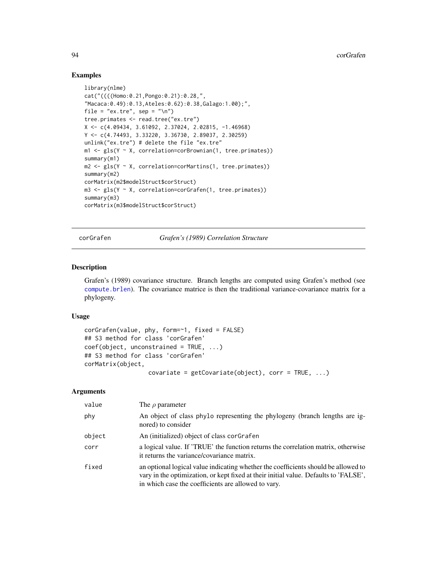## Examples

```
library(nlme)
cat("((((Homo:0.21,Pongo:0.21):0.28,",
"Macaca:0.49):0.13,Ateles:0.62):0.38,Galago:1.00);",
file = "ex.tre", sep = "\n\n\sqrt{n"})
tree.primates <- read.tree("ex.tre")
X <- c(4.09434, 3.61092, 2.37024, 2.02815, -1.46968)
Y <- c(4.74493, 3.33220, 3.36730, 2.89037, 2.30259)
unlink("ex.tre") # delete the file "ex.tre"
m1 \leq gls(Y \leq X, correlation=corBrownian(1, tree.primates))summary(m1)
m2 <- gls(Y ~ X, correlation=corMartins(1, tree.primates))
summary(m2)
corMatrix(m2$modelStruct$corStruct)
m3 <- gls(Y ~ X, correlation=corGrafen(1, tree.primates))
summary(m3)
corMatrix(m3$modelStruct$corStruct)
```
<span id="page-93-0"></span>corGrafen *Grafen's (1989) Correlation Structure*

#### Description

Grafen's (1989) covariance structure. Branch lengths are computed using Grafen's method (see [compute.brlen](#page-84-0)). The covariance matrice is then the traditional variance-covariance matrix for a phylogeny.

## Usage

```
corGrafen(value, phy, form=~1, fixed = FALSE)
## S3 method for class 'corGrafen'
coef(object, unconstrained = TRUE, ...)
## S3 method for class 'corGrafen'
corMatrix(object,
                  covariate = getCovariate(object), corr = TRUE, ...)
```
#### Arguments

| value  | The $\rho$ parameter                                                                                                                                                                                                              |
|--------|-----------------------------------------------------------------------------------------------------------------------------------------------------------------------------------------------------------------------------------|
| phy    | An object of class phylo representing the phylogeny (branch lengths are ig-<br>nored) to consider                                                                                                                                 |
| object | An (initialized) object of class corgrafen                                                                                                                                                                                        |
| corr   | a logical value. If 'TRUE' the function returns the correlation matrix, otherwise<br>it returns the variance/covariance matrix.                                                                                                   |
| fixed  | an optional logical value indicating whether the coefficients should be allowed to<br>vary in the optimization, or kept fixed at their initial value. Defaults to 'FALSE',<br>in which case the coefficients are allowed to vary. |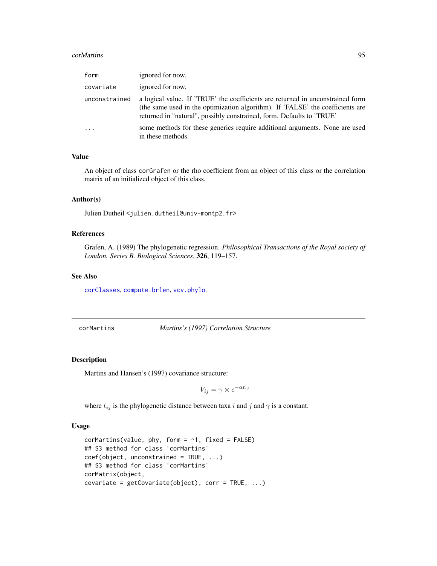#### corMartins 95

| form          | ignored for now.                                                                                                                                                                                                                          |
|---------------|-------------------------------------------------------------------------------------------------------------------------------------------------------------------------------------------------------------------------------------------|
| covariate     | ignored for now.                                                                                                                                                                                                                          |
| unconstrained | a logical value. If 'TRUE' the coefficients are returned in unconstrained form<br>(the same used in the optimization algorithm). If 'FALSE' the coefficients are<br>returned in "natural", possibly constrained, form. Defaults to 'TRUE' |
|               | some methods for these generics require additional arguments. None are used<br>in these methods.                                                                                                                                          |

# Value

An object of class corGrafen or the rho coefficient from an object of this class or the correlation matrix of an initialized object of this class.

#### Author(s)

Julien Dutheil <julien.dutheil@univ-montp2.fr>

## References

Grafen, A. (1989) The phylogenetic regression. *Philosophical Transactions of the Royal society of London. Series B. Biological Sciences*, 326, 119–157.

## See Also

[corClasses](#page-92-0), [compute.brlen](#page-84-0), [vcv.phylo](#page-265-1).

<span id="page-94-0"></span>corMartins *Martins's (1997) Correlation Structure*

## Description

Martins and Hansen's (1997) covariance structure:

$$
V_{ij} = \gamma \times e^{-\alpha t_{ij}}
$$

where  $t_{ij}$  is the phylogenetic distance between taxa i and j and  $\gamma$  is a constant.

#### Usage

```
corMartins(value, phy, form = \sim1, fixed = FALSE)
## S3 method for class 'corMartins'
coef(object, unconstrained = TRUE, ...)
## S3 method for class 'corMartins'
corMatrix(object,
covariate = getCovariate(object), corr = TRUE, ...)
```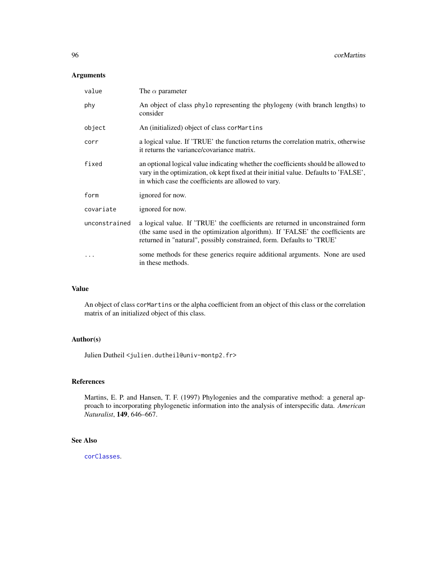# Arguments

| value         | The $\alpha$ parameter                                                                                                                                                                                                                    |
|---------------|-------------------------------------------------------------------------------------------------------------------------------------------------------------------------------------------------------------------------------------------|
| phy           | An object of class phylo representing the phylogeny (with branch lengths) to<br>consider                                                                                                                                                  |
| object        | An (initialized) object of class cormartins                                                                                                                                                                                               |
| corr          | a logical value. If 'TRUE' the function returns the correlation matrix, otherwise<br>it returns the variance/covariance matrix.                                                                                                           |
| fixed         | an optional logical value indicating whether the coefficients should be allowed to<br>vary in the optimization, ok kept fixed at their initial value. Defaults to 'FALSE',<br>in which case the coefficients are allowed to vary.         |
| form          | ignored for now.                                                                                                                                                                                                                          |
| covariate     | ignored for now.                                                                                                                                                                                                                          |
| unconstrained | a logical value. If 'TRUE' the coefficients are returned in unconstrained form<br>(the same used in the optimization algorithm). If 'FALSE' the coefficients are<br>returned in "natural", possibly constrained, form. Defaults to 'TRUE' |
|               | some methods for these generics require additional arguments. None are used<br>in these methods.                                                                                                                                          |

# Value

An object of class corMartins or the alpha coefficient from an object of this class or the correlation matrix of an initialized object of this class.

# Author(s)

Julien Dutheil <julien.dutheil@univ-montp2.fr>

# References

Martins, E. P. and Hansen, T. F. (1997) Phylogenies and the comparative method: a general approach to incorporating phylogenetic information into the analysis of interspecific data. *American Naturalist*, 149, 646–667.

# See Also

[corClasses](#page-92-0).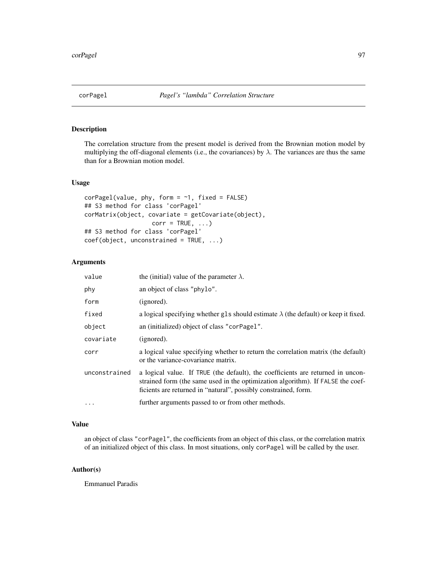# <span id="page-96-0"></span>Description

The correlation structure from the present model is derived from the Brownian motion model by multiplying the off-diagonal elements (i.e., the covariances) by  $\lambda$ . The variances are thus the same than for a Brownian motion model.

#### Usage

```
corPage1(value, phy, form = ~1, fixed = FALSE)## S3 method for class 'corPagel'
corMatrix(object, covariate = getCovariate(object),
                  corr = TRUE, ...## S3 method for class 'corPagel'
coef(object, unconstrained = TRUE, ...)
```
## Arguments

| value         | the (initial) value of the parameter $\lambda$ .                                                                                                                                                                                      |
|---------------|---------------------------------------------------------------------------------------------------------------------------------------------------------------------------------------------------------------------------------------|
| phy           | an object of class "phylo".                                                                                                                                                                                                           |
| form          | (ignored).                                                                                                                                                                                                                            |
| fixed         | a logical specifying whether gls should estimate $\lambda$ (the default) or keep it fixed.                                                                                                                                            |
| object        | an (initialized) object of class "corPage1".                                                                                                                                                                                          |
| covariate     | (ignored).                                                                                                                                                                                                                            |
| corr          | a logical value specifying whether to return the correlation matrix (the default)<br>or the variance-covariance matrix.                                                                                                               |
| unconstrained | a logical value. If TRUE (the default), the coefficients are returned in uncon-<br>strained form (the same used in the optimization algorithm). If FALSE the coef-<br>ficients are returned in "natural", possibly constrained, form. |
| $\cdots$      | further arguments passed to or from other methods.                                                                                                                                                                                    |

## Value

an object of class "corPagel", the coefficients from an object of this class, or the correlation matrix of an initialized object of this class. In most situations, only corPagel will be called by the user.

#### Author(s)

Emmanuel Paradis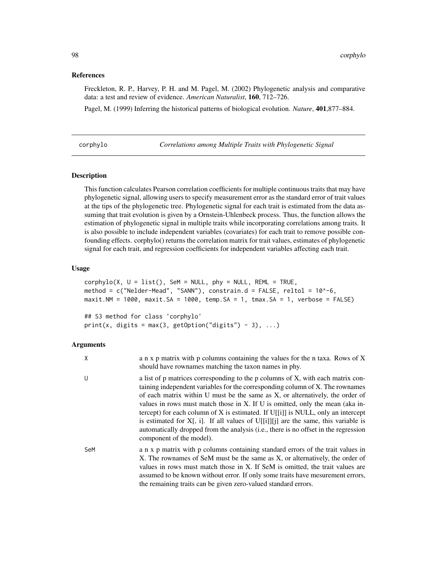## References

Freckleton, R. P., Harvey, P. H. and M. Pagel, M. (2002) Phylogenetic analysis and comparative data: a test and review of evidence. *American Naturalist*, 160, 712–726.

Pagel, M. (1999) Inferring the historical patterns of biological evolution. *Nature*, 401,877–884.

corphylo *Correlations among Multiple Traits with Phylogenetic Signal*

## Description

This function calculates Pearson correlation coefficients for multiple continuous traits that may have phylogenetic signal, allowing users to specify measurement error as the standard error of trait values at the tips of the phylogenetic tree. Phylogenetic signal for each trait is estimated from the data assuming that trait evolution is given by a Ornstein-Uhlenbeck process. Thus, the function allows the estimation of phylogenetic signal in multiple traits while incorporating correlations among traits. It is also possible to include independent variables (covariates) for each trait to remove possible confounding effects. corphylo() returns the correlation matrix for trait values, estimates of phylogenetic signal for each trait, and regression coefficients for independent variables affecting each trait.

#### Usage

```
corphylo(X, U = list(), SEM = NULL, phy = NULL, REM = TRUE,method = c("Nelder-Mead", "SANN"), constrain.d = FALSE, reltol = 10^-6,
maxit.NM = 1000, maxit.SA = 1000, temp.SA = 1, tmax.SA = 1, verbose = FALSE)
## S3 method for class 'corphylo'
print(x, digits = max(3, getOption("digits") - 3), ...)
```
#### Arguments

| X   | a n x p matrix with p columns containing the values for the n taxa. Rows of X<br>should have rownames matching the taxon names in phy.                                                                                                                                                                                                                                                                                                                                                                                                                                                                                                          |
|-----|-------------------------------------------------------------------------------------------------------------------------------------------------------------------------------------------------------------------------------------------------------------------------------------------------------------------------------------------------------------------------------------------------------------------------------------------------------------------------------------------------------------------------------------------------------------------------------------------------------------------------------------------------|
| U   | a list of p matrices corresponding to the p columns of X, with each matrix con-<br>taining independent variables for the corresponding column of X. The rownames<br>of each matrix within U must be the same as X, or alternatively, the order of<br>values in rows must match those in X. If U is omitted, only the mean (aka in-<br>tercept) for each column of X is estimated. If $U[[i]]$ is NULL, only an intercept<br>is estimated for $X$ [, i]. If all values of $U[[i]][j]$ are the same, this variable is<br>automatically dropped from the analysis ( <i>i.e.</i> , there is no offset in the regression<br>component of the model). |
| SeM | a n x p matrix with p columns containing standard errors of the trait values in<br>X. The rownames of SeM must be the same as X, or alternatively, the order of<br>values in rows must match those in X. If SeM is omitted, the trait values are<br>assumed to be known without error. If only some traits have mesurement errors,<br>the remaining traits can be given zero-valued standard errors.                                                                                                                                                                                                                                            |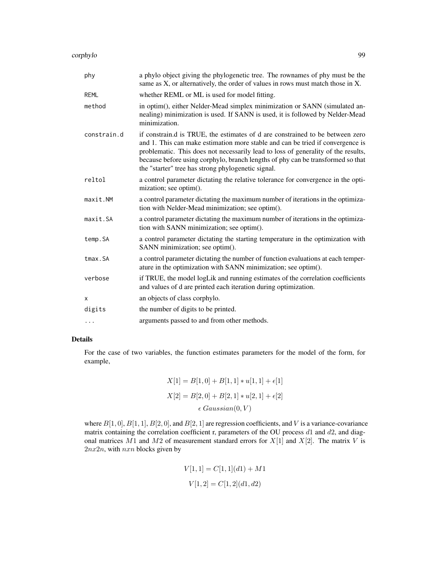corphylo 99

| phy         | a phylo object giving the phylogenetic tree. The rownames of phy must be the<br>same as X, or alternatively, the order of values in rows must match those in X.                                                                                                                                                                                                                               |
|-------------|-----------------------------------------------------------------------------------------------------------------------------------------------------------------------------------------------------------------------------------------------------------------------------------------------------------------------------------------------------------------------------------------------|
| <b>REML</b> | whether REML or ML is used for model fitting.                                                                                                                                                                                                                                                                                                                                                 |
| method      | in optim(), either Nelder-Mead simplex minimization or SANN (simulated an-<br>nealing) minimization is used. If SANN is used, it is followed by Nelder-Mead<br>minimization.                                                                                                                                                                                                                  |
| constrain.d | if constrain d is TRUE, the estimates of d are constrained to be between zero<br>and 1. This can make estimation more stable and can be tried if convergence is<br>problematic. This does not necessarily lead to loss of generality of the results,<br>because before using corphylo, branch lengths of phy can be transformed so that<br>the "starter" tree has strong phylogenetic signal. |
| reltol      | a control parameter dictating the relative tolerance for convergence in the opti-<br>mization; see optim().                                                                                                                                                                                                                                                                                   |
| maxit.NM    | a control parameter dictating the maximum number of iterations in the optimiza-<br>tion with Nelder-Mead minimization; see optim().                                                                                                                                                                                                                                                           |
| maxit.SA    | a control parameter dictating the maximum number of iterations in the optimiza-<br>tion with SANN minimization; see optim().                                                                                                                                                                                                                                                                  |
| temp.SA     | a control parameter dictating the starting temperature in the optimization with<br>SANN minimization; see optim().                                                                                                                                                                                                                                                                            |
| tmax.SA     | a control parameter dictating the number of function evaluations at each temper-<br>ature in the optimization with SANN minimization; see optim().                                                                                                                                                                                                                                            |
| verbose     | if TRUE, the model logLik and running estimates of the correlation coefficients<br>and values of d are printed each iteration during optimization.                                                                                                                                                                                                                                            |
| х           | an objects of class corphylo.                                                                                                                                                                                                                                                                                                                                                                 |
| digits      | the number of digits to be printed.                                                                                                                                                                                                                                                                                                                                                           |
| $\cdots$    | arguments passed to and from other methods.                                                                                                                                                                                                                                                                                                                                                   |

# Details

For the case of two variables, the function estimates parameters for the model of the form, for example,

$$
X[1] = B[1, 0] + B[1, 1] * u[1, 1] + \epsilon[1]
$$

$$
X[2] = B[2, 0] + B[2, 1] * u[2, 1] + \epsilon[2]
$$

$$
\epsilon \text{ Gaussian}(0, V)
$$

where  $B[1, 0], B[1, 1], B[2, 0],$  and  $B[2, 1]$  are regression coefficients, and V is a variance-covariance matrix containing the correlation coefficient r, parameters of the OU process  $d1$  and  $d2$ , and diagonal matrices  $M1$  and  $M2$  of measurement standard errors for  $X[1]$  and  $X[2]$ . The matrix V is  $2nx2n$ , with  $nxn$  blocks given by

$$
V[1, 1] = C[1, 1](d1) + M1
$$

$$
V[1, 2] = C[1, 2](d1, d2)
$$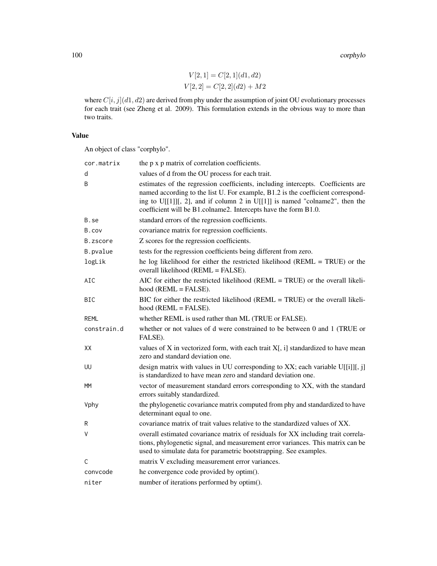100 corphylo

 $V[2, 1] = C[2, 1](d1, d2)$  $V[2,2] = C[2,2](d2) + M2$ 

where  $C[i, j](d1, d2)$  are derived from phy under the assumption of joint OU evolutionary processes for each trait (see Zheng et al. 2009). This formulation extends in the obvious way to more than two traits.

## Value

An object of class "corphylo".

| cor.matrix  | the p x p matrix of correlation coefficients.                                                                                                                                                                                                                                                                         |
|-------------|-----------------------------------------------------------------------------------------------------------------------------------------------------------------------------------------------------------------------------------------------------------------------------------------------------------------------|
| d           | values of d from the OU process for each trait.                                                                                                                                                                                                                                                                       |
| B           | estimates of the regression coefficients, including intercepts. Coefficients are<br>named according to the list U. For example, B1.2 is the coefficient correspond-<br>ing to U[[1]][, 2], and if column 2 in U[[1]] is named "colname2", then the<br>coefficient will be B1.colname2. Intercepts have the form B1.0. |
| B.se        | standard errors of the regression coefficients.                                                                                                                                                                                                                                                                       |
| B.cov       | covariance matrix for regression coefficients.                                                                                                                                                                                                                                                                        |
| B.zscore    | Z scores for the regression coefficients.                                                                                                                                                                                                                                                                             |
| B.pvalue    | tests for the regression coefficients being different from zero.                                                                                                                                                                                                                                                      |
| logLik      | he log likelihood for either the restricted likelihood (REML = TRUE) or the<br>overall likelihood (REML = FALSE).                                                                                                                                                                                                     |
| AIC         | AIC for either the restricted likelihood ( $REML = TRUE$ ) or the overall likeli-<br>$hood$ ( $REML = FALSE$ ).                                                                                                                                                                                                       |
| <b>BIC</b>  | BIC for either the restricted likelihood (REML = TRUE) or the overall likeli-<br>$hood$ ( $REML = FALSE$ ).                                                                                                                                                                                                           |
| REML        | whether REML is used rather than ML (TRUE or FALSE).                                                                                                                                                                                                                                                                  |
| constrain.d | whether or not values of d were constrained to be between 0 and 1 (TRUE or<br>FALSE).                                                                                                                                                                                                                                 |
| XX          | values of $X$ in vectorized form, with each trait $X$ [, i] standardized to have mean<br>zero and standard deviation one.                                                                                                                                                                                             |
| UU          | design matrix with values in UU corresponding to XX; each variable $U[[i]][, j]$<br>is standardized to have mean zero and standard deviation one.                                                                                                                                                                     |
| МM          | vector of measurement standard errors corresponding to XX, with the standard<br>errors suitably standardized.                                                                                                                                                                                                         |
| Vphy        | the phylogenetic covariance matrix computed from phy and standardized to have<br>determinant equal to one.                                                                                                                                                                                                            |
| R           | covariance matrix of trait values relative to the standardized values of XX.                                                                                                                                                                                                                                          |
| ٧           | overall estimated covariance matrix of residuals for XX including trait correla-<br>tions, phylogenetic signal, and measurement error variances. This matrix can be<br>used to simulate data for parametric bootstrapping. See examples.                                                                              |
| C           | matrix V excluding measurement error variances.                                                                                                                                                                                                                                                                       |
| convcode    | he convergence code provided by optim().                                                                                                                                                                                                                                                                              |
| niter       | number of iterations performed by optim().                                                                                                                                                                                                                                                                            |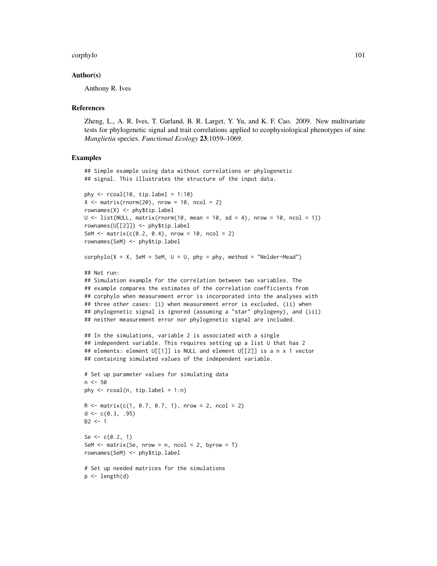#### corphylo 101

## Author(s)

Anthony R. Ives

#### References

Zheng, L., A. R. Ives, T. Garland, B. R. Larget, Y. Yu, and K. F. Cao. 2009. New multivariate tests for phylogenetic signal and trait correlations applied to ecophysiological phenotypes of nine *Manglietia* species. *Functional Ecology* 23:1059–1069.

## Examples

```
## Simple example using data without correlations or phylogenetic
## signal. This illustrates the structure of the input data.
phy \le rcoal(10, tip.label = 1:10)
X \le matrix(rnorm(20), nrow = 10, ncol = 2)
rownames(X) <- phy$tip.label
U \leftarrow list(NULL, matrix(rnorm(10, mean = 10, sd = 4), nrow = 10, ncol = 1))
rownames(U[[2]]) <- phy$tip.label
SeM <- matrix(c(0.2, 0.4), nrow = 10, ncol = 2)
rownames(SeM) <- phy$tip.label
corphylo(X = X, Sem = Sem, U = U, phy = phy, method = "Nelder-Mead")## Not run:
## Simulation example for the correlation between two variables. The
## example compares the estimates of the correlation coefficients from
## corphylo when measurement error is incorporated into the analyses with
## three other cases: (i) when measurement error is excluded, (ii) when
## phylogenetic signal is ignored (assuming a "star" phylogeny), and (iii)
## neither measurement error nor phylogenetic signal are included.
## In the simulations, variable 2 is associated with a single
## independent variable. This requires setting up a list U that has 2
## elements: element U[[1]] is NULL and element U[[2]] is a n x 1 vector
## containing simulated values of the independent variable.
# Set up parameter values for simulating data
n < -50phy \leq rcoal(n, tip.label = 1:n)
R <- matrix(c(1, 0.7, 0.7, 1), nrow = 2, ncol = 2)
d \leq c(0.3, .95)B2 \le -1Se \leq -c(0.2, 1)SeM \leq matrix(Se, nrow = n, ncol = 2, byrow = T)
rownames(SeM) <- phy$tip.label
# Set up needed matrices for the simulations
p \leftarrow length(d)
```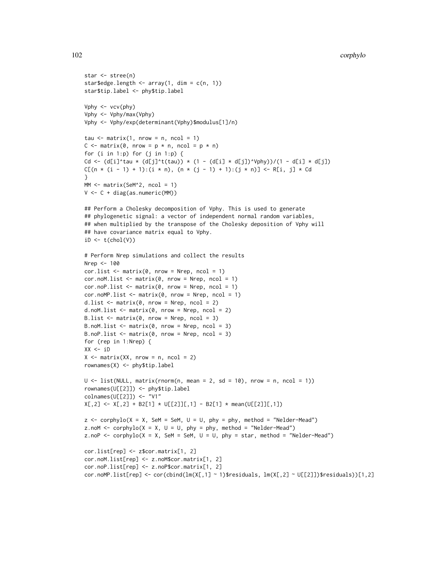```
star <- stree(n)
star$edge.length <- array(1, dim = c(n, 1))
star$tip.label <- phy$tip.label
Vphy \leftarrow vcv(phy)
Vphy <- Vphy/max(Vphy)
Vphy <- Vphy/exp(determinant(Vphy)$modulus[1]/n)
tau \leq matrix(1, nrow = n, ncol = 1)
C \le - matrix(0, nrow = p * n, ncol = p * n)
for (i in 1:p) for (j in 1:p) {
Cd <- (d[i]'tau * (d[j]'t(tau)) * (1 - (d[i] * d[j])'Vphy))/(1 - d[i] * d[j])C[(n * (i - 1) + 1):(i * n), (n * (j - 1) + 1):(j * n)] \leftarrow R[i, j] * Cd}
MM \leftarrow matrix(SeM^2, ncol = 1)V <- C + diag(as.numeric(MM))
## Perform a Cholesky decomposition of Vphy. This is used to generate
## phylogenetic signal: a vector of independent normal random variables,
## when multiplied by the transpose of the Cholesky deposition of Vphy will
## have covariance matrix equal to Vphy.
iD \leftarrow t(chol(V))# Perform Nrep simulations and collect the results
Nrep <- 100
cor.list \leq matrix(0, nrow = Nrep, ncol = 1)
cor.noM.list \leq matrix(0, nrow = Nrep, ncol = 1)
cor.noPu.list \leq matrix(0, nrow = Nrep, ncol = 1)
cor.noMP.list \leq matrix(0, nrow = Nrep, ncol = 1)d.list \leq matrix(0, nrow = Nrep, ncol = 2)
d.noM.list \leq matrix(0, nrow = Nrep, ncol = 2)
B.list \leq matrix(0, nrow = Nrep, ncol = 3)
B.noM.list \leq matrix(0, nrow = Nrep, ncol = 3)
B.noP.list \leq matrix(0, nrow = Nrep, ncol = 3)
for (rep in 1:Nrep) {
XX < -iDX \leq - matrix(XX, nrow = n, ncol = 2)
rownames(X) <- phy$tip.label
U \le - list(NULL, matrix(rnorm(n, mean = 2, sd = 10), nrow = n, ncol = 1))
rownames(U[[2]]) <- phy$tip.label
colnames(U[[2]]) <- "V1"
X[, 2] \leftarrow X[, 2] + B2[1] \times U[[2]][, 1] - B2[1] \times mean(U[[2]][, 1])z \le - corphylo(X = X, SeM = SeM, U = U, phy = phy, method = "Nelder-Mead")
z.noM <- corphylo(X = X, U = U, phy = phy, method = "Nelder-Mead")
z.noP \leq corphylo(X = X, SeM = SeM, U = U, phy = star, method = "Nelder-Mead")
cor.list[rep] <- z$cor.matrix[1, 2]
cor.noM.list[rep] <- z.noM$cor.matrix[1, 2]
cor.noP.list[rep] <- z.noP$cor.matrix[1, 2]
cor.noMP.list[rep] <- cor(cbind(lm(X[,1] \sim 1)$residuals, lm(X[,2] \sim U[[2]])$residuals))[1,2]
```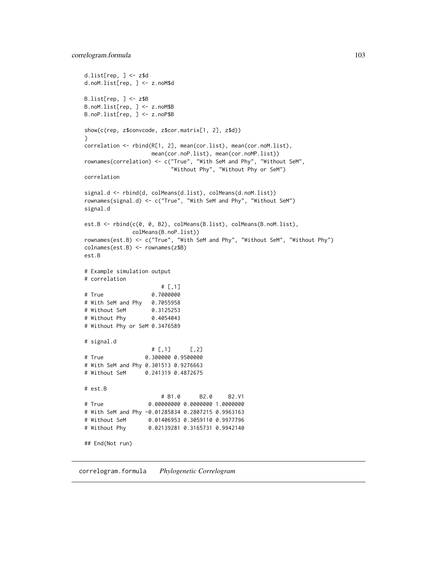```
d.list[rep, ] <- z$d
d.noM.list[rep, ] <- z.noM$d
B.list[rep, ] <- z$B
B.noM.list[rep, ] <- z.noM$B
B.noP.list[rep, ] <- z.noP$B
show(c(rep, z$convcode, z$cor.matrix[1, 2], z$d))
}
correlation <- rbind(R[1, 2], mean(cor.list), mean(cor.noM.list),
                    mean(cor.noP.list), mean(cor.noMP.list))
rownames(correlation) <- c("True", "With SeM and Phy", "Without SeM",
                         "Without Phy", "Without Phy or SeM")
correlation
signal.d <- rbind(d, colMeans(d.list), colMeans(d.noM.list))
rownames(signal.d) <- c("True", "With SeM and Phy", "Without SeM")
signal.d
est.B <- rbind(c(0, 0, B2), colMeans(B.list), colMeans(B.noM.list),
              colMeans(B.noP.list))
rownames(est.B) <- c("True", "With SeM and Phy", "Without SeM", "Without Phy")
colnames(est.B) <- rownames(z$B)
est.B
# Example simulation output
# correlation
                      # [,1]
# True 0.7000000
# With SeM and Phy 0.7055958
# Without SeM 0.3125253
# Without Phy 0.4054043
# Without Phy or SeM 0.3476589
# signal.d
                    # [, 1] [, 2]
# True 0.300000 0.9500000
# With SeM and Phy 0.301513 0.9276663
# Without SeM 0.241319 0.4872675
# est.B
                      # B1.0 B2.0 B2.V1
# True 0.00000000 0.0000000 1.0000000
# With SeM and Phy -0.01285834 0.2807215 0.9963163
# Without SeM 0.01406953 0.3059110 0.9977796
# Without Phy 0.02139281 0.3165731 0.9942140
## End(Not run)
```
correlogram.formula *Phylogenetic Correlogram*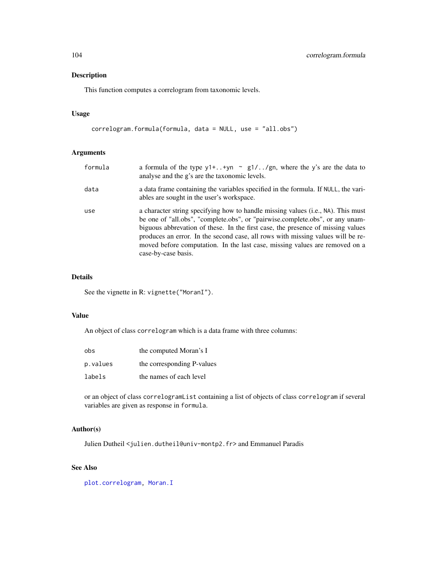## Description

This function computes a correlogram from taxonomic levels.

# Usage

```
correlogram.formula(formula, data = NULL, use = "all.obs")
```
# Arguments

| formula | a formula of the type $y1++yn$ ~ $g1//gn$ , where the y's are the data to<br>analyse and the g's are the taxonomic levels.                                                                                                                                                                                                                                                                                                                    |
|---------|-----------------------------------------------------------------------------------------------------------------------------------------------------------------------------------------------------------------------------------------------------------------------------------------------------------------------------------------------------------------------------------------------------------------------------------------------|
| data    | a data frame containing the variables specified in the formula. If NULL, the vari-<br>ables are sought in the user's workspace.                                                                                                                                                                                                                                                                                                               |
| use     | a character string specifying how to handle missing values (i.e., NA). This must<br>be one of "all.obs", "complete.obs", or "pairwise.complete.obs", or any unam-<br>biguous abbrevation of these. In the first case, the presence of missing values<br>produces an error. In the second case, all rows with missing values will be re-<br>moved before computation. In the last case, missing values are removed on a<br>case-by-case basis. |

# Details

See the vignette in R: vignette("MoranI").

## Value

An object of class correlogram which is a data frame with three columns:

| obs      | the computed Moran's I     |
|----------|----------------------------|
| p.values | the corresponding P-values |
| labels   | the names of each level    |

or an object of class correlogramList containing a list of objects of class correlogram if several variables are given as response in formula.

# Author(s)

Julien Dutheil <julien.dutheil@univ-montp2.fr> and Emmanuel Paradis

# See Also

[plot.correlogram,](#page-198-0) [Moran.I](#page-165-0)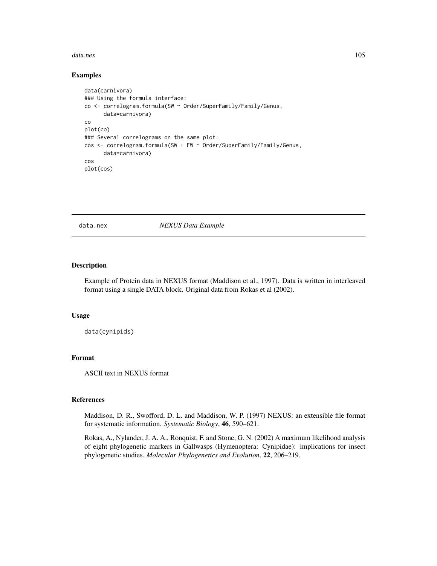#### data.nex 105

## Examples

```
data(carnivora)
### Using the formula interface:
co <- correlogram.formula(SW ~ Order/SuperFamily/Family/Genus,
     data=carnivora)
co
plot(co)
### Several correlograms on the same plot:
cos <- correlogram.formula(SW + FW ~ Order/SuperFamily/Family/Genus,
     data=carnivora)
cos
plot(cos)
```
data.nex *NEXUS Data Example*

## Description

Example of Protein data in NEXUS format (Maddison et al., 1997). Data is written in interleaved format using a single DATA block. Original data from Rokas et al (2002).

## Usage

data(cynipids)

# Format

ASCII text in NEXUS format

#### References

Maddison, D. R., Swofford, D. L. and Maddison, W. P. (1997) NEXUS: an extensible file format for systematic information. *Systematic Biology*, 46, 590–621.

Rokas, A., Nylander, J. A. A., Ronquist, F. and Stone, G. N. (2002) A maximum likelihood analysis of eight phylogenetic markers in Gallwasps (Hymenoptera: Cynipidae): implications for insect phylogenetic studies. *Molecular Phylogenetics and Evolution*, 22, 206–219.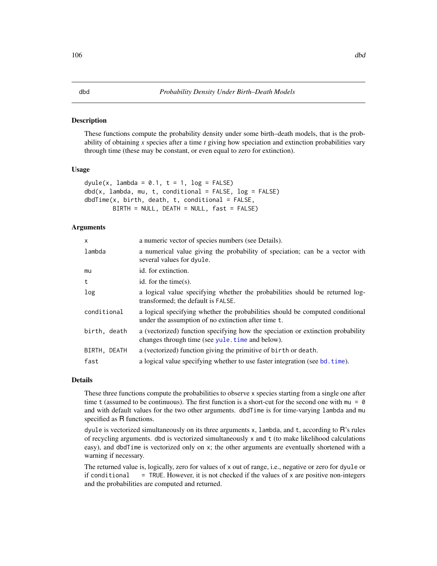#### Description

These functions compute the probability density under some birth–death models, that is the probability of obtaining *x* species after a time *t* giving how speciation and extinction probabilities vary through time (these may be constant, or even equal to zero for extinction).

#### Usage

```
dyule(x, lambda = 0.1, t = 1, log = FALSE)dbd(x, lambda, mu, t, conditional = FALSE, log = FALSE)dbdTime(x, birth, death, t, conditional = FALSE,BIRTH = NULL, DEATH = NULL, fast = FALSE)
```
## Arguments

| $\mathsf{x}$ | a numeric vector of species numbers (see Details).                                                                                   |
|--------------|--------------------------------------------------------------------------------------------------------------------------------------|
| lambda       | a numerical value giving the probability of speciation; can be a vector with<br>several values for dyule.                            |
| mu           | id. for extinction.                                                                                                                  |
| t            | id. for the time $(s)$ .                                                                                                             |
| log          | a logical value specifying whether the probabilities should be returned log-<br>transformed; the default is FALSE.                   |
| conditional  | a logical specifying whether the probabilities should be computed conditional<br>under the assumption of no extinction after time t. |
| birth, death | a (vectorized) function specifying how the speciation or extinction probability<br>changes through time (see yule.time and below).   |
| BIRTH, DEATH | a (vectorized) function giving the primitive of birth or death.                                                                      |
| fast         | a logical value specifying whether to use faster integration (see bd. time).                                                         |

## Details

These three functions compute the probabilities to observe x species starting from a single one after time t (assumed to be continuous). The first function is a short-cut for the second one with  $mu = 0$ and with default values for the two other arguments. dbdTime is for time-varying lambda and mu specified as R functions.

dyule is vectorized simultaneously on its three arguments  $x$ , lambda, and  $t$ , according to  $R$ 's rules of recycling arguments. dbd is vectorized simultaneously x and t (to make likelihood calculations easy), and dbdTime is vectorized only on x; the other arguments are eventually shortened with a warning if necessary.

The returned value is, logically, zero for values of x out of range, i.e., negative or zero for dyule or if conditional  $=$  TRUE. However, it is not checked if the values of x are positive non-integers and the probabilities are computed and returned.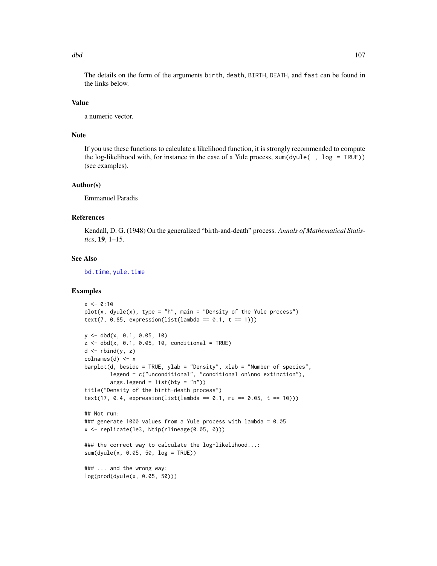The details on the form of the arguments birth, death, BIRTH, DEATH, and fast can be found in the links below.

## Value

a numeric vector.

## Note

If you use these functions to calculate a likelihood function, it is strongly recommended to compute the log-likelihood with, for instance in the case of a Yule process, sum(dyule( , log = TRUE)) (see examples).

#### Author(s)

Emmanuel Paradis

## References

Kendall, D. G. (1948) On the generalized "birth-and-death" process. *Annals of Mathematical Statistics*, 19, 1–15.

# See Also

[bd.time](#page-33-0), [yule.time](#page-279-0)

## Examples

```
x \le -0:10plot(x, dyule(x), type = "h", main = "Density of the Yule process")text(7, 0.85, expression(list(lambda == 0.1, t == 1)))
y \le - dbd(x, 0.1, 0.05, 10)z \le - dbd(x, 0.1, 0.05, 10, conditional = TRUE)
d \leftarrow \text{rbind}(y, z)colnames(d) <- x
barplot(d, beside = TRUE, ylab = "Density", xlab = "Number of species",
        legend = c("unconditional", "conditional on\nno extinction"),
        args.length = list(bty = "n"))title("Density of the birth-death process")
text(17, 0.4, expression(list(lambda == 0.1, mu == 0.05, t == 10)))## Not run:
### generate 1000 values from a Yule process with lambda = 0.05
x <- replicate(1e3, Ntip(rlineage(0.05, 0)))
### the correct way to calculate the log-likelihood...:
sum(dyule(x, 0.05, 50, log = TRUE))
### ... and the wrong way:
log(prod(dyule(x, 0.05, 50)))
```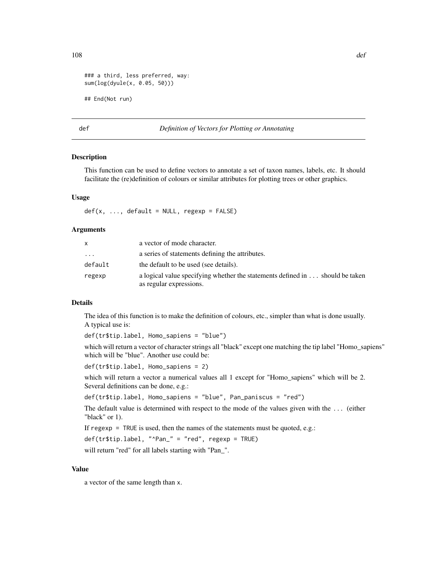```
### a third, less preferred, way:
sum(log(dyule(x, 0.05, 50)))
## End(Not run)
```
## def *Definition of Vectors for Plotting or Annotating*

# **Description**

This function can be used to define vectors to annotate a set of taxon names, labels, etc. It should facilitate the (re)definition of colours or similar attributes for plotting trees or other graphics.

## Usage

 $def(x, ..., default = NULL, regexp = FALSE)$ 

#### Arguments

|         | a vector of mode character.                                                                             |
|---------|---------------------------------------------------------------------------------------------------------|
| .       | a series of statements defining the attributes.                                                         |
| default | the default to be used (see details).                                                                   |
| regexp  | a logical value specifying whether the statements defined in should be taken<br>as regular expressions. |

# Details

The idea of this function is to make the definition of colours, etc., simpler than what is done usually. A typical use is:

def(tr\$tip.label, Homo\_sapiens = "blue")

which will return a vector of character strings all "black" except one matching the tip label "Homo\_sapiens" which will be "blue". Another use could be:

```
def(tr$tip.label, Homo_sapiens = 2)
```
which will return a vector a numerical values all 1 except for "Homo\_sapiens" which will be 2. Several definitions can be done, e.g.:

def(tr\$tip.label, Homo\_sapiens = "blue", Pan\_paniscus = "red")

The default value is determined with respect to the mode of the values given with the ... (either "black" or 1).

If regexp = TRUE is used, then the names of the statements must be quoted, e.g.:

def(tr\$tip.label, "^Pan\_" = "red", regexp = TRUE)

will return "red" for all labels starting with "Pan\_".

## Value

a vector of the same length than x.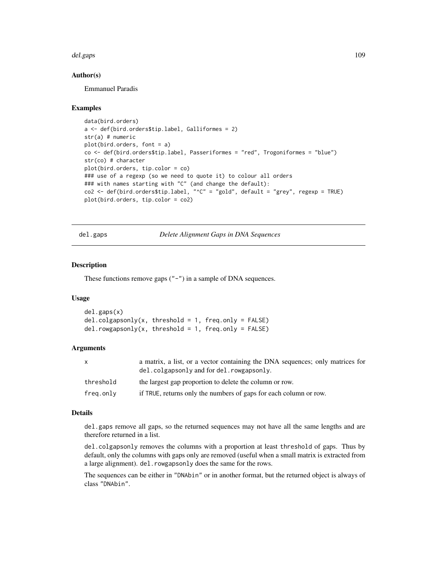#### del.gaps 109

## Author(s)

Emmanuel Paradis

## Examples

```
data(bird.orders)
a <- def(bird.orders$tip.label, Galliformes = 2)
str(a) # numeric
plot(bird.orders, font = a)
co <- def(bird.orders$tip.label, Passeriformes = "red", Trogoniformes = "blue")
str(co) # character
plot(bird.orders, tip.color = co)
### use of a regexp (so we need to quote it) to colour all orders
### with names starting with "C" (and change the default):
co2 <- def(bird.orders$tip.label, "^C" = "gold", default = "grey", regexp = TRUE)
plot(bird.orders, tip.color = co2)
```
<span id="page-108-0"></span>del.gaps *Delete Alignment Gaps in DNA Sequences*

## Description

These functions remove gaps ("-") in a sample of DNA sequences.

#### Usage

```
del.gaps(x)
del.colgapsonly(x, threshold = 1, freq-only = FALSE)del.rowgapsonly(x, threshold = 1, freq-only = FALSE)
```
## Arguments

| x         | a matrix, a list, or a vector containing the DNA sequences; only matrices for<br>del.colgapsonly and for del.rowgapsonly. |
|-----------|---------------------------------------------------------------------------------------------------------------------------|
| threshold | the largest gap proportion to delete the column or row.                                                                   |
| freg.only | if TRUE, returns only the numbers of gaps for each column or row.                                                         |

# Details

del.gaps remove all gaps, so the returned sequences may not have all the same lengths and are therefore returned in a list.

del.colgapsonly removes the columns with a proportion at least threshold of gaps. Thus by default, only the columns with gaps only are removed (useful when a small matrix is extracted from a large alignment). del.rowgapsonly does the same for the rows.

The sequences can be either in "DNAbin" or in another format, but the returned object is always of class "DNAbin".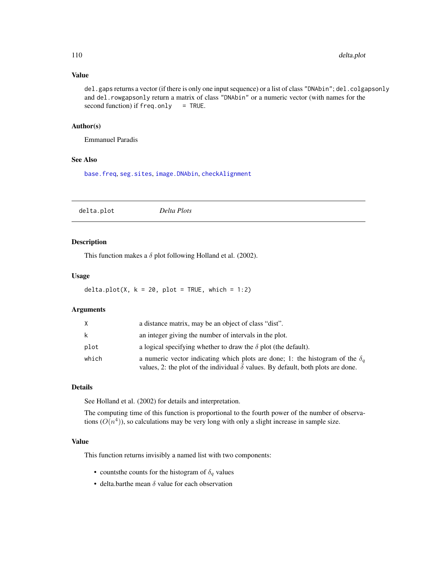# Value

del.gaps returns a vector (if there is only one input sequence) or a list of class "DNAbin"; del.colgapsonly and del.rowgapsonly return a matrix of class "DNAbin" or a numeric vector (with names for the second function) if  $freq-only = TRUE$ .

# Author(s)

Emmanuel Paradis

## See Also

[base.freq](#page-31-0), [seg.sites](#page-243-0), [image.DNAbin](#page-137-0), [checkAlignment](#page-58-0)

delta.plot *Delta Plots*

# Description

This function makes a  $\delta$  plot following Holland et al. (2002).

# Usage

delta.plot(X,  $k = 20$ , plot = TRUE, which = 1:2)

## Arguments

| X     | a distance matrix, may be an object of class "dist".                                                                                                                            |  |
|-------|---------------------------------------------------------------------------------------------------------------------------------------------------------------------------------|--|
| k     | an integer giving the number of intervals in the plot.                                                                                                                          |  |
| plot  | a logical specifying whether to draw the $\delta$ plot (the default).                                                                                                           |  |
| which | a numeric vector indicating which plots are done; 1: the histogram of the $\delta_a$<br>values, 2: the plot of the individual $\delta$ values. By default, both plots are done. |  |

## Details

See Holland et al. (2002) for details and interpretation.

The computing time of this function is proportional to the fourth power of the number of observations  $(O(n<sup>4</sup>)),$  so calculations may be very long with only a slight increase in sample size.

## Value

This function returns invisibly a named list with two components:

- countsthe counts for the histogram of  $\delta_q$  values
- delta.barthe mean  $\delta$  value for each observation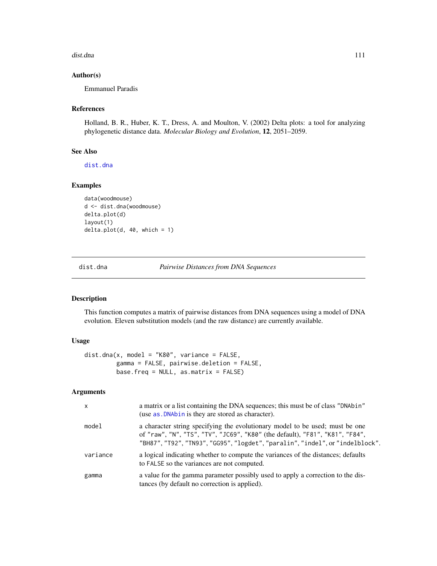#### dist.dna 111

## Author(s)

Emmanuel Paradis

## References

Holland, B. R., Huber, K. T., Dress, A. and Moulton, V. (2002) Delta plots: a tool for analyzing phylogenetic distance data. *Molecular Biology and Evolution*, 12, 2051–2059.

# See Also

[dist.dna](#page-110-0)

# Examples

```
data(woodmouse)
d <- dist.dna(woodmouse)
delta.plot(d)
layout(1)
delta.plot(d, 40, which = 1)
```
<span id="page-110-0"></span>dist.dna *Pairwise Distances from DNA Sequences*

# Description

This function computes a matrix of pairwise distances from DNA sequences using a model of DNA evolution. Eleven substitution models (and the raw distance) are currently available.

#### Usage

```
dist.dna(x, model = "K80", variance = FALSE,
        gamma = FALSE, pairwise.deletion = FALSE,
        base.freq = NULL, as.matrix = FALSE)
```
#### Arguments

| $\mathsf{x}$ | a matrix or a list containing the DNA sequences; this must be of class "DNAbin"<br>(use as . DNAbin is they are stored as character).                                                                                                         |
|--------------|-----------------------------------------------------------------------------------------------------------------------------------------------------------------------------------------------------------------------------------------------|
| model        | a character string specifying the evolutionary model to be used; must be one<br>of "raw", "N", "TS", "TV", "JC69", "K80" (the default), "F81", "K81", "F84",<br>"BH87", "T92", "TN93", "GG95", "logdet", "paralin", "indel", or "indelblock". |
| variance     | a logical indicating whether to compute the variances of the distances; defaults<br>to FALSE so the variances are not computed.                                                                                                               |
| gamma        | a value for the gamma parameter possibly used to apply a correction to the dis-<br>tances (by default no correction is applied).                                                                                                              |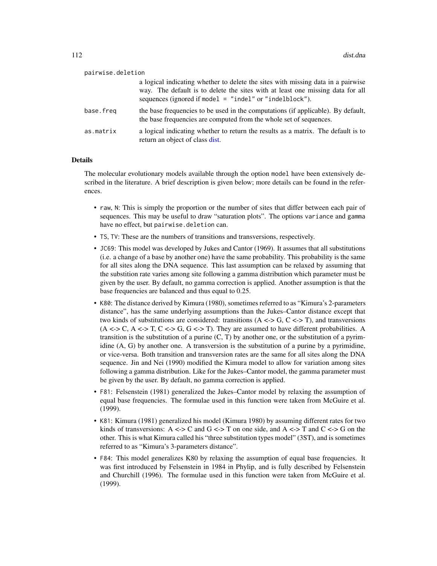| pairwise.deletion |                                                                                                                                                                                                                                 |
|-------------------|---------------------------------------------------------------------------------------------------------------------------------------------------------------------------------------------------------------------------------|
|                   | a logical indicating whether to delete the sites with missing data in a pairwise<br>way. The default is to delete the sites with at least one missing data for all<br>sequences (ignored if model $=$ "indel" or "indelblock"). |
| base.freg         | the base frequencies to be used in the computations (if applicable). By default,<br>the base frequencies are computed from the whole set of sequences.                                                                          |
| as.matrix         | a logical indicating whether to return the results as a matrix. The default is to<br>return an object of class dist.                                                                                                            |

#### Details

The molecular evolutionary models available through the option model have been extensively described in the literature. A brief description is given below; more details can be found in the references.

- raw, N: This is simply the proportion or the number of sites that differ between each pair of sequences. This may be useful to draw "saturation plots". The options variance and gamma have no effect, but pairwise.deletion can.
- TS, TV: These are the numbers of transitions and transversions, respectively.
- JC69: This model was developed by Jukes and Cantor (1969). It assumes that all substitutions (i.e. a change of a base by another one) have the same probability. This probability is the same for all sites along the DNA sequence. This last assumption can be relaxed by assuming that the substition rate varies among site following a gamma distribution which parameter must be given by the user. By default, no gamma correction is applied. Another assumption is that the base frequencies are balanced and thus equal to 0.25.
- K80: The distance derived by Kimura (1980), sometimes referred to as "Kimura's 2-parameters distance", has the same underlying assumptions than the Jukes–Cantor distance except that two kinds of substitutions are considered: transitions  $(A \leq S, C \leq T)$ , and transversions  $(A \leq C, A \leq T, C \leq G, G \leq T)$ . They are assumed to have different probabilities. A transition is the substitution of a purine  $(C, T)$  by another one, or the substitution of a pyrimidine (A, G) by another one. A transversion is the substitution of a purine by a pyrimidine, or vice-versa. Both transition and transversion rates are the same for all sites along the DNA sequence. Jin and Nei (1990) modified the Kimura model to allow for variation among sites following a gamma distribution. Like for the Jukes–Cantor model, the gamma parameter must be given by the user. By default, no gamma correction is applied.
- F81: Felsenstein (1981) generalized the Jukes–Cantor model by relaxing the assumption of equal base frequencies. The formulae used in this function were taken from McGuire et al. (1999).
- K81: Kimura (1981) generalized his model (Kimura 1980) by assuming different rates for two kinds of transversions: A  $\leq$  > C and G  $\leq$  > T on one side, and A  $\leq$  > T and C  $\leq$  > G on the other. This is what Kimura called his "three substitution types model" (3ST), and is sometimes referred to as "Kimura's 3-parameters distance".
- F84: This model generalizes K80 by relaxing the assumption of equal base frequencies. It was first introduced by Felsenstein in 1984 in Phylip, and is fully described by Felsenstein and Churchill (1996). The formulae used in this function were taken from McGuire et al. (1999).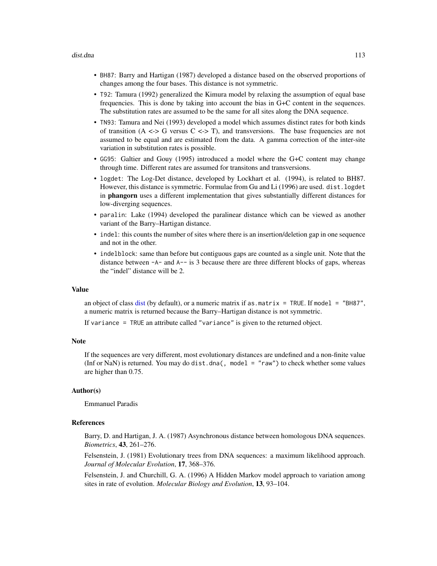#### dist.dna 113

- BH87: Barry and Hartigan (1987) developed a distance based on the observed proportions of changes among the four bases. This distance is not symmetric.
- T92: Tamura (1992) generalized the Kimura model by relaxing the assumption of equal base frequencies. This is done by taking into account the bias in G+C content in the sequences. The substitution rates are assumed to be the same for all sites along the DNA sequence.
- TN93: Tamura and Nei (1993) developed a model which assumes distinct rates for both kinds of transition  $(A \leq S$  versus  $C \leq S$  T), and transversions. The base frequencies are not assumed to be equal and are estimated from the data. A gamma correction of the inter-site variation in substitution rates is possible.
- GG95: Galtier and Gouy (1995) introduced a model where the G+C content may change through time. Different rates are assumed for transitons and transversions.
- logdet: The Log-Det distance, developed by Lockhart et al. (1994), is related to BH87. However, this distance is symmetric. Formulae from Gu and Li (1996) are used. dist.logdet in phangorn uses a different implementation that gives substantially different distances for low-diverging sequences.
- paralin: Lake (1994) developed the paralinear distance which can be viewed as another variant of the Barry–Hartigan distance.
- indel: this counts the number of sites where there is an insertion/deletion gap in one sequence and not in the other.
- indelblock: same than before but contiguous gaps are counted as a single unit. Note that the distance between  $-A-$  and  $A--$  is 3 because there are three different blocks of gaps, whereas the "indel" distance will be 2.

#### Value

an object of class [dist](#page-0-0) (by default), or a numeric matrix if as  $\mu$  matrix = TRUE. If model = "BH87", a numeric matrix is returned because the Barry–Hartigan distance is not symmetric.

If variance = TRUE an attribute called "variance" is given to the returned object.

#### Note

If the sequences are very different, most evolutionary distances are undefined and a non-finite value (Inf or NaN) is returned. You may do dist.dna(, model = "raw") to check whether some values are higher than 0.75.

#### Author(s)

Emmanuel Paradis

## References

Barry, D. and Hartigan, J. A. (1987) Asynchronous distance between homologous DNA sequences. *Biometrics*, 43, 261–276.

Felsenstein, J. (1981) Evolutionary trees from DNA sequences: a maximum likelihood approach. *Journal of Molecular Evolution*, 17, 368–376.

Felsenstein, J. and Churchill, G. A. (1996) A Hidden Markov model approach to variation among sites in rate of evolution. *Molecular Biology and Evolution*, 13, 93–104.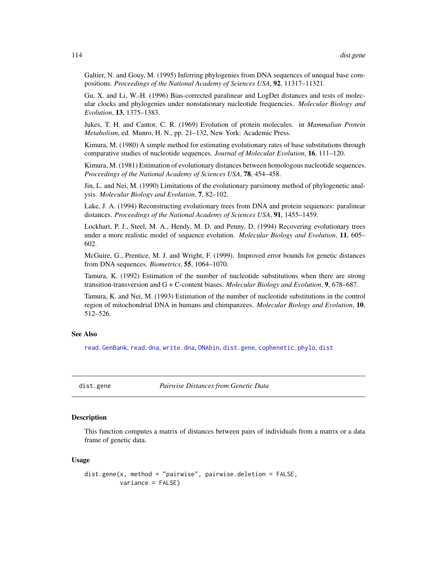Galtier, N. and Gouy, M. (1995) Inferring phylogenies from DNA sequences of unequal base compositions. *Proceedings of the National Academy of Sciences USA*, 92, 11317–11321.

Gu, X. and Li, W.-H. (1996) Bias-corrected paralinear and LogDet distances and tests of molecular clocks and phylogenies under nonstationary nucleotide frequencies. *Molecular Biology and Evolution*, 13, 1375–1383.

Jukes, T. H. and Cantor, C. R. (1969) Evolution of protein molecules. in *Mammalian Protein Metabolism*, ed. Munro, H. N., pp. 21–132, New York: Academic Press.

Kimura, M. (1980) A simple method for estimating evolutionary rates of base substitutions through comparative studies of nucleotide sequences. *Journal of Molecular Evolution*, 16, 111–120.

Kimura, M. (1981) Estimation of evolutionary distances between homologous nucleotide sequences. *Proceedings of the National Academy of Sciences USA*, 78, 454–458.

Jin, L. and Nei, M. (1990) Limitations of the evolutionary parsimony method of phylogenetic analysis. *Molecular Biology and Evolution*, 7, 82–102.

Lake, J. A. (1994) Reconstructing evolutionary trees from DNA and protein sequences: paralinear distances. *Proceedings of the National Academy of Sciences USA*, 91, 1455–1459.

Lockhart, P. J., Steel, M. A., Hendy, M. D. and Penny, D. (1994) Recovering evolutionary trees under a more realistic model of sequence evolution. *Molecular Biology and Evolution*, 11, 605– 602.

McGuire, G., Prentice, M. J. and Wright, F. (1999). Improved error bounds for genetic distances from DNA sequences. *Biometrics*, 55, 1064–1070.

Tamura, K. (1992) Estimation of the number of nucleotide substitutions when there are strong transition-transversion and G + C-content biases. *Molecular Biology and Evolution*, 9, 678–687.

Tamura, K. and Nei, M. (1993) Estimation of the number of nucleotide substitutions in the control region of mitochondrial DNA in humans and chimpanzees. *Molecular Biology and Evolution*, 10, 512–526.

## See Also

[read.GenBank](#page-215-0), [read.dna](#page-211-0), [write.dna](#page-270-0), [DNAbin](#page-121-0), [dist.gene](#page-113-0), [cophenetic.phylo](#page-87-0), [dist](#page-0-0)

<span id="page-113-0"></span>

dist.gene *Pairwise Distances from Genetic Data*

## **Description**

This function computes a matrix of distances between pairs of individuals from a matrix or a data frame of genetic data.

#### Usage

```
dist.gene(x, method = "pairwise", pairwise.deletion = FALSE,
          variance = FALSE)
```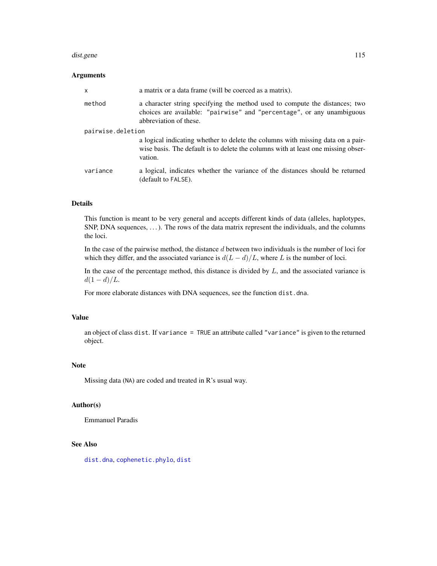#### dist.gene 115

# Arguments

| $\mathsf{x}$      | a matrix or a data frame (will be coerced as a matrix).                                                                                                                         |  |
|-------------------|---------------------------------------------------------------------------------------------------------------------------------------------------------------------------------|--|
| method            | a character string specifying the method used to compute the distances; two<br>choices are available: "pairwise" and "percentage", or any unambiguous<br>abbreviation of these. |  |
| pairwise.deletion |                                                                                                                                                                                 |  |
|                   | a logical indicating whether to delete the columns with missing data on a pair-<br>wise basis. The default is to delete the columns with at least one missing obser-<br>vation. |  |
| variance          | a logical, indicates whether the variance of the distances should be returned<br>(default to FALSE).                                                                            |  |

# Details

This function is meant to be very general and accepts different kinds of data (alleles, haplotypes, SNP, DNA sequences, ...). The rows of the data matrix represent the individuals, and the columns the loci.

In the case of the pairwise method, the distance  $d$  between two individuals is the number of loci for which they differ, and the associated variance is  $d(L - d)/L$ , where L is the number of loci.

In the case of the percentage method, this distance is divided by  $L$ , and the associated variance is  $d(1 - d)/L$ .

For more elaborate distances with DNA sequences, see the function dist.dna.

## Value

an object of class dist. If variance = TRUE an attribute called "variance" is given to the returned object.

# Note

Missing data (NA) are coded and treated in R's usual way.

# Author(s)

Emmanuel Paradis

# See Also

[dist.dna](#page-110-0), [cophenetic.phylo](#page-87-0), [dist](#page-0-0)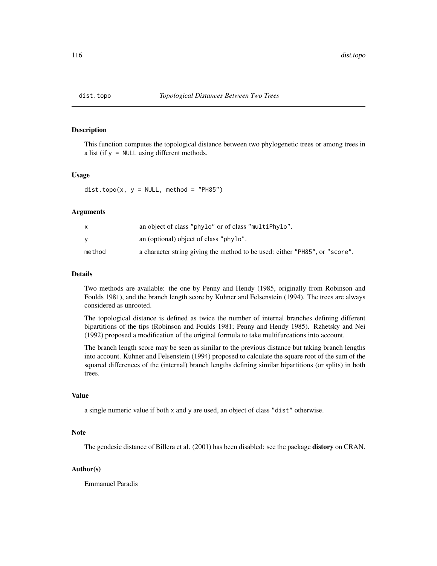# Description

This function computes the topological distance between two phylogenetic trees or among trees in a list (if y = NULL using different methods.

## Usage

 $dist.topo(x, y = NULL, method = "PH85")$ 

#### Arguments

|        | an object of class "phylo" or of class "multiPhylo".                        |
|--------|-----------------------------------------------------------------------------|
|        | an (optional) object of class "phylo".                                      |
| method | a character string giving the method to be used: either "PH85", or "score". |

## Details

Two methods are available: the one by Penny and Hendy (1985, originally from Robinson and Foulds 1981), and the branch length score by Kuhner and Felsenstein (1994). The trees are always considered as unrooted.

The topological distance is defined as twice the number of internal branches defining different bipartitions of the tips (Robinson and Foulds 1981; Penny and Hendy 1985). Rzhetsky and Nei (1992) proposed a modification of the original formula to take multifurcations into account.

The branch length score may be seen as similar to the previous distance but taking branch lengths into account. Kuhner and Felsenstein (1994) proposed to calculate the square root of the sum of the squared differences of the (internal) branch lengths defining similar bipartitions (or splits) in both trees.

#### Value

a single numeric value if both x and y are used, an object of class "dist" otherwise.

# Note

The geodesic distance of Billera et al. (2001) has been disabled: see the package distory on CRAN.

#### Author(s)

Emmanuel Paradis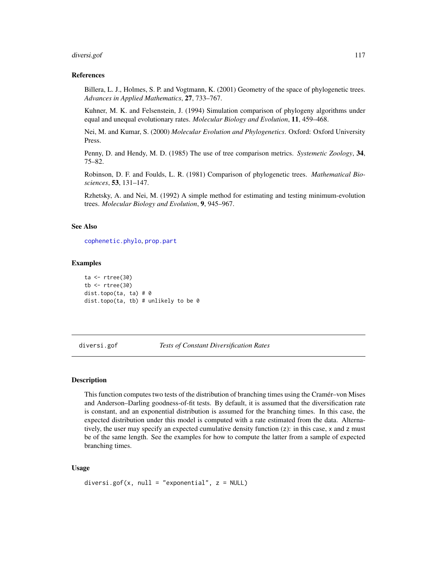#### diversi.gof 117

## References

Billera, L. J., Holmes, S. P. and Vogtmann, K. (2001) Geometry of the space of phylogenetic trees. *Advances in Applied Mathematics*, 27, 733–767.

Kuhner, M. K. and Felsenstein, J. (1994) Simulation comparison of phylogeny algorithms under equal and unequal evolutionary rates. *Molecular Biology and Evolution*, 11, 459–468.

Nei, M. and Kumar, S. (2000) *Molecular Evolution and Phylogenetics*. Oxford: Oxford University Press.

Penny, D. and Hendy, M. D. (1985) The use of tree comparison metrics. *Systemetic Zoology*, 34, 75–82.

Robinson, D. F. and Foulds, L. R. (1981) Comparison of phylogenetic trees. *Mathematical Biosciences*, 53, 131–147.

Rzhetsky, A. and Nei, M. (1992) A simple method for estimating and testing minimum-evolution trees. *Molecular Biology and Evolution*, 9, 945–967.

## See Also

[cophenetic.phylo](#page-87-0), [prop.part](#page-48-0)

## Examples

```
ta <- rtree(30)
tb \le rtree(30)
dist.topo(ta, ta) # 0
dist.topo(ta, tb) # unlikely to be 0
```
<span id="page-116-0"></span>diversi.gof *Tests of Constant Diversification Rates*

## **Description**

This function computes two tests of the distribution of branching times using the Cramér–von Mises and Anderson–Darling goodness-of-fit tests. By default, it is assumed that the diversification rate is constant, and an exponential distribution is assumed for the branching times. In this case, the expected distribution under this model is computed with a rate estimated from the data. Alternatively, the user may specify an expected cumulative density function (z): in this case, x and z must be of the same length. See the examples for how to compute the latter from a sample of expected branching times.

## Usage

```
diversi.gof(x, null = "exponential", z = NULL)
```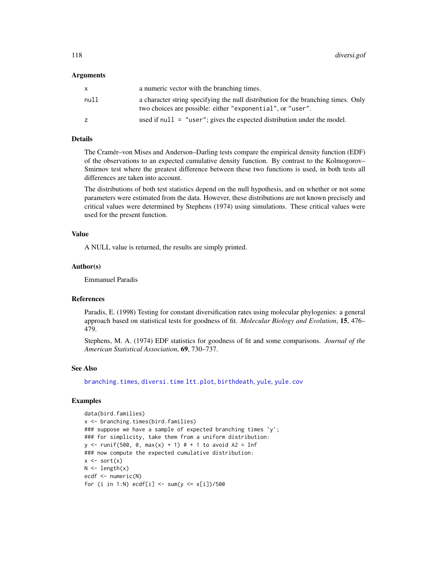## Arguments

| x.   | a numeric vector with the branching times.                                                                                                      |
|------|-------------------------------------------------------------------------------------------------------------------------------------------------|
| null | a character string specifying the null distribution for the branching times. Only<br>two choices are possible: either "exponential", or "user". |
| z    | used if $null = "user";$ gives the expected distribution under the model.                                                                       |

# Details

The Cramér–von Mises and Anderson–Darling tests compare the empirical density function (EDF) of the observations to an expected cumulative density function. By contrast to the Kolmogorov– Smirnov test where the greatest difference between these two functions is used, in both tests all differences are taken into account.

The distributions of both test statistics depend on the null hypothesis, and on whether or not some parameters were estimated from the data. However, these distributions are not known precisely and critical values were determined by Stephens (1974) using simulations. These critical values were used for the present function.

## Value

A NULL value is returned, the results are simply printed.

## Author(s)

Emmanuel Paradis

# References

Paradis, E. (1998) Testing for constant diversification rates using molecular phylogenies: a general approach based on statistical tests for goodness of fit. *Molecular Biology and Evolution*, 15, 476– 479.

Stephens, M. A. (1974) EDF statistics for goodness of fit and some comparisons. *Journal of the American Statistical Association*, 69, 730–737.

## See Also

[branching.times](#page-51-0), [diversi.time](#page-118-0) [ltt.plot](#page-150-0), [birthdeath](#page-46-0), [yule](#page-276-0), [yule.cov](#page-277-0)

#### Examples

```
data(bird.families)
x <- branching.times(bird.families)
### suppose we have a sample of expected branching times \gamma;
### for simplicity, take them from a uniform distribution:
y \le - runif(500, 0, max(x) + 1) # + 1 to avoid A2 = Inf
### now compute the expected cumulative distribution:
x \leftarrow sort(x)N \leftarrow length(x)
ecdf <- numeric(N)
for (i in 1:N) ecdf[i] < -sum(y \le x[i])/500
```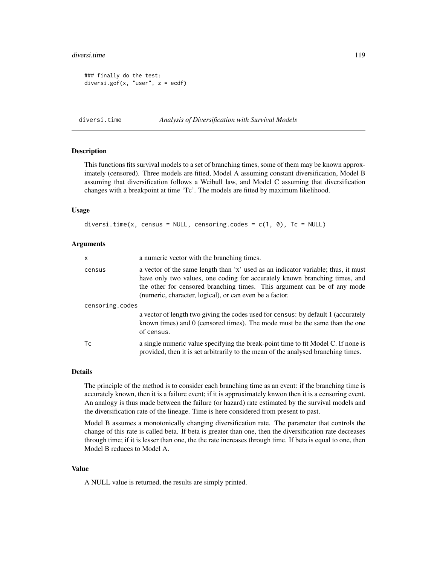#### diversi.time 119

```
### finally do the test:
diversi.gof(x, "user", z = e c df)
```
<span id="page-118-0"></span>

```
diversi.time Analysis of Diversification with Survival Models
```
#### **Description**

This functions fits survival models to a set of branching times, some of them may be known approximately (censored). Three models are fitted, Model A assuming constant diversification, Model B assuming that diversification follows a Weibull law, and Model C assuming that diversification changes with a breakpoint at time 'Tc'. The models are fitted by maximum likelihood.

#### Usage

```
diversi.time(x, census = NULL, censoring.codes = c(1, 0), Tc = NULL)
```
#### Arguments

| x               | a numeric vector with the branching times.                                                                                                                                                                                                                                                             |  |
|-----------------|--------------------------------------------------------------------------------------------------------------------------------------------------------------------------------------------------------------------------------------------------------------------------------------------------------|--|
| census          | a vector of the same length than 'x' used as an indicator variable; thus, it must<br>have only two values, one coding for accurately known branching times, and<br>the other for censored branching times. This argument can be of any mode<br>(numeric, character, logical), or can even be a factor. |  |
| censoring.codes |                                                                                                                                                                                                                                                                                                        |  |
|                 | a vector of length two giving the codes used for census: by default 1 (accurately<br>known times) and $0$ (censored times). The mode must be the same than the one<br>of census.                                                                                                                       |  |
| Тc              | a single numeric value specifying the break-point time to fit Model C. If none is<br>provided, then it is set arbitrarily to the mean of the analysed branching times.                                                                                                                                 |  |

#### Details

The principle of the method is to consider each branching time as an event: if the branching time is accurately known, then it is a failure event; if it is approximately knwon then it is a censoring event. An analogy is thus made between the failure (or hazard) rate estimated by the survival models and the diversification rate of the lineage. Time is here considered from present to past.

Model B assumes a monotonically changing diversification rate. The parameter that controls the change of this rate is called beta. If beta is greater than one, then the diversification rate decreases through time; if it is lesser than one, the the rate increases through time. If beta is equal to one, then Model B reduces to Model A.

# Value

A NULL value is returned, the results are simply printed.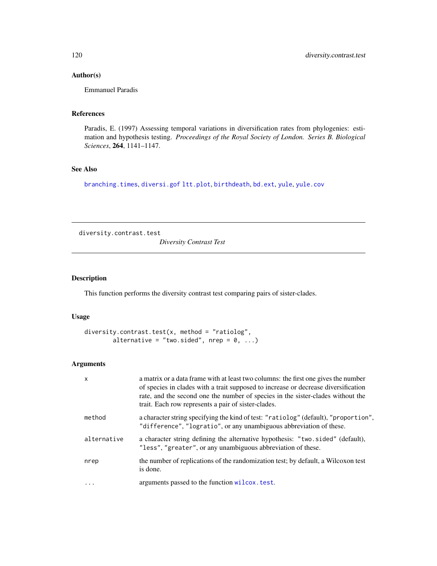# Author(s)

Emmanuel Paradis

# References

Paradis, E. (1997) Assessing temporal variations in diversification rates from phylogenies: estimation and hypothesis testing. *Proceedings of the Royal Society of London. Series B. Biological Sciences*, 264, 1141–1147.

# See Also

[branching.times](#page-51-0), [diversi.gof](#page-116-0) [ltt.plot](#page-150-0), [birthdeath](#page-46-0), [bd.ext](#page-32-0), [yule](#page-276-0), [yule.cov](#page-277-0)

diversity.contrast.test

*Diversity Contrast Test*

# Description

This function performs the diversity contrast test comparing pairs of sister-clades.

## Usage

```
diversity.contrast.test(x, method = "ratiolog",
        alternative = "two.sided", nrep = 0, ...)
```
## Arguments

| $\mathsf{x}$ | a matrix or a data frame with at least two columns: the first one gives the number<br>of species in clades with a trait supposed to increase or decrease diversification<br>rate, and the second one the number of species in the sister-clades without the<br>trait. Each row represents a pair of sister-clades. |
|--------------|--------------------------------------------------------------------------------------------------------------------------------------------------------------------------------------------------------------------------------------------------------------------------------------------------------------------|
| method       | a character string specifying the kind of test: "ratiolog" (default), "proportion",<br>"difference", "logratio", or any unambiguous abbreviation of these.                                                                                                                                                         |
| alternative  | a character string defining the alternative hypothesis: "two.sided" (default),<br>"less", "greater", or any unambiguous abbreviation of these.                                                                                                                                                                     |
| nrep         | the number of replications of the randomization test; by default, a Wilcoxon test<br>is done.                                                                                                                                                                                                                      |
| $\ddots$ .   | arguments passed to the function wilcox. test.                                                                                                                                                                                                                                                                     |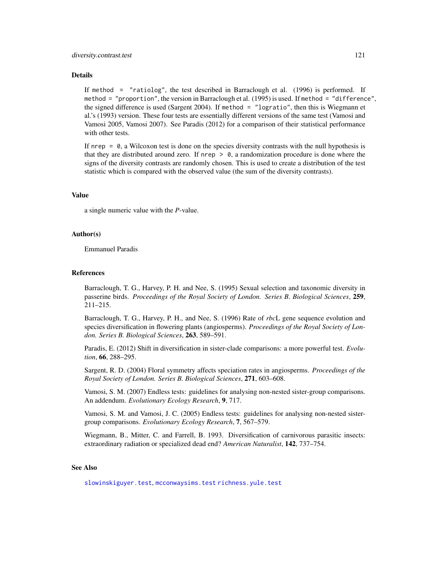#### diversity.contrast.test 121

#### Details

If method = "ratiolog", the test described in Barraclough et al. (1996) is performed. If method = "proportion", the version in Barraclough et al. (1995) is used. If method = "difference", the signed difference is used (Sargent 2004). If method = "logratio", then this is Wiegmann et al.'s (1993) version. These four tests are essentially different versions of the same test (Vamosi and Vamosi 2005, Vamosi 2007). See Paradis (2012) for a comparison of their statistical performance with other tests.

If nrep  $= 0$ , a Wilcoxon test is done on the species diversity contrasts with the null hypothesis is that they are distributed around zero. If nrep  $> 0$ , a randomization procedure is done where the signs of the diversity contrasts are randomly chosen. This is used to create a distribution of the test statistic which is compared with the observed value (the sum of the diversity contrasts).

#### Value

a single numeric value with the *P*-value.

## Author(s)

Emmanuel Paradis

#### References

Barraclough, T. G., Harvey, P. H. and Nee, S. (1995) Sexual selection and taxonomic diversity in passerine birds. *Proceedings of the Royal Society of London. Series B. Biological Sciences*, 259, 211–215.

Barraclough, T. G., Harvey, P. H., and Nee, S. (1996) Rate of *rbc*L gene sequence evolution and species diversification in flowering plants (angiosperms). *Proceedings of the Royal Society of London. Series B. Biological Sciences*, 263, 589–591.

Paradis, E. (2012) Shift in diversification in sister-clade comparisons: a more powerful test. *Evolution*, 66, 288–295.

Sargent, R. D. (2004) Floral symmetry affects speciation rates in angiosperms. *Proceedings of the Royal Society of London. Series B. Biological Sciences*, 271, 603–608.

Vamosi, S. M. (2007) Endless tests: guidelines for analysing non-nested sister-group comparisons. An addendum. *Evolutionary Ecology Research*, 9, 717.

Vamosi, S. M. and Vamosi, J. C. (2005) Endless tests: guidelines for analysing non-nested sistergroup comparisons. *Evolutionary Ecology Research*, 7, 567–579.

Wiegmann, B., Mitter, C. and Farrell, B. 1993. Diversification of carnivorous parasitic insects: extraordinary radiation or specialized dead end? *American Naturalist*, 142, 737–754.

## See Also

[slowinskiguyer.test](#page-248-0), [mcconwaysims.test](#page-159-0) [richness.yule.test](#page-227-0)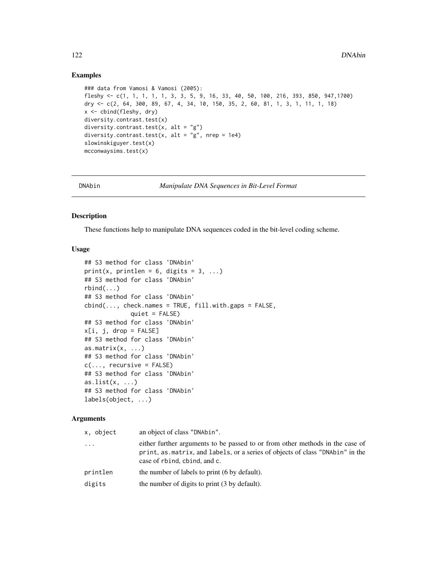## Examples

```
### data from Vamosi & Vamosi (2005):
fleshy <- c(1, 1, 1, 1, 1, 3, 3, 5, 9, 16, 33, 40, 50, 100, 216, 393, 850, 947,1700)
dry <- c(2, 64, 300, 89, 67, 4, 34, 10, 150, 35, 2, 60, 81, 1, 3, 1, 11, 1, 18)
x <- cbind(fleshy, dry)
diversity.contrast.test(x)
diversity.contrast.test(x, alt = "g")
diversity.contrast.test(x, alt = "g", nrep = 1e4)
slowinskiguyer.test(x)
mcconwaysims.test(x)
```
<span id="page-121-0"></span>

DNAbin *Manipulate DNA Sequences in Bit-Level Format*

# Description

These functions help to manipulate DNA sequences coded in the bit-level coding scheme.

## Usage

```
## S3 method for class 'DNAbin'
print(x, printlen = 6, digits = 3, ...)
## S3 method for class 'DNAbin'
rbind(...)
## S3 method for class 'DNAbin'
cbind(..., check.names = TRUE, fill.wikipedia, gaps = FALSE,quiet = FALSE)
## S3 method for class 'DNAbin'
x[i, j, drop = FALSE]## S3 method for class 'DNAbin'
as.matrix(x, \ldots)## S3 method for class 'DNAbin'
c(\ldots, recursive = FALSE)
## S3 method for class 'DNAbin'
as.list(x, \ldots)## S3 method for class 'DNAbin'
labels(object, ...)
```
## Arguments

| x, object  | an object of class "DNAbin".                                                                                                                                                                   |
|------------|------------------------------------------------------------------------------------------------------------------------------------------------------------------------------------------------|
| $\ddots$ . | either further arguments to be passed to or from other methods in the case of<br>print, as matrix, and labels, or a series of objects of class "DNAbin" in the<br>case of rbind, cbind, and c. |
| printlen   | the number of labels to print (6 by default).                                                                                                                                                  |
| digits     | the number of digits to print (3 by default).                                                                                                                                                  |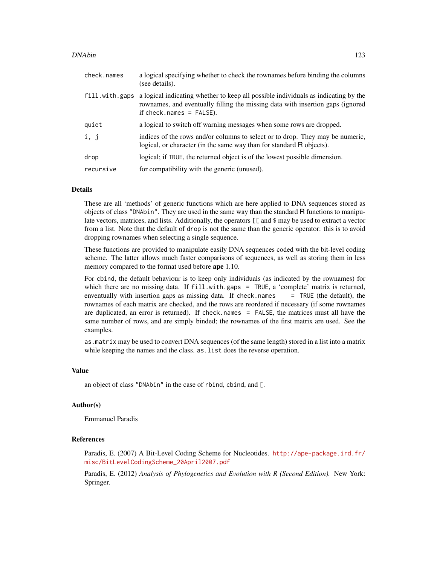#### DNAbin 123

| check.names    | a logical specifying whether to check the rownames before binding the columns<br>(see details).                                                                                                     |
|----------------|-----------------------------------------------------------------------------------------------------------------------------------------------------------------------------------------------------|
| fill.with.gaps | a logical indicating whether to keep all possible individuals as indicating by the<br>rownames, and eventually filling the missing data with insertion gaps (ignored<br>if $check.names = FALSE$ ). |
| quiet          | a logical to switch off warning messages when some rows are dropped.                                                                                                                                |
| i, j           | indices of the rows and/or columns to select or to drop. They may be numeric,<br>logical, or character (in the same way than for standard R objects).                                               |
| drop           | logical; if TRUE, the returned object is of the lowest possible dimension.                                                                                                                          |
| recursive      | for compatibility with the generic (unused).                                                                                                                                                        |

## Details

These are all 'methods' of generic functions which are here applied to DNA sequences stored as objects of class "DNAbin". They are used in the same way than the standard R functions to manipulate vectors, matrices, and lists. Additionally, the operators [[ and \$ may be used to extract a vector from a list. Note that the default of drop is not the same than the generic operator: this is to avoid dropping rownames when selecting a single sequence.

These functions are provided to manipulate easily DNA sequences coded with the bit-level coding scheme. The latter allows much faster comparisons of sequences, as well as storing them in less memory compared to the format used before ape 1.10.

For cbind, the default behaviour is to keep only individuals (as indicated by the rownames) for which there are no missing data. If fill.with.gaps = TRUE, a 'complete' matrix is returned, enventually with insertion gaps as missing data. If check, names  $=$  TRUE (the default), the rownames of each matrix are checked, and the rows are reordered if necessary (if some rownames are duplicated, an error is returned). If check.names = FALSE, the matrices must all have the same number of rows, and are simply binded; the rownames of the first matrix are used. See the examples.

as.matrix may be used to convert DNA sequences (of the same length) stored in a list into a matrix while keeping the names and the class. as. list does the reverse operation.

# Value

an object of class "DNAbin" in the case of rbind, cbind, and [.

## Author(s)

Emmanuel Paradis

## References

Paradis, E. (2007) A Bit-Level Coding Scheme for Nucleotides. [http://ape-package.ird.fr/](http://ape-package.ird.fr/misc/BitLevelCodingScheme_20April2007.pdf) [misc/BitLevelCodingScheme\\_20April2007.pdf](http://ape-package.ird.fr/misc/BitLevelCodingScheme_20April2007.pdf)

Paradis, E. (2012) *Analysis of Phylogenetics and Evolution with R (Second Edition).* New York: Springer.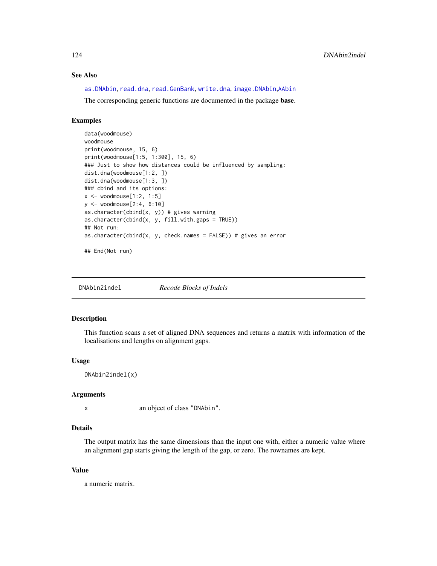# See Also

[as.DNAbin](#page-21-0), [read.dna](#page-211-0), [read.GenBank](#page-215-0), [write.dna](#page-270-0), [image.DNAbin](#page-137-0),[AAbin](#page-6-0)

The corresponding generic functions are documented in the package base.

## Examples

```
data(woodmouse)
woodmouse
print(woodmouse, 15, 6)
print(woodmouse[1:5, 1:300], 15, 6)
### Just to show how distances could be influenced by sampling:
dist.dna(woodmouse[1:2, ])
dist.dna(woodmouse[1:3, ])
### cbind and its options:
x \le - woodmouse[1:2, 1:5]
y <- woodmouse[2:4, 6:10]
as.character(cbind(x, y)) # gives warning
as.character(cbind(x, y, fill.with.gaps = TRUE))
## Not run:
as.character(cbind(x, y, check.names = FALSE)) # gives an error
```

```
## End(Not run)
```

| DNAbin2indel | Recode Blocks of Indels |
|--------------|-------------------------|
|--------------|-------------------------|

## Description

This function scans a set of aligned DNA sequences and returns a matrix with information of the localisations and lengths on alignment gaps.

# Usage

```
DNAbin2indel(x)
```
## Arguments

x an object of class "DNAbin".

# Details

The output matrix has the same dimensions than the input one with, either a numeric value where an alignment gap starts giving the length of the gap, or zero. The rownames are kept.

#### Value

a numeric matrix.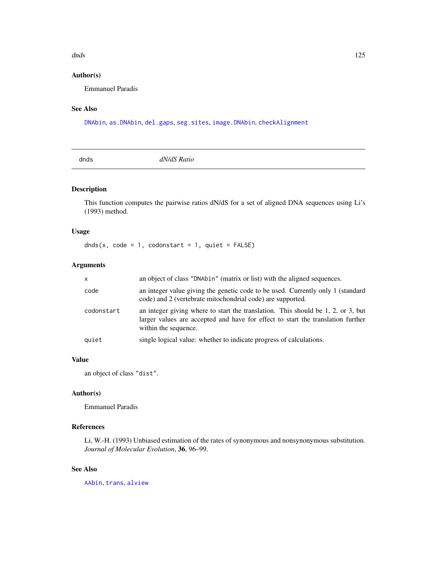#### dnds and the contract of the contract of the contract of the contract of the contract of the contract of the contract of the contract of the contract of the contract of the contract of the contract of the contract of the c

# Author(s)

Emmanuel Paradis

# See Also

[DNAbin](#page-121-0), [as.DNAbin](#page-21-0), [del.gaps](#page-108-0), [seg.sites](#page-243-0), [image.DNAbin](#page-137-0), [checkAlignment](#page-58-0)

dnds *dN/dS Ratio*

# Description

This function computes the pairwise ratios dN/dS for a set of aligned DNA sequences using Li's (1993) method.

# Usage

dnds(x, code = 1, codonstart = 1, quiet =  $FALSE)$ 

# Arguments

| $\mathsf{x}$ | an object of class "DNAbin" (matrix or list) with the aligned sequences.                                                                                                                         |  |
|--------------|--------------------------------------------------------------------------------------------------------------------------------------------------------------------------------------------------|--|
| code         | an integer value giving the genetic code to be used. Currently only 1 (standard<br>code) and 2 (vertebrate mitochondrial code) are supported.                                                    |  |
| codonstart   | an integer giving where to start the translation. This should be $1, 2,$ or $3$ , but<br>larger values are accepted and have for effect to start the translation further<br>within the sequence. |  |
| quiet        | single logical value: whether to indicate progress of calculations.                                                                                                                              |  |

# Value

an object of class "dist".

## Author(s)

Emmanuel Paradis

# References

Li, W.-H. (1993) Unbiased estimation of the rates of synonymous and nonsynonymous substitution. *Journal of Molecular Evolution*, 36, 96–99.

## See Also

[AAbin](#page-6-0), [trans](#page-255-0), [alview](#page-19-0)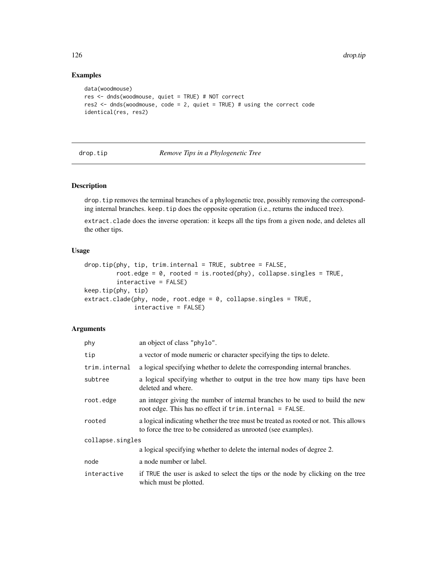# Examples

```
data(woodmouse)
res <- dnds(woodmouse, quiet = TRUE) # NOT correct
res2 <- dnds(woodmouse, code = 2, quiet = TRUE) # using the correct code
identical(res, res2)
```
<span id="page-125-0"></span>drop.tip *Remove Tips in a Phylogenetic Tree*

## Description

drop.tip removes the terminal branches of a phylogenetic tree, possibly removing the corresponding internal branches. keep.tip does the opposite operation (i.e., returns the induced tree).

extract.clade does the inverse operation: it keeps all the tips from a given node, and deletes all the other tips.

## Usage

```
drop.tip(phy, tip, trim.internal = TRUE, subtree = FALSE,
         root.edge = 0, rooted = is.rooted(phy), collapse.singles = TRUE,
         interactive = FALSE)
keep.tip(phy, tip)
extract.clade(phy, node, root.edge = 0, collapse.singles = TRUE,
              interactive = FALSE)
```
#### Arguments

| phy              | an object of class "phylo".                                                                                                                           |  |
|------------------|-------------------------------------------------------------------------------------------------------------------------------------------------------|--|
| tip              | a vector of mode numeric or character specifying the tips to delete.                                                                                  |  |
| trim.internal    | a logical specifying whether to delete the corresponding internal branches.                                                                           |  |
| subtree          | a logical specifying whether to output in the tree how many tips have been<br>deleted and where.                                                      |  |
| root.edge        | an integer giving the number of internal branches to be used to build the new<br>root edge. This has no effect if $trim. internal = FALSE.$           |  |
| rooted           | a logical indicating whether the tree must be treated as rooted or not. This allows<br>to force the tree to be considered as unrooted (see examples). |  |
| collapse.singles |                                                                                                                                                       |  |
|                  | a logical specifying whether to delete the internal nodes of degree 2.                                                                                |  |
| node             | a node number or label.                                                                                                                               |  |
| interactive      | if TRUE the user is asked to select the tips or the node by clicking on the tree<br>which must be plotted.                                            |  |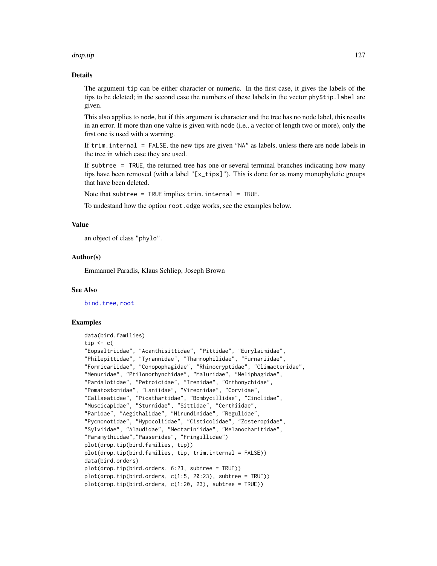#### drop.tip the contract of the contract of the contract of the contract of the contract of the contract of the contract of the contract of the contract of the contract of the contract of the contract of the contract of the c

## Details

The argument tip can be either character or numeric. In the first case, it gives the labels of the tips to be deleted; in the second case the numbers of these labels in the vector phy\$tip.label are given.

This also applies to node, but if this argument is character and the tree has no node label, this results in an error. If more than one value is given with node (i.e., a vector of length two or more), only the first one is used with a warning.

If trim.internal = FALSE, the new tips are given "NA" as labels, unless there are node labels in the tree in which case they are used.

If subtree = TRUE, the returned tree has one or several terminal branches indicating how many tips have been removed (with a label "[x\_tips]"). This is done for as many monophyletic groups that have been deleted.

Note that subtree =  $TRUE$  implies  $trim.internal = TRUE$ .

To undestand how the option root.edge works, see the examples below.

#### Value

an object of class "phylo".

## Author(s)

Emmanuel Paradis, Klaus Schliep, Joseph Brown

## See Also

[bind.tree](#page-41-0), [root](#page-230-0)

## Examples

```
data(bird.families)
tip \leq c(
"Eopsaltriidae", "Acanthisittidae", "Pittidae", "Eurylaimidae",
"Philepittidae", "Tyrannidae", "Thamnophilidae", "Furnariidae",
"Formicariidae", "Conopophagidae", "Rhinocryptidae", "Climacteridae",
"Menuridae", "Ptilonorhynchidae", "Maluridae", "Meliphagidae",
"Pardalotidae", "Petroicidae", "Irenidae", "Orthonychidae",
"Pomatostomidae", "Laniidae", "Vireonidae", "Corvidae",
"Callaeatidae", "Picathartidae", "Bombycillidae", "Cinclidae",
"Muscicapidae", "Sturnidae", "Sittidae", "Certhiidae",
"Paridae", "Aegithalidae", "Hirundinidae", "Regulidae",
"Pycnonotidae", "Hypocoliidae", "Cisticolidae", "Zosteropidae",
"Sylviidae", "Alaudidae", "Nectariniidae", "Melanocharitidae",
"Paramythiidae","Passeridae", "Fringillidae")
plot(drop.tip(bird.families, tip))
plot(drop.tip(bird.families, tip, trim.internal = FALSE))
data(bird.orders)
plot(drop.tip(bird.orders, 6:23, subtree = TRUE))
plot(drop.tip(bird.orders, c(1:5, 20:23), subtree = TRUE))
plot(drop.tip(bird.orders, c(1:20, 23), subtree = TRUE))
```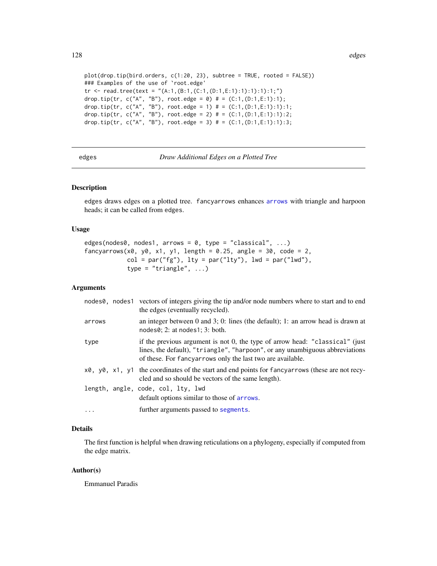```
plot(drop.tip(bird.orders, c(1:20, 23), subtree = TRUE, rooted = FALSE))
### Examples of the use of `root.edge'
tr <- read.tree(text = "(A:1,(B:1,(C:1,(D:1,E:1):1):1):1):1;")
drop.tip(tr, c("A", "B"), root.edge = 0) # = (C:1, (D:1, E:1):1);
drop.tip(tr, c("A", "B"), root.edge = 1) # = (C:1, (D:1, E:1):1):1;drop.tip(tr, c("A", "B"), root.edge = 2) # = (C:1,(D:1,E:1):1):2;
drop.tip(tr, c("A", "B"), root.edge = 3) # = (C:1, (D:1, E:1):1):3;
```
edges *Draw Additional Edges on a Plotted Tree*

# <span id="page-127-0"></span>Description

edges draws edges on a plotted tree. fancyarrows enhances [arrows](#page-0-0) with triangle and harpoon heads; it can be called from edges.

#### Usage

```
edges(nodes0, nodes1, arrows = 0, type = "classical", \ldots)
fancyarrows(x0, y0, x1, y1, length = 0.25, angle = 30, code = 2,
            col = par("fg"), lty = par("lty"), lwd = par("lwd"),
            type = "triangle", \ldots)
```
## Arguments

|          | nodes0, nodes1 vectors of integers giving the tip and/or node numbers where to start and to end<br>the edges (eventually recycled).                                                                                        |
|----------|----------------------------------------------------------------------------------------------------------------------------------------------------------------------------------------------------------------------------|
| arrows   | an integer between 0 and 3; 0: lines (the default); 1: an arrow head is drawn at<br>nodes0; 2: at nodes1; 3: both.                                                                                                         |
| type     | if the previous argument is not 0, the type of arrow head: "classical" (just<br>lines, the default), "triangle", "harpoon", or any unambiguous abbreviations<br>of these. For fancyarrows only the last two are available. |
|          | $x\theta$ , $y\theta$ , $x\theta$ , $y\theta$ the coordinates of the start and end points for fancyarrows (these are not recy-<br>cled and so should be vectors of the same length).                                       |
|          | length, angle, code, col, lty, lwd<br>default options similar to those of arrows.                                                                                                                                          |
| $\ddots$ | further arguments passed to segments.                                                                                                                                                                                      |

# Details

The first function is helpful when drawing reticulations on a phylogeny, especially if computed from the edge matrix.

## Author(s)

Emmanuel Paradis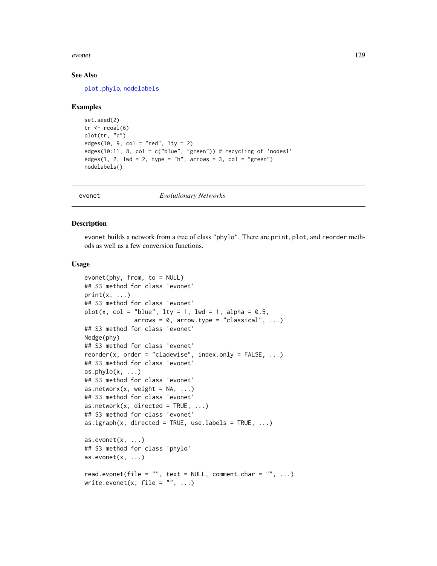#### evonet 129

## See Also

[plot.phylo](#page-200-0), [nodelabels](#page-180-0)

## Examples

```
set.seed(2)
tr < -r \cosh(6)plot(tr, "c")
edges(10, 9, col = "red", 1ty = 2)edges(10:11, 8, col = c("blue", "green")) # recycling of 'nodes1'edges(1, 2, 1wd = 2, type = "h", arrows = 3, col = "green")nodelabels()
```
evonet *Evolutionary Networks*

## Description

evonet builds a network from a tree of class "phylo". There are print, plot, and reorder methods as well as a few conversion functions.

## Usage

```
evonet(phy, from, to = NULL)
## S3 method for class 'evonet'
print(x, \ldots)## S3 method for class 'evonet'
plot(x, col = "blue", lty = 1, lwd = 1, alpha = 0.5,arrows = 0, arrows = 0, arrows = "classical", ...)## S3 method for class 'evonet'
Nedge(phy)
## S3 method for class 'evonet'
reorder(x, order = "cladewise", index.only = FALSE, ...)
## S3 method for class 'evonet'
as. phylo(x, \ldots)## S3 method for class 'evonet'
as.networx(x, weight = NA, ...)
## S3 method for class 'evonet'
as.network(x, directed = TRUE, \dots)
## S3 method for class 'evonet'
as.igraph(x, directed = TRUE, use.labels = TRUE, \ldots)
as.evonet(x, \ldots)## S3 method for class 'phylo'
as.evonet(x, \ldots)read.evonet(file = "", text = NULL, comment.char = "", ...)
write.evonet(x, file = ", ...)
```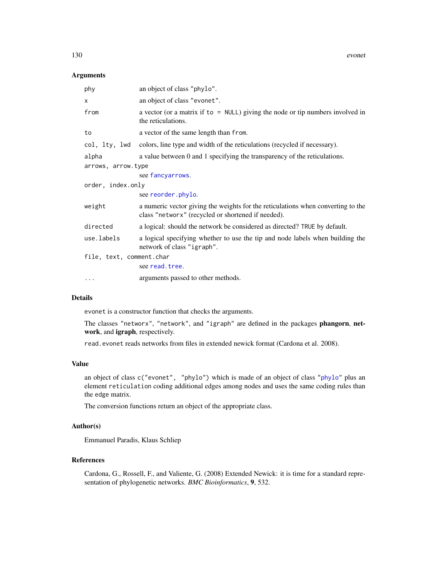#### Arguments

| phy                      | an object of class "phylo".                                                                                                            |  |
|--------------------------|----------------------------------------------------------------------------------------------------------------------------------------|--|
| $\times$                 | an object of class "evonet".                                                                                                           |  |
| from                     | a vector (or a matrix if to $=$ NULL) giving the node or tip numbers involved in<br>the reticulations.                                 |  |
| to                       | a vector of the same length than from.                                                                                                 |  |
| col, lty, lwd            | colors, line type and width of the reticulations (recycled if necessary).                                                              |  |
| alpha                    | a value between 0 and 1 specifying the transparency of the reticulations.                                                              |  |
| arrows, arrow.type       |                                                                                                                                        |  |
|                          | see fancyarrows.                                                                                                                       |  |
| order, index.only        |                                                                                                                                        |  |
|                          | see reorder.phylo.                                                                                                                     |  |
| weight                   | a numeric vector giving the weights for the reticulations when converting to the<br>class "networx" (recycled or shortened if needed). |  |
| directed                 | a logical: should the network be considered as directed? TRUE by default.                                                              |  |
| use.labels               | a logical specifying whether to use the tip and node labels when building the<br>network of class "igraph".                            |  |
| file, text, comment.char |                                                                                                                                        |  |
|                          | see read. tree.                                                                                                                        |  |
| $\cdots$                 | arguments passed to other methods.                                                                                                     |  |

### Details

evonet is a constructor function that checks the arguments.

The classes "networx", "network", and "igraph" are defined in the packages phangorn, network, and igraph, respectively.

read.evonet reads networks from files in extended newick format (Cardona et al. 2008).

## Value

an object of class c("evonet", "phylo") which is made of an object of class ["phylo"](#page-221-1) plus an element reticulation coding additional edges among nodes and uses the same coding rules than the edge matrix.

The conversion functions return an object of the appropriate class.

## Author(s)

Emmanuel Paradis, Klaus Schliep

# References

Cardona, G., Rossell, F., and Valiente, G. (2008) Extended Newick: it is time for a standard representation of phylogenetic networks. *BMC Bioinformatics*, 9, 532.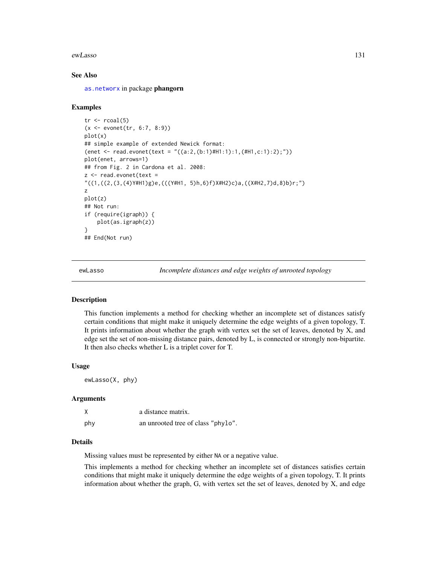ewLasso 131

## See Also

[as.networx](#page-0-0) in package phangorn

## Examples

```
tr \le rcoal(5)
(x <- evonet(tr, 6:7, 8:9))
plot(x)
## simple example of extended Newick format:
(enet <- read.evonet(text = "((a:2,(b:1)#H1:1):1,(#H1,c:1):2);"))
plot(enet, arrows=1)
## from Fig. 2 in Cardona et al. 2008:
z <- read.evonet(text =
"((1,((2,(3,(4)Y#H1)g)e,(((Y#H1, 5)h,6)f)X#H2)c)a,((X#H2,7)d,8)b)r;")
z
plot(z)
## Not run:
if (require(igraph)) {
    plot(as.igraph(z))
}
## End(Not run)
```
ewLasso *Incomplete distances and edge weights of unrooted topology*

## Description

This function implements a method for checking whether an incomplete set of distances satisfy certain conditions that might make it uniquely determine the edge weights of a given topology, T. It prints information about whether the graph with vertex set the set of leaves, denoted by X, and edge set the set of non-missing distance pairs, denoted by L, is connected or strongly non-bipartite. It then also checks whether L is a triplet cover for T.

#### Usage

ewLasso(X, phy)

## Arguments

|     | a distance matrix.                 |
|-----|------------------------------------|
| phy | an unrooted tree of class "phylo". |

## Details

Missing values must be represented by either NA or a negative value.

This implements a method for checking whether an incomplete set of distances satisfies certain conditions that might make it uniquely determine the edge weights of a given topology, T. It prints information about whether the graph, G, with vertex set the set of leaves, denoted by X, and edge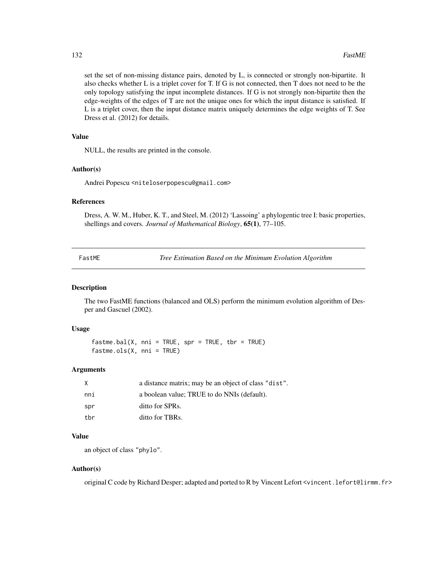set the set of non-missing distance pairs, denoted by L, is connected or strongly non-bipartite. It also checks whether L is a triplet cover for T. If G is not connected, then T does not need to be the only topology satisfying the input incomplete distances. If G is not strongly non-bipartite then the edge-weights of the edges of T are not the unique ones for which the input distance is satisfied. If L is a triplet cover, then the input distance matrix uniquely determines the edge weights of T. See Dress et al. (2012) for details.

# Value

NULL, the results are printed in the console.

## Author(s)

Andrei Popescu <niteloserpopescu@gmail.com>

#### References

Dress, A. W. M., Huber, K. T., and Steel, M. (2012) 'Lassoing' a phylogentic tree I: basic properties, shellings and covers. *Journal of Mathematical Biology*, 65(1), 77–105.

FastME *Tree Estimation Based on the Minimum Evolution Algorithm*

## Description

The two FastME functions (balanced and OLS) perform the minimum evolution algorithm of Desper and Gascuel (2002).

## Usage

 $fastme.bal(X, nni = TRUE, spr = TRUE, thr = TRUE)$  $f$ astme.ols $(X, \text{nni} = \text{TRUE})$ 

## Arguments

| X   | a distance matrix; may be an object of class "dist". |
|-----|------------------------------------------------------|
| nni | a boolean value; TRUE to do NNIs (default).          |
| spr | ditto for SPRs.                                      |
| tbr | ditto for TBRs.                                      |

## Value

an object of class "phylo".

## Author(s)

original C code by Richard Desper; adapted and ported to R by Vincent Lefort <vincent.lefort@lirmm.fr>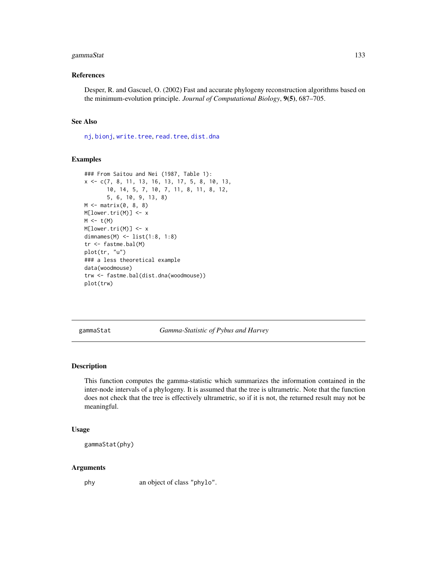# gammaStat 133

## References

Desper, R. and Gascuel, O. (2002) Fast and accurate phylogeny reconstruction algorithms based on the minimum-evolution principle. *Journal of Computational Biology*, 9(5), 687–705.

# See Also

[nj](#page-174-0), [bionj](#page-43-0), [write.tree](#page-275-0), [read.tree](#page-221-0), [dist.dna](#page-110-0)

#### Examples

```
### From Saitou and Nei (1987, Table 1):
x <- c(7, 8, 11, 13, 16, 13, 17, 5, 8, 10, 13,
       10, 14, 5, 7, 10, 7, 11, 8, 11, 8, 12,
       5, 6, 10, 9, 13, 8)
M \leftarrow matrix(0, 8, 8)M[lower.tri(M)] <- x
M \leftarrow t(M)M[lower.tri(M)] <- x
dimnames(M) <- list(1:8, 1:8)
tr <- fastme.bal(M)
plot(tr, "u")
### a less theoretical example
data(woodmouse)
trw <- fastme.bal(dist.dna(woodmouse))
plot(trw)
```
gammaStat *Gamma-Statistic of Pybus and Harvey*

## Description

This function computes the gamma-statistic which summarizes the information contained in the inter-node intervals of a phylogeny. It is assumed that the tree is ultrametric. Note that the function does not check that the tree is effectively ultrametric, so if it is not, the returned result may not be meaningful.

#### Usage

```
gammaStat(phy)
```
## Arguments

phy an object of class "phylo".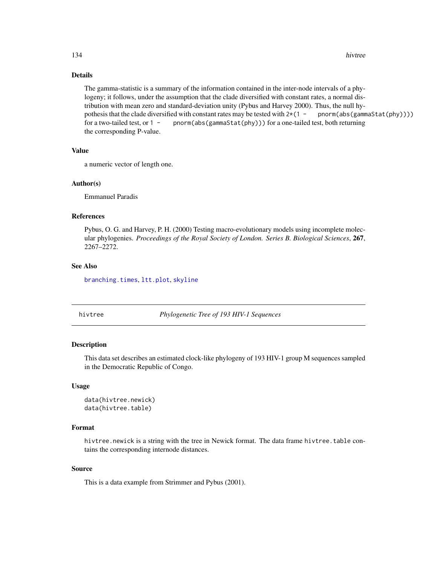# Details

The gamma-statistic is a summary of the information contained in the inter-node intervals of a phylogeny; it follows, under the assumption that the clade diversified with constant rates, a normal distribution with mean zero and standard-deviation unity (Pybus and Harvey 2000). Thus, the null hypothesis that the clade diversified with constant rates may be tested with  $2*(1 - \text{pnorm}(\text{abs}(\text{gammaStat}(p\text{hy}))))$ for a two-tailed test, or  $1 -$  pnorm(abs(gammaStat(phy))) for a one-tailed test, both returning the corresponding P-value.

## Value

a numeric vector of length one.

#### Author(s)

Emmanuel Paradis

# References

Pybus, O. G. and Harvey, P. H. (2000) Testing macro-evolutionary models using incomplete molecular phylogenies. *Proceedings of the Royal Society of London. Series B. Biological Sciences*, 267, 2267–2272.

## See Also

[branching.times](#page-51-0), [ltt.plot](#page-150-0), [skyline](#page-244-0)

hivtree *Phylogenetic Tree of 193 HIV-1 Sequences*

## Description

This data set describes an estimated clock-like phylogeny of 193 HIV-1 group M sequences sampled in the Democratic Republic of Congo.

### Usage

```
data(hivtree.newick)
data(hivtree.table)
```
## Format

hivtree.newick is a string with the tree in Newick format. The data frame hivtree.table contains the corresponding internode distances.

## Source

This is a data example from Strimmer and Pybus (2001).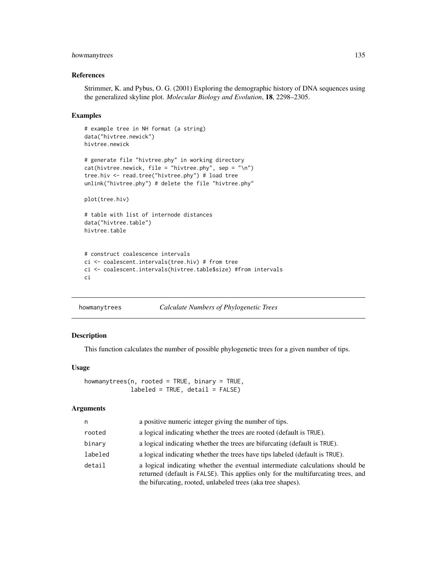# howmanytrees 135

## References

Strimmer, K. and Pybus, O. G. (2001) Exploring the demographic history of DNA sequences using the generalized skyline plot. *Molecular Biology and Evolution*, 18, 2298–2305.

#### Examples

```
# example tree in NH format (a string)
data("hivtree.newick")
hivtree.newick
# generate file "hivtree.phy" in working directory
cat(hivtree.newick, file = "hivtree.php", sep = "\n")tree.hiv <- read.tree("hivtree.phy") # load tree
unlink("hivtree.phy") # delete the file "hivtree.phy"
plot(tree.hiv)
```

```
# table with list of internode distances
data("hivtree.table")
hivtree.table
```

```
# construct coalescence intervals
ci <- coalescent.intervals(tree.hiv) # from tree
ci <- coalescent.intervals(hivtree.table$size) #from intervals
ci
```

```
howmanytrees Calculate Numbers of Phylogenetic Trees
```
## Description

This function calculates the number of possible phylogenetic trees for a given number of tips.

#### Usage

```
howmanytrees(n, rooted = TRUE, binary = TRUE,
             labeled = TRUE, detail = FALSE)
```
## Arguments

| n       | a positive numeric integer giving the number of tips.                                                                                                                                                                            |  |
|---------|----------------------------------------------------------------------------------------------------------------------------------------------------------------------------------------------------------------------------------|--|
| rooted  | a logical indicating whether the trees are rooted (default is TRUE).                                                                                                                                                             |  |
| binary  | a logical indicating whether the trees are bifurcating (default is TRUE).                                                                                                                                                        |  |
| labeled | a logical indicating whether the trees have tips labeled (default is TRUE).                                                                                                                                                      |  |
| detail  | a logical indicating whether the eventual intermediate calculations should be<br>returned (default is FALSE). This applies only for the multifurcating trees, and<br>the bifurcating, rooted, unlabeled trees (aka tree shapes). |  |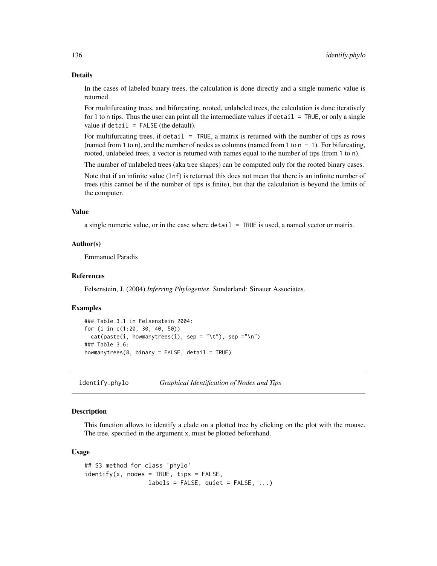## Details

In the cases of labeled binary trees, the calculation is done directly and a single numeric value is returned.

For multifurcating trees, and bifurcating, rooted, unlabeled trees, the calculation is done iteratively for 1 to n tips. Thus the user can print all the intermediate values if detail = TRUE, or only a single value if  $\text{detail} = \text{FALSE}$  (the default).

For multifurcating trees, if detail = TRUE, a matrix is returned with the number of tips as rows (named from 1 to n), and the number of nodes as columns (named from 1 to  $n - 1$ ). For bifurcating, rooted, unlabeled trees, a vector is returned with names equal to the number of tips (from 1 to n).

The number of unlabeled trees (aka tree shapes) can be computed only for the rooted binary cases.

Note that if an infinite value (Inf) is returned this does not mean that there is an infinite number of trees (this cannot be if the number of tips is finite), but that the calculation is beyond the limits of the computer.

# Value

a single numeric value, or in the case where  $\delta$  detail = TRUE is used, a named vector or matrix.

## Author(s)

Emmanuel Paradis

# References

Felsenstein, J. (2004) *Inferring Phylogenies*. Sunderland: Sinauer Associates.

## Examples

```
### Table 3.1 in Felsenstein 2004:
for (i in c(1:20, 30, 40, 50))
 cat(paste(i, howmanytrees(i), sep = " \t', 'k"), sep = " \n', m")### Table 3.6:
howmanytrees(8, binary = FALSE, detail = TRUE)
```
identify.phylo *Graphical Identification of Nodes and Tips*

## **Description**

This function allows to identify a clade on a plotted tree by clicking on the plot with the mouse. The tree, specified in the argument x, must be plotted beforehand.

## Usage

```
## S3 method for class 'phylo'
identity(x, nodes = TRUE, tips = FALSE,labels = FALSE, quiet = FALSE, ...)
```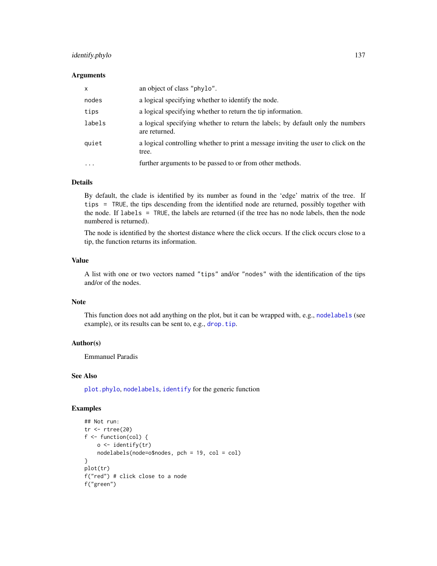# identify.phylo 137

#### **Arguments**

| $\mathsf{x}$ | an object of class "phylo".                                                                     |
|--------------|-------------------------------------------------------------------------------------------------|
| nodes        | a logical specifying whether to identify the node.                                              |
| tips         | a logical specifying whether to return the tip information.                                     |
| labels       | a logical specifying whether to return the labels; by default only the numbers<br>are returned. |
| quiet        | a logical controlling whether to print a message inviting the user to click on the<br>tree.     |
| $\ddotsc$    | further arguments to be passed to or from other methods.                                        |

# Details

By default, the clade is identified by its number as found in the 'edge' matrix of the tree. If tips = TRUE, the tips descending from the identified node are returned, possibly together with the node. If labels = TRUE, the labels are returned (if the tree has no node labels, then the node numbered is returned).

The node is identified by the shortest distance where the click occurs. If the click occurs close to a tip, the function returns its information.

## Value

A list with one or two vectors named "tips" and/or "nodes" with the identification of the tips and/or of the nodes.

# Note

This function does not add anything on the plot, but it can be wrapped with, e.g., [nodelabels](#page-180-0) (see example), or its results can be sent to, e.g., [drop.tip](#page-125-0).

## Author(s)

Emmanuel Paradis

## See Also

[plot.phylo](#page-200-0), [nodelabels](#page-180-0), [identify](#page-0-0) for the generic function

# Examples

```
## Not run:
tr <- rtree(20)
f \leftarrow function(col) {
    o <- identify(tr)
    nodelabels(node=o$nodes, pch = 19, col = col)
}
plot(tr)
f("red") # click close to a node
f("green")
```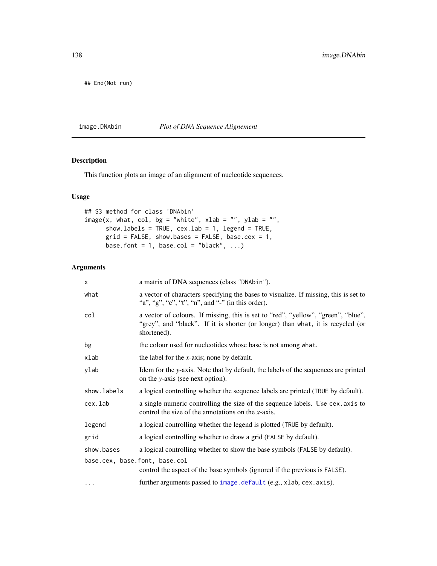## End(Not run)

# <span id="page-137-0"></span>image.DNAbin *Plot of DNA Sequence Alignement*

# Description

This function plots an image of an alignment of nucleotide sequences.

# Usage

```
## S3 method for class 'DNAbin'
image(x, what, col, bg = "white", xlab = "", ylab = "",show.labels = TRUE, cex.lab = 1, legend = TRUE,
     grid = FALSE, show.bases = FALSE, base.cex = 1,base.font = 1, base.col = "black", \ldots)
```
# Arguments

| x                             | a matrix of DNA sequences (class "DNAbin").                                                                                                                                         |  |
|-------------------------------|-------------------------------------------------------------------------------------------------------------------------------------------------------------------------------------|--|
| what                          | a vector of characters specifying the bases to visualize. If missing, this is set to<br>"a", "g", "c", "t", "n", and "-" (in this order).                                           |  |
| col                           | a vector of colours. If missing, this is set to "red", "yellow", "green", "blue",<br>"grey", and "black". If it is shorter (or longer) than what, it is recycled (or<br>shortened). |  |
| bg                            | the colour used for nucleotides whose base is not among what.                                                                                                                       |  |
| xlab                          | the label for the $x$ -axis; none by default.                                                                                                                                       |  |
| ylab                          | Idem for the y-axis. Note that by default, the labels of the sequences are printed<br>on the y-axis (see next option).                                                              |  |
| show.labels                   | a logical controlling whether the sequence labels are printed (TRUE by default).                                                                                                    |  |
| cex.lab                       | a single numeric controlling the size of the sequence labels. Use cex. axis to<br>control the size of the annotations on the $x$ -axis.                                             |  |
| legend                        | a logical controlling whether the legend is plotted (TRUE by default).                                                                                                              |  |
| grid                          | a logical controlling whether to draw a grid (FALSE by default).                                                                                                                    |  |
| show.bases                    | a logical controlling whether to show the base symbols (FALSE by default).                                                                                                          |  |
| base.cex, base.font, base.col | control the aspect of the base symbols (ignored if the previous is FALSE).                                                                                                          |  |
| $\cdots$                      | further arguments passed to image.default (e.g., xlab, cex.axis).                                                                                                                   |  |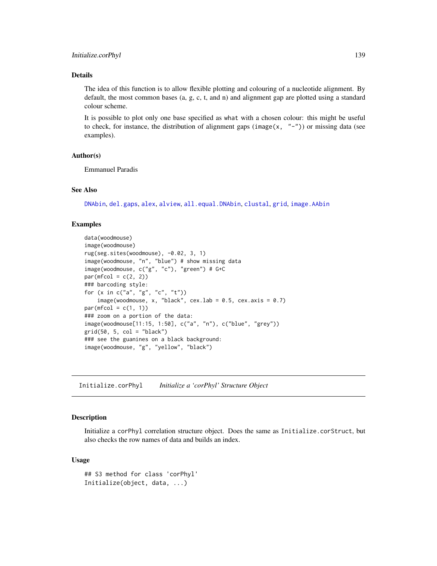# Details

The idea of this function is to allow flexible plotting and colouring of a nucleotide alignment. By default, the most common bases (a, g, c, t, and n) and alignment gap are plotted using a standard colour scheme.

It is possible to plot only one base specified as what with a chosen colour: this might be useful to check, for instance, the distribution of alignment gaps (image(x,  $"$ -")) or missing data (see examples).

## Author(s)

Emmanuel Paradis

#### See Also

[DNAbin](#page-121-0), [del.gaps](#page-108-0), [alex](#page-15-0), [alview](#page-19-0), [all.equal.DNAbin](#page-16-0), [clustal](#page-69-0), [grid](#page-0-0), [image.AAbin](#page-6-1)

## Examples

```
data(woodmouse)
image(woodmouse)
rug(seg.sites(woodmouse), -0.02, 3, 1)
image(woodmouse, "n", "blue") # show missing data
image(woodmouse, c("g", "c"), "green") # G+C
par(mfcol = c(2, 2))### barcoding style:
for (x in c("a", "g", "c", "t"))
    image(woodmouse, x, "black", cex.lab = 0.5, cex.axis = 0.7)par(mfcol = c(1, 1))### zoom on a portion of the data:
image(woodmouse[11:15, 1:50], c("a", "n"), c("blue", "grey"))
grid(50, 5, col = "black")### see the guanines on a black background:
image(woodmouse, "g", "yellow", "black")
```
Initialize.corPhyl *Initialize a 'corPhyl' Structure Object*

## Description

Initialize a corPhyl correlation structure object. Does the same as Initialize.corStruct, but also checks the row names of data and builds an index.

#### Usage

```
## S3 method for class 'corPhyl'
Initialize(object, data, ...)
```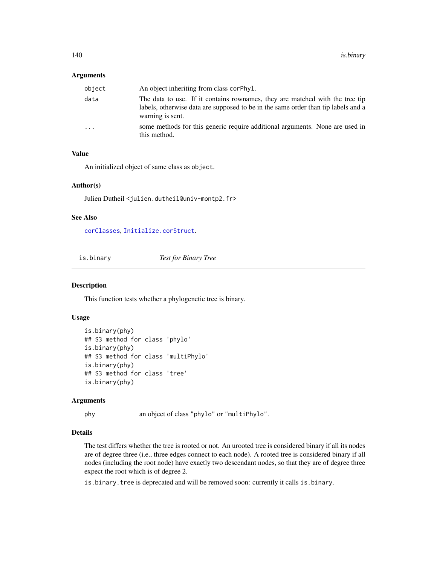## **Arguments**

| object                  | An object inheriting from class corphyl.                                                                                                                                              |
|-------------------------|---------------------------------------------------------------------------------------------------------------------------------------------------------------------------------------|
| data                    | The data to use. If it contains rownames, they are matched with the tree tip<br>labels, otherwise data are supposed to be in the same order than tip labels and a<br>warning is sent. |
| $\cdot$ $\cdot$ $\cdot$ | some methods for this generic require additional arguments. None are used in<br>this method.                                                                                          |

## Value

An initialized object of same class as object.

# Author(s)

Julien Dutheil <julien.dutheil@univ-montp2.fr>

## See Also

[corClasses](#page-92-0), [Initialize.corStruct](#page-0-0).

<span id="page-139-0"></span>is.binary *Test for Binary Tree*

#### Description

This function tests whether a phylogenetic tree is binary.

## Usage

```
is.binary(phy)
## S3 method for class 'phylo'
is.binary(phy)
## S3 method for class 'multiPhylo'
is.binary(phy)
## S3 method for class 'tree'
is.binary(phy)
```
## Arguments

phy an object of class "phylo" or "multiPhylo".

## Details

The test differs whether the tree is rooted or not. An urooted tree is considered binary if all its nodes are of degree three (i.e., three edges connect to each node). A rooted tree is considered binary if all nodes (including the root node) have exactly two descendant nodes, so that they are of degree three expect the root which is of degree 2.

is.binary.tree is deprecated and will be removed soon: currently it calls is.binary.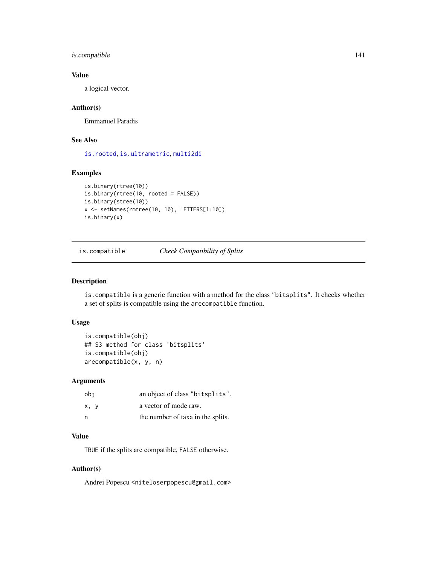# is.compatible 141

# Value

a logical vector.

## Author(s)

Emmanuel Paradis

# See Also

[is.rooted](#page-230-1), [is.ultrametric](#page-142-0), [multi2di](#page-170-0)

# Examples

```
is.binary(rtree(10))
is.binary(rtree(10, rooted = FALSE))
is.binary(stree(10))
x <- setNames(rmtree(10, 10), LETTERS[1:10])
is.binary(x)
```
is.compatible *Check Compatibility of Splits*

## Description

is.compatible is a generic function with a method for the class "bitsplits". It checks whether a set of splits is compatible using the arecompatible function.

# Usage

```
is.compatible(obj)
## S3 method for class 'bitsplits'
is.compatible(obj)
arecompatible(x, y, n)
```
# Arguments

| obi  | an object of class "bitsplits".   |
|------|-----------------------------------|
| x, y | a vector of mode raw.             |
| n    | the number of taxa in the splits. |

# Value

TRUE if the splits are compatible, FALSE otherwise.

# Author(s)

Andrei Popescu <niteloserpopescu@gmail.com>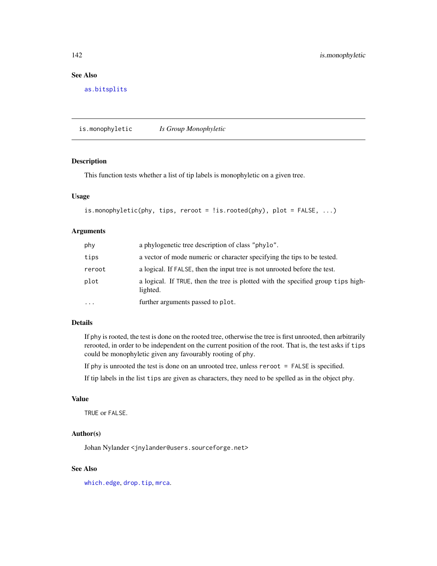# See Also

[as.bitsplits](#page-23-0)

is.monophyletic *Is Group Monophyletic*

# Description

This function tests whether a list of tip labels is monophyletic on a given tree.

# Usage

```
is.monophyletic(phy, tips, reroot = !is.rooted(phy), plot = FALSE, ...)
```
#### Arguments

| phy      | a phylogenetic tree description of class "phylo".                                            |  |
|----------|----------------------------------------------------------------------------------------------|--|
| tips     | a vector of mode numeric or character specifying the tips to be tested.                      |  |
| reroot   | a logical. If FALSE, then the input tree is not unrooted before the test.                    |  |
| plot     | a logical. If TRUE, then the tree is plotted with the specified group tips high-<br>lighted. |  |
| $\cdots$ | further arguments passed to plot.                                                            |  |

## Details

If phy is rooted, the test is done on the rooted tree, otherwise the tree is first unrooted, then arbitrarily rerooted, in order to be independent on the current position of the root. That is, the test asks if tips could be monophyletic given any favourably rooting of phy.

If phy is unrooted the test is done on an unrooted tree, unless reroot = FALSE is specified.

If tip labels in the list tips are given as characters, they need to be spelled as in the object phy.

# Value

TRUE or FALSE.

## Author(s)

Johan Nylander <jnylander@users.sourceforge.net>

# See Also

[which.edge](#page-269-0), [drop.tip](#page-125-0), [mrca](#page-168-0).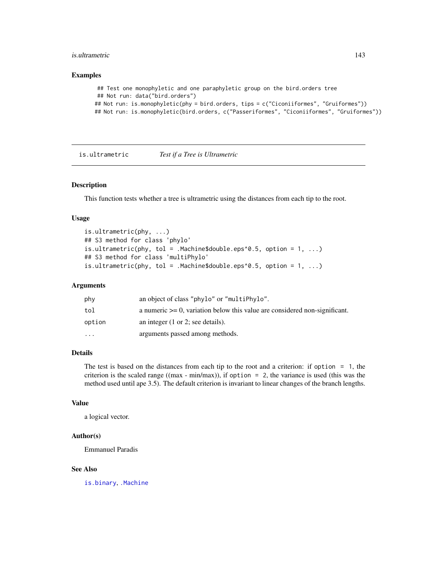#### is.ultrametric 143

## Examples

```
## Test one monophyletic and one paraphyletic group on the bird.orders tree
## Not run: data("bird.orders")
## Not run: is.monophyletic(phy = bird.orders, tips = c("Ciconiiformes", "Gruiformes"))
## Not run: is.monophyletic(bird.orders, c("Passeriformes", "Ciconiiformes", "Gruiformes"))
```
<span id="page-142-0"></span>is.ultrametric *Test if a Tree is Ultrametric*

# Description

This function tests whether a tree is ultrametric using the distances from each tip to the root.

## Usage

```
is.ultrametric(phy, ...)
## S3 method for class 'phylo'
is.ultrametric(phy, tol = .Machine$double.eps^0.5, option = 1, ...)
## S3 method for class 'multiPhylo'
is.ultrametric(phy, tol = .Machine$double.eps^0.5, option = 1, ...)
```
## Arguments

| phy      | an object of class "phylo" or "multiPhylo".                                     |
|----------|---------------------------------------------------------------------------------|
| tol      | a numeric $\geq 0$ , variation below this value are considered non-significant. |
| option   | an integer $(1 \text{ or } 2)$ ; see details).                                  |
| $\cdots$ | arguments passed among methods.                                                 |

# Details

The test is based on the distances from each tip to the root and a criterion: if option = 1, the criterion is the scaled range ((max - min/max)), if option  $= 2$ , the variance is used (this was the method used until ape 3.5). The default criterion is invariant to linear changes of the branch lengths.

#### Value

a logical vector.

# Author(s)

Emmanuel Paradis

## See Also

[is.binary](#page-139-0), [.Machine](#page-0-0)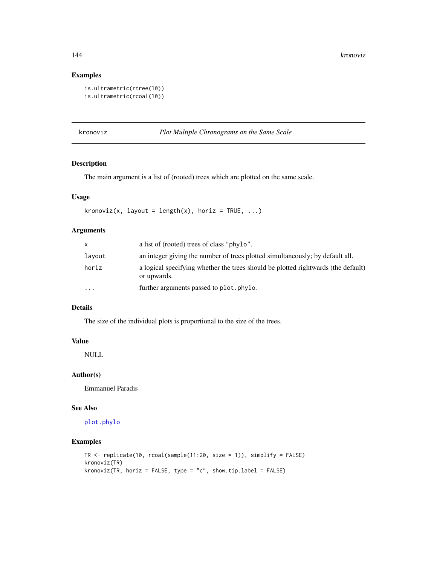# Examples

```
is.ultrametric(rtree(10))
is.ultrametric(rcoal(10))
```
kronoviz *Plot Multiple Chronograms on the Same Scale*

# Description

The main argument is a list of (rooted) trees which are plotted on the same scale.

# Usage

```
kronoviz(x, layout = length(x), horiz = TRUE, \dots)
```
# Arguments

| X        | a list of (rooted) trees of class "phylo".                                                       |
|----------|--------------------------------------------------------------------------------------------------|
| layout   | an integer giving the number of trees plotted simultaneously; by default all.                    |
| horiz    | a logical specifying whether the trees should be plotted rightwards (the default)<br>or upwards. |
| $\cdots$ | further arguments passed to plot. phylo.                                                         |

## Details

The size of the individual plots is proportional to the size of the trees.

#### Value

NULL

# Author(s)

Emmanuel Paradis

## See Also

[plot.phylo](#page-200-0)

# Examples

```
TR <- replicate(10, rcoal(sample(11:20, size = 1)), simplify = FALSE)
kronoviz(TR)
kronoviz(TR, horiz = FALSE, type = "c", show.tip.label = FALSE)
```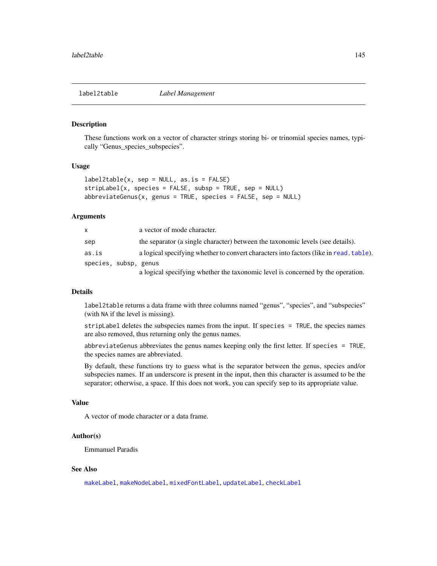<span id="page-144-0"></span>

These functions work on a vector of character strings storing bi- or trinomial species names, typically "Genus\_species\_subspecies".

#### Usage

```
label2table(x, sep = NULL, as.is = FALSE)stripLabel(x, species = FALSE, subsp = TRUE, sep = NULL)
abbreviateGenus(x, genus = TRUE, species = FALSE, sep = NULL)
```
#### Arguments

| x.                    | a vector of mode character.                                                            |
|-----------------------|----------------------------------------------------------------------------------------|
| sep                   | the separator (a single character) between the taxonomic levels (see details).         |
| as.is                 | a logical specifying whether to convert characters into factors (like in read, table). |
| species, subsp, genus |                                                                                        |
|                       | a logical specifying whether the taxonomic level is concerned by the operation.        |

#### Details

label2table returns a data frame with three columns named "genus", "species", and "subspecies" (with NA if the level is missing).

 $stripLabel$  deletes the subspecies names from the input. If species  $=$  TRUE, the species names are also removed, thus returning only the genus names.

abbreviateGenus abbreviates the genus names keeping only the first letter. If species = TRUE, the species names are abbreviated.

By default, these functions try to guess what is the separator between the genus, species and/or subspecies names. If an underscore is present in the input, then this character is assumed to be the separator; otherwise, a space. If this does not work, you can specify sep to its appropriate value.

#### Value

A vector of mode character or a data frame.

# Author(s)

Emmanuel Paradis

#### See Also

[makeLabel](#page-153-0), [makeNodeLabel](#page-154-0), [mixedFontLabel](#page-163-0), [updateLabel](#page-261-0), [checkLabel](#page-59-0)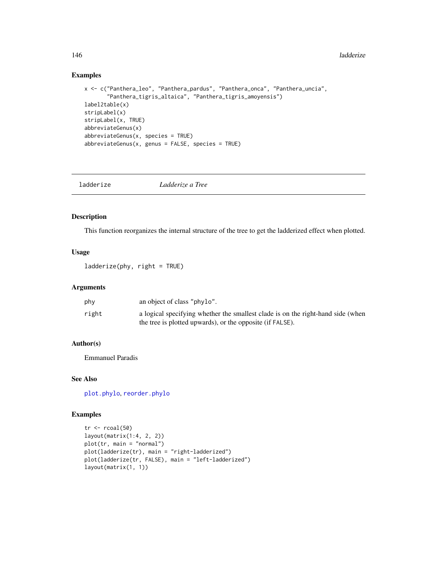#### Examples

```
x <- c("Panthera_leo", "Panthera_pardus", "Panthera_onca", "Panthera_uncia",
       "Panthera_tigris_altaica", "Panthera_tigris_amoyensis")
label2table(x)
stripLabel(x)
stripLabel(x, TRUE)
abbreviateGenus(x)
abbreviateGenus(x, species = TRUE)
abbreviateGenus(x, genus = FALSE, species = TRUE)
```
ladderize *Ladderize a Tree*

# Description

This function reorganizes the internal structure of the tree to get the ladderized effect when plotted.

#### Usage

ladderize(phy, right = TRUE)

## Arguments

| phy   | an object of class "phylo".                                                                                                                  |
|-------|----------------------------------------------------------------------------------------------------------------------------------------------|
| right | a logical specifying whether the smallest clade is on the right-hand side (when<br>the tree is plotted upwards), or the opposite (if FALSE). |

#### Author(s)

Emmanuel Paradis

#### See Also

[plot.phylo](#page-200-0), [reorder.phylo](#page-225-0)

```
tr < -r \text{coal}(50)layout(matrix(1:4, 2, 2))
plot(tr, main = "normal")
plot(ladderize(tr), main = "right-ladderized")
plot(ladderize(tr, FALSE), main = "left-ladderized")
layout(matrix(1, 1))
```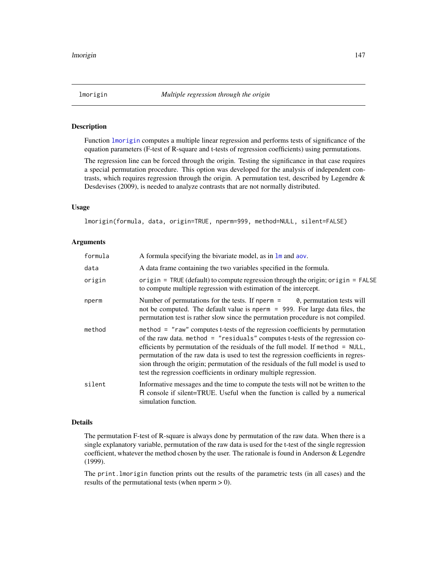<span id="page-146-0"></span>

Function [lmorigin](#page-146-0) computes a multiple linear regression and performs tests of significance of the equation parameters (F-test of R-square and t-tests of regression coefficients) using permutations.

The regression line can be forced through the origin. Testing the significance in that case requires a special permutation procedure. This option was developed for the analysis of independent contrasts, which requires regression through the origin. A permutation test, described by Legendre & Desdevises (2009), is needed to analyze contrasts that are not normally distributed.

#### Usage

lmorigin(formula, data, origin=TRUE, nperm=999, method=NULL, silent=FALSE)

#### Arguments

| formula | A formula specifying the bivariate model, as in $\text{Im}$ and aov.                                                                                                                                                                                                                                                                                                                                                                                                                                  |
|---------|-------------------------------------------------------------------------------------------------------------------------------------------------------------------------------------------------------------------------------------------------------------------------------------------------------------------------------------------------------------------------------------------------------------------------------------------------------------------------------------------------------|
| data    | A data frame containing the two variables specified in the formula.                                                                                                                                                                                                                                                                                                                                                                                                                                   |
| origin  | origin = TRUE (default) to compute regression through the origin; origin = FALSE<br>to compute multiple regression with estimation of the intercept.                                                                                                                                                                                                                                                                                                                                                  |
| nperm   | Number of permutations for the tests. If nperm $=$ 0, permutation tests will<br>not be computed. The default value is nperm = 999. For large data files, the<br>permutation test is rather slow since the permutation procedure is not compiled.                                                                                                                                                                                                                                                      |
| method  | method = "raw" computes t-tests of the regression coefficients by permutation<br>of the raw data. method $=$ "residuals" computes t-tests of the regression co-<br>efficients by permutation of the residuals of the full model. If method $=$ NULL,<br>permutation of the raw data is used to test the regression coefficients in regres-<br>sion through the origin; permutation of the residuals of the full model is used to<br>test the regression coefficients in ordinary multiple regression. |
| silent  | Informative messages and the time to compute the tests will not be written to the<br>R console if silent=TRUE. Useful when the function is called by a numerical<br>simulation function.                                                                                                                                                                                                                                                                                                              |

# Details

The permutation F-test of R-square is always done by permutation of the raw data. When there is a single explanatory variable, permutation of the raw data is used for the t-test of the single regression coefficient, whatever the method chosen by the user. The rationale is found in Anderson & Legendre (1999).

The print.lmorigin function prints out the results of the parametric tests (in all cases) and the results of the permutational tests (when nperm  $> 0$ ).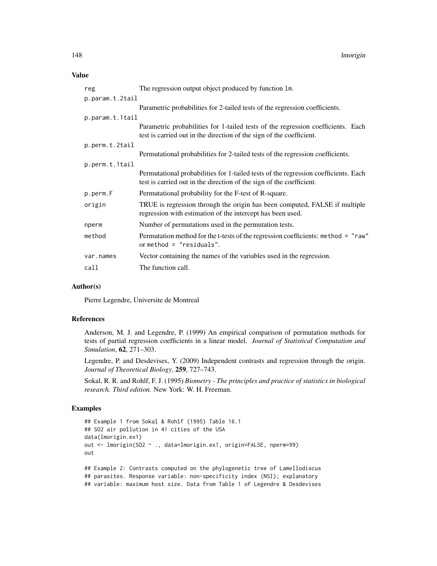## Value

| reg             | The regression output object produced by function 1m.                                                                                                       |
|-----------------|-------------------------------------------------------------------------------------------------------------------------------------------------------------|
| p.param.t.2tail |                                                                                                                                                             |
|                 | Parametric probabilities for 2-tailed tests of the regression coefficients.                                                                                 |
| p.param.t.1tail |                                                                                                                                                             |
|                 | Parametric probabilities for 1-tailed tests of the regression coefficients. Each<br>test is carried out in the direction of the sign of the coefficient.    |
| p.perm.t.2tail  |                                                                                                                                                             |
|                 | Permutational probabilities for 2-tailed tests of the regression coefficients.                                                                              |
| p.perm.t.1tail  |                                                                                                                                                             |
|                 | Permutational probabilities for 1-tailed tests of the regression coefficients. Each<br>test is carried out in the direction of the sign of the coefficient. |
| p.perm.F        | Permutational probability for the F-test of R-square.                                                                                                       |
| origin          | TRUE is regression through the origin has been computed, FALSE if multiple<br>regression with estimation of the intercept has been used.                    |
| nperm           | Number of permutations used in the permutation tests.                                                                                                       |
| method          | Permutation method for the t-tests of the regression coefficients: method = "raw"<br>or method $=$ "residuals".                                             |
| var.names       | Vector containing the names of the variables used in the regression.                                                                                        |
| call            | The function call.                                                                                                                                          |

## Author(s)

Pierre Legendre, Universite de Montreal

# References

Anderson, M. J. and Legendre, P. (1999) An empirical comparison of permutation methods for tests of partial regression coefficients in a linear model. *Journal of Statistical Computation and Simulation*, 62, 271–303.

Legendre, P. and Desdevises, Y. (2009) Independent contrasts and regression through the origin. *Journal of Theoretical Biology*, 259, 727–743.

Sokal, R. R. and Rohlf, F. J. (1995) *Biometry - The principles and practice of statistics in biological research. Third edition.* New York: W. H. Freeman.

#### Examples

```
## Example 1 from Sokal & Rohlf (1995) Table 16.1
## SO2 air pollution in 41 cities of the USA
data(lmorigin.ex1)
out <- lmorigin(SO2 ~ ., data=lmorigin.ex1, origin=FALSE, nperm=99)
out
## Example 2: Contrasts computed on the phylogenetic tree of Lamellodiscus
## parasites. Response variable: non-specificity index (NSI); explanatory
```
## variable: maximum host size. Data from Table 1 of Legendre & Desdevises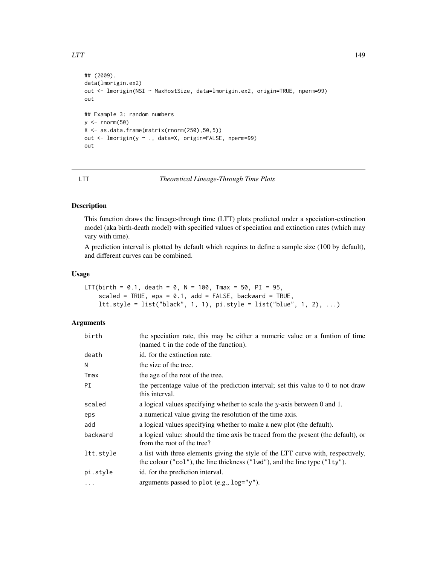```
## (2009).
data(lmorigin.ex2)
out <- lmorigin(NSI ~ MaxHostSize, data=lmorigin.ex2, origin=TRUE, nperm=99)
out
## Example 3: random numbers
y \le - rnorm(50)X \leftarrow as.data-frame(maxrix(rnorm(250),50,5))out <- lmorigin(y ~ ., data=X, origin=FALSE, nperm=99)
out
```
#### <span id="page-148-0"></span>LTT *Theoretical Lineage-Through Time Plots*

#### Description

This function draws the lineage-through time (LTT) plots predicted under a speciation-extinction model (aka birth-death model) with specified values of speciation and extinction rates (which may vary with time).

A prediction interval is plotted by default which requires to define a sample size (100 by default), and different curves can be combined.

## Usage

```
LTT(birth = 0.1, death = 0, N = 100, Tmax = 50, PI = 95,
    scaled = TRUE, eps = 0.1, add = FALSE, backward = TRUE,
    ltt.style = list("black", 1, 1), pi.style = list("blue", 1, 2), ...)
```
# Arguments

| birth     | the speciation rate, this may be either a numeric value or a funtion of time<br>(named t in the code of the function).                                         |
|-----------|----------------------------------------------------------------------------------------------------------------------------------------------------------------|
| death     | id. for the extinction rate.                                                                                                                                   |
| N         | the size of the tree.                                                                                                                                          |
| Tmax      | the age of the root of the tree.                                                                                                                               |
| PI        | the percentage value of the prediction interval; set this value to $0$ to not draw<br>this interval.                                                           |
| scaled    | a logical values specifying whether to scale the y-axis between 0 and 1.                                                                                       |
| eps       | a numerical value giving the resolution of the time axis.                                                                                                      |
| add       | a logical values specifying whether to make a new plot (the default).                                                                                          |
| backward  | a logical value: should the time axis be traced from the present (the default), or<br>from the root of the tree?                                               |
| ltt.style | a list with three elements giving the style of the LTT curve with, respectively,<br>the colour ("col"), the line thickness ("lwd"), and the line type ("lty"). |
| pi.style  | id. for the prediction interval.                                                                                                                               |
| $\cdots$  | arguments passed to plot (e.g., log="y").                                                                                                                      |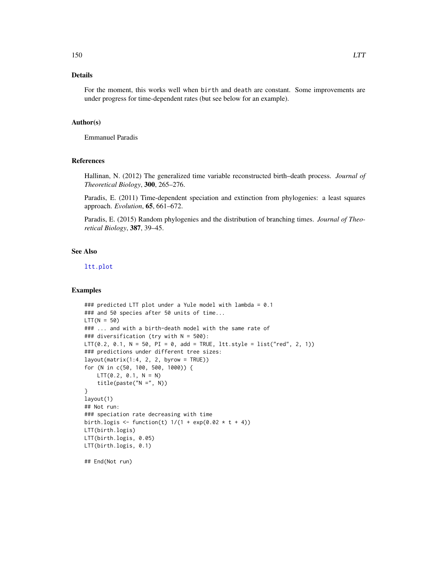# Details

For the moment, this works well when birth and death are constant. Some improvements are under progress for time-dependent rates (but see below for an example).

#### Author(s)

Emmanuel Paradis

## References

Hallinan, N. (2012) The generalized time variable reconstructed birth–death process. *Journal of Theoretical Biology*, 300, 265–276.

Paradis, E. (2011) Time-dependent speciation and extinction from phylogenies: a least squares approach. *Evolution*, 65, 661–672.

Paradis, E. (2015) Random phylogenies and the distribution of branching times. *Journal of Theoretical Biology*, 387, 39–45.

# See Also

[ltt.plot](#page-150-0)

# Examples

```
### predicted LTT plot under a Yule model with lambda = 0.1
### and 50 species after 50 units of time...
LTT(N = 50)### ... and with a birth-death model with the same rate of
### diversification (try with N = 500):
LTT(0.2, 0.1, N = 50, PI = 0, add = TRUE, ltt.style = list("red", 2, 1))
### predictions under different tree sizes:
layout(maxrix(1:4, 2, 2, byrow = TRUE))for (N in c(50, 100, 500, 1000)) {
   LTT(0.2, 0.1, N = N)title(paste("N =", N))
}
layout(1)
## Not run:
### speciation rate decreasing with time
birth.logis <- function(t) 1/(1 + \exp(0.02 + t + 4))LTT(birth.logis)
LTT(birth.logis, 0.05)
LTT(birth.logis, 0.1)
```
## End(Not run)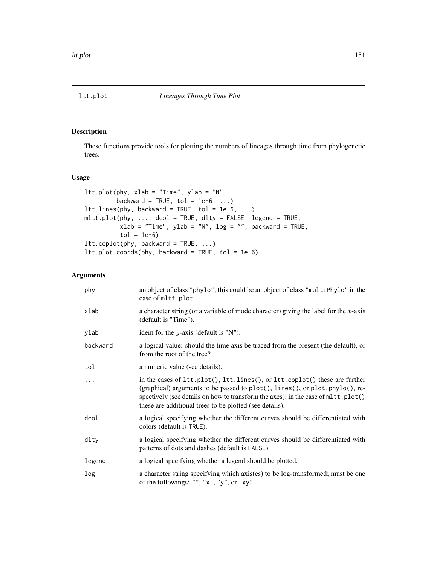<span id="page-150-0"></span>

These functions provide tools for plotting the numbers of lineages through time from phylogenetic trees.

## Usage

```
ltt.plot(phy, xlab = "Time", ylab = "N",
        backward = TRUE, tol = 1e-6, ...)
lttu.lines(phy, backward = TRUE, tol = 1e-6, ...)
mltt.plot(phy, ..., dcol = TRUE, dlty = FALSE, legend = TRUE,
          xlab = "Time", ylab = "N", log = "", backward = TRUE,
          tol = 1e-6ltt.coplot(phy, backward = TRUE, ...)
ltt.plot.coords(phy, backward = TRUE, tol = 1e-6)
```
# Arguments

| phy      | an object of class "phylo"; this could be an object of class "multiPhylo" in the<br>case of mltt.plot.                                                                                                                                                                                                    |
|----------|-----------------------------------------------------------------------------------------------------------------------------------------------------------------------------------------------------------------------------------------------------------------------------------------------------------|
| xlab     | a character string (or a variable of mode character) giving the label for the $x$ -axis<br>(default is "Time").                                                                                                                                                                                           |
| ylab     | idem for the $y$ -axis (default is "N").                                                                                                                                                                                                                                                                  |
| backward | a logical value: should the time axis be traced from the present (the default), or<br>from the root of the tree?                                                                                                                                                                                          |
| tol      | a numeric value (see details).                                                                                                                                                                                                                                                                            |
| $\ddots$ | in the cases of ltt.plot(), ltt.lines(), or ltt.coplot() these are further<br>(graphical) arguments to be passed to plot(), lines(), or plot.phylo(), re-<br>spectively (see details on how to transform the axes); in the case of mltt.plot()<br>these are additional trees to be plotted (see details). |
| dcol     | a logical specifying whether the different curves should be differentiated with<br>colors (default is TRUE).                                                                                                                                                                                              |
| dlty     | a logical specifying whether the different curves should be differentiated with<br>patterns of dots and dashes (default is FALSE).                                                                                                                                                                        |
| legend   | a logical specifying whether a legend should be plotted.                                                                                                                                                                                                                                                  |
| log      | a character string specifying which axis(es) to be log-transformed; must be one<br>of the followings: "", "x", "y", or "xy".                                                                                                                                                                              |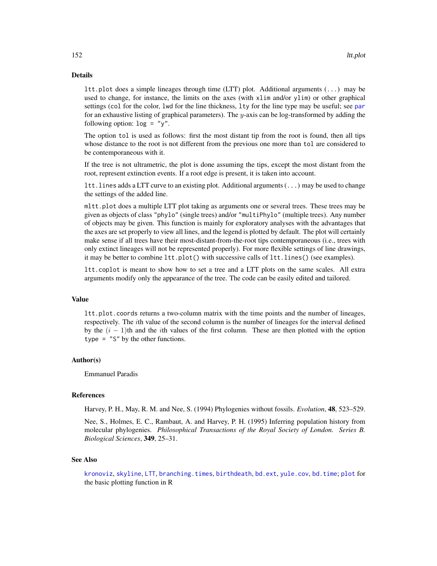## Details

ltt.plot does a simple lineages through time (LTT) plot. Additional arguments (...) may be used to change, for instance, the limits on the axes (with xlim and/or ylim) or other graphical settings (col for the color, lwd for the line thickness, lty for the line type may be useful; see [par](#page-0-0) for an exhaustive listing of graphical parameters). The y-axis can be log-transformed by adding the following option:  $log = "y".$ 

The option tol is used as follows: first the most distant tip from the root is found, then all tips whose distance to the root is not different from the previous one more than tol are considered to be contemporaneous with it.

If the tree is not ultrametric, the plot is done assuming the tips, except the most distant from the root, represent extinction events. If a root edge is present, it is taken into account.

ltt.lines adds a LTT curve to an existing plot. Additional arguments (...) may be used to change the settings of the added line.

mltt.plot does a multiple LTT plot taking as arguments one or several trees. These trees may be given as objects of class "phylo" (single trees) and/or "multiPhylo" (multiple trees). Any number of objects may be given. This function is mainly for exploratory analyses with the advantages that the axes are set properly to view all lines, and the legend is plotted by default. The plot will certainly make sense if all trees have their most-distant-from-the-root tips contemporaneous (i.e., trees with only extinct lineages will not be represented properly). For more flexible settings of line drawings, it may be better to combine ltt.plot() with successive calls of ltt.lines() (see examples).

ltt.coplot is meant to show how to set a tree and a LTT plots on the same scales. All extra arguments modify only the appearance of the tree. The code can be easily edited and tailored.

#### Value

ltt.plot.coords returns a two-column matrix with the time points and the number of lineages, respectively. The ith value of the second column is the number of lineages for the interval defined by the  $(i - 1)$ th and the *i*th values of the first column. These are then plotted with the option type  $=$  "S" by the other functions.

#### Author(s)

Emmanuel Paradis

#### References

Harvey, P. H., May, R. M. and Nee, S. (1994) Phylogenies without fossils. *Evolution*, 48, 523–529.

Nee, S., Holmes, E. C., Rambaut, A. and Harvey, P. H. (1995) Inferring population history from molecular phylogenies. *Philosophical Transactions of the Royal Society of London. Series B. Biological Sciences*, 349, 25–31.

#### See Also

[kronoviz](#page-143-0), [skyline](#page-244-0), [LTT](#page-148-0), [branching.times](#page-51-0), [birthdeath](#page-46-0), [bd.ext](#page-32-0), [yule.cov](#page-277-0), [bd.time](#page-33-0); [plot](#page-0-0) for the basic plotting function in R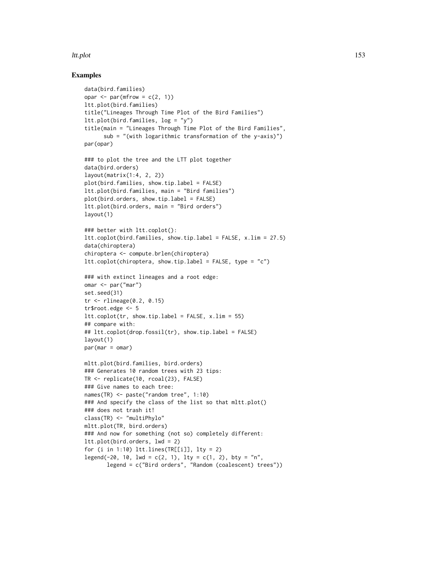#### ltt.plot the contract of the contract of the contract of the contract of the contract of the contract of the contract of the contract of the contract of the contract of the contract of the contract of the contract of the c

```
data(bird.families)
opar \leq par(mfrow = c(2, 1))
ltt.plot(bird.families)
title("Lineages Through Time Plot of the Bird Families")
ltt.plot(bird.families, log = "y")
title(main = "Lineages Through Time Plot of the Bird Families",
      sub = "(with logarithmic transformation of the y-axis)")
par(opar)
### to plot the tree and the LTT plot together
data(bird.orders)
layout(matrix(1:4, 2, 2))
plot(bird.families, show.tip.label = FALSE)
ltt.plot(bird.families, main = "Bird families")
plot(bird.orders, show.tip.label = FALSE)
ltt.plot(bird.orders, main = "Bird orders")
layout(1)
### better with ltt.coplot():
ltt.coplot(bird.families, show.tip.label = FALSE, x.lim = 27.5)
data(chiroptera)
chiroptera <- compute.brlen(chiroptera)
ltt.coplot(chiroptera, show.tip.label = FALSE, type = "c")
### with extinct lineages and a root edge:
omar <- par("mar")
set.seed(31)
tr <- rlineage(0.2, 0.15)
tr$root.edge <- 5
ltt.coplot(tr, show.tip.label = FALSE, x.lim = 55)
## compare with:
## ltt.coplot(drop.fossil(tr), show.tip.label = FALSE)
layout(1)
par(mar = omar)
mltt.plot(bird.families, bird.orders)
### Generates 10 random trees with 23 tips:
TR <- replicate(10, rcoal(23), FALSE)
### Give names to each tree:
names(TR) <- paste("random tree", 1:10)
### And specify the class of the list so that mltt.plot()
### does not trash it!
class(TR) <- "multiPhylo"
mltt.plot(TR, bird.orders)
### And now for something (not so) completely different:
ltt.plot(bird.orders, lwd = 2)
for (i in 1:10) lttu.lines(TR[[i]], lty = 2)
legend(-20, 10, lwd = c(2, 1), lty = c(1, 2), bty = "n",
       legend = c("Bird orders", "Random (coalescent) trees"))
```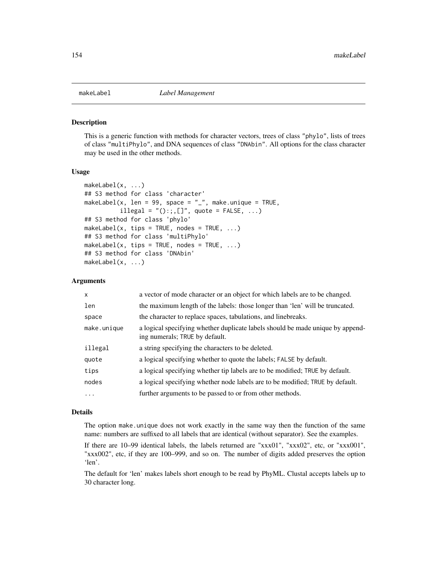<span id="page-153-0"></span>

This is a generic function with methods for character vectors, trees of class "phylo", lists of trees of class "multiPhylo", and DNA sequences of class "DNAbin". All options for the class character may be used in the other methods.

#### Usage

```
makeLabel(x, ...)## S3 method for class 'character'
makeLabel(x, len = 99, space = "_", make.unique = TRUE,
          illegal = "():;,[]", quote = FALSE, ...)
## S3 method for class 'phylo'
makeLabel(x, tips = TRUE, nodes = TRUE, \dots)
## S3 method for class 'multiPhylo'
makeLabel(x, tips = TRUE, nodes = TRUE, \ldots)
## S3 method for class 'DNAbin'
makeLabel(x, ...)
```
### Arguments

| $\mathsf{x}$ | a vector of mode character or an object for which labels are to be changed.                                      |
|--------------|------------------------------------------------------------------------------------------------------------------|
| len          | the maximum length of the labels: those longer than 'len' will be truncated.                                     |
| space        | the character to replace spaces, tabulations, and linebreaks.                                                    |
| make.unique  | a logical specifying whether duplicate labels should be made unique by append-<br>ing numerals; TRUE by default. |
| illegal      | a string specifying the characters to be deleted.                                                                |
| quote        | a logical specifying whether to quote the labels; FALSE by default.                                              |
| tips         | a logical specifying whether tip labels are to be modified; TRUE by default.                                     |
| nodes        | a logical specifying whether node labels are to be modified; TRUE by default.                                    |
| .            | further arguments to be passed to or from other methods.                                                         |

#### Details

The option make.unique does not work exactly in the same way then the function of the same name: numbers are suffixed to all labels that are identical (without separator). See the examples.

If there are 10–99 identical labels, the labels returned are "xxx01", "xxx02", etc, or "xxx001", "xxx002", etc, if they are 100–999, and so on. The number of digits added preserves the option 'len'.

The default for 'len' makes labels short enough to be read by PhyML. Clustal accepts labels up to 30 character long.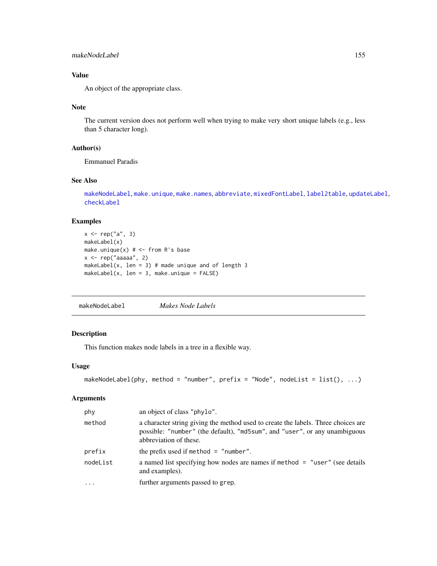## makeNodeLabel 155

# Value

An object of the appropriate class.

#### Note

The current version does not perform well when trying to make very short unique labels (e.g., less than 5 character long).

#### Author(s)

Emmanuel Paradis

# See Also

[makeNodeLabel](#page-154-0), [make.unique](#page-0-0), [make.names](#page-0-0), [abbreviate](#page-0-0), [mixedFontLabel](#page-163-0), [label2table](#page-144-0), [updateLabel](#page-261-0), [checkLabel](#page-59-0)

# Examples

```
x \leq - rep("a", 3)makeLabel(x)
make.unique(x) # <- from R's base
x \leftarrow rep("aaaa", 2)makeLabel(x, len = 3) # made unique and of length 3
makeLabel(x, len = 3, make.unique = FALSE)
```
<span id="page-154-0"></span>makeNodeLabel *Makes Node Labels*

# Description

This function makes node labels in a tree in a flexible way.

## Usage

```
makeNodeLabel(phy, method = "number", prefix = "Node", nodeList = list(), ...)
```
# Arguments

| phy      | an object of class "phylo".                                                                                                                                                               |
|----------|-------------------------------------------------------------------------------------------------------------------------------------------------------------------------------------------|
| method   | a character string giving the method used to create the labels. Three choices are<br>possible: "number" (the default), "md5sum", and "user", or any unambiguous<br>abbreviation of these. |
| prefix   | the prefix used if method $=$ "number".                                                                                                                                                   |
| nodeList | a named list specifying how nodes are names if method $=$ "user" (see details<br>and examples).                                                                                           |
|          | further arguments passed to grep.                                                                                                                                                         |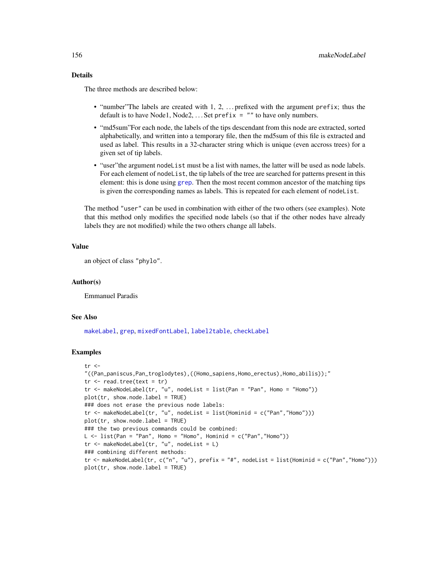# Details

The three methods are described below:

- "number"The labels are created with 1, 2, ... prefixed with the argument prefix; thus the default is to have Node1, Node2,  $\dots$  Set prefix = "" to have only numbers.
- "md5sum"For each node, the labels of the tips descendant from this node are extracted, sorted alphabetically, and written into a temporary file, then the md5sum of this file is extracted and used as label. This results in a 32-character string which is unique (even accross trees) for a given set of tip labels.
- "user"the argument nodeList must be a list with names, the latter will be used as node labels. For each element of nodeList, the tip labels of the tree are searched for patterns present in this element: this is done using [grep](#page-0-0). Then the most recent common ancestor of the matching tips is given the corresponding names as labels. This is repeated for each element of nodeList.

The method "user" can be used in combination with either of the two others (see examples). Note that this method only modifies the specified node labels (so that if the other nodes have already labels they are not modified) while the two others change all labels.

#### Value

an object of class "phylo".

## Author(s)

Emmanuel Paradis

#### See Also

[makeLabel](#page-153-0), [grep](#page-0-0), [mixedFontLabel](#page-163-0), [label2table](#page-144-0), [checkLabel](#page-59-0)

```
tr <-
"((Pan_paniscus,Pan_troglodytes),((Homo_sapiens,Homo_erectus),Homo_abilis));"
tr < - read.tree(text = tr)
tr <- makeNodeLabel(tr, "u", nodeList = list(Pan = "Pan", Homo = "Homo"))
plot(tr, show.node.label = TRUE)
### does not erase the previous node labels:
tr <- makeNodeLabel(tr, "u", nodeList = list(Hominid = c("Pan","Homo")))
plot(tr, show.node.label = TRUE)
### the two previous commands could be combined:
L \le - list(Pan = "Pan", Homo = "Homo", Hominid = c("Pan", "Home"))
tr <- makeNodeLabel(tr, "u", nodeList = L)
### combining different methods:
tr <- makeNodeLabel(tr, c("n", "u"), prefix = "#", nodeList = list(Hominid = c("Pan","Homo")))
plot(tr, show.node.label = TRUE)
```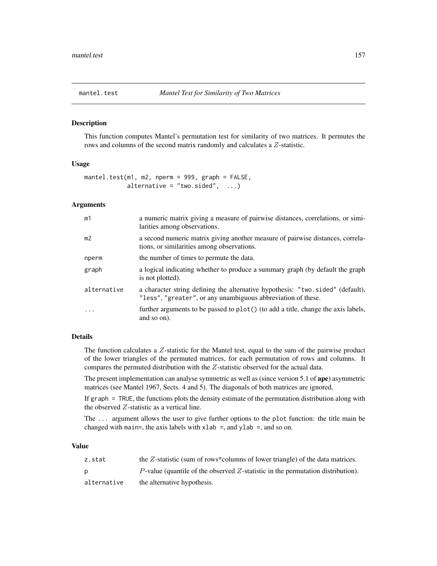This function computes Mantel's permutation test for similarity of two matrices. It permutes the rows and columns of the second matrix randomly and calculates a Z-statistic.

#### Usage

```
mantel.test(m1, m2, nperm = 999, graph = FALSE,
            alternative = "two.sided", \ldots)
```
# Arguments

| m1             | a numeric matrix giving a measure of pairwise distances, correlations, or simi-<br>larities among observations.                                |
|----------------|------------------------------------------------------------------------------------------------------------------------------------------------|
| m <sub>2</sub> | a second numeric matrix giving another measure of pairwise distances, correla-<br>tions, or similarities among observations.                   |
| nperm          | the number of times to permute the data.                                                                                                       |
| graph          | a logical indicating whether to produce a summary graph (by default the graph<br>is not plotted).                                              |
| alternative    | a character string defining the alternative hypothesis: "two.sided" (default),<br>"less", "greater", or any unambiguous abbreviation of these. |
| .              | further arguments to be passed to plot() (to add a title, change the axis labels,<br>and so on).                                               |

# Details

The function calculates a Z-statistic for the Mantel test, equal to the sum of the pairwise product of the lower triangles of the permuted matrices, for each permutation of rows and columns. It compares the permuted distribution with the Z-statistic observed for the actual data.

The present implementation can analyse symmetric as well as (since version 5.1 of ape) asymmetric matrices (see Mantel 1967, Sects. 4 and 5). The diagonals of both matrices are ignored.

If graph = TRUE, the functions plots the density estimate of the permutation distribution along with the observed Z-statistic as a vertical line.

The ... argument allows the user to give further options to the plot function: the title main be changed with main=, the axis labels with  $x$ lab =, and  $y$ lab =, and so on.

# Value

| z.stat      | the $Z$ -statistic (sum of rows*columns of lower triangle) of the data matrices. |
|-------------|----------------------------------------------------------------------------------|
|             | P-value (quantile of the observed Z-statistic in the permutation distribution).  |
| alternative | the alternative hypothesis.                                                      |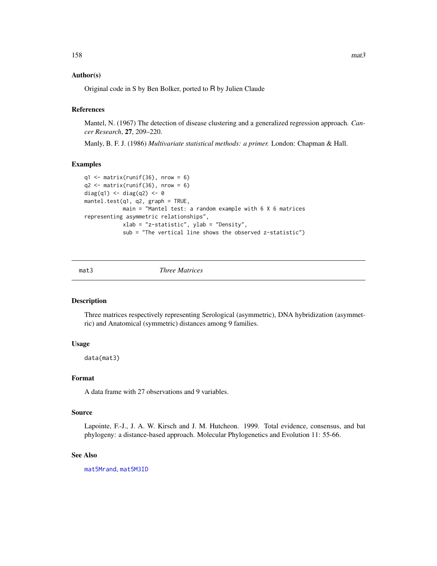#### Author(s)

Original code in S by Ben Bolker, ported to R by Julien Claude

#### References

Mantel, N. (1967) The detection of disease clustering and a generalized regression approach. *Cancer Research*, 27, 209–220.

Manly, B. F. J. (1986) *Multivariate statistical methods: a primer.* London: Chapman & Hall.

#### Examples

```
q1 \leq - matrix(runif(36), nrow = 6)
q2 \leq - matrix(runif(36), nrow = 6)
diag(q1) \leftarrow diag(q2) \leftarrow \emptysetmantel.test(q1, q2, graph = TRUE,
             main = "Mantel test: a random example with 6 X 6 matrices
representing asymmetric relationships",
             xlab = "z-statistic", ylab = "Density",
             sub = "The vertical line shows the observed z-statistic")
```
<span id="page-157-0"></span>mat3 *Three Matrices*

#### Description

Three matrices respectively representing Serological (asymmetric), DNA hybridization (asymmetric) and Anatomical (symmetric) distances among 9 families.

## Usage

data(mat3)

#### Format

A data frame with 27 observations and 9 variables.

#### Source

Lapointe, F.-J., J. A. W. Kirsch and J. M. Hutcheon. 1999. Total evidence, consensus, and bat phylogeny: a distance-based approach. Molecular Phylogenetics and Evolution 11: 55-66.

## See Also

[mat5Mrand](#page-158-0), [mat5M3ID](#page-158-1)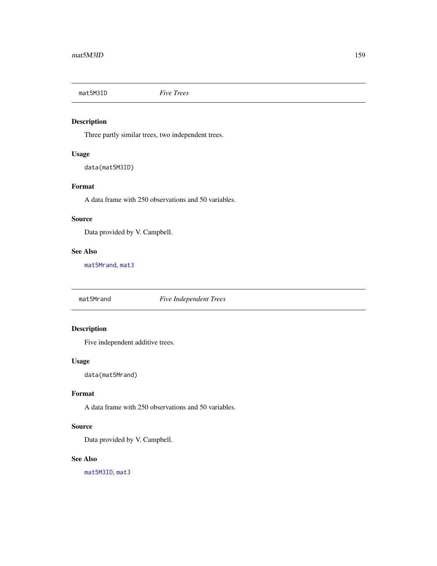<span id="page-158-1"></span>

Three partly similar trees, two independent trees.

## Usage

data(mat5M3ID)

# Format

A data frame with 250 observations and 50 variables.

#### Source

Data provided by V. Campbell.

## See Also

[mat5Mrand](#page-158-0), [mat3](#page-157-0)

<span id="page-158-0"></span>mat5Mrand *Five Independent Trees*

# Description

Five independent additive trees.

# Usage

data(mat5Mrand)

# Format

A data frame with 250 observations and 50 variables.

## Source

Data provided by V. Campbell.

### See Also

[mat5M3ID](#page-158-1), [mat3](#page-157-0)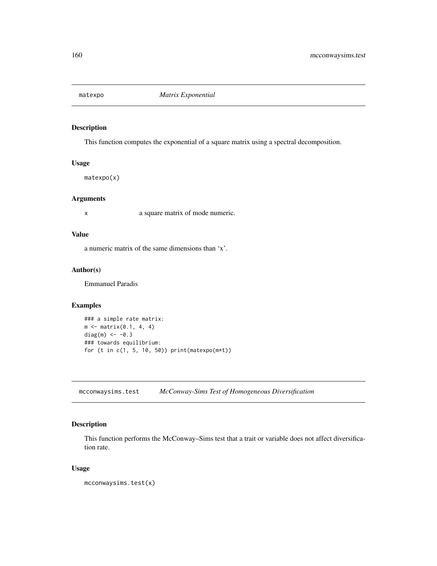This function computes the exponential of a square matrix using a spectral decomposition.

## Usage

matexpo(x)

# Arguments

x a square matrix of mode numeric.

## Value

a numeric matrix of the same dimensions than 'x'.

#### Author(s)

Emmanuel Paradis

# Examples

```
### a simple rate matrix:
m \leq - matrix(0.1, 4, 4)
diag(m) <- -0.3### towards equilibrium:
for (t in c(1, 5, 10, 50)) print(matexpo(m*t))
```
mcconwaysims.test *McConway-Sims Test of Homogeneous Diversification*

# Description

This function performs the McConway–Sims test that a trait or variable does not affect diversification rate.

# Usage

mcconwaysims.test(x)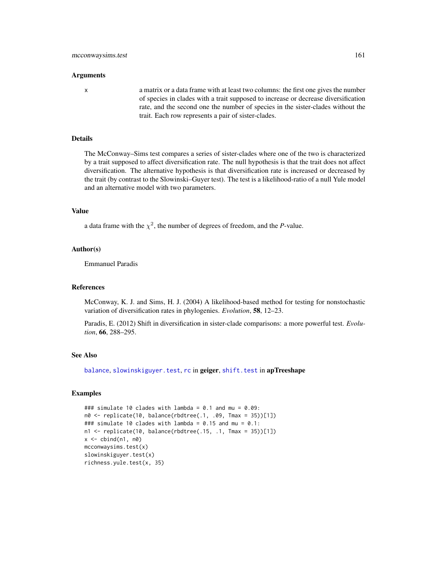#### Arguments

x a matrix or a data frame with at least two columns: the first one gives the number of species in clades with a trait supposed to increase or decrease diversification rate, and the second one the number of species in the sister-clades without the trait. Each row represents a pair of sister-clades.

# Details

The McConway–Sims test compares a series of sister-clades where one of the two is characterized by a trait supposed to affect diversification rate. The null hypothesis is that the trait does not affect diversification. The alternative hypothesis is that diversification rate is increased or decreased by the trait (by contrast to the Slowinski–Guyer test). The test is a likelihood-ratio of a null Yule model and an alternative model with two parameters.

#### Value

a data frame with the  $\chi^2$ , the number of degrees of freedom, and the *P*-value.

#### Author(s)

Emmanuel Paradis

## References

McConway, K. J. and Sims, H. J. (2004) A likelihood-based method for testing for nonstochastic variation of diversification rates in phylogenies. *Evolution*, 58, 12–23.

Paradis, E. (2012) Shift in diversification in sister-clade comparisons: a more powerful test. *Evolution*, 66, 288–295.

#### See Also

[balance](#page-30-0), [slowinskiguyer.test](#page-248-0), [rc](#page-0-0) in geiger, [shift.test](#page-0-0) in apTreeshape

```
### simulate 10 clades with lambda = 0.1 and mu = 0.09:
n0 <- replicate(10, balance(rbdtree(.1, .09, Tmax = 35))[1])
### simulate 10 clades with lambda = 0.15 and mu = 0.1:
n1 <- replicate(10, balance(rbdtree(.15, .1, Tmax = 35))[1])
x \le cbind(n1, n0)
mcconwaysims.test(x)
slowinskiguyer.test(x)
richness.yule.test(x, 35)
```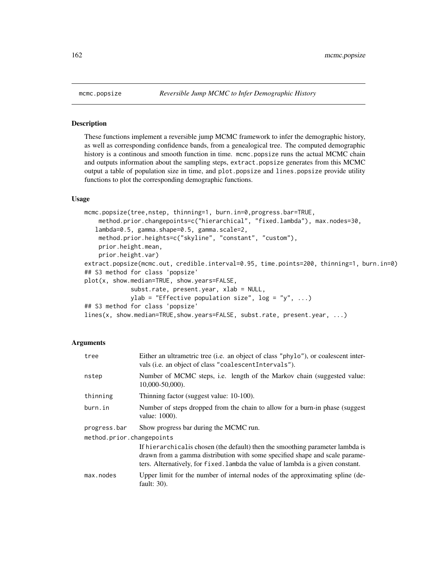These functions implement a reversible jump MCMC framework to infer the demographic history, as well as corresponding confidence bands, from a genealogical tree. The computed demographic history is a continous and smooth function in time. mcmc.popsize runs the actual MCMC chain and outputs information about the sampling steps, extract.popsize generates from this MCMC output a table of population size in time, and plot.popsize and lines.popsize provide utility functions to plot the corresponding demographic functions.

## Usage

```
mcmc.popsize(tree,nstep, thinning=1, burn.in=0,progress.bar=TRUE,
   method.prior.changepoints=c("hierarchical", "fixed.lambda"), max.nodes=30,
   lambda=0.5, gamma.shape=0.5, gamma.scale=2,
   method.prior.heights=c("skyline", "constant", "custom"),
   prior.height.mean,
   prior.height.var)
extract.popsize(mcmc.out, credible.interval=0.95, time.points=200, thinning=1, burn.in=0)
## S3 method for class 'popsize'
plot(x, show.median=TRUE, show.years=FALSE,
             subst.rate, present.year, xlab = NULL,
             ylab = "Effective population size", log = "y", ...)
## S3 method for class 'popsize'
lines(x, show.median=TRUE,show.years=FALSE, subst.rate, present.year, ...)
```
#### Arguments

| tree                                      | Either an ultrametric tree (i.e. an object of class "phylo"), or coalescent inter-<br>vals (i.e. an object of class "coalescentIntervals").                                                                                                      |
|-------------------------------------------|--------------------------------------------------------------------------------------------------------------------------------------------------------------------------------------------------------------------------------------------------|
| nstep                                     | Number of MCMC steps, i.e. length of the Markov chain (suggested value:<br>$10,000 - 50,000$ ).                                                                                                                                                  |
| thinning                                  | Thinning factor (suggest value: 10-100).                                                                                                                                                                                                         |
| burn.in                                   | Number of steps dropped from the chain to allow for a burn-in phase (suggest<br>value: 1000).                                                                                                                                                    |
| progress.bar<br>method.prior.changepoints | Show progress bar during the MCMC run.                                                                                                                                                                                                           |
|                                           | If hierarchical is chosen (the default) then the smoothing parameter lambda is<br>drawn from a gamma distribution with some specified shape and scale parame-<br>ters. Alternatively, for fixed. Lambda the value of lambda is a given constant. |
| max.nodes                                 | Upper limit for the number of internal nodes of the approximating spline (de-<br>fault: $30$ ).                                                                                                                                                  |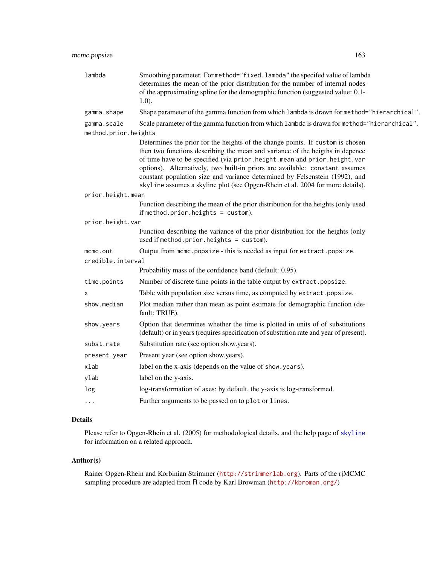| lambda               | Smoothing parameter. For method="fixed.lambda" the specifed value of lambda<br>determines the mean of the prior distribution for the number of internal nodes<br>of the approximating spline for the demographic function (suggested value: 0.1-<br>$1.0$ ). |
|----------------------|--------------------------------------------------------------------------------------------------------------------------------------------------------------------------------------------------------------------------------------------------------------|
| gamma.shape          | Shape parameter of the gamma function from which lambda is drawn for method="hierarchical".                                                                                                                                                                  |
| gamma.scale          | Scale parameter of the gamma function from which lambda is drawn for method="hierarchical".                                                                                                                                                                  |
| method.prior.heights |                                                                                                                                                                                                                                                              |
|                      | Determines the prior for the heights of the change points. If custom is chosen                                                                                                                                                                               |
|                      | then two functions describing the mean and variance of the heigths in depence<br>of time have to be specified (via prior.height.mean and prior.height.var                                                                                                    |
|                      | options). Alternatively, two built-in priors are available: constant assumes                                                                                                                                                                                 |
|                      | constant population size and variance determined by Felsenstein (1992), and                                                                                                                                                                                  |
|                      | skyline assumes a skyline plot (see Opgen-Rhein et al. 2004 for more details).                                                                                                                                                                               |
| prior.height.mean    |                                                                                                                                                                                                                                                              |
|                      | Function describing the mean of the prior distribution for the heights (only used<br>if method.prior.heights = $\text{custom}$ ).                                                                                                                            |
| prior.height.var     |                                                                                                                                                                                                                                                              |
|                      | Function describing the variance of the prior distribution for the heights (only<br>used if method.prior.heights = $\text{custom}$ ).                                                                                                                        |
| mcmc.out             | Output from mcmc.popsize - this is needed as input for extract.popsize.                                                                                                                                                                                      |
| credible.interval    |                                                                                                                                                                                                                                                              |
|                      | Probability mass of the confidence band (default: 0.95).                                                                                                                                                                                                     |
| time.points          | Number of discrete time points in the table output by extract.popsize.                                                                                                                                                                                       |
| х                    | Table with population size versus time, as computed by extract.popsize.                                                                                                                                                                                      |
| show.median          | Plot median rather than mean as point estimate for demographic function (de-<br>fault: TRUE).                                                                                                                                                                |
| show.years           | Option that determines whether the time is plotted in units of of substitutions<br>(default) or in years (requires specification of substution rate and year of present).                                                                                    |
| subst.rate           | Substitution rate (see option show.years).                                                                                                                                                                                                                   |
| present.year         | Present year (see option show.years).                                                                                                                                                                                                                        |
| xlab                 | label on the x-axis (depends on the value of show.years).                                                                                                                                                                                                    |
| ylab                 | label on the y-axis.                                                                                                                                                                                                                                         |
| log                  | log-transformation of axes; by default, the y-axis is log-transformed.                                                                                                                                                                                       |
| $\cdots$             | Further arguments to be passed on to plot or lines.                                                                                                                                                                                                          |

## Details

Please refer to Opgen-Rhein et al. (2005) for methodological details, and the help page of [skyline](#page-244-0) for information on a related approach.

# Author(s)

Rainer Opgen-Rhein and Korbinian Strimmer (<http://strimmerlab.org>). Parts of the rjMCMC sampling procedure are adapted from R code by Karl Browman (<http://kbroman.org/>)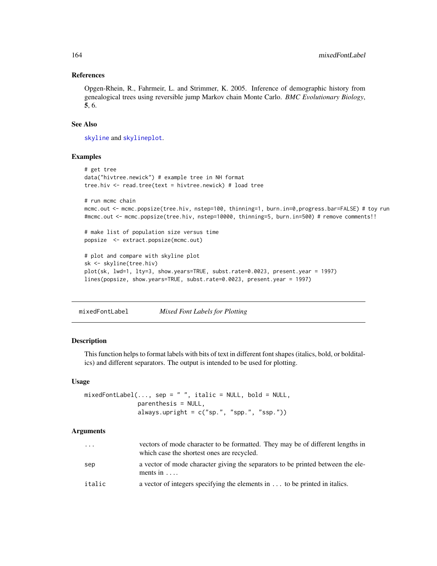## References

Opgen-Rhein, R., Fahrmeir, L. and Strimmer, K. 2005. Inference of demographic history from genealogical trees using reversible jump Markov chain Monte Carlo. *BMC Evolutionary Biology*, 5, 6.

#### See Also

[skyline](#page-244-0) and [skylineplot](#page-246-0).

# Examples

```
# get tree
data("hivtree.newick") # example tree in NH format
tree.hiv <- read.tree(text = hivtree.newick) # load tree
# run mcmc chain
mcmc.out <- mcmc.popsize(tree.hiv, nstep=100, thinning=1, burn.in=0,progress.bar=FALSE) # toy run
#mcmc.out <- mcmc.popsize(tree.hiv, nstep=10000, thinning=5, burn.in=500) # remove comments!!
# make list of population size versus time
popsize <- extract.popsize(mcmc.out)
# plot and compare with skyline plot
sk <- skyline(tree.hiv)
plot(sk, lwd=1, lty=3, show.years=TRUE, subst.rate=0.0023, present.year = 1997)
lines(popsize, show.years=TRUE, subst.rate=0.0023, present.year = 1997)
```
<span id="page-163-0"></span>mixedFontLabel *Mixed Font Labels for Plotting*

#### Description

This function helps to format labels with bits of text in different font shapes (italics, bold, or bolditalics) and different separators. The output is intended to be used for plotting.

## Usage

```
mixedFontLabel(..., sep = " ", italic = NULL, bold = NULL,parenthesis = NULL,
               always.upright = c("sp.", "spp.", "ssp."))
```
#### **Arguments**

| .      | vectors of mode character to be formatted. They may be of different lengths in<br>which case the shortest ones are recycled. |
|--------|------------------------------------------------------------------------------------------------------------------------------|
| sep    | a vector of mode character giving the separators to be printed between the ele-<br>ments in $\dots$                          |
| italic | a vector of integers specifying the elements in $\dots$ to be printed in italics.                                            |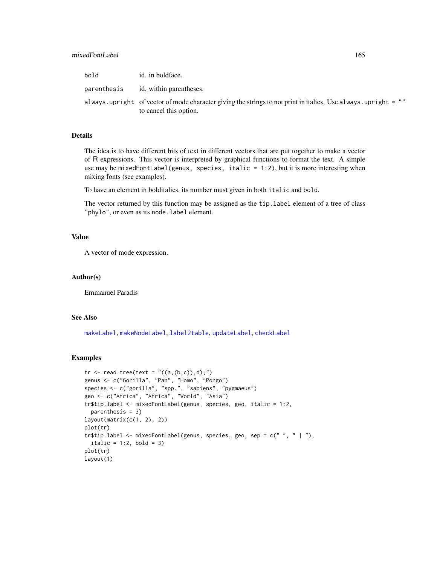| bold        | id. in boldface.                                                                                                                           |
|-------------|--------------------------------------------------------------------------------------------------------------------------------------------|
| parenthesis | id. within parentheses.                                                                                                                    |
|             | always, upright of vector of mode character giving the strings to not print in italics. Use always, upright = ""<br>to cancel this option. |

### Details

The idea is to have different bits of text in different vectors that are put together to make a vector of R expressions. This vector is interpreted by graphical functions to format the text. A simple use may be mixedFontLabel(genus, species, italic =  $1:2$ ), but it is more interesting when mixing fonts (see examples).

To have an element in bolditalics, its number must given in both italic and bold.

The vector returned by this function may be assigned as the tip.label element of a tree of class "phylo", or even as its node. label element.

#### Value

A vector of mode expression.

#### Author(s)

Emmanuel Paradis

# See Also

[makeLabel](#page-153-0), [makeNodeLabel](#page-154-0), [label2table](#page-144-0), [updateLabel](#page-261-0), [checkLabel](#page-59-0)

```
tr < - read.tree(text = "((a,(b,c)),d);")
genus <- c("Gorilla", "Pan", "Homo", "Pongo")
species <- c("gorilla", "spp.", "sapiens", "pygmaeus")
geo <- c("Africa", "Africa", "World", "Asia")
tr$tip.label <- mixedFontLabel(genus, species, geo, italic = 1:2,
  parenthesis = 3)
layout(matrix(c(1, 2), 2))
plot(tr)
tr$tip.label <- mixedFontLabel(genus, species, geo, sep = c(" ", " | "),
  italic = 1:2, bold = 3)plot(tr)
layout(1)
```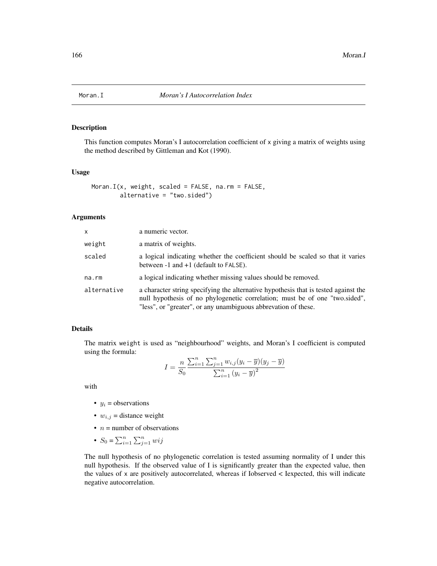This function computes Moran's I autocorrelation coefficient of x giving a matrix of weights using the method described by Gittleman and Kot (1990).

## Usage

```
Moran.I(x, weight, scaled = FALSE, na.rm = FALSE,
        alternative = "two.sided")
```
#### Arguments

| X           | a numeric vector.                                                                                                                                                                                                                    |
|-------------|--------------------------------------------------------------------------------------------------------------------------------------------------------------------------------------------------------------------------------------|
| weight      | a matrix of weights.                                                                                                                                                                                                                 |
| scaled      | a logical indicating whether the coefficient should be scaled so that it varies<br>between $-1$ and $+1$ (default to FALSE).                                                                                                         |
| na.rm       | a logical indicating whether missing values should be removed.                                                                                                                                                                       |
| alternative | a character string specifying the alternative hypothesis that is tested against the<br>null hypothesis of no phylogenetic correlation; must be of one "two.sided",<br>"less", or "greater", or any unambiguous abbrevation of these. |

#### Details

The matrix weight is used as "neighbourhood" weights, and Moran's I coefficient is computed using the formula:

$$
I = \frac{n}{S_0} \frac{\sum_{i=1}^{n} \sum_{j=1}^{n} w_{i,j} (y_i - \overline{y})(y_j - \overline{y})}{\sum_{i=1}^{n} (y_i - \overline{y})^2}
$$

with

- $y_i$  = observations
- $w_{i,j}$  = distance weight
- $n =$  number of observations
- $S_0 = \sum_{i=1}^n \sum_{j=1}^n wij$

The null hypothesis of no phylogenetic correlation is tested assuming normality of I under this null hypothesis. If the observed value of I is significantly greater than the expected value, then the values of x are positively autocorrelated, whereas if Iobserved < Iexpected, this will indicate negative autocorrelation.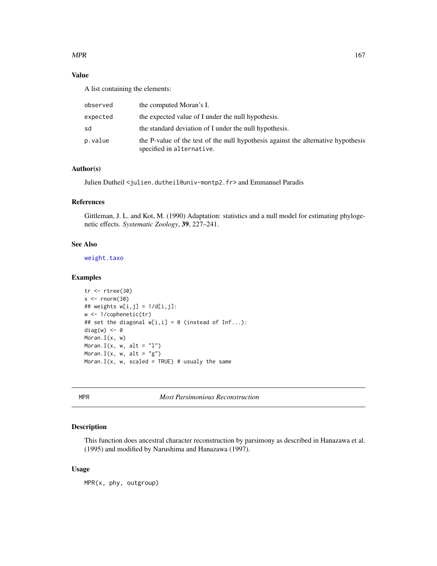## $MPR$  and the set of the set of the set of the set of the set of the set of the set of the set of the set of the set of the set of the set of the set of the set of the set of the set of the set of the set of the set of the

# Value

A list containing the elements:

| observed | the computed Moran's I.                                                                                        |
|----------|----------------------------------------------------------------------------------------------------------------|
| expected | the expected value of I under the null hypothesis.                                                             |
| sd       | the standard deviation of I under the null hypothesis.                                                         |
| p.value  | the P-value of the test of the null hypothesis against the alternative hypothesis<br>specified in alternative. |

# Author(s)

Julien Dutheil <julien.dutheil@univ-montp2.fr> and Emmanuel Paradis

# References

Gittleman, J. L. and Kot, M. (1990) Adaptation: statistics and a null model for estimating phylogenetic effects. *Systematic Zoology*, 39, 227–241.

# See Also

[weight.taxo](#page-267-0)

#### Examples

```
tr <- rtree(30)
x < - rnorm(30)
## weights w[i,j] = 1/d[i,j]:
w <- 1/cophenetic(tr)
## set the diagonal w[i, i] = 0 (instead of Inf...):
diag(w) <- 0
Moran.I(x, w)
Moran.I(x, w, alt = "l")
Moran.I(x, w, alt = "g")
Moran.I(x, w, scaled = TRUE) # usualy the same
```
MPR *Most Parsimonious Reconstruction*

## Description

This function does ancestral character reconstruction by parsimony as described in Hanazawa et al. (1995) and modified by Narushima and Hanazawa (1997).

# Usage

MPR(x, phy, outgroup)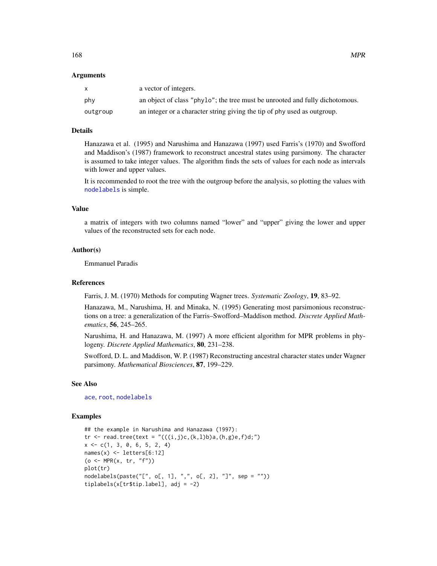#### Arguments

|          | a vector of integers.                                                        |
|----------|------------------------------------------------------------------------------|
| phy      | an object of class "phylo"; the tree must be unrooted and fully dichotomous. |
| outgroup | an integer or a character string giving the tip of phy used as outgroup.     |

# Details

Hanazawa et al. (1995) and Narushima and Hanazawa (1997) used Farris's (1970) and Swofford and Maddison's (1987) framework to reconstruct ancestral states using parsimony. The character is assumed to take integer values. The algorithm finds the sets of values for each node as intervals with lower and upper values.

It is recommended to root the tree with the outgroup before the analysis, so plotting the values with [nodelabels](#page-180-0) is simple.

#### Value

a matrix of integers with two columns named "lower" and "upper" giving the lower and upper values of the reconstructed sets for each node.

#### Author(s)

Emmanuel Paradis

#### References

Farris, J. M. (1970) Methods for computing Wagner trees. *Systematic Zoology*, 19, 83–92.

Hanazawa, M., Narushima, H. and Minaka, N. (1995) Generating most parsimonious reconstructions on a tree: a generalization of the Farris–Swofford–Maddison method. *Discrete Applied Mathematics*, 56, 245–265.

Narushima, H. and Hanazawa, M. (1997) A more efficient algorithm for MPR problems in phylogeny. *Discrete Applied Mathematics*, 80, 231–238.

Swofford, D. L. and Maddison, W. P. (1987) Reconstructing ancestral character states under Wagner parsimony. *Mathematical Biosciences*, 87, 199–229.

#### See Also

[ace](#page-8-0), [root](#page-230-0), [nodelabels](#page-180-0)

```
## the example in Narushima and Hanazawa (1997):
tr <- read.tree(text = "(((i,j)c,(k,l)b)a,(h,g)e,f)d;")
x \leq -c(1, 3, 0, 6, 5, 2, 4)names(x) <- letters[6:12]
(o \leq MPR(x, tr, "f"))plot(tr)
nodelabels(paste("[", o[, 1], ",", o[, 2], "]", sep = ""))
tiplabels(x[tr$tip.label], adj = -2)
```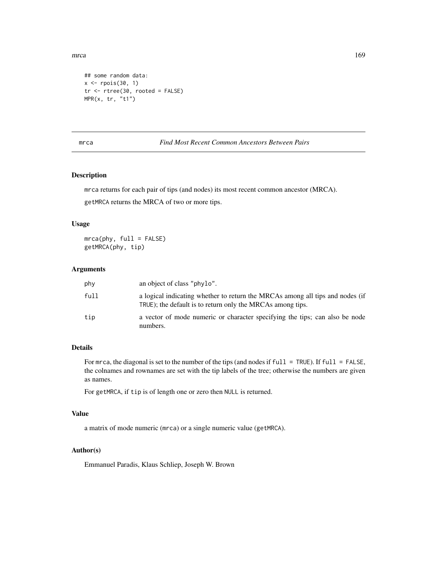mrca and the contract of the contract of the contract of the contract of the contract of the contract of the contract of the contract of the contract of the contract of the contract of the contract of the contract of the c

```
## some random data:
x \leftarrow \text{rpois}(30, 1)tr <- rtree(30, rooted = FALSE)
MPR(x, tr, "t1")
```
# mrca *Find Most Recent Common Ancestors Between Pairs*

## Description

mrca returns for each pair of tips (and nodes) its most recent common ancestor (MRCA). getMRCA returns the MRCA of two or more tips.

# Usage

mrca(phy, full = FALSE) getMRCA(phy, tip)

#### Arguments

| phy  | an object of class "phylo".                                                                                                                 |
|------|---------------------------------------------------------------------------------------------------------------------------------------------|
| full | a logical indicating whether to return the MRCAs among all tips and nodes (if<br>TRUE); the default is to return only the MRCAs among tips. |
| tip  | a vector of mode numeric or character specifying the tips; can also be node<br>numbers.                                                     |

# Details

For mrca, the diagonal is set to the number of the tips (and nodes if full = TRUE). If full = FALSE, the colnames and rownames are set with the tip labels of the tree; otherwise the numbers are given as names.

For getMRCA, if tip is of length one or zero then NULL is returned.

# Value

a matrix of mode numeric (mrca) or a single numeric value (getMRCA).

# Author(s)

Emmanuel Paradis, Klaus Schliep, Joseph W. Brown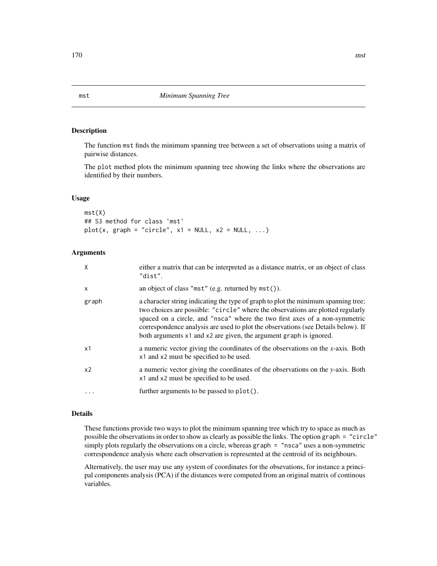The function mst finds the minimum spanning tree between a set of observations using a matrix of pairwise distances.

The plot method plots the minimum spanning tree showing the links where the observations are identified by their numbers.

#### Usage

mst(X) ## S3 method for class 'mst'  $plot(x, graph = "circle", x1 = NULL, x2 = NULL, ...)$ 

#### Arguments

| X              | either a matrix that can be interpreted as a distance matrix, or an object of class<br>"dist".                                                                                                                                                                                                                                                                                                                 |
|----------------|----------------------------------------------------------------------------------------------------------------------------------------------------------------------------------------------------------------------------------------------------------------------------------------------------------------------------------------------------------------------------------------------------------------|
| $\mathsf{x}$   | an object of class "mst" (e.g. returned by $mst()$ ).                                                                                                                                                                                                                                                                                                                                                          |
| graph          | a character string indicating the type of graph to plot the minimum spanning tree;<br>two choices are possible: "circle" where the observations are plotted regularly<br>spaced on a circle, and "nsca" where the two first axes of a non-symmetric<br>correspondence analysis are used to plot the observations (see Details below). If<br>both arguments x1 and x2 are given, the argument graph is ignored. |
| x1             | a numeric vector giving the coordinates of the observations on the $x$ -axis. Both<br>x1 and x2 must be specified to be used.                                                                                                                                                                                                                                                                                  |
| x <sub>2</sub> | a numeric vector giving the coordinates of the observations on the y-axis. Both<br>x1 and x2 must be specified to be used.                                                                                                                                                                                                                                                                                     |
|                | further arguments to be passed to plot().                                                                                                                                                                                                                                                                                                                                                                      |

# Details

These functions provide two ways to plot the minimum spanning tree which try to space as much as possible the observations in order to show as clearly as possible the links. The option graph = "circle" simply plots regularly the observations on a circle, whereas graph = "nsca" uses a non-symmetric correspondence analysis where each observation is represented at the centroid of its neighbours.

Alternatively, the user may use any system of coordinates for the obsevations, for instance a principal components analysis (PCA) if the distances were computed from an original matrix of continous variables.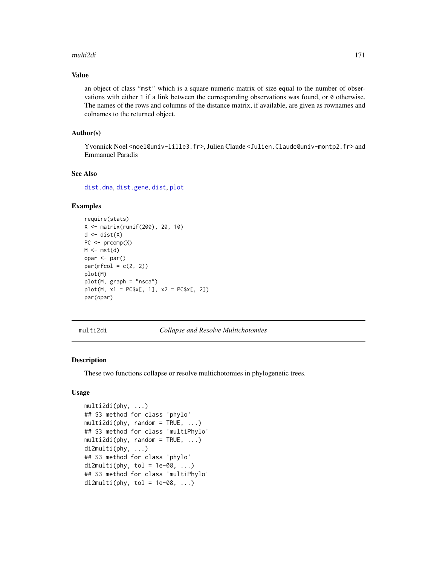#### multi2di 171

# Value

an object of class "mst" which is a square numeric matrix of size equal to the number of observations with either 1 if a link between the corresponding observations was found, or 0 otherwise. The names of the rows and columns of the distance matrix, if available, are given as rownames and colnames to the returned object.

# Author(s)

Yvonnick Noel<noel@univ-lille3.fr>, Julien Claude<Julien.Claude@univ-montp2.fr>and Emmanuel Paradis

# See Also

[dist.dna](#page-110-0), [dist.gene](#page-113-0), [dist](#page-0-0), [plot](#page-0-0)

# Examples

```
require(stats)
X <- matrix(runif(200), 20, 10)
d <- dist(X)
PC < - prcomp(X)M \leftarrow mst(d)opar <- par()
par(mfcol = c(2, 2))plot(M)
plot(M, graph = "nsca")
plot(M, x1 = PC$x[, 1], x2 = PC$x[, 2]par(opar)
```
multi2di *Collapse and Resolve Multichotomies*

#### Description

These two functions collapse or resolve multichotomies in phylogenetic trees.

## Usage

```
multi2di(phy, ...)
## S3 method for class 'phylo'
multi2di(phy, random = TRUE, ...)## S3 method for class 'multiPhylo'
multi2di(phy, random = TRUE, ...)
di2multi(phy, ...)
## S3 method for class 'phylo'
di2multi(phy, tol = 1e-08, ...)## S3 method for class 'multiPhylo'
di2multi(phy, tol = 1e-08, ...)
```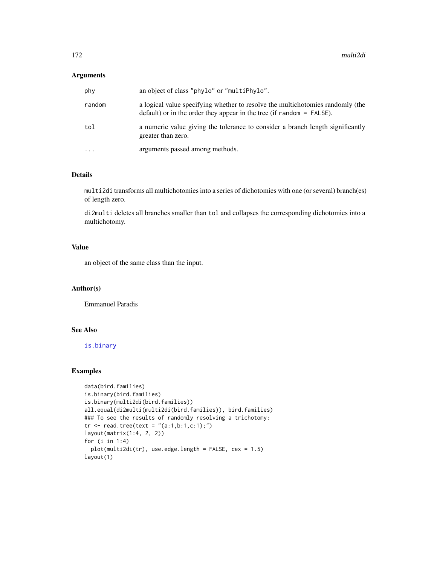# Arguments

| phy       | an object of class "phylo" or "multiPhylo".                                                                                                               |
|-----------|-----------------------------------------------------------------------------------------------------------------------------------------------------------|
| random    | a logical value specifying whether to resolve the multichotomies randomly (the<br>$default)$ or in the order they appear in the tree (if random = FALSE). |
| tol       | a numeric value giving the tolerance to consider a branch length significantly<br>greater than zero.                                                      |
| $\ddotsc$ | arguments passed among methods.                                                                                                                           |

# Details

multi2di transforms all multichotomies into a series of dichotomies with one (or several) branch(es) of length zero.

di2multi deletes all branches smaller than tol and collapses the corresponding dichotomies into a multichotomy.

## Value

an object of the same class than the input.

## Author(s)

Emmanuel Paradis

# See Also

[is.binary](#page-139-0)

```
data(bird.families)
is.binary(bird.families)
is.binary(multi2di(bird.families))
all.equal(di2multi(multi2di(bird.families)), bird.families)
### To see the results of randomly resolving a trichotomy:
tr <- read.tree(text = "(a:1,b:1,c:1);")
layout(matrix(1:4, 2, 2))
for (i in 1:4)
  plot(multi2di(tr), use.edge.length = FALSE, cex = 1.5)
layout(1)
```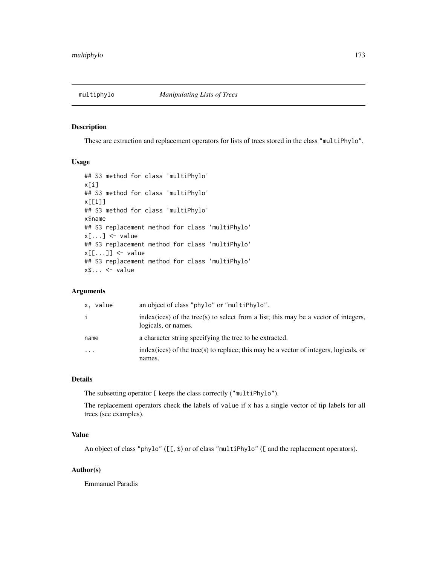These are extraction and replacement operators for lists of trees stored in the class "multiPhylo".

#### Usage

```
## S3 method for class 'multiPhylo'
x[i]
## S3 method for class 'multiPhylo'
x[[i]]
## S3 method for class 'multiPhylo'
x$name
## S3 replacement method for class 'multiPhylo'
x[\ldots] <- value
## S3 replacement method for class 'multiPhylo'
x[[...]] <- value
## S3 replacement method for class 'multiPhylo'
x$... \leq value
```
# Arguments

| x. value | an object of class "phylo" or "multiPhylo".                                                                  |
|----------|--------------------------------------------------------------------------------------------------------------|
|          | $index(ices)$ of the tree(s) to select from a list; this may be a vector of integers,<br>logicals, or names. |
| name     | a character string specifying the tree to be extracted.                                                      |
| .        | $index(ices)$ of the tree(s) to replace; this may be a vector of integers, logicals, or                      |
|          | names.                                                                                                       |

#### Details

The subsetting operator [ keeps the class correctly ("multiPhylo").

The replacement operators check the labels of value if x has a single vector of tip labels for all trees (see examples).

## Value

An object of class "phylo" ([[, \$) or of class "multiPhylo" ([ and the replacement operators).

## Author(s)

Emmanuel Paradis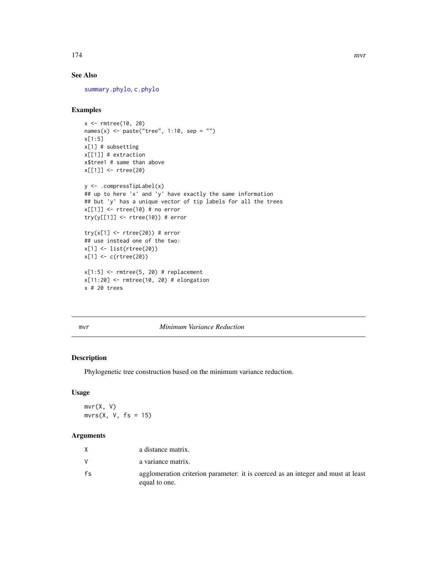#### 174 mvr

# See Also

[summary.phylo](#page-254-0), [c.phylo](#page-52-0)

# Examples

```
x <- rmtree(10, 20)
names(x) \leq paste("tree", 1:10, sep = "")
x[1:5]
x[1] # subsetting
x[[1]] # extraction
x$tree1 # same than above
x[[1]] <- rtree(20)
y <- .compressTipLabel(x)
## up to here 'x' and 'y' have exactly the same information
## but 'y' has a unique vector of tip labels for all the trees
x[[1]] <- rtree(10) # no error
try(y[[1]] \leftarrow true(10)) # error
try(x[1] < -r rtree(20)) # error
## use instead one of the two:
x[1] <- list(rtree(20))
x[1] <- c(rtree(20))
x[1:5] <- rmtree(5, 20) # replacement
x[11:20] <- rmtree(10, 20) # elongation
x # 20 trees
```
## mvr *Minimum Variance Reduction*

# Description

Phylogenetic tree construction based on the minimum variance reduction.

# Usage

mvr(X, V)  $mvrs(X, V, fs = 15)$ 

# Arguments

|    | a distance matrix.                                                                                |
|----|---------------------------------------------------------------------------------------------------|
|    | a variance matrix.                                                                                |
| fs | agglomeration criterion parameter: it is coerced as an integer and must at least<br>equal to one. |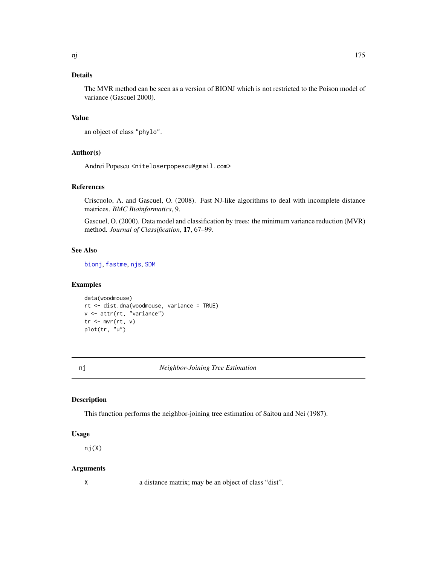# Details

The MVR method can be seen as a version of BIONJ which is not restricted to the Poison model of variance (Gascuel 2000).

## Value

an object of class "phylo".

# Author(s)

Andrei Popescu <niteloserpopescu@gmail.com>

#### References

Criscuolo, A. and Gascuel, O. (2008). Fast NJ-like algorithms to deal with incomplete distance matrices. *BMC Bioinformatics*, 9.

Gascuel, O. (2000). Data model and classification by trees: the minimum variance reduction (MVR) method. *Journal of Classification*, 17, 67–99.

#### See Also

[bionj](#page-43-0), [fastme](#page-131-0), [njs](#page-175-0), [SDM](#page-242-0)

## Examples

```
data(woodmouse)
rt <- dist.dna(woodmouse, variance = TRUE)
v <- attr(rt, "variance")
tr <- mvr(rt, v)
plot(tr, "u")
```
<span id="page-174-0"></span>nj *Neighbor-Joining Tree Estimation*

#### Description

This function performs the neighbor-joining tree estimation of Saitou and Nei (1987).

#### Usage

nj(X)

## Arguments

X a distance matrix; may be an object of class "dist".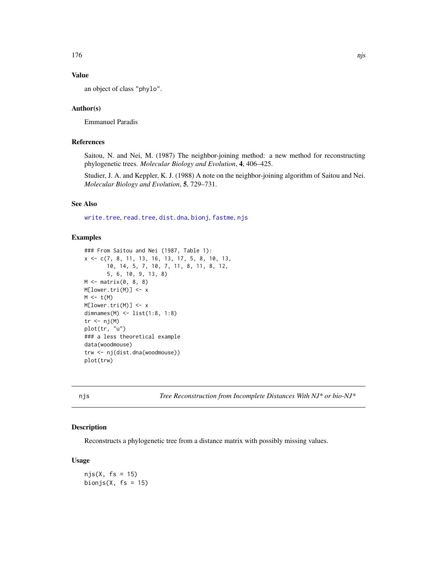# Value

an object of class "phylo".

## Author(s)

Emmanuel Paradis

# References

Saitou, N. and Nei, M. (1987) The neighbor-joining method: a new method for reconstructing phylogenetic trees. *Molecular Biology and Evolution*, 4, 406–425.

Studier, J. A. and Keppler, K. J. (1988) A note on the neighbor-joining algorithm of Saitou and Nei. *Molecular Biology and Evolution*, 5, 729–731.

# See Also

[write.tree](#page-275-0), [read.tree](#page-221-0), [dist.dna](#page-110-0), [bionj](#page-43-0), [fastme](#page-131-0), [njs](#page-175-0)

#### Examples

```
### From Saitou and Nei (1987, Table 1):
x <- c(7, 8, 11, 13, 16, 13, 17, 5, 8, 10, 13,
       10, 14, 5, 7, 10, 7, 11, 8, 11, 8, 12,
       5, 6, 10, 9, 13, 8)
M \leftarrow matrix(0, 8, 8)M[lower.tri(M)] <- x
M \leftarrow t(M)M[lower.tri(M)] <- x
dimnames(M) <- list(1:8, 1:8)
tr < - nj(M)plot(tr, "u")
### a less theoretical example
data(woodmouse)
trw <- nj(dist.dna(woodmouse))
plot(trw)
```
<span id="page-175-0"></span>njs *Tree Reconstruction from Incomplete Distances With NJ\* or bio-NJ\**

# Description

Reconstructs a phylogenetic tree from a distance matrix with possibly missing values.

#### Usage

 $njs(X, fs = 15)$ bionjs( $X$ , fs = 15)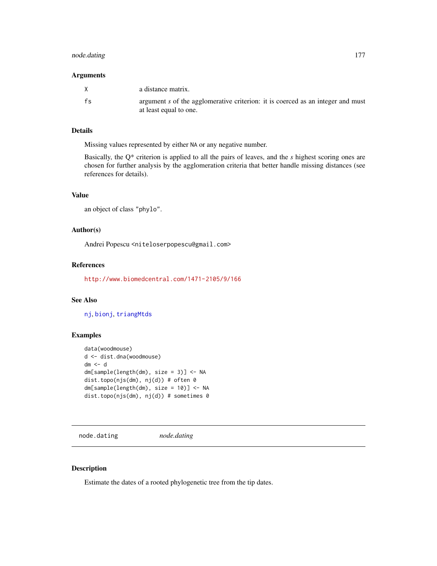# node.dating 177

#### Arguments

|    | a distance matrix.                                                                                        |
|----|-----------------------------------------------------------------------------------------------------------|
| fs | argument s of the agglomerative criterion: it is coerced as an integer and must<br>at least equal to one. |

# Details

Missing values represented by either NA or any negative number.

Basically, the Q\* criterion is applied to all the pairs of leaves, and the *s* highest scoring ones are chosen for further analysis by the agglomeration criteria that better handle missing distances (see references for details).

# Value

```
an object of class "phylo".
```
## Author(s)

Andrei Popescu <niteloserpopescu@gmail.com>

# References

<http://www.biomedcentral.com/1471-2105/9/166>

# See Also

[nj](#page-174-0), [bionj](#page-43-0), [triangMtds](#page-259-0)

#### Examples

```
data(woodmouse)
d <- dist.dna(woodmouse)
dm < - ddm[sample(length(dm), size = 3)] <- NA
dist.topo(njs(dm), nj(d)) # often 0
dm[sample(length(dm), size = 10)] <- NA
dist.topo(njs(dm), nj(d)) # sometimes 0
```
node.dating *node.dating*

# Description

Estimate the dates of a rooted phylogenetic tree from the tip dates.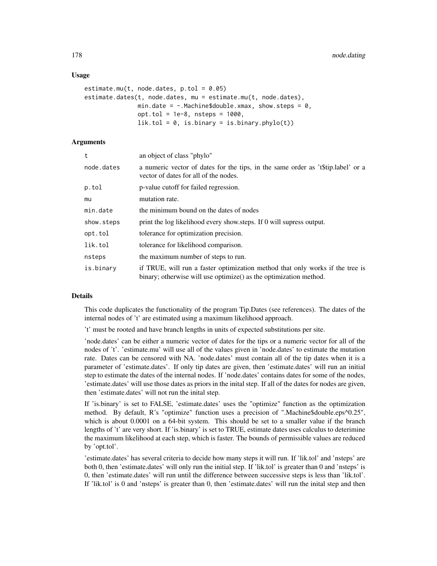#### Usage

```
estimate.mu(t, node.dates, p.tol = 0.05)
estimate.dates(t, node.dates, mu = estimate.mu(t, node.dates),
               min.date = -. Machine$double.xmax, show.steps = 0,
               opt.tol = 1e-8, nsteps = 1000,
               lik.tol = 0, is.binary = is.binary.phylo(t))
```
## Arguments

| t          | an object of class "phylo"                                                                                                                         |
|------------|----------------------------------------------------------------------------------------------------------------------------------------------------|
| node.dates | a numeric vector of dates for the tips, in the same order as 't\$tip.label' or a<br>vector of dates for all of the nodes.                          |
| p.tol      | p-value cutoff for failed regression.                                                                                                              |
| mu         | mutation rate.                                                                                                                                     |
| min.date   | the minimum bound on the dates of nodes                                                                                                            |
| show.steps | print the log likelihood every show steps. If $\theta$ will supress output.                                                                        |
| opt.tol    | tolerance for optimization precision.                                                                                                              |
| lik.tol    | tolerance for likelihood comparison.                                                                                                               |
| nsteps     | the maximum number of steps to run.                                                                                                                |
| is.binarv  | if TRUE, will run a faster optimization method that only works if the tree is<br>binary; otherwise will use optimize() as the optimization method. |

#### Details

This code duplicates the functionality of the program Tip.Dates (see references). The dates of the internal nodes of 't' are estimated using a maximum likelihood approach.

't' must be rooted and have branch lengths in units of expected substitutions per site.

'node.dates' can be either a numeric vector of dates for the tips or a numeric vector for all of the nodes of 't'. 'estimate.mu' will use all of the values given in 'node.dates' to estimate the mutation rate. Dates can be censored with NA. 'node.dates' must contain all of the tip dates when it is a parameter of 'estimate.dates'. If only tip dates are given, then 'estimate.dates' will run an initial step to estimate the dates of the internal nodes. If 'node.dates' contains dates for some of the nodes, 'estimate.dates' will use those dates as priors in the inital step. If all of the dates for nodes are given, then 'estimate.dates' will not run the inital step.

If 'is.binary' is set to FALSE, 'estimate.dates' uses the "optimize" function as the optimization method. By default, R's "optimize" function uses a precision of ".Machine\$double.eps^0.25", which is about 0.0001 on a 64-bit system. This should be set to a smaller value if the branch lengths of 't' are very short. If 'is.binary' is set to TRUE, estimate dates uses calculus to deterimine the maximum likelihood at each step, which is faster. The bounds of permissible values are reduced by 'opt.tol'.

'estimate.dates' has several criteria to decide how many steps it will run. If 'lik.tol' and 'nsteps' are both 0, then 'estimate.dates' will only run the initial step. If 'lik.tol' is greater than 0 and 'nsteps' is 0, then 'estimate.dates' will run until the difference between successive steps is less than 'lik.tol'. If 'lik.tol' is 0 and 'nsteps' is greater than 0, then 'estimate.dates' will run the inital step and then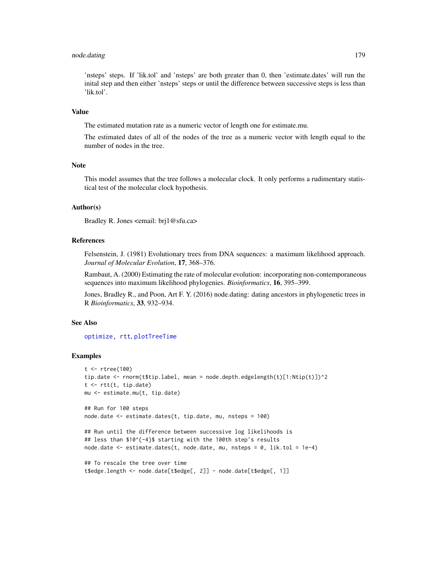# node.dating 179

'nsteps' steps. If 'lik.tol' and 'nsteps' are both greater than 0, then 'estimate.dates' will run the inital step and then either 'nsteps' steps or until the difference between successive steps is less than 'lik.tol'.

## Value

The estimated mutation rate as a numeric vector of length one for estimate.mu.

The estimated dates of all of the nodes of the tree as a numeric vector with length equal to the number of nodes in the tree.

# **Note**

This model assumes that the tree follows a molecular clock. It only performs a rudimentary statistical test of the molecular clock hypothesis.

#### Author(s)

Bradley R. Jones <email: brj1@sfu.ca>

#### References

Felsenstein, J. (1981) Evolutionary trees from DNA sequences: a maximum likelihood approach. *Journal of Molecular Evolution*, 17, 368–376.

Rambaut, A. (2000) Estimating the rate of molecular evolution: incorporating non-contemporaneous sequences into maximum likelihood phylogenies. *Bioinformatics*, 16, 395–399.

Jones, Bradley R., and Poon, Art F. Y. (2016) node.dating: dating ancestors in phylogenetic trees in R *Bioinformatics*, 33, 932–934.

## See Also

[optimize,](#page-0-0) [rtt](#page-241-0), [plotTreeTime](#page-207-0)

```
t <- rtree(100)
tip.date <- rnorm(t$tip.label, mean = node.depth.edgelength(t)[1:Ntip(t)])^2
t <- rtt(t, tip.date)
mu <- estimate.mu(t, tip.date)
```

```
## Run for 100 steps
node.date <- estimate.dates(t, tip.date, mu, nsteps = 100)
```

```
## Run until the difference between successive log likelihoods is
## less than $10^{-4}$ starting with the 100th step's results
node.date <- estimate.dates(t, node.date, mu, nsteps = 0, lik.tol = 1e-4)
```

```
## To rescale the tree over time
t$edge.length <- node.date[t$edge[, 2]] - node.date[t$edge[, 1]]
```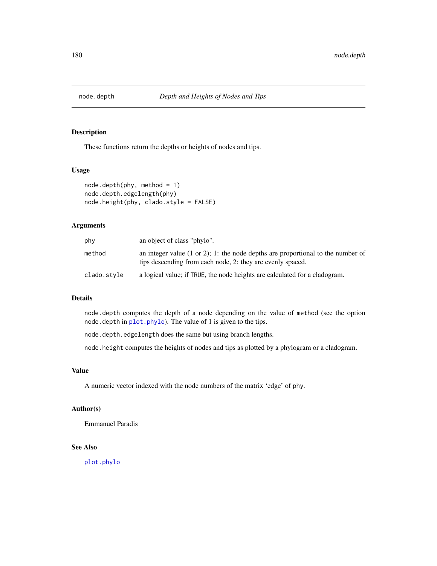These functions return the depths or heights of nodes and tips.

# Usage

```
node.depth(phy, method = 1)
node.depth.edgelength(phy)
node.height(phy, clado.style = FALSE)
```
# Arguments

| phy         | an object of class "phylo".                                                                                                                               |
|-------------|-----------------------------------------------------------------------------------------------------------------------------------------------------------|
| method      | an integer value $(1 \text{ or } 2)$ ; 1: the node depths are proportional to the number of<br>tips descending from each node, 2: they are evenly spaced. |
| clado.style | a logical value; if TRUE, the node heights are calculated for a cladogram.                                                                                |

# Details

node.depth computes the depth of a node depending on the value of method (see the option node.depth in [plot.phylo](#page-200-0)). The value of 1 is given to the tips.

node.depth.edgelength does the same but using branch lengths.

node.height computes the heights of nodes and tips as plotted by a phylogram or a cladogram.

## Value

A numeric vector indexed with the node numbers of the matrix 'edge' of phy.

# Author(s)

Emmanuel Paradis

# See Also

[plot.phylo](#page-200-0)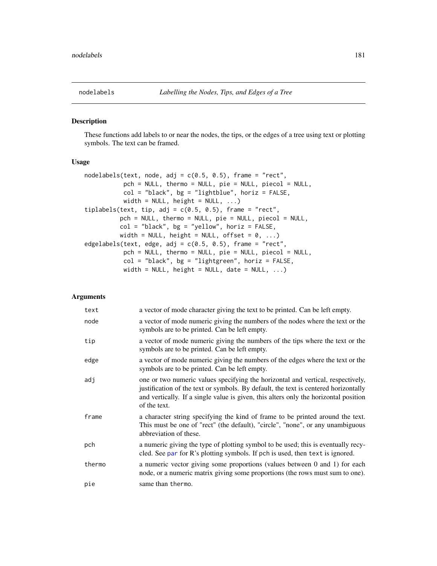<span id="page-180-0"></span>

# <span id="page-180-1"></span>Description

These functions add labels to or near the nodes, the tips, or the edges of a tree using text or plotting symbols. The text can be framed.

#### Usage

```
nodelabels(text, node, adj = c(0.5, 0.5), frame = "rect",
          pch = NULL, thermo = NULL, pie = NULL, piecol = NULL,
          col = "black", bg = "lightblue", horiz = FALSE,width = NULL, height = NULL, ...)
tiplabels(text, tip, adj = c(0.5, 0.5), frame = "rect",
         pch = NULL, thermo = NULL, pie = NULL, piecol = NULL,
          col = "black", bg = "yellow", horiz = FALSE,width = NULL, height = NULL, offset = 0, ...)
edgelabels(text, edge, adj = c(0.5, 0.5), frame = "rect",
          pch = NULL, thermo = NULL, pie = NULL, piecol = NULL,
          col = "black", bg = "lightgreen", horiz = FALSE,width = NULL, height = NULL, date = NULL, \dots)
```
## Arguments

| text   | a vector of mode character giving the text to be printed. Can be left empty.                                                                                                                                                                                                   |
|--------|--------------------------------------------------------------------------------------------------------------------------------------------------------------------------------------------------------------------------------------------------------------------------------|
| node   | a vector of mode numeric giving the numbers of the nodes where the text or the<br>symbols are to be printed. Can be left empty.                                                                                                                                                |
| tip    | a vector of mode numeric giving the numbers of the tips where the text or the<br>symbols are to be printed. Can be left empty.                                                                                                                                                 |
| edge   | a vector of mode numeric giving the numbers of the edges where the text or the<br>symbols are to be printed. Can be left empty.                                                                                                                                                |
| adj    | one or two numeric values specifying the horizontal and vertical, respectively,<br>justification of the text or symbols. By default, the text is centered horizontally<br>and vertically. If a single value is given, this alters only the horizontal position<br>of the text. |
| frame  | a character string specifying the kind of frame to be printed around the text.<br>This must be one of "rect" (the default), "circle", "none", or any unambiguous<br>abbreviation of these.                                                                                     |
| pch    | a numeric giving the type of plotting symbol to be used; this is eventually recy-<br>cled. See par for R's plotting symbols. If pch is used, then text is ignored.                                                                                                             |
| thermo | a numeric vector giving some proportions (values between 0 and 1) for each<br>node, or a numeric matrix giving some proportions (the rows must sum to one).                                                                                                                    |
| pie    | same than thermo.                                                                                                                                                                                                                                                              |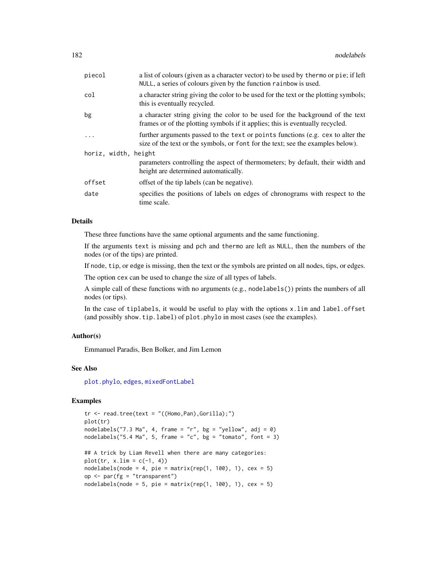| piecol               | a list of colours (given as a character vector) to be used by thermo or pie; if left<br>NULL, a series of colours given by the function rainbow is used.           |
|----------------------|--------------------------------------------------------------------------------------------------------------------------------------------------------------------|
| col                  | a character string giving the color to be used for the text or the plotting symbols;<br>this is eventually recycled.                                               |
| bg                   | a character string giving the color to be used for the background of the text<br>frames or of the plotting symbols if it applies; this is eventually recycled.     |
| $\ddots$             | further arguments passed to the text or points functions (e.g. cex to alter the<br>size of the text or the symbols, or font for the text; see the examples below). |
| horiz, width, height |                                                                                                                                                                    |
|                      | parameters controlling the aspect of thermometers; by default, their width and<br>height are determined automatically.                                             |
| offset               | offset of the tip labels (can be negative).                                                                                                                        |
| date                 | specifies the positions of labels on edges of chronograms with respect to the<br>time scale.                                                                       |
|                      |                                                                                                                                                                    |

# Details

These three functions have the same optional arguments and the same functioning.

If the arguments text is missing and pch and thermo are left as NULL, then the numbers of the nodes (or of the tips) are printed.

If node, tip, or edge is missing, then the text or the symbols are printed on all nodes, tips, or edges.

The option cex can be used to change the size of all types of labels.

A simple call of these functions with no arguments (e.g., nodelabels()) prints the numbers of all nodes (or tips).

In the case of tiplabels, it would be useful to play with the options x.lim and label.offset (and possibly show.tip.label) of plot.phylo in most cases (see the examples).

## Author(s)

Emmanuel Paradis, Ben Bolker, and Jim Lemon

## See Also

[plot.phylo](#page-200-0), [edges](#page-127-0), [mixedFontLabel](#page-163-0)

## Examples

```
tr < - read.tree(text = "((Homo, Pan), Gorilla);")
plot(tr)
nodelabels("7.3 Ma", 4, frame = "r", bg = "yellow", adj = 0)
nodelabels("5.4 Ma", 5, frame = "c", bg = "tomato", font = 3)
## A trick by Liam Revell when there are many categories:
plot(tr, x.lim = c(-1, 4))nodelabels(node = 4, pie = matrix(rep(1, 100), 1), cex = 5)op <- par(fg = "transparent")
nodelabels(node = 5, pie = matrix(rep(1, 100), 1), cex = 5)
```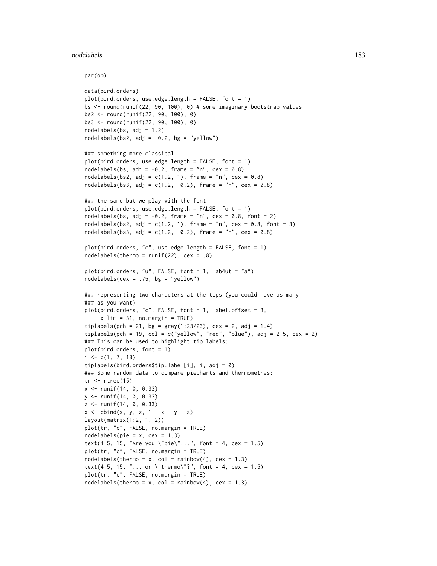#### nodelabels and the set of the set of the set of the set of the set of the set of the set of the set of the set of the set of the set of the set of the set of the set of the set of the set of the set of the set of the set o

par(op)

```
data(bird.orders)
plot(bird.orders, use.edge.length = FALSE, font = 1)
bs <- round(runif(22, 90, 100), 0) # some imaginary bootstrap values
bs2 <- round(runif(22, 90, 100), 0)
bs3 <- round(runif(22, 90, 100), 0)
nodelabels(bs, adj = 1.2)nodelabels(bs2, adj = -0.2, bg = "yellow")
### something more classical
plot(bird.orders, use.edge.length = FALSE, font = 1)
nodelabels(bs, adj = -0.2, frame = "n", cex = 0.8)
nodelabels(bs2, adj = c(1.2, 1), frame = "n", cex = 0.8)nodelabels(bs3, adj = c(1.2, -0.2), frame = "n", cex = 0.8)### the same but we play with the font
plot(bird.orders, use. edge. length = FALSE, font = 1)nodelabels(bs, adj = -0.2, frame = "n", cex = 0.8, font = 2)
nodelabels(bs2, adj = c(1.2, 1), frame = "n", cex = 0.8, font = 3)
nodelabels(bs3, adj = c(1.2, -0.2), frame = "n", cex = 0.8)plot(bird.orders, "c", use.edge.length = FALSE, font = 1)
nodelabels(thermo = runif(22), cex = .8)plot(bird.orders, "u", FALSE, font = 1, lab4ut = "a")
nodelabels(cex = .75, bg = "yellow")### representing two characters at the tips (you could have as many
### as you want)
plot(bird.orders, "c", FALSE, font = 1, label.offset = 3,
     x.lim = 31, no.margin = TRUE)
tiplabels(pch = 21, bg = gray(1:23/23), cex = 2, adj = 1.4)tiplabels(pch = 19, col = c("yellow", "red", "blue"), adj = 2.5, cex = 2)### This can be used to highlight tip labels:
plot(bird.orders, font = 1)
i \leq c(1, 7, 18)tiplabels(bird.orders$tip.label[i], i, adj = 0)
### Some random data to compare piecharts and thermometres:
tr < -rtree(15)x <- runif(14, 0, 0.33)
y <- runif(14, 0, 0.33)
z <- runif(14, 0, 0.33)
x \le - \text{cbind}(x, y, z, 1 - x - y - z)layout(matrix(1:2, 1, 2))
plot(tr, "c", FALSE, no.margin = TRUE)
nodelabels(pie = x, cex = 1.3)text(4.5, 15, "Are you \"pie\"...", font = 4, cex = 1.5)
plot(tr, "c", FALSE, no.margin = TRUE)
nodelabels(thermo = x, col = rainbow(4), cex = 1.3)text(4.5, 15, "... or \"thermo\"?", font = 4, cex = 1.5)
plot(tr, "c", FALSE, no.margin = TRUE)
nodelabels(thermo = x, col = rainbow(4), cex = 1.3)
```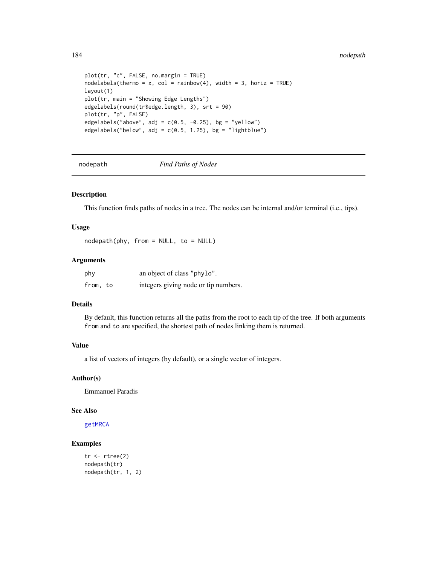#### 184 nodepath and the state of the state of the state of the state of the state of the state of the state of the state of the state of the state of the state of the state of the state of the state of the state of the state

```
plot(tr, "c", FALSE, no.margin = TRUE)
nodelabels(thermo = x, col = rainbow(4), width = 3, horiz = TRUE)layout(1)
plot(tr, main = "Showing Edge Lengths")
edgelabels(round(tr$edge.length, 3), srt = 90)
plot(tr, "p", FALSE)
edgelabels("above", adj = c(0.5, -0.25), bg = "yellow")
edgelabels("below", adj = c(0.5, 1.25), bg = "lightblue")
```
nodepath *Find Paths of Nodes*

## Description

This function finds paths of nodes in a tree. The nodes can be internal and/or terminal (i.e., tips).

## Usage

nodepath(phy, from = NULL, to = NULL)

## Arguments

| phy      | an object of class "phylo".          |
|----------|--------------------------------------|
| from, to | integers giving node or tip numbers. |

# Details

By default, this function returns all the paths from the root to each tip of the tree. If both arguments from and to are specified, the shortest path of nodes linking them is returned.

# Value

a list of vectors of integers (by default), or a single vector of integers.

## Author(s)

Emmanuel Paradis

## See Also

[getMRCA](#page-168-0)

## Examples

```
tr < -rtree(2)nodepath(tr)
nodepath(tr, 1, 2)
```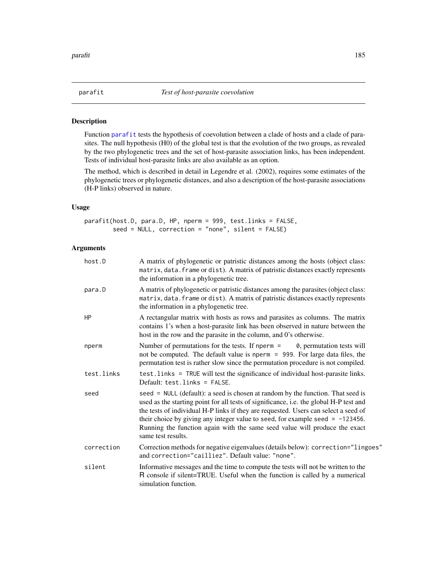<span id="page-184-0"></span>

# Description

Function [parafit](#page-184-0) tests the hypothesis of coevolution between a clade of hosts and a clade of parasites. The null hypothesis (H0) of the global test is that the evolution of the two groups, as revealed by the two phylogenetic trees and the set of host-parasite association links, has been independent. Tests of individual host-parasite links are also available as an option.

The method, which is described in detail in Legendre et al. (2002), requires some estimates of the phylogenetic trees or phylogenetic distances, and also a description of the host-parasite associations (H-P links) observed in nature.

# Usage

parafit(host.D, para.D, HP, nperm = 999, test.links = FALSE, seed = NULL, correction = "none", silent = FALSE)

# Arguments

| host.D     | A matrix of phylogenetic or patristic distances among the hosts (object class:<br>matrix, data. frame or dist). A matrix of patristic distances exactly represents<br>the information in a phylogenetic tree.                                                                                                                                                                                                                                            |
|------------|----------------------------------------------------------------------------------------------------------------------------------------------------------------------------------------------------------------------------------------------------------------------------------------------------------------------------------------------------------------------------------------------------------------------------------------------------------|
| para.D     | A matrix of phylogenetic or patristic distances among the parasites (object class:<br>matrix, data. frame or dist). A matrix of patristic distances exactly represents<br>the information in a phylogenetic tree.                                                                                                                                                                                                                                        |
| HР         | A rectangular matrix with hosts as rows and parasites as columns. The matrix<br>contains 1's when a host-parasite link has been observed in nature between the<br>host in the row and the parasite in the column, and 0's otherwise.                                                                                                                                                                                                                     |
| nperm      | Number of permutations for the tests. If nperm $=$ 0, permutation tests will<br>not be computed. The default value is nperm = 999. For large data files, the<br>permutation test is rather slow since the permutation procedure is not compiled.                                                                                                                                                                                                         |
| test.links | test. links = TRUE will test the significance of individual host-parasite links.<br>Default: test.links = FALSE.                                                                                                                                                                                                                                                                                                                                         |
| seed       | seed = NULL (default): a seed is chosen at random by the function. That seed is<br>used as the starting point for all tests of significance, i.e. the global H-P test and<br>the tests of individual H-P links if they are requested. Users can select a seed of<br>their choice by giving any integer value to seed, for example seed = $-123456$ .<br>Running the function again with the same seed value will produce the exact<br>same test results. |
| correction | Correction methods for negative eigenvalues (details below): correction="lingoes"<br>and correction="cailliez". Default value: "none".                                                                                                                                                                                                                                                                                                                   |
| silent     | Informative messages and the time to compute the tests will not be written to the<br>R console if silent=TRUE. Useful when the function is called by a numerical<br>simulation function.                                                                                                                                                                                                                                                                 |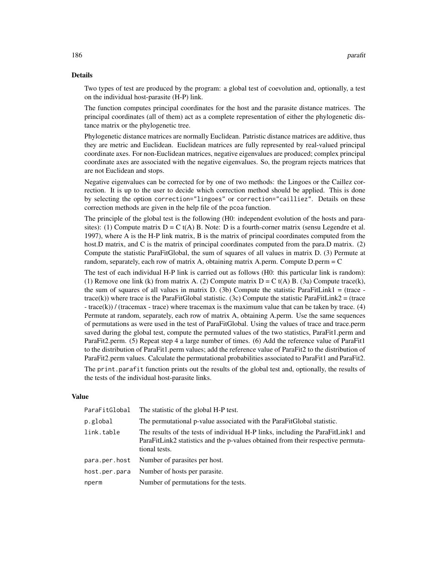### Details

Two types of test are produced by the program: a global test of coevolution and, optionally, a test on the individual host-parasite (H-P) link.

The function computes principal coordinates for the host and the parasite distance matrices. The principal coordinates (all of them) act as a complete representation of either the phylogenetic distance matrix or the phylogenetic tree.

Phylogenetic distance matrices are normally Euclidean. Patristic distance matrices are additive, thus they are metric and Euclidean. Euclidean matrices are fully represented by real-valued principal coordinate axes. For non-Euclidean matrices, negative eigenvalues are produced; complex principal coordinate axes are associated with the negative eigenvalues. So, the program rejects matrices that are not Euclidean and stops.

Negative eigenvalues can be corrected for by one of two methods: the Lingoes or the Caillez correction. It is up to the user to decide which correction method should be applied. This is done by selecting the option correction="lingoes" or correction="cailliez". Details on these correction methods are given in the help file of the pcoa function.

The principle of the global test is the following (H0: independent evolution of the hosts and parasites): (1) Compute matrix  $D = C t(A) B$ . Note: D is a fourth-corner matrix (sensu Legendre et al. 1997), where A is the H-P link matrix, B is the matrix of principal coordinates computed from the host.D matrix, and C is the matrix of principal coordinates computed from the para.D matrix. (2) Compute the statistic ParaFitGlobal, the sum of squares of all values in matrix D. (3) Permute at random, separately, each row of matrix A, obtaining matrix A.perm. Compute D.perm = C

The test of each individual H-P link is carried out as follows (H0: this particular link is random): (1) Remove one link (k) from matrix A. (2) Compute matrix  $D = C t(A) B$ . (3a) Compute trace(k), the sum of squares of all values in matrix D. (3b) Compute the statistic ParaFitLink1 = (trace  $trace(k)$ ) where trace is the ParaFitGlobal statistic. (3c) Compute the statistic ParaFitLink2 = (trace - trace(k)) / (tracemax - trace) where tracemax is the maximum value that can be taken by trace. (4) Permute at random, separately, each row of matrix A, obtaining A.perm. Use the same sequences of permutations as were used in the test of ParaFitGlobal. Using the values of trace and trace.perm saved during the global test, compute the permuted values of the two statistics, ParaFit1.perm and ParaFit2.perm. (5) Repeat step 4 a large number of times. (6) Add the reference value of ParaFit1 to the distribution of ParaFit1.perm values; add the reference value of ParaFit2 to the distribution of ParaFit2.perm values. Calculate the permutational probabilities associated to ParaFit1 and ParaFit2.

The print.parafit function prints out the results of the global test and, optionally, the results of the tests of the individual host-parasite links.

## Value

| ParaFitGlobal | The statistic of the global H-P test.                                                                                                                                                 |  |
|---------------|---------------------------------------------------------------------------------------------------------------------------------------------------------------------------------------|--|
| p.global      | The permutational p-value associated with the ParaFitGlobal statistic.                                                                                                                |  |
| link.table    | The results of the tests of individual H-P links, including the ParaFitLink1 and<br>ParaFitLink2 statistics and the p-values obtained from their respective permuta-<br>tional tests. |  |
| para.per.host | Number of parasites per host.                                                                                                                                                         |  |
| host.per.para | Number of hosts per parasite.                                                                                                                                                         |  |
| nperm         | Number of permutations for the tests.                                                                                                                                                 |  |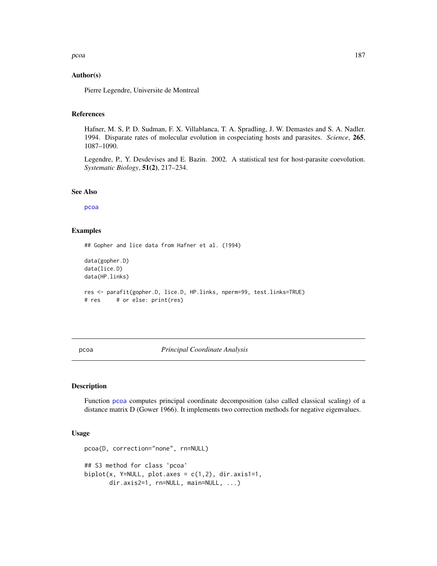# Author(s)

Pierre Legendre, Universite de Montreal

# References

Hafner, M. S, P. D. Sudman, F. X. Villablanca, T. A. Spradling, J. W. Demastes and S. A. Nadler. 1994. Disparate rates of molecular evolution in cospeciating hosts and parasites. *Science*, 265, 1087–1090.

Legendre, P., Y. Desdevises and E. Bazin. 2002. A statistical test for host-parasite coevolution. *Systematic Biology*, 51(2), 217–234.

## See Also

[pcoa](#page-186-0)

## Examples

## Gopher and lice data from Hafner et al. (1994)

```
data(gopher.D)
data(lice.D)
data(HP.links)
res <- parafit(gopher.D, lice.D, HP.links, nperm=99, test.links=TRUE)
# res # or else: print(res)
```
<span id="page-186-0"></span>pcoa *Principal Coordinate Analysis*

# Description

Function [pcoa](#page-186-0) computes principal coordinate decomposition (also called classical scaling) of a distance matrix D (Gower 1966). It implements two correction methods for negative eigenvalues.

#### Usage

```
pcoa(D, correction="none", rn=NULL)
## S3 method for class 'pcoa'
biplot(x, Y=NULL, plot.axes = c(1,2), dir.axis1=1,dir.axis2=1, rn=NULL, main=NULL, ...)
```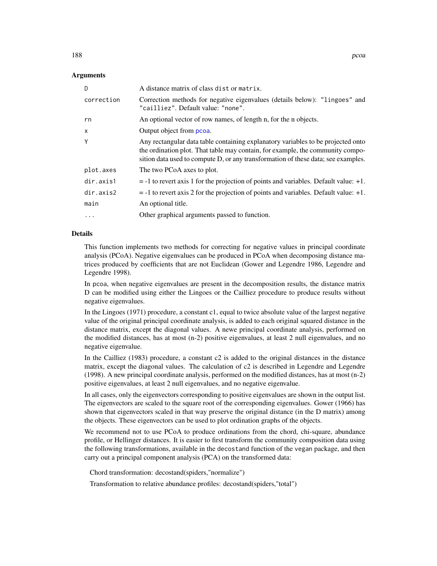## Arguments

| D            | A distance matrix of class dist or matrix.                                                                                                                                                                                                              |
|--------------|---------------------------------------------------------------------------------------------------------------------------------------------------------------------------------------------------------------------------------------------------------|
| correction   | Correction methods for negative eigenvalues (details below): "lingoes" and<br>"cailliez". Default value: "none".                                                                                                                                        |
| rn           | An optional vector of row names, of length n, for the n objects.                                                                                                                                                                                        |
| $\mathsf{x}$ | Output object from pcoa.                                                                                                                                                                                                                                |
| Y            | Any rectangular data table containing explanatory variables to be projected onto<br>the ordination plot. That table may contain, for example, the community compo-<br>sition data used to compute D, or any transformation of these data; see examples. |
| plot.axes    | The two PCoA axes to plot.                                                                                                                                                                                                                              |
| dir.axis1    | $=$ -1 to revert axis 1 for the projection of points and variables. Default value: $+1$ .                                                                                                                                                               |
| dir.axis2    | $= -1$ to revert axis 2 for the projection of points and variables. Default value: $+1$ .                                                                                                                                                               |
| main         | An optional title.                                                                                                                                                                                                                                      |
| $\ddots$ .   | Other graphical arguments passed to function.                                                                                                                                                                                                           |

## Details

This function implements two methods for correcting for negative values in principal coordinate analysis (PCoA). Negative eigenvalues can be produced in PCoA when decomposing distance matrices produced by coefficients that are not Euclidean (Gower and Legendre 1986, Legendre and Legendre 1998).

In pcoa, when negative eigenvalues are present in the decomposition results, the distance matrix D can be modified using either the Lingoes or the Cailliez procedure to produce results without negative eigenvalues.

In the Lingoes (1971) procedure, a constant c1, equal to twice absolute value of the largest negative value of the original principal coordinate analysis, is added to each original squared distance in the distance matrix, except the diagonal values. A newe principal coordinate analysis, performed on the modified distances, has at most (n-2) positive eigenvalues, at least 2 null eigenvalues, and no negative eigenvalue.

In the Cailliez (1983) procedure, a constant c2 is added to the original distances in the distance matrix, except the diagonal values. The calculation of c2 is described in Legendre and Legendre (1998). A new principal coordinate analysis, performed on the modified distances, has at most (n-2) positive eigenvalues, at least 2 null eigenvalues, and no negative eigenvalue.

In all cases, only the eigenvectors corresponding to positive eigenvalues are shown in the output list. The eigenvectors are scaled to the square root of the corresponding eigenvalues. Gower (1966) has shown that eigenvectors scaled in that way preserve the original distance (in the D matrix) among the objects. These eigenvectors can be used to plot ordination graphs of the objects.

We recommend not to use PCoA to produce ordinations from the chord, chi-square, abundance profile, or Hellinger distances. It is easier to first transform the community composition data using the following transformations, available in the decostand function of the vegan package, and then carry out a principal component analysis (PCA) on the transformed data:

Chord transformation: decostand(spiders,"normalize")

Transformation to relative abundance profiles: decostand(spiders,"total")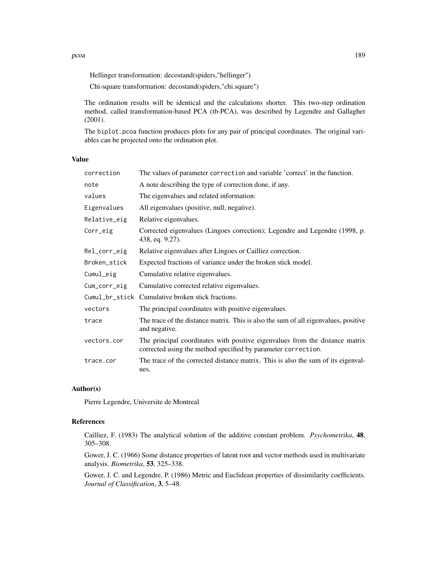Hellinger transformation: decostand(spiders,"hellinger")

Chi-square transformation: decostand(spiders,"chi.square")

The ordination results will be identical and the calculations shorter. This two-step ordination method, called transformation-based PCA (tb-PCA), was described by Legendre and Gallagher (2001).

The biplot.pcoa function produces plots for any pair of principal coordinates. The original variables can be projected onto the ordination plot.

## Value

| correction   | The values of parameter correction and variable 'correct' in the function.                                                                    |  |
|--------------|-----------------------------------------------------------------------------------------------------------------------------------------------|--|
| note         | A note describing the type of correction done, if any.                                                                                        |  |
| values       | The eigenvalues and related information:                                                                                                      |  |
| Eigenvalues  | All eigenvalues (positive, null, negative).                                                                                                   |  |
| Relative_eig | Relative eigenvalues.                                                                                                                         |  |
| Corr_eig     | Corrected eigenvalues (Lingoes correction); Legendre and Legendre (1998, p.<br>438, eq. 9.27).                                                |  |
| Rel_corr_eig | Relative eigenvalues after Lingoes or Cailliez correction.                                                                                    |  |
| Broken_stick | Expected fractions of variance under the broken stick model.                                                                                  |  |
| Cumul_eig    | Cumulative relative eigenvalues.                                                                                                              |  |
| Cum_corr_eig | Cumulative corrected relative eigenvalues.                                                                                                    |  |
|              | Cumul_br_stick Cumulative broken stick fractions.                                                                                             |  |
| vectors      | The principal coordinates with positive eigenvalues.                                                                                          |  |
| trace        | The trace of the distance matrix. This is also the sum of all eigenvalues, positive<br>and negative.                                          |  |
| vectors.cor  | The principal coordinates with positive eigenvalues from the distance matrix<br>corrected using the method specified by parameter correction. |  |
| trace.cor    | The trace of the corrected distance matrix. This is also the sum of its eigenval-<br>ues.                                                     |  |

# Author(s)

Pierre Legendre, Universite de Montreal

# References

Cailliez, F. (1983) The analytical solution of the additive constant problem. *Psychometrika*, 48, 305–308.

Gower, J. C. (1966) Some distance properties of latent root and vector methods used in multivariate analysis. *Biometrika*, 53, 325–338.

Gower, J. C. and Legendre, P. (1986) Metric and Euclidean properties of dissimilarity coefficients. *Journal of Classification*, 3, 5–48.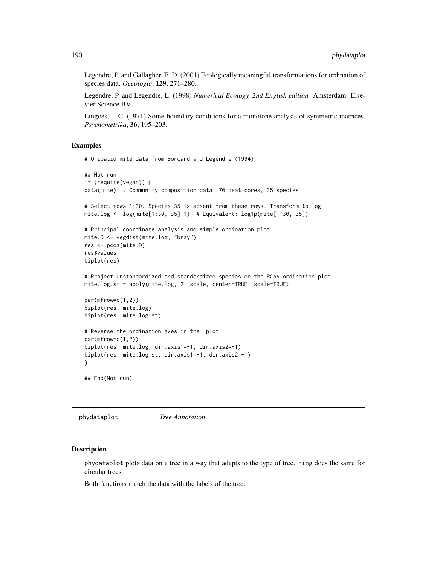Legendre, P. and Gallagher, E. D. (2001) Ecologically meaningful transformations for ordination of species data. *Oecologia*, 129, 271–280.

Legendre, P. and Legendre, L. (1998) *Numerical Ecology, 2nd English edition.* Amsterdam: Elsevier Science BV.

Lingoes, J. C. (1971) Some boundary conditions for a monotone analysis of symmetric matrices. *Psychometrika*, 36, 195–203.

# Examples

# Oribatid mite data from Borcard and Legendre (1994)

```
## Not run:
if (require(vegan)) {
data(mite) # Community composition data, 70 peat cores, 35 species
# Select rows 1:30. Species 35 is absent from these rows. Transform to log
mite.log <- log(mite[1:30,-35]+1) # Equivalent: log1p(mite[1:30,-35])
# Principal coordinate analysis and simple ordination plot
mite.D <- vegdist(mite.log, "bray")
res <- pcoa(mite.D)
res$values
biplot(res)
# Project unstandardized and standardized species on the PCoA ordination plot
mite.log.st = apply(mite.log, 2, scale, center=TRUE, scale=TRUE)
par(mfrow=c(1,2))
biplot(res, mite.log)
biplot(res, mite.log.st)
# Reverse the ordination axes in the plot
par(mfrow=c(1,2))
biplot(res, mite.log, dir.axis1=-1, dir.axis2=-1)
biplot(res, mite.log.st, dir.axis1=-1, dir.axis2=-1)
}
## End(Not run)
```
phydataplot *Tree Annotation*

#### Description

phydataplot plots data on a tree in a way that adapts to the type of tree. ring does the same for circular trees.

Both functions match the data with the labels of the tree.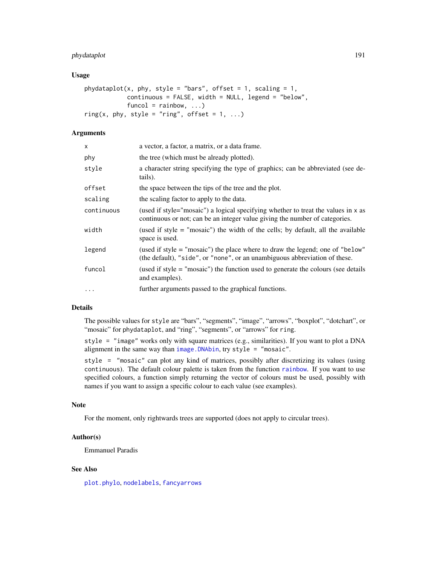# phydataplot 191

## Usage

```
phydataplot(x, phy, style = "bars", offset = 1, scaling = 1,
           continuous = FALSE, width = NULL, legend = "below",
           funcol = rainbow, ...)ring(x, phy, style = "ring", offset = 1, ...)
```
# **Arguments**

| $\mathsf{x}$ | a vector, a factor, a matrix, or a data frame.                                                                                                                   |
|--------------|------------------------------------------------------------------------------------------------------------------------------------------------------------------|
| phy          | the tree (which must be already plotted).                                                                                                                        |
| style        | a character string specifying the type of graphics; can be abbreviated (see de-<br>tails).                                                                       |
| offset       | the space between the tips of the tree and the plot.                                                                                                             |
| scaling      | the scaling factor to apply to the data.                                                                                                                         |
| continuous   | (used if style="mosaic") a logical specifying whether to treat the values in x as<br>continuous or not; can be an integer value giving the number of categories. |
| width        | (used if style = "mosaic") the width of the cells; by default, all the available<br>space is used.                                                               |
| legend       | (used if style = "mosaic") the place where to draw the legend; one of "below"<br>(the default), "side", or "none", or an unambiguous abbreviation of these.      |
| funcol       | (used if style = "mosaic") the function used to generate the colours (see details<br>and examples).                                                              |
| $\ddotsc$    | further arguments passed to the graphical functions.                                                                                                             |

# Details

The possible values for style are "bars", "segments", "image", "arrows", "boxplot", "dotchart", or "mosaic" for phydataplot, and "ring", "segments", or "arrows" for ring.

style = "image" works only with square matrices (e.g., similarities). If you want to plot a DNA alignment in the same way than [image.DNAbin](#page-137-0), try style = "mosaic".

style = "mosaic" can plot any kind of matrices, possibly after discretizing its values (using continuous). The default colour palette is taken from the function [rainbow](#page-0-0). If you want to use specified colours, a function simply returning the vector of colours must be used, possibly with names if you want to assign a specific colour to each value (see examples).

# Note

For the moment, only rightwards trees are supported (does not apply to circular trees).

# Author(s)

Emmanuel Paradis

## See Also

[plot.phylo](#page-200-0), [nodelabels](#page-180-0), [fancyarrows](#page-127-1)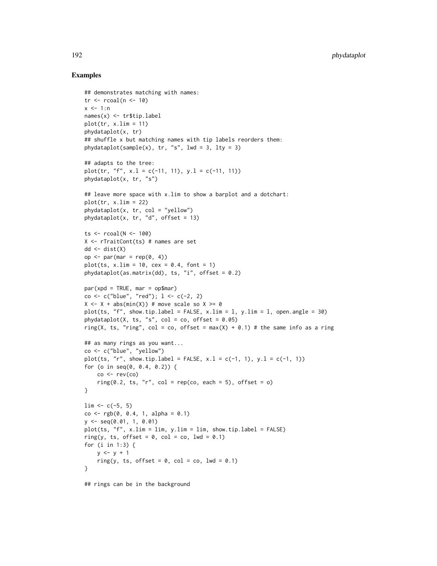## Examples

```
## demonstrates matching with names:
tr < -r \cosh(n < -10)x < -1:nnames(x) <- tr$tip.label
plot(tr, x.lim = 11)phydataplot(x, tr)
## shuffle x but matching names with tip labels reorders them:
phydataplot(sample(x), tr, "s", lwd = 3, lty = 3)
## adapts to the tree:
plot(tr, "f", x.l = c(-11, 11), y.l = c(-11, 11))
phydataplot(x, tr, "s")
## leave more space with x.lim to show a barplot and a dotchart:
plot(tr, x.lim = 22)phydataplot(x, tr, col = "yellow")phydataplot(x, tr, "d", offset = 13)
ts < - \text{rcoal}(N < -100)X \leftarrow rTrainCont(ts) # names are set
dd \leftarrow dist(X)op <- par(mar = rep(0, 4))
plot(ts, x.lim = 10, cex = 0.4, font = 1)phydataplot(as.matrix(dd), ts, "i", offset = 0.2)
par(xpd = TRUE, mar = op$mar)co <- c("blue", "red"); 1 <- c(-2, 2)
X \le -X + abs(min(X)) # move scale so X \ge 0plot(ts, "f", show.tip.label = FALSE, x.lim = 1, y.lim = 1, open.angle = 30)
phydataplot(X, ts, "s", col = co, offset = 0.05)
ring(X, ts, "ring", col = co, offset = max(X) + 0.1) # the same info as a ring
## as many rings as you want...
co <- c("blue", "yellow")
plot(ts, "r", show.tip.label = FALSE, x.l = c(-1, 1), y.l = c(-1, 1))
for (o in seq(0, 0.4, 0.2)) {
    co < -rev(co)ring(0.2, ts, "r", col = rep(co, each = 5), offset = o)}
\lim <- c(-5, 5)
co < -rgb(0, 0.4, 1, alpha = 0.1)y <- seq(0.01, 1, 0.01)
plot(ts, "f", x.lim = lim, y.lim = lim, show.tip.label = FALSE)
ring(y, ts, offset = 0, col = co, lwd = 0.1)
for (i in 1:3) {
    y \le -y + 1ring(y, ts, offset = 0, col = co, lwd = 0.1)
}
```
## rings can be in the background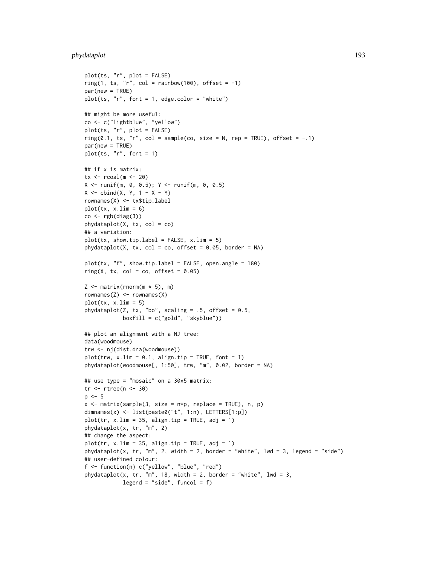# phydataplot 193

```
plot(ts, "r", plot = FALSE)
ring(1, ts, "r", col = rainbow(100), offset = -1)
par(new = TRUE)plot(ts, rr, font = 1, edge.color = "white")
## might be more useful:
co <- c("lightblue", "yellow")
plot(ts, "r", plot = FALSE)
ring(0.1, ts, "r", col = sample(co, size = N, rep = TRUE), offset = -1)
par(new = TRUE)
plot(ts, "r", font = 1)
## if x is matrix:
tx < -\text{recall}(m <-20)
X \leftarrow runif(m, 0, 0.5); Y \leftarrow runif(m, 0, 0.5)X \leftarrow \text{cbind}(X, Y, 1 - X - Y)rownames(X) <- tx$tip.label
plot(tx, x.lim = 6)co < -rgb(diag(3))phydataplot(X, tx, col = co)## a variation:
plot(tx, show.tip.label = FALSE, x.lim = 5)phydataplot(X, tx, col = co, offset = 0.05, border = NA)plot(tx, "f", show.tip.label = FALSE, open.angle = 180)ring(X, tx, col = co, offset = 0.05)Z \leq - matrix(rnorm(m * 5), m)
rownames(Z) <- rownames(X)
plot(tx, x.lim = 5)phydataplot(Z, tx, "bo", scaling = .5, offset = 0.5,
            boxfill = c("gold", "skyblue"))
## plot an alignment with a NJ tree:
data(woodmouse)
trw <- nj(dist.dna(woodmouse))
plot(trw, x.lim = 0.1, align.tip = TRUE, font = 1)phydataplot(woodmouse[, 1:50], trw, "m", 0.02, border = NA)
## use type = "mosaic" on a 30x5 matrix:
tr <- rtree(n <- 30)
p \le -5x \le matrix(sample(3, size = n*p, replace = TRUE), n, p)
dimnames(x) <- list(paste0("t", 1:n), LETTERS[1:p])
plot(tr, x.lim = 35, align: tip = TRUE, adj = 1)phydataplot(x, tr, "m", 2)
## change the aspect:
plot(tr, x.lim = 35, align: tip = TRUE, adj = 1)phydataplot(x, tr, "m", 2, width = 2, border = "white", lwd = 3, legend = "side")
## user-defined colour:
f <- function(n) c("yellow", "blue", "red")
phydataplot(x, tr, "m", 18, width = 2, border = "white", lwd = 3,
            legend = "side", funcol = f)
```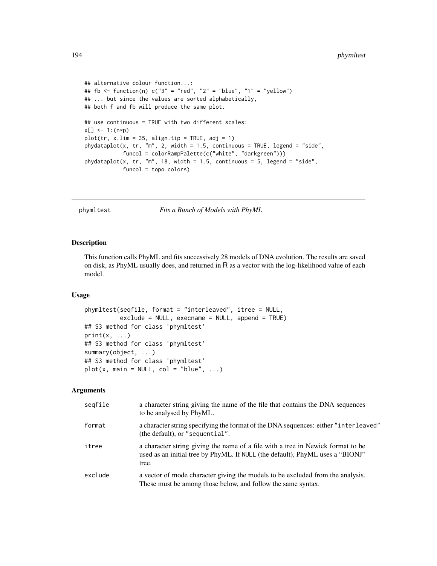```
## alternative colour function...:
## fb <- function(n) c("3" = "red", "2" = "blue", "1" = "yellow")
## ... but since the values are sorted alphabetically,
## both f and fb will produce the same plot.
## use continuous = TRUE with two different scales:
x[] <- 1: (n*p)
plot(tr, x.lim = 35, align: tip = TRUE, adj = 1)phydataplot(x, tr, "m", 2, width = 1.5, continuous = TRUE, legend = "side",
            funcol = colorRampPalette(c("white", "darkgreen")))
phydataplot(x, tr, "m", 18, width = 1.5, continuous = 5, legend = "side",
            funcol = topo.colors)
```
phymltest *Fits a Bunch of Models with PhyML*

#### Description

This function calls PhyML and fits successively 28 models of DNA evolution. The results are saved on disk, as PhyML usually does, and returned in R as a vector with the log-likelihood value of each model.

#### Usage

```
phymltest(seqfile, format = "interleaved", itree = NULL,
          exclude = NULL, execname = NULL, append = TRUE)
## S3 method for class 'phymltest'
print(x, \ldots)## S3 method for class 'phymltest'
summary(object, ...)
## S3 method for class 'phymltest'
plot(x, main = NULL, col = "blue", ...)
```
## Arguments

| segfile | a character string giving the name of the file that contains the DNA sequences<br>to be analysed by PhyML.                                                                |
|---------|---------------------------------------------------------------------------------------------------------------------------------------------------------------------------|
| format  | a character string specifying the format of the DNA sequences: either "interleaved"<br>(the default), or "sequential".                                                    |
| itree   | a character string giving the name of a file with a tree in Newick format to be<br>used as an initial tree by PhyML. If NULL (the default), PhyML uses a "BIONJ"<br>tree. |
| exclude | a vector of mode character giving the models to be excluded from the analysis.<br>These must be among those below, and follow the same syntax.                            |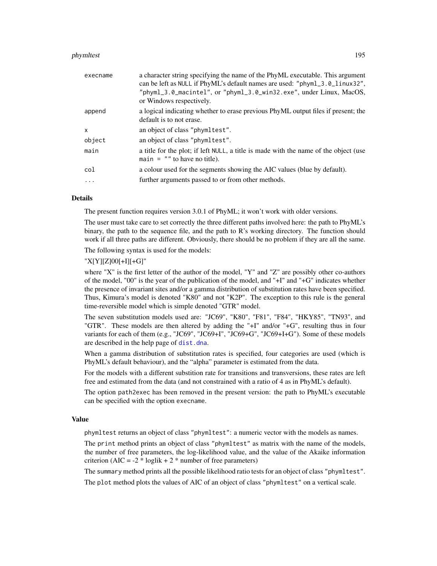#### phymltest 195

| execname | a character string specifying the name of the PhyML executable. This argument<br>can be left as NULL if PhyML's default names are used: "phyml_3.0_linux32",<br>"phyml_3.0_macintel", or "phyml_3.0_win32.exe", under Linux, MacOS,<br>or Windows respectively. |
|----------|-----------------------------------------------------------------------------------------------------------------------------------------------------------------------------------------------------------------------------------------------------------------|
| append   | a logical indicating whether to erase previous PhyML output files if present; the<br>default is to not erase.                                                                                                                                                   |
| X        | an object of class "phymltest".                                                                                                                                                                                                                                 |
| object   | an object of class "phymltest".                                                                                                                                                                                                                                 |
| main     | a title for the plot; if left NULL, a title is made with the name of the object (use<br>main $=$ "" to have no title).                                                                                                                                          |
| col      | a colour used for the segments showing the AIC values (blue by default).                                                                                                                                                                                        |
| .        | further arguments passed to or from other methods.                                                                                                                                                                                                              |
|          |                                                                                                                                                                                                                                                                 |

#### Details

The present function requires version 3.0.1 of PhyML; it won't work with older versions.

The user must take care to set correctly the three different paths involved here: the path to PhyML's binary, the path to the sequence file, and the path to R's working directory. The function should work if all three paths are different. Obviously, there should be no problem if they are all the same.

The following syntax is used for the models:

# "X[Y][Z]00[+I][+G]"

where "X" is the first letter of the author of the model, "Y" and "Z" are possibly other co-authors of the model, "00" is the year of the publication of the model, and "+I" and "+G" indicates whether the presence of invariant sites and/or a gamma distribution of substitution rates have been specified. Thus, Kimura's model is denoted "K80" and not "K2P". The exception to this rule is the general time-reversible model which is simple denoted "GTR" model.

The seven substitution models used are: "JC69", "K80", "F81", "F84", "HKY85", "TN93", and "GTR". These models are then altered by adding the "+I" and/or "+G", resulting thus in four variants for each of them (e.g., "JC69", "JC69+I", "JC69+G", "JC69+I+G"). Some of these models are described in the help page of [dist.dna](#page-110-0).

When a gamma distribution of substitution rates is specified, four categories are used (which is PhyML's default behaviour), and the "alpha" parameter is estimated from the data.

For the models with a different substition rate for transitions and transversions, these rates are left free and estimated from the data (and not constrained with a ratio of 4 as in PhyML's default).

The option path2exec has been removed in the present version: the path to PhyML's executable can be specified with the option execname.

#### Value

phymltest returns an object of class "phymltest": a numeric vector with the models as names.

The print method prints an object of class "phymltest" as matrix with the name of the models, the number of free parameters, the log-likelihood value, and the value of the Akaike information criterion (AIC =  $-2 * loglik + 2 * number of free parameters$ )

The summary method prints all the possible likelihood ratio tests for an object of class "phymltest".

The plot method plots the values of AIC of an object of class "phymltest" on a vertical scale.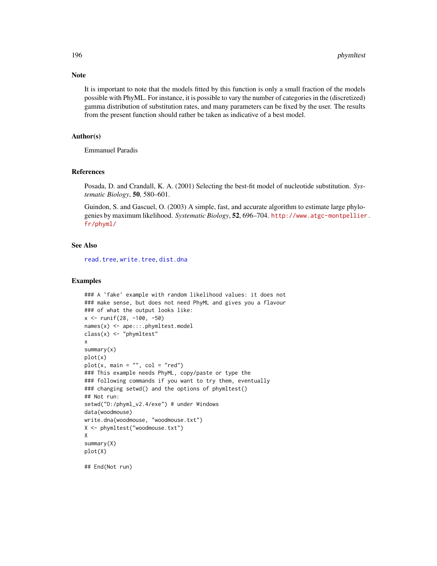It is important to note that the models fitted by this function is only a small fraction of the models possible with PhyML. For instance, it is possible to vary the number of categories in the (discretized) gamma distribution of substitution rates, and many parameters can be fixed by the user. The results from the present function should rather be taken as indicative of a best model.

## Author(s)

Emmanuel Paradis

#### References

Posada, D. and Crandall, K. A. (2001) Selecting the best-fit model of nucleotide substitution. *Systematic Biology*, 50, 580–601.

Guindon, S. and Gascuel, O. (2003) A simple, fast, and accurate algorithm to estimate large phylogenies by maximum likelihood. *Systematic Biology*, 52, 696–704. [http://www.atgc-montpellier](http://www.atgc-montpellier.fr/phyml/). [fr/phyml/](http://www.atgc-montpellier.fr/phyml/)

## See Also

[read.tree](#page-221-0), [write.tree](#page-275-0), [dist.dna](#page-110-0)

#### Examples

```
### A `fake' example with random likelihood values: it does not
### make sense, but does not need PhyML and gives you a flavour
### of what the output looks like:
x <- runif(28, -100, -50)
names(x) <- ape:::.phymltest.model
class(x) <- "phymltest"
x
summary(x)
plot(x)
plot(x, main = "", col = "red")### This example needs PhyML, copy/paste or type the
### following commands if you want to try them, eventually
### changing setwd() and the options of phymltest()
## Not run:
setwd("D:/phyml_v2.4/exe") # under Windows
data(woodmouse)
write.dna(woodmouse, "woodmouse.txt")
X <- phymltest("woodmouse.txt")
X
summary(X)
plot(X)
```
## End(Not run)

# Note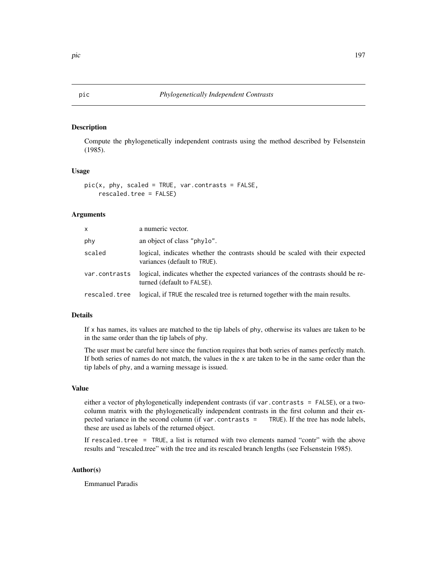# <span id="page-196-0"></span>Description

Compute the phylogenetically independent contrasts using the method described by Felsenstein (1985).

#### Usage

```
pic(x, phy, scaled = TRUE, var.contrasts = FALSE,
   rescaled.tree = FALSE)
```
# Arguments

| <b>X</b>      | a numeric vector.                                                                                              |
|---------------|----------------------------------------------------------------------------------------------------------------|
| phy           | an object of class "phylo".                                                                                    |
| scaled        | logical, indicates whether the contrasts should be scaled with their expected<br>variances (default to TRUE).  |
| var.contrasts | logical, indicates whether the expected variances of the contrasts should be re-<br>turned (default to FALSE). |
| rescaled.tree | logical, if TRUE the rescaled tree is returned together with the main results.                                 |

# Details

If x has names, its values are matched to the tip labels of phy, otherwise its values are taken to be in the same order than the tip labels of phy.

The user must be careful here since the function requires that both series of names perfectly match. If both series of names do not match, the values in the x are taken to be in the same order than the tip labels of phy, and a warning message is issued.

# Value

either a vector of phylogenetically independent contrasts (if var.contrasts = FALSE), or a twocolumn matrix with the phylogenetically independent contrasts in the first column and their expected variance in the second column (if var.contrasts = TRUE). If the tree has node labels, these are used as labels of the returned object.

If rescaled.tree = TRUE, a list is returned with two elements named "contr" with the above results and "rescaled.tree" with the tree and its rescaled branch lengths (see Felsenstein 1985).

## Author(s)

Emmanuel Paradis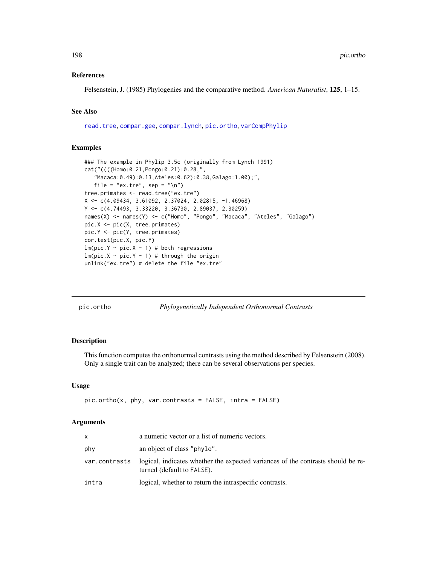## References

Felsenstein, J. (1985) Phylogenies and the comparative method. *American Naturalist*, 125, 1–15.

## See Also

[read.tree](#page-221-0), [compar.gee](#page-76-0), [compar.lynch](#page-79-0), [pic.ortho](#page-197-0), [varCompPhylip](#page-263-0)

## Examples

```
### The example in Phylip 3.5c (originally from Lynch 1991)
cat("((((Homo:0.21,Pongo:0.21):0.28,",
   "Macaca:0.49):0.13,Ateles:0.62):0.38,Galago:1.00);",
   file = "ex.tre", sep = "\n\rightharpoonupn")
tree.primates <- read.tree("ex.tre")
X <- c(4.09434, 3.61092, 2.37024, 2.02815, -1.46968)
Y <- c(4.74493, 3.33220, 3.36730, 2.89037, 2.30259)
names(X) <- names(Y) <- c("Homo", "Pongo", "Macaca", "Ateles", "Galago")
pic.X <- pic(X, tree.primates)
pic.Y <- pic(Y, tree.primates)
cor.test(pic.X, pic.Y)
lm(pic.Y ~ pic.X ~ - 1) # both regressions
lm(pic.X \sim pic.Y - 1) # through the origin
unlink("ex.tre") # delete the file "ex.tre"
```
<span id="page-197-0"></span>pic.ortho *Phylogenetically Independent Orthonormal Contrasts*

## Description

This function computes the orthonormal contrasts using the method described by Felsenstein (2008). Only a single trait can be analyzed; there can be several observations per species.

## Usage

```
pic.ortho(x, phy, var.contrasts = FALSE, intra = FALSE)
```
### Arguments

| x             | a numeric vector or a list of numeric vectors.                                                                 |
|---------------|----------------------------------------------------------------------------------------------------------------|
| phy           | an object of class "phylo".                                                                                    |
| var.contrasts | logical, indicates whether the expected variances of the contrasts should be re-<br>turned (default to FALSE). |
| intra         | logical, whether to return the intraspecific contrasts.                                                        |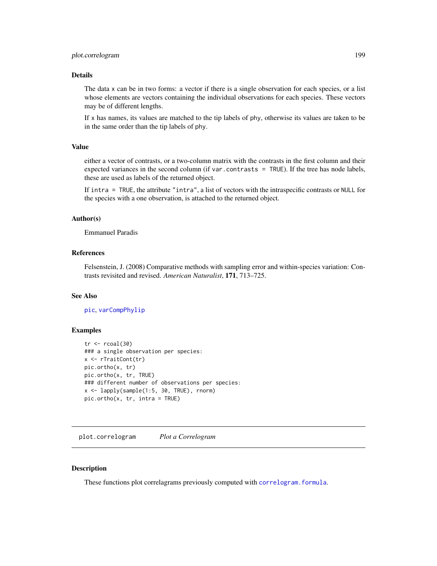## plot.correlogram 199

## Details

The data x can be in two forms: a vector if there is a single observation for each species, or a list whose elements are vectors containing the individual observations for each species. These vectors may be of different lengths.

If x has names, its values are matched to the tip labels of phy, otherwise its values are taken to be in the same order than the tip labels of phy.

#### Value

either a vector of contrasts, or a two-column matrix with the contrasts in the first column and their expected variances in the second column (if var.contrasts = TRUE). If the tree has node labels, these are used as labels of the returned object.

If intra = TRUE, the attribute "intra", a list of vectors with the intraspecific contrasts or NULL for the species with a one observation, is attached to the returned object.

## Author(s)

Emmanuel Paradis

# References

Felsenstein, J. (2008) Comparative methods with sampling error and within-species variation: Contrasts revisited and revised. *American Naturalist*, 171, 713–725.

#### See Also

[pic](#page-196-0), [varCompPhylip](#page-263-0)

#### Examples

```
tr < -r \text{coal}(30)### a single observation per species:
x <- rTraitCont(tr)
pic.ortho(x, tr)
pic.ortho(x, tr, TRUE)
### different number of observations per species:
x <- lapply(sample(1:5, 30, TRUE), rnorm)
pic.ortho(x, tr, intra = TRUE)
```
plot.correlogram *Plot a Correlogram*

# Description

These functions plot correlagrams previously computed with [correlogram.formula](#page-102-0).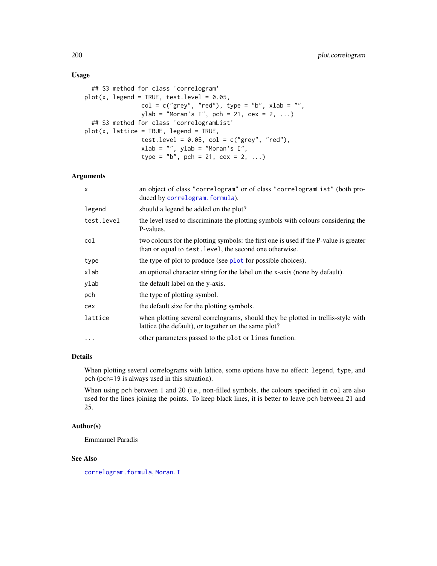# Usage

```
## S3 method for class 'correlogram'
plot(x, legend = TRUE, test. level = 0.05,col = c("grey", "red"), type = "b", xlab = "",ylab = "Moran's I", pch = 21, cex = 2, ...)
 ## S3 method for class 'correlogramList'
plot(x, lattice = TRUE, legend = TRUE,test.level = 0.05, col = c("grey", "red"),xlab = "", ylab = "Moran's I",type = "b", pch = 21, cex = 2, ...)
```
## Arguments

| $\mathsf{x}$ | an object of class "correlogram" or of class "correlogramList" (both pro-<br>duced by correlogram. formula).                                     |
|--------------|--------------------------------------------------------------------------------------------------------------------------------------------------|
| legend       | should a legend be added on the plot?                                                                                                            |
| test.level   | the level used to discriminate the plotting symbols with colours considering the<br>P-values.                                                    |
| col          | two colours for the plotting symbols: the first one is used if the P-value is greater<br>than or equal to test. level, the second one otherwise. |
| type         | the type of plot to produce (see plot for possible choices).                                                                                     |
| xlab         | an optional character string for the label on the x-axis (none by default).                                                                      |
| ylab         | the default label on the y-axis.                                                                                                                 |
| pch          | the type of plotting symbol.                                                                                                                     |
| cex          | the default size for the plotting symbols.                                                                                                       |
| lattice      | when plotting several correlograms, should they be plotted in trellis-style with<br>lattice (the default), or together on the same plot?         |
| $\ddotsc$    | other parameters passed to the plot or lines function.                                                                                           |

## Details

When plotting several correlograms with lattice, some options have no effect: legend, type, and pch (pch=19 is always used in this situation).

When using pch between 1 and 20 (i.e., non-filled symbols, the colours specified in col are also used for the lines joining the points. To keep black lines, it is better to leave pch between 21 and 25.

## Author(s)

Emmanuel Paradis

## See Also

[correlogram.formula](#page-102-0), [Moran.I](#page-165-0)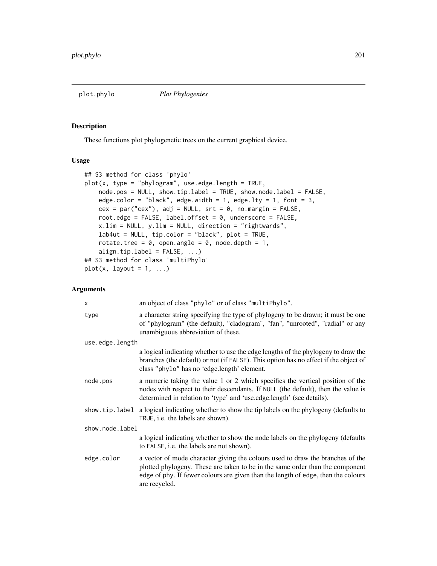<span id="page-200-0"></span>

# Description

These functions plot phylogenetic trees on the current graphical device.

## Usage

```
## S3 method for class 'phylo'
plot(x, type = "phylogram", use. edge. length = TRUE,node.pos = NULL, show.tip.label = TRUE, show.node.label = FALSE,
   edge.color = "black", edge.width = 1, edge.lty = 1, font = 3,
   cex = par("cex"), adj = NULL, srt = 0, no.margin = FALSE,
   root.edge = FALSE, label.offset = 0, underscore = FALSE,
   x.lim = NULL, y.lim = NULL, direction = "rightwards",
   lab4ut = NULL, tip.color = "black", plot = TRUE,
   rotate.tree = 0, open.angle = 0, node.depth = 1,
   align.tip.label = FALSE, ...)
## S3 method for class 'multiPhylo'
plot(x, layout = 1, ...)
```
## Arguments

| X               | an object of class "phylo" or of class "multiPhylo".                                                                                                                                                                                                                  |  |
|-----------------|-----------------------------------------------------------------------------------------------------------------------------------------------------------------------------------------------------------------------------------------------------------------------|--|
| type            | a character string specifying the type of phylogeny to be drawn; it must be one<br>of "phylogram" (the default), "cladogram", "fan", "unrooted", "radial" or any<br>unambiguous abbreviation of these.                                                                |  |
| use.edge.length |                                                                                                                                                                                                                                                                       |  |
|                 | a logical indicating whether to use the edge lengths of the phylogeny to draw the<br>branches (the default) or not (if FALSE). This option has no effect if the object of<br>class "phylo" has no 'edge.length' element.                                              |  |
| node.pos        | a numeric taking the value 1 or 2 which specifies the vertical position of the<br>nodes with respect to their descendants. If NULL (the default), then the value is<br>determined in relation to 'type' and 'use.edge.length' (see details).                          |  |
|                 | show, tip. label a logical indicating whether to show the tip labels on the phylogeny (defaults to<br>TRUE, <i>i.e.</i> the labels are shown).                                                                                                                        |  |
| show.node.label |                                                                                                                                                                                                                                                                       |  |
|                 | a logical indicating whether to show the node labels on the phylogeny (defaults)<br>to FALSE, i.e. the labels are not shown).                                                                                                                                         |  |
| edge.color      | a vector of mode character giving the colours used to draw the branches of the<br>plotted phylogeny. These are taken to be in the same order than the component<br>edge of phy. If fewer colours are given than the length of edge, then the colours<br>are recycled. |  |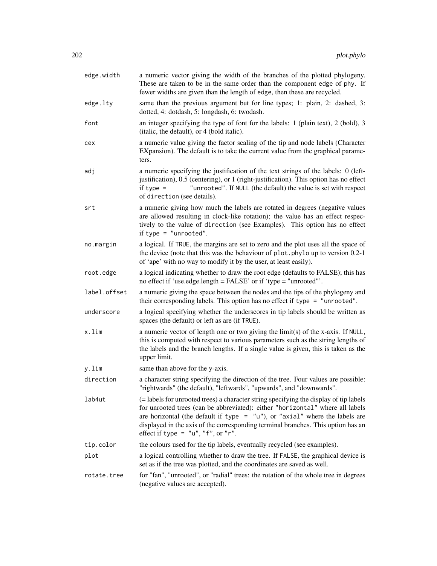| edge.width   | a numeric vector giving the width of the branches of the plotted phylogeny.<br>These are taken to be in the same order than the component edge of phy. If<br>fewer widths are given than the length of edge, then these are recycled.                                                                                                                                               |
|--------------|-------------------------------------------------------------------------------------------------------------------------------------------------------------------------------------------------------------------------------------------------------------------------------------------------------------------------------------------------------------------------------------|
| edge.lty     | same than the previous argument but for line types; 1: plain, 2: dashed, 3:<br>dotted, 4: dotdash, 5: longdash, 6: twodash.                                                                                                                                                                                                                                                         |
| font         | an integer specifying the type of font for the labels: 1 (plain text), 2 (bold), 3<br>(italic, the default), or 4 (bold italic).                                                                                                                                                                                                                                                    |
| cex          | a numeric value giving the factor scaling of the tip and node labels (Character<br>EXpansion). The default is to take the current value from the graphical parame-<br>ters.                                                                                                                                                                                                         |
| adj          | a numeric specifying the justification of the text strings of the labels: 0 (left-<br>justification), 0.5 (centering), or 1 (right-justification). This option has no effect<br>"unrooted". If NULL (the default) the value is set with respect<br>if type $=$<br>of direction (see details).                                                                                       |
| srt          | a numeric giving how much the labels are rotated in degrees (negative values<br>are allowed resulting in clock-like rotation); the value has an effect respec-<br>tively to the value of direction (see Examples). This option has no effect<br>if type = $"$ unrooted".                                                                                                            |
| no.margin    | a logical. If TRUE, the margins are set to zero and the plot uses all the space of<br>the device (note that this was the behaviour of plot. phylo up to version 0.2-1<br>of 'ape' with no way to modify it by the user, at least easily).                                                                                                                                           |
| root.edge    | a logical indicating whether to draw the root edge (defaults to FALSE); this has<br>no effect if 'use.edge.length = FALSE' or if 'type = "unrooted"'.                                                                                                                                                                                                                               |
| label.offset | a numeric giving the space between the nodes and the tips of the phylogeny and<br>their corresponding labels. This option has no effect if type = "unrooted".                                                                                                                                                                                                                       |
| underscore   | a logical specifying whether the underscores in tip labels should be written as<br>spaces (the default) or left as are (if TRUE).                                                                                                                                                                                                                                                   |
| x.lim        | a numeric vector of length one or two giving the limit(s) of the x-axis. If NULL,<br>this is computed with respect to various parameters such as the string lengths of<br>the labels and the branch lengths. If a single value is given, this is taken as the<br>upper limit.                                                                                                       |
| y.lim        | same than above for the y-axis.                                                                                                                                                                                                                                                                                                                                                     |
| direction    | a character string specifying the direction of the tree. Four values are possible:<br>"rightwards" (the default), "leftwards", "upwards", and "downwards".                                                                                                                                                                                                                          |
| lab4ut       | (= labels for unrooted trees) a character string specifying the display of tip labels<br>for unrooted trees (can be abbreviated): either "horizontal" where all labels<br>are horizontal (the default if type $=$ "u"), or "axial" where the labels are<br>displayed in the axis of the corresponding terminal branches. This option has an<br>effect if type = $"u", "f", or "r".$ |
| tip.color    | the colours used for the tip labels, eventually recycled (see examples).                                                                                                                                                                                                                                                                                                            |
| plot         | a logical controlling whether to draw the tree. If FALSE, the graphical device is<br>set as if the tree was plotted, and the coordinates are saved as well.                                                                                                                                                                                                                         |
| rotate.tree  | for "fan", "unrooted", or "radial" trees: the rotation of the whole tree in degrees<br>(negative values are accepted).                                                                                                                                                                                                                                                              |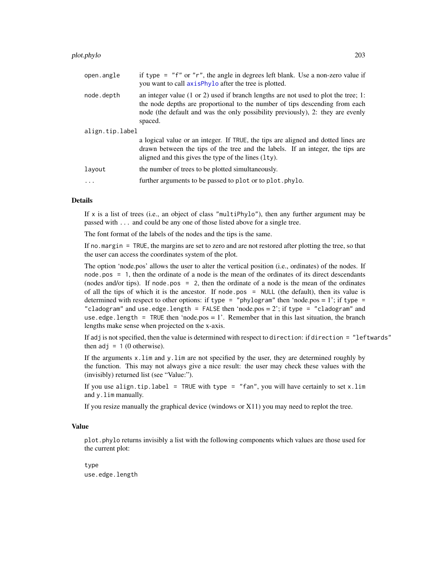#### plot.phylo 203

| open.angle      | if type = $"f"$ or $"r"$ , the angle in degrees left blank. Use a non-zero value if<br>you want to call axisPhylo after the tree is plotted.                                                                                                                              |  |
|-----------------|---------------------------------------------------------------------------------------------------------------------------------------------------------------------------------------------------------------------------------------------------------------------------|--|
| node.depth      | an integer value $(1 \text{ or } 2)$ used if branch lengths are not used to plot the tree; 1:<br>the node depths are proportional to the number of tips descending from each<br>node (the default and was the only possibility previously), 2: they are evenly<br>spaced. |  |
| align.tip.label |                                                                                                                                                                                                                                                                           |  |
|                 | a logical value or an integer. If TRUE, the tips are aligned and dotted lines are<br>drawn between the tips of the tree and the labels. If an integer, the tips are<br>aligned and this gives the type of the lines $(1ty)$ .                                             |  |
| layout          | the number of trees to be plotted simultaneously.                                                                                                                                                                                                                         |  |
| $\ddotsc$       | further arguments to be passed to plot or to plot. phylo.                                                                                                                                                                                                                 |  |
|                 |                                                                                                                                                                                                                                                                           |  |

# Details

If x is a list of trees (i.e., an object of class "multiPhylo"), then any further argument may be passed with ... and could be any one of those listed above for a single tree.

The font format of the labels of the nodes and the tips is the same.

If no.margin = TRUE, the margins are set to zero and are not restored after plotting the tree, so that the user can access the coordinates system of the plot.

The option 'node.pos' allows the user to alter the vertical position (i.e., ordinates) of the nodes. If node.pos = 1, then the ordinate of a node is the mean of the ordinates of its direct descendants (nodes and/or tips). If node.pos = 2, then the ordinate of a node is the mean of the ordinates of all the tips of which it is the ancestor. If node.pos = NULL (the default), then its value is determined with respect to other options: if type = "phylogram" then 'node.pos = 1'; if type = "cladogram" and use.edge.length = FALSE then 'node.pos =  $2$ '; if type = "cladogram" and use.edge.length = TRUE then 'node.pos = 1'. Remember that in this last situation, the branch lengths make sense when projected on the x-axis.

If adj is not specified, then the value is determined with respect to direction: if direction = "leftwards" then  $adj = 1$  (0 otherwise).

If the arguments x.lim and y.lim are not specified by the user, they are determined roughly by the function. This may not always give a nice result: the user may check these values with the (invisibly) returned list (see "Value:").

If you use align.tip.label = TRUE with type = "fan", you will have certainly to set x.lim and y.lim manually.

If you resize manually the graphical device (windows or X11) you may need to replot the tree.

## Value

plot.phylo returns invisibly a list with the following components which values are those used for the current plot:

type use.edge.length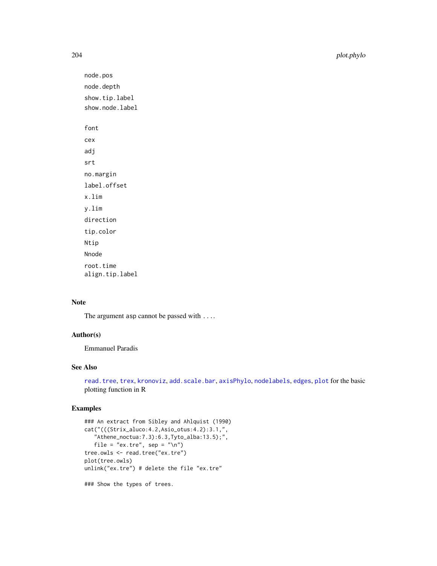204 plot.phylo

```
node.pos
node.depth
show.tip.label
show.node.label
font
cex
adj
srt
no.margin
label.offset
x.lim
y.lim
direction
tip.color
Ntip
Nnode
root.time
align.tip.label
```
# Note

The argument asp cannot be passed with ....

# Author(s)

Emmanuel Paradis

# See Also

[read.tree](#page-221-0), [trex](#page-257-0), [kronoviz](#page-143-0), [add.scale.bar](#page-13-0), [axisPhylo](#page-29-0), [nodelabels](#page-180-0), [edges](#page-127-0), [plot](#page-0-0) for the basic plotting function in R

# Examples

```
### An extract from Sibley and Ahlquist (1990)
cat("(((Strix_aluco:4.2,Asio_otus:4.2):3.1,",
   "Athene_noctua:7.3):6.3,Tyto_alba:13.5);",
   file = "ex.tre", sep = "n")
tree.owls <- read.tree("ex.tre")
plot(tree.owls)
unlink("ex.tre") # delete the file "ex.tre"
### Show the types of trees.
```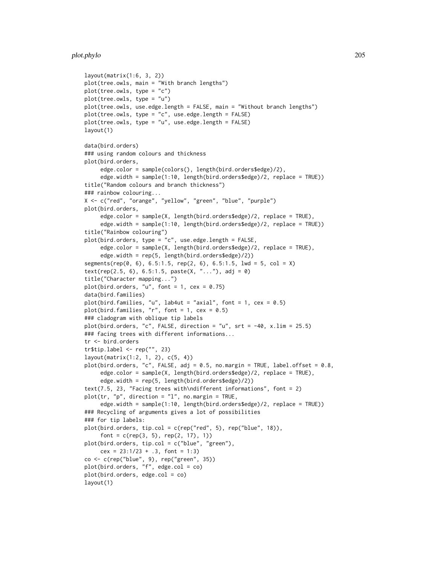## plot.phylo 205

```
layout(matrix(1:6, 3, 2))
plot(tree.owls, main = "With branch lengths")
plot(tree.owls, type = "c")
plot(tree.owls, type = "u")
plot(tree.owls, use.edge.length = FALSE, main = "Without branch lengths")
plot(tree.owls, type = "c", use.edge.length = FALSE)
plot(tree.owls, type = "u", use.edge.length = FALSE)
layout(1)
data(bird.orders)
### using random colours and thickness
plot(bird.orders,
     edge.color = sample(colors(), length(bird.orders$edge)/2),
     edge.width = sample(1:10, length(bird.orders$edge)/2, replace = TRUE))
title("Random colours and branch thickness")
### rainbow colouring...
X <- c("red", "orange", "yellow", "green", "blue", "purple")
plot(bird.orders,
     edge.color = sample(X, length(bird.orders$edge)/2, replace = TRUE),
     edge.width = sample(1:10, length(bird.orders$edge)/2, replace = TRUE))
title("Rainbow colouring")
plot(bird.orders, type = "c", use.edge.length = FALSE,
     edge.color = sample(X, length(bird.orders$edge)/2, replace = TRUE),
     edge.width = rep(5, length(bird.orders$edge)/2))
segments(rep(0, 6), 6.5:1.5, rep(2, 6), 6.5:1.5, lwd = 5, col = X)
text(rep(2.5, 6), 6.5:1.5, paste(X, "..."), adj = 0)title("Character mapping...")
plot(bird.orders, "u", font = 1, cex = 0.75)data(bird.families)
plot(bird.families, "u", lab4ut = "axial", font = 1, cex = 0.5)
plot(bird.families, "r", font = 1, cex = 0.5)
### cladogram with oblique tip labels
plot(bird.orders, "c", FALSE, direction = "u", srt = -40, x.lim = 25.5)
### facing trees with different informations...
tr <- bird.orders
tr$tip.label <- rep("", 23)
layout(matrix(1:2, 1, 2), c(5, 4))
plot(bird.orders, "c", FALSE, adj = 0.5, no.margin = TRUE, label.offset = 0.8,
     edge.color = sample(X, length(bird.orders$edge)/2, replace = TRUE),
     edge.width = rep(5, length(bird.orders$edge)/2))
text(7.5, 23, "Facing trees with\ndifferent informations", font = 2)
plot(tr, "p", direction = "l", no.margin = TRUE,
     edge.width = sample(1:10, length(bird.orders$edge)/2, replace = TRUE))
### Recycling of arguments gives a lot of possibilities
### for tip labels:
plot(bird.orders, tip.col = c(rep("red", 5), rep("blue", 18)),
     font = c(rep(3, 5), rep(2, 17), 1))
plot(bird.orders, tip.col = c("blue", "green"),
     cex = 23:1/23 + .3, font = 1:3)
co <- c(rep("blue", 9), rep("green", 35))
plot(bird.orders, "f", edge.col = co)
plot(bird.orders, edge.col = co)
layout(1)
```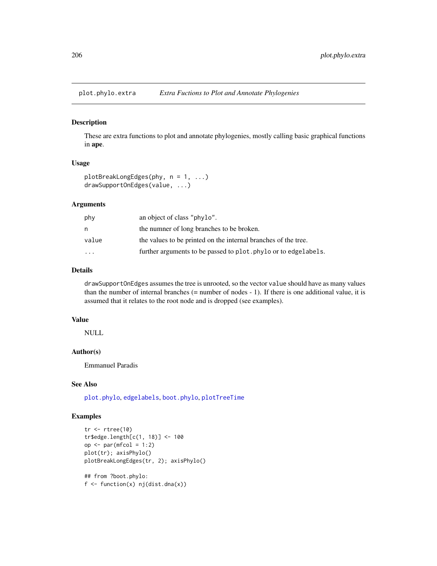plot.phylo.extra *Extra Fuctions to Plot and Annotate Phylogenies*

## Description

These are extra functions to plot and annotate phylogenies, mostly calling basic graphical functions in ape.

## Usage

```
plotBreakLongEdges(phy, n = 1, ...)
drawSupportOnEdges(value, ...)
```
# Arguments

| phy                     | an object of class "phylo".                                     |
|-------------------------|-----------------------------------------------------------------|
| n                       | the numner of long branches to be broken.                       |
| value                   | the values to be printed on the internal branches of the tree.  |
| $\cdot$ $\cdot$ $\cdot$ | further arguments to be passed to plot. phylo or to edgelabels. |

# Details

drawSupportOnEdges assumes the tree is unrooted, so the vector value should have as many values than the number of internal branches (= number of nodes - 1). If there is one additional value, it is assumed that it relates to the root node and is dropped (see examples).

## Value

NULL

# Author(s)

Emmanuel Paradis

# See Also

[plot.phylo](#page-200-0), [edgelabels](#page-180-1), [boot.phylo](#page-48-0), [plotTreeTime](#page-207-0)

# Examples

```
tr < -rtree(10)tr$edge.length[c(1, 18)] <- 100
op \leq par(mfcol = 1:2)
plot(tr); axisPhylo()
plotBreakLongEdges(tr, 2); axisPhylo()
## from ?boot.phylo:
```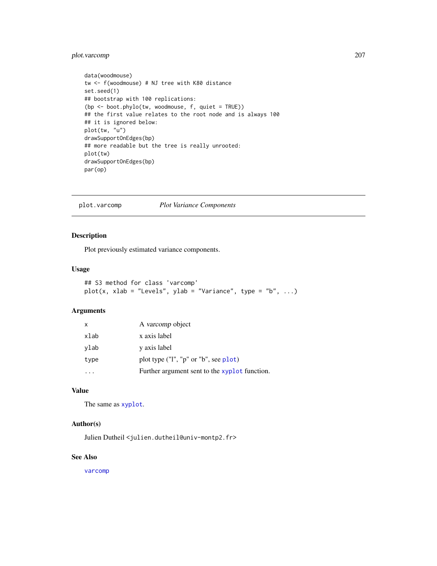# plot.varcomp 207

```
data(woodmouse)
tw <- f(woodmouse) # NJ tree with K80 distance
set.seed(1)
## bootstrap with 100 replications:
(bp <- boot.phylo(tw, woodmouse, f, quiet = TRUE))
## the first value relates to the root node and is always 100
## it is ignored below:
plot(tw, "u")
drawSupportOnEdges(bp)
## more readable but the tree is really unrooted:
plot(tw)
drawSupportOnEdges(bp)
par(op)
```
plot.varcomp *Plot Variance Components*

# Description

Plot previously estimated variance components.

#### Usage

```
## S3 method for class 'varcomp'
plot(x, xlab = "Levels", ylab = "Variance", type = "b", ...)
```
# Arguments

| $\mathsf{x}$ | A varcomp object                              |
|--------------|-----------------------------------------------|
| xlab         | x axis label                                  |
| ylab         | y axis label                                  |
| type         | plot type ("l", "p" or "b", see plot)         |
|              | Further argument sent to the xyplot function. |

## Value

The same as [xyplot](#page-0-0).

# Author(s)

Julien Dutheil <julien.dutheil@univ-montp2.fr>

# See Also

[varcomp](#page-262-0)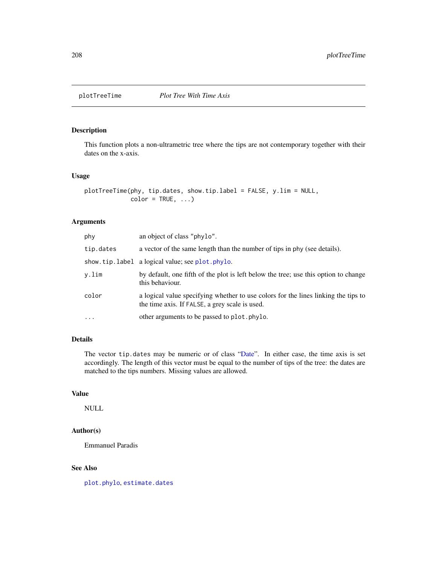# <span id="page-207-0"></span>Description

This function plots a non-ultrametric tree where the tips are not contemporary together with their dates on the x-axis.

## Usage

```
plotTreeTime(phy, tip.dates, show.tip.label = FALSE, y.lim = NULL,
            color = TRUE, ...)
```
## Arguments

| phy       | an object of class "phylo".                                                                                                          |
|-----------|--------------------------------------------------------------------------------------------------------------------------------------|
| tip.dates | a vector of the same length than the number of tips in phy (see details).                                                            |
|           | show.tip.label a logical value; see plot.phylo.                                                                                      |
| y.lim     | by default, one fifth of the plot is left below the tree; use this option to change<br>this behaviour.                               |
| color     | a logical value specifying whether to use colors for the lines linking the tips to<br>the time axis. If FALSE, a grey scale is used. |
| $\cdot$   | other arguments to be passed to plot. phylo.                                                                                         |

# Details

The vector tip.dates may be numeric or of class ["Date"](#page-0-0). In either case, the time axis is set accordingly. The length of this vector must be equal to the number of tips of the tree: the dates are matched to the tips numbers. Missing values are allowed.

# Value

NULL

# Author(s)

Emmanuel Paradis

# See Also

[plot.phylo](#page-200-0), [estimate.dates](#page-176-0)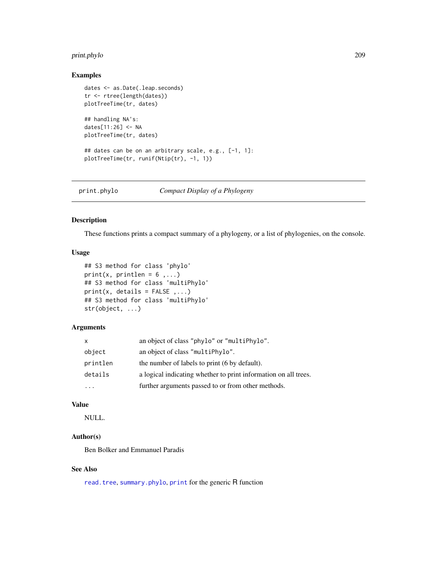# print.phylo 209

# Examples

```
dates <- as.Date(.leap.seconds)
tr <- rtree(length(dates))
plotTreeTime(tr, dates)
## handling NA's:
dates[11:26] <- NA
plotTreeTime(tr, dates)
## dates can be on an arbitrary scale, e.g., [-1, 1]:
plotTreeTime(tr, runif(Ntip(tr), -1, 1))
```

| print.phylo | Compact Display of a Phylogeny |
|-------------|--------------------------------|
|             |                                |

# Description

These functions prints a compact summary of a phylogeny, or a list of phylogenies, on the console.

## Usage

```
## S3 method for class 'phylo'
print(x, printlen = 6,...)
## S3 method for class 'multiPhylo'
print(x, details = FALSE, ...)## S3 method for class 'multiPhylo'
str(object, ...)
```
# Arguments

| X        | an object of class "phylo" or "multiPhylo".                     |
|----------|-----------------------------------------------------------------|
| object   | an object of class "multiPhylo".                                |
| printlen | the number of labels to print (6 by default).                   |
| details  | a logical indicating whether to print information on all trees. |
|          | further arguments passed to or from other methods.              |

# Value

NULL.

# Author(s)

Ben Bolker and Emmanuel Paradis

# See Also

[read.tree](#page-221-0), [summary.phylo](#page-254-0), [print](#page-0-0) for the generic R function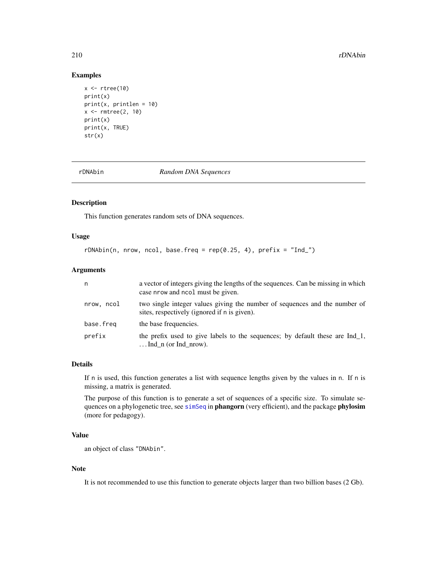#### 210 rDNAbin

## Examples

```
x < - rtree(10)
print(x)
print(x, printlen = 10)x \leftarrow rmtree(2, 10)
print(x)
print(x, TRUE)
str(x)
```
rDNAbin *Random DNA Sequences*

# Description

This function generates random sets of DNA sequences.

# Usage

 $rDNAbin(n, nrow, ncol, base.freq = rep(0.25, 4), prefix = "Ind"')$ 

## Arguments

| n          | a vector of integers giving the lengths of the sequences. Can be missing in which<br>case nrow and nool must be given.     |
|------------|----------------------------------------------------------------------------------------------------------------------------|
| nrow, ncol | two single integer values giving the number of sequences and the number of<br>sites, respectively (ignored if n is given). |
| base.freg  | the base frequencies.                                                                                                      |
| prefix     | the prefix used to give labels to the sequences; by default these are $Ind_1$ ,<br>$\ldots$ Ind n (or Ind nrow).           |

## Details

If n is used, this function generates a list with sequence lengths given by the values in n. If n is missing, a matrix is generated.

The purpose of this function is to generate a set of sequences of a specific size. To simulate sequences on a phylogenetic tree, see [simSeq](#page-0-0) in **phangorn** (very efficient), and the package **phylosim** (more for pedagogy).

## Value

an object of class "DNAbin".

## Note

It is not recommended to use this function to generate objects larger than two billion bases (2 Gb).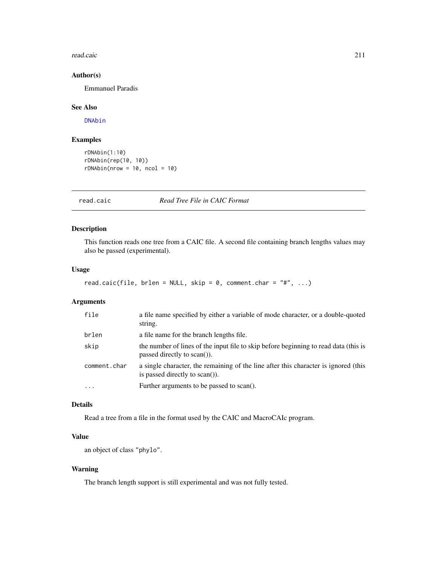#### read.caic 211

# Author(s)

Emmanuel Paradis

# See Also

[DNAbin](#page-121-0)

# Examples

```
rDNAbin(1:10)
rDNAbin(rep(10, 10))
rDNAbin(nrow = 10, ncol = 10)
```
read.caic *Read Tree File in CAIC Format*

# Description

This function reads one tree from a CAIC file. A second file containing branch lengths values may also be passed (experimental).

## Usage

```
read.caic(file, brlen = NULL, skip = 0, comment.char = "#", ...)
```
## Arguments

| file         | a file name specified by either a variable of mode character, or a double-quoted<br>string.                           |
|--------------|-----------------------------------------------------------------------------------------------------------------------|
| brlen        | a file name for the branch lengths file.                                                                              |
| skip         | the number of lines of the input file to skip before beginning to read data (this is<br>passed directly to $scan()$ . |
| comment.char | a single character, the remaining of the line after this character is ignored (this<br>is passed directly to scan()). |
| $\ddotsc$    | Further arguments to be passed to scan().                                                                             |

# Details

Read a tree from a file in the format used by the CAIC and MacroCAIc program.

# Value

an object of class "phylo".

# Warning

The branch length support is still experimental and was not fully tested.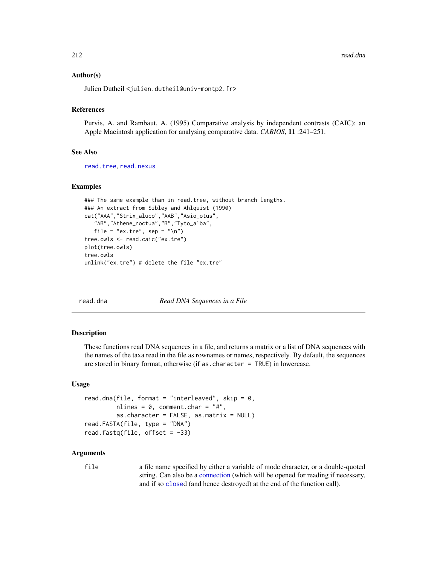212 read.dna

### Author(s)

Julien Dutheil <julien.dutheil@univ-montp2.fr>

# References

Purvis, A. and Rambaut, A. (1995) Comparative analysis by independent contrasts (CAIC): an Apple Macintosh application for analysing comparative data. *CABIOS*, 11 :241–251.

### See Also

[read.tree](#page-221-0), [read.nexus](#page-217-0)

## Examples

```
### The same example than in read.tree, without branch lengths.
### An extract from Sibley and Ahlquist (1990)
cat("AAA","Strix_aluco","AAB","Asio_otus",
   "AB","Athene_noctua","B","Tyto_alba",
   file = "ex.tre", sep = "\n\times")
tree.owls <- read.caic("ex.tre")
plot(tree.owls)
tree.owls
unlink("ex.tre") # delete the file "ex.tre"
```
read.dna *Read DNA Sequences in a File*

#### Description

These functions read DNA sequences in a file, and returns a matrix or a list of DNA sequences with the names of the taxa read in the file as rownames or names, respectively. By default, the sequences are stored in binary format, otherwise (if as  $R$  character = TRUE) in lowercase.

#### Usage

```
read.dna(file, format = "interleaved", skip = 0,
         nlines = 0, comment.char = "#",
         as. character = FALSE, as.matrix = NULLread.FASTA(file, type = "DNA")
read.fastq(file, offset = -33)
```
#### Arguments

file a file name specified by either a variable of mode character, or a double-quoted string. Can also be a [connection](#page-0-0) (which will be opened for reading if necessary, and if so [close](#page-0-0)d (and hence destroyed) at the end of the function call).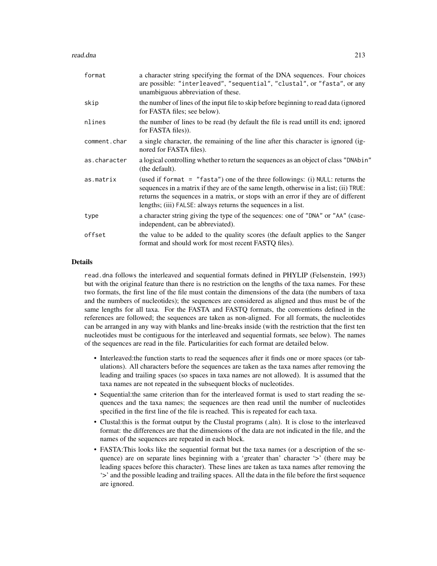read.dna 213

| format       | a character string specifying the format of the DNA sequences. Four choices<br>are possible: "interleaved", "sequential", "clustal", or "fasta", or any<br>unambiguous abbreviation of these.                                                                                                                                   |
|--------------|---------------------------------------------------------------------------------------------------------------------------------------------------------------------------------------------------------------------------------------------------------------------------------------------------------------------------------|
| skip         | the number of lines of the input file to skip before beginning to read data (ignored<br>for FASTA files; see below).                                                                                                                                                                                                            |
| nlines       | the number of lines to be read (by default the file is read untill its end; ignored<br>for FASTA files)).                                                                                                                                                                                                                       |
| comment.char | a single character, the remaining of the line after this character is ignored (ig-<br>nored for FASTA files).                                                                                                                                                                                                                   |
| as.character | a logical controlling whether to return the sequences as an object of class "DNAbin"<br>(the default).                                                                                                                                                                                                                          |
| as.matrix    | (used if format = $"fasta")$ one of the three followings: (i) NULL: returns the<br>sequences in a matrix if they are of the same length, otherwise in a list; (ii) TRUE:<br>returns the sequences in a matrix, or stops with an error if they are of different<br>lengths; (iii) FALSE: always returns the sequences in a list. |
| type         | a character string giving the type of the sequences: one of "DNA" or "AA" (case-<br>independent, can be abbreviated).                                                                                                                                                                                                           |
| offset       | the value to be added to the quality scores (the default applies to the Sanger<br>format and should work for most recent FASTQ files).                                                                                                                                                                                          |

## Details

read.dna follows the interleaved and sequential formats defined in PHYLIP (Felsenstein, 1993) but with the original feature than there is no restriction on the lengths of the taxa names. For these two formats, the first line of the file must contain the dimensions of the data (the numbers of taxa and the numbers of nucleotides); the sequences are considered as aligned and thus must be of the same lengths for all taxa. For the FASTA and FASTQ formats, the conventions defined in the references are followed; the sequences are taken as non-aligned. For all formats, the nucleotides can be arranged in any way with blanks and line-breaks inside (with the restriction that the first ten nucleotides must be contiguous for the interleaved and sequential formats, see below). The names of the sequences are read in the file. Particularities for each format are detailed below.

- Interleaved:the function starts to read the sequences after it finds one or more spaces (or tabulations). All characters before the sequences are taken as the taxa names after removing the leading and trailing spaces (so spaces in taxa names are not allowed). It is assumed that the taxa names are not repeated in the subsequent blocks of nucleotides.
- Sequential:the same criterion than for the interleaved format is used to start reading the sequences and the taxa names; the sequences are then read until the number of nucleotides specified in the first line of the file is reached. This is repeated for each taxa.
- Clustal: this is the format output by the Clustal programs (.aln). It is close to the interleaved format: the differences are that the dimensions of the data are not indicated in the file, and the names of the sequences are repeated in each block.
- FASTA:This looks like the sequential format but the taxa names (or a description of the sequence) are on separate lines beginning with a 'greater than' character '>' (there may be leading spaces before this character). These lines are taken as taxa names after removing the '>' and the possible leading and trailing spaces. All the data in the file before the first sequence are ignored.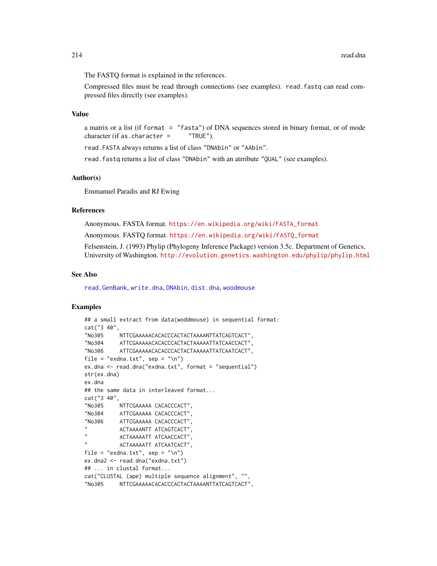The FASTQ format is explained in the references.

Compressed files must be read through connections (see examples). read.fastq can read compressed files directly (see examples).

# Value

a matrix or a list (if format = "fasta") of DNA sequences stored in binary format, or of mode character (if as.character =  $"TRUE"$ ).

read.FASTA always returns a list of class "DNAbin" or "AAbin".

read.fastq returns a list of class "DNAbin" with an atrribute "QUAL" (see examples).

## Author(s)

Emmanuel Paradis and RJ Ewing

#### References

Anonymous. FASTA format. [https://en.wikipedia.org/wiki/FASTA\\_format](https://en.wikipedia.org/wiki/FASTA_format)

Anonymous. FASTQ format. [https://en.wikipedia.org/wiki/FASTQ\\_format](https://en.wikipedia.org/wiki/FASTQ_format)

Felsenstein, J. (1993) Phylip (Phylogeny Inference Package) version 3.5c. Department of Genetics, University of Washington. <http://evolution.genetics.washington.edu/phylip/phylip.html>

## See Also

[read.GenBank](#page-215-0), [write.dna](#page-270-0), [DNAbin](#page-121-0), [dist.dna](#page-110-0), [woodmouse](#page-270-1)

## Examples

```
## a small extract from data(woddmouse) in sequential format:
cat("3 40",
"No305 NTTCGAAAAACACACCCACTACTAAAANTTATCAGTCACT",
"No304 ATTCGAAAAACACACCCACTACTAAAAATTATCAACCACT",
"No306 ATTCGAAAAACACACCCACTACTAAAAATTATCAATCACT",
file = "exdna.txt", sep = "\n")
ex.dna <- read.dna("exdna.txt", format = "sequential")
str(ex.dna)
ex.dna
## the same data in interleaved format...
cat("3 40",
"No305 NTTCGAAAAA CACACCCACT",
"No304 ATTCGAAAAA CACACCCACT",
"No306 ATTCGAAAAA CACACCCACT",
          ACTAAAANTT ATCAGTCACT",
          ACTAAAAATT ATCAACCACT"
          ACTAAAAATT ATCAATCACT",
file = "exdna.txt", sep = "\n")
ex.dna2 <- read.dna("exdna.txt")
## ... in clustal format...
cat("CLUSTAL (ape) multiple sequence alignment", "",
"No305 NTTCGAAAAACACACCCACTACTAAAANTTATCAGTCACT",
```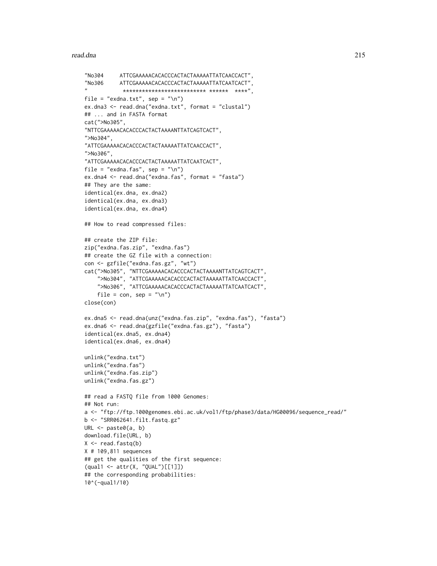#### read.dna 215

```
"No304 ATTCGAAAAACACACCCACTACTAAAAATTATCAACCACT",
"No306 ATTCGAAAAACACACCCACTACTAAAAATTATCAATCACT",
            **********************************************file = "exdna.txt", sep = "\n")
ex.dna3 <- read.dna("exdna.txt", format = "clustal")
## ... and in FASTA format
cat(">No305",
"NTTCGAAAAACACACCCACTACTAAAANTTATCAGTCACT",
">No304",
"ATTCGAAAAACACACCCACTACTAAAAATTATCAACCACT",
">No306",
"ATTCGAAAAACACACCCACTACTAAAAATTATCAATCACT",
file = "exdna.fas", sep = "\n")
ex.dna4 <- read.dna("exdna.fas", format = "fasta")
## They are the same:
identical(ex.dna, ex.dna2)
identical(ex.dna, ex.dna3)
identical(ex.dna, ex.dna4)
## How to read compressed files:
## create the ZIP file:
zip("exdna.fas.zip", "exdna.fas")
## create the GZ file with a connection:
con <- gzfile("exdna.fas.gz", "wt")
cat(">No305", "NTTCGAAAAACACACCCACTACTAAAANTTATCAGTCACT",
    ">No304", "ATTCGAAAAACACACCCACTACTAAAAATTATCAACCACT",
    ">No306", "ATTCGAAAAACACACCCACTACTAAAAATTATCAATCACT",
    file = con, sep = "\n\n\inclose(con)
ex.dna5 <- read.dna(unz("exdna.fas.zip", "exdna.fas"), "fasta")
ex.dna6 <- read.dna(gzfile("exdna.fas.gz"), "fasta")
identical(ex.dna5, ex.dna4)
identical(ex.dna6, ex.dna4)
unlink("exdna.txt")
unlink("exdna.fas")
unlink("exdna.fas.zip")
unlink("exdna.fas.gz")
## read a FASTQ file from 1000 Genomes:
## Not run:
a <- "ftp://ftp.1000genomes.ebi.ac.uk/vol1/ftp/phase3/data/HG00096/sequence_read/"
b <- "SRR062641.filt.fastq.gz"
URL \leq paste0(a, b)
download.file(URL, b)
X \leftarrow \text{read}. \text{fastq(b)}X # 109,811 sequences
## get the qualities of the first sequence:
(qual1 <- attr(X, "QUAL")[[1]])
## the corresponding probabilities:
10^(-qual1/10)
```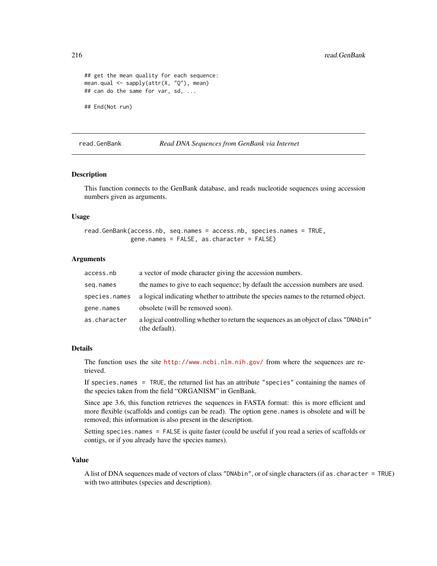```
## get the mean quality for each sequence:
mean.qual <- sapply(attr(X, "Q"), mean)
## can do the same for var, sd, ...
## End(Not run)
```
## <span id="page-215-0"></span>read.GenBank *Read DNA Sequences from GenBank via Internet*

## Description

This function connects to the GenBank database, and reads nucleotide sequences using accession numbers given as arguments.

#### Usage

```
read.GenBank(access.nb, seq.names = access.nb, species.names = TRUE,
             gene.names = FALSE, as.character = FALSE)
```
## Arguments

| access.nb     | a vector of mode character giving the accession numbers.                                               |
|---------------|--------------------------------------------------------------------------------------------------------|
| seg.names     | the names to give to each sequence; by default the accession numbers are used.                         |
| species.names | a logical indicating whether to attribute the species names to the returned object.                    |
| gene.names    | obsolete (will be removed soon).                                                                       |
| as.character  | a logical controlling whether to return the sequences as an object of class "DNAbin"<br>(the default). |

#### Details

The function uses the site <http://www.ncbi.nlm.nih.gov/> from where the sequences are retrieved.

If species.names = TRUE, the returned list has an attribute "species" containing the names of the species taken from the field "ORGANISM" in GenBank.

Since ape 3.6, this function retrieves the sequences in FASTA format: this is more efficient and more flexible (scaffolds and contigs can be read). The option gene.names is obsolete and will be removed; this information is also present in the description.

Setting species.names = FALSE is quite faster (could be useful if you read a series of scaffolds or contigs, or if you already have the species names).

#### Value

A list of DNA sequences made of vectors of class "DNAbin", or of single characters (if as.character = TRUE) with two attributes (species and description).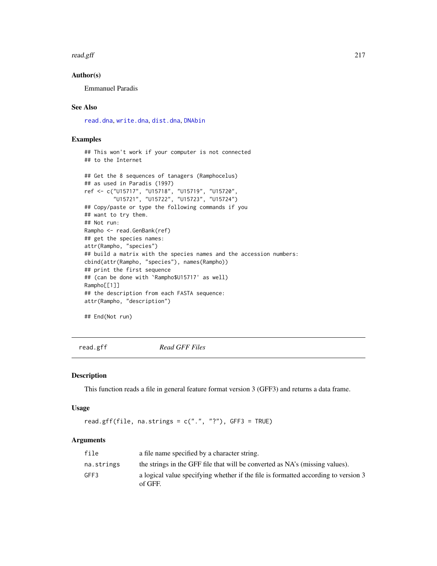#### read.gff 217

# Author(s)

Emmanuel Paradis

## See Also

[read.dna](#page-211-0), [write.dna](#page-270-0), [dist.dna](#page-110-0), [DNAbin](#page-121-0)

## Examples

```
## This won't work if your computer is not connected
## to the Internet
## Get the 8 sequences of tanagers (Ramphocelus)
## as used in Paradis (1997)
ref <- c("U15717", "U15718", "U15719", "U15720",
         "U15721", "U15722", "U15723", "U15724")
## Copy/paste or type the following commands if you
## want to try them.
## Not run:
Rampho <- read.GenBank(ref)
## get the species names:
attr(Rampho, "species")
## build a matrix with the species names and the accession numbers:
cbind(attr(Rampho, "species"), names(Rampho))
## print the first sequence
## (can be done with `Rampho$U15717' as well)
Rampho[[1]]
## the description from each FASTA sequence:
attr(Rampho, "description")
```
## End(Not run)

read.gff *Read GFF Files*

#### Description

This function reads a file in general feature format version 3 (GFF3) and returns a data frame.

#### Usage

```
read.gff(file, na.strings = c("."," "?"), GFF3 = TRUE)
```

| file       | a file name specified by a character string.                                                  |
|------------|-----------------------------------------------------------------------------------------------|
| na.strings | the strings in the GFF file that will be converted as NA's (missing values).                  |
| GFF3       | a logical value specifying whether if the file is formatted according to version 3<br>of GFF. |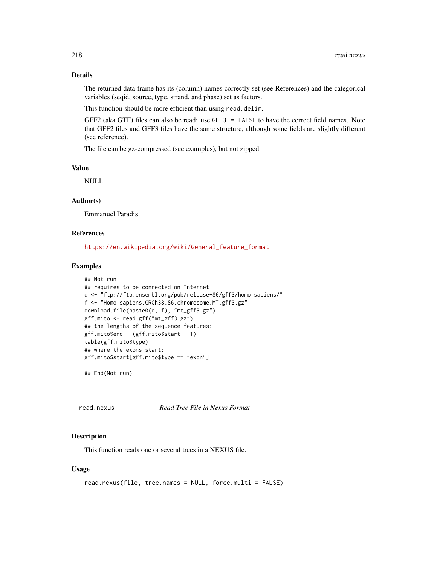# Details

The returned data frame has its (column) names correctly set (see References) and the categorical variables (seqid, source, type, strand, and phase) set as factors.

This function should be more efficient than using read.delim.

GFF2 (aka GTF) files can also be read: use GFF3 = FALSE to have the correct field names. Note that GFF2 files and GFF3 files have the same structure, although some fields are slightly different (see reference).

The file can be gz-compressed (see examples), but not zipped.

#### Value

NULL

# Author(s)

Emmanuel Paradis

## References

[https://en.wikipedia.org/wiki/General\\_feature\\_format](https://en.wikipedia.org/wiki/General_feature_format)

#### Examples

```
## Not run:
## requires to be connected on Internet
d <- "ftp://ftp.ensembl.org/pub/release-86/gff3/homo_sapiens/"
f <- "Homo_sapiens.GRCh38.86.chromosome.MT.gff3.gz"
download.file(paste0(d, f), "mt_gff3.gz")
gff.mito <- read.gff("mt_gff3.gz")
## the lengths of the sequence features:
gff.mito$end - (gff.mito$start - 1)
table(gff.mito$type)
## where the exons start:
gff.mito$start[gff.mito$type == "exon"]
```
## End(Not run)

<span id="page-217-0"></span>read.nexus *Read Tree File in Nexus Format*

# **Description**

This function reads one or several trees in a NEXUS file.

## Usage

```
read.nexus(file, tree.names = NULL, force.multi = FALSE)
```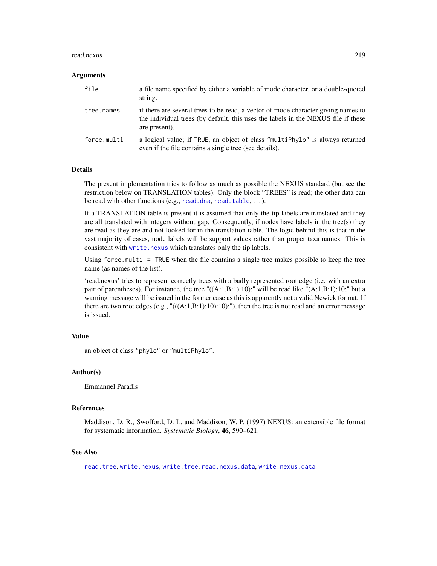#### read.nexus 219

#### Arguments

| file        | a file name specified by either a variable of mode character, or a double-quoted<br>string.                                                                                             |
|-------------|-----------------------------------------------------------------------------------------------------------------------------------------------------------------------------------------|
| tree.names  | if there are several trees to be read, a vector of mode character giving names to<br>the individual trees (by default, this uses the labels in the NEXUS file if these<br>are present). |
| force.multi | a logical value; if TRUE, an object of class "multiPhylo" is always returned<br>even if the file contains a single tree (see details).                                                  |

## Details

The present implementation tries to follow as much as possible the NEXUS standard (but see the restriction below on TRANSLATION tables). Only the block "TREES" is read; the other data can be read with other functions (e.g., [read.dna](#page-211-0), [read.table](#page-0-0), ...).

If a TRANSLATION table is present it is assumed that only the tip labels are translated and they are all translated with integers without gap. Consequently, if nodes have labels in the tree(s) they are read as they are and not looked for in the translation table. The logic behind this is that in the vast majority of cases, node labels will be support values rather than proper taxa names. This is consistent with [write.nexus](#page-272-0) which translates only the tip labels.

Using force.multi = TRUE when the file contains a single tree makes possible to keep the tree name (as names of the list).

'read.nexus' tries to represent correctly trees with a badly represented root edge (i.e. with an extra pair of parentheses). For instance, the tree " $((A:1,B:1):10)$ ;" will be read like " $(A:1,B:1):10$ ;" but a warning message will be issued in the former case as this is apparently not a valid Newick format. If there are two root edges (e.g., "(((A:1,B:1):10):10);"), then the tree is not read and an error message is issued.

## Value

an object of class "phylo" or "multiPhylo".

## Author(s)

Emmanuel Paradis

#### References

Maddison, D. R., Swofford, D. L. and Maddison, W. P. (1997) NEXUS: an extensible file format for systematic information. *Systematic Biology*, 46, 590–621.

## See Also

[read.tree](#page-221-0), [write.nexus](#page-272-0), [write.tree](#page-275-0), [read.nexus.data](#page-219-0), [write.nexus.data](#page-273-0)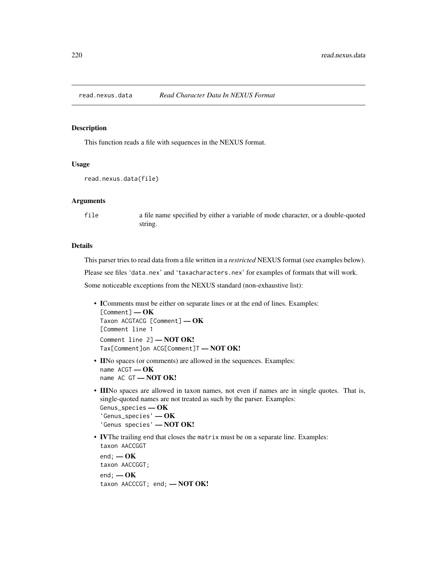<span id="page-219-0"></span>

#### Description

This function reads a file with sequences in the NEXUS format.

# Usage

```
read.nexus.data(file)
```
## Arguments

file a file name specified by either a variable of mode character, or a double-quoted string.

## **Details**

This parser tries to read data from a file written in a *restricted* NEXUS format (see examples below).

Please see files 'data.nex' and 'taxacharacters.nex' for examples of formats that will work.

Some noticeable exceptions from the NEXUS standard (non-exhaustive list):

- IComments must be either on separate lines or at the end of lines. Examples: [Comment] — OK Taxon ACGTACG [Comment] - OK [Comment line 1 Comment line 2] - NOT OK! Tax[Comment]on ACG[Comment]T — NOT OK!
- IINo spaces (or comments) are allowed in the sequences. Examples: name  $ACGT - OK$ name AC GT - NOT OK!
- IIINo spaces are allowed in taxon names, not even if names are in single quotes. That is, single-quoted names are not treated as such by the parser. Examples: Genus\_species — OK 'Genus\_species' — OK 'Genus species' — NOT OK!
- IVThe trailing end that closes the matrix must be on a separate line. Examples: taxon AACCGGT

end;  $-\text{OK}$ taxon AACCGGT;  $end; - OK$ taxon AACCCGT; end; - NOT OK!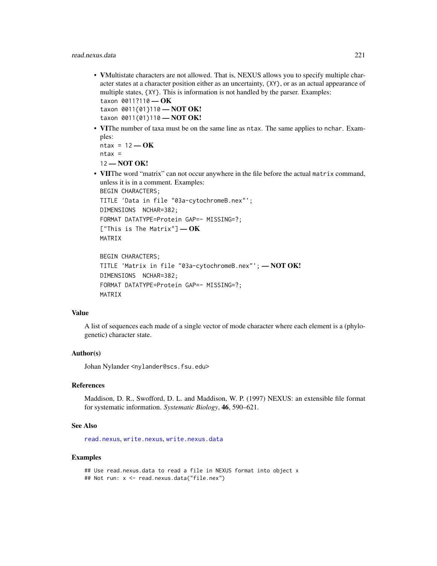- VMultistate characters are not allowed. That is, NEXUS allows you to specify multiple character states at a character position either as an uncertainty, (XY), or as an actual appearance of multiple states, {XY}. This is information is not handled by the parser. Examples: taxon 0011?110 - OK taxon 0011{01}110 — NOT OK!
- taxon 0011(01)110 NOT OK!
- VIThe number of taxa must be on the same line as ntax. The same applies to nchar. Examples:

 $ntax = 12 - OK$  $ntax =$ 12 — NOT OK!

• VIIThe word "matrix" can not occur anywhere in the file before the actual matrix command, unless it is in a comment. Examples:

```
BEGIN CHARACTERS;
TITLE 'Data in file "03a-cytochromeB.nex"';
DIMENSIONS NCHAR=382;
FORMAT DATATYPE=Protein GAP=- MISSING=?;
["This is The Matrix"] - OK
MATRIX
```

```
BEGIN CHARACTERS;
TITLE 'Matrix in file "03a-cytochromeB.nex"'; — NOT OK!
DIMENSIONS NCHAR=382;
FORMAT DATATYPE=Protein GAP=- MISSING=?;
MATRIX
```
#### Value

A list of sequences each made of a single vector of mode character where each element is a (phylogenetic) character state.

# Author(s)

Johan Nylander <nylander@scs.fsu.edu>

# References

Maddison, D. R., Swofford, D. L. and Maddison, W. P. (1997) NEXUS: an extensible file format for systematic information. *Systematic Biology*, 46, 590–621.

# See Also

[read.nexus](#page-217-0), [write.nexus](#page-272-0), [write.nexus.data](#page-273-0)

#### Examples

## Use read.nexus.data to read a file in NEXUS format into object x ## Not run: x <- read.nexus.data("file.nex")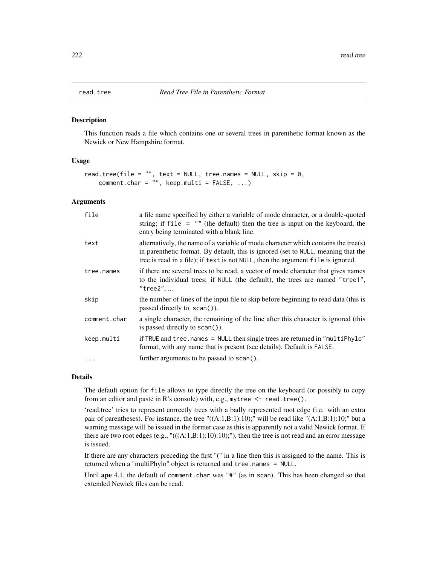#### **Description**

This function reads a file which contains one or several trees in parenthetic format known as the Newick or New Hampshire format.

## Usage

```
read.tree(file = "", text = NULL, tree.names = NULL, skip = \theta,
    comment.char = ", keep.multi = FALSE, ...)
```
## Arguments

| file         | a file name specified by either a variable of mode character, or a double-quoted<br>string; if file $=$ "" (the default) then the tree is input on the keyboard, the<br>entry being terminated with a blank line.                                           |
|--------------|-------------------------------------------------------------------------------------------------------------------------------------------------------------------------------------------------------------------------------------------------------------|
| text         | alternatively, the name of a variable of mode character which contains the tree(s)<br>in parenthetic format. By default, this is ignored (set to NULL, meaning that the<br>tree is read in a file); if text is not NULL, then the argument file is ignored. |
| tree.names   | if there are several trees to be read, a vector of mode character that gives names<br>to the individual trees; if NULL (the default), the trees are named "tree1",<br>$"$ tree $2"$ ,                                                                       |
| skip         | the number of lines of the input file to skip before beginning to read data (this is<br>passed directly to $scan()$ .                                                                                                                                       |
| comment.char | a single character, the remaining of the line after this character is ignored (this<br>is passed directly to scan()).                                                                                                                                       |
| keep.multi   | if TRUE and tree.names = NULL then single trees are returned in "multiPhylo"<br>format, with any name that is present (see details). Default is FALSE.                                                                                                      |
| $\cdots$     | further arguments to be passed to scan().                                                                                                                                                                                                                   |

## Details

The default option for file allows to type directly the tree on the keyboard (or possibly to copy from an editor and paste in R's console) with, e.g., mytree  $\leq$  read.tree().

'read.tree' tries to represent correctly trees with a badly represented root edge (i.e. with an extra pair of parentheses). For instance, the tree " $((A:1,B:1):10)$ ;" will be read like " $(A:1,B:1):10$ ;" but a warning message will be issued in the former case as this is apparently not a valid Newick format. If there are two root edges  $(e.g., "(((A:1,B:1):10):10)",")$ , then the tree is not read and an error message is issued.

If there are any characters preceding the first "(" in a line then this is assigned to the name. This is returned when a "multiPhylo" object is returned and tree.names = NULL.

Until ape 4.1, the default of comment.char was "#" (as in scan). This has been changed so that extended Newick files can be read.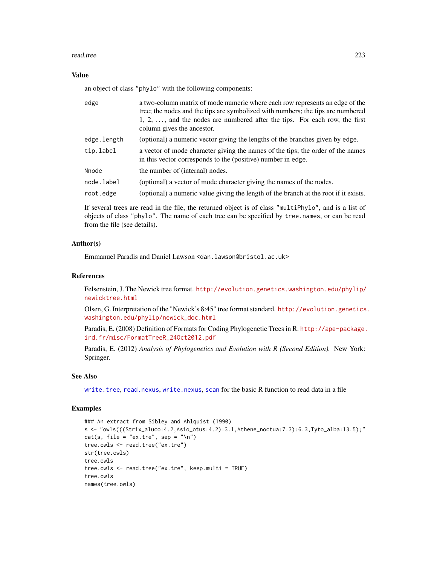#### read.tree 223

## Value

an object of class "phylo" with the following components:

| edge        | a two-column matrix of mode numeric where each row represents an edge of the<br>tree; the nodes and the tips are symbolized with numbers; the tips are numbered<br>$1, 2, \ldots$ , and the nodes are numbered after the tips. For each row, the first<br>column gives the ancestor. |
|-------------|--------------------------------------------------------------------------------------------------------------------------------------------------------------------------------------------------------------------------------------------------------------------------------------|
| edge.length | (optional) a numeric vector giving the lengths of the branches given by edge.                                                                                                                                                                                                        |
| tip.label   | a vector of mode character giving the names of the tips; the order of the names<br>in this vector corresponds to the (positive) number in edge.                                                                                                                                      |
| Nnode       | the number of (internal) nodes.                                                                                                                                                                                                                                                      |
| node.label  | (optional) a vector of mode character giving the names of the nodes.                                                                                                                                                                                                                 |
| root.edge   | (optional) a numeric value giving the length of the branch at the root if it exists.                                                                                                                                                                                                 |

If several trees are read in the file, the returned object is of class "multiPhylo", and is a list of objects of class "phylo". The name of each tree can be specified by tree.names, or can be read from the file (see details).

# Author(s)

Emmanuel Paradis and Daniel Lawson <dan.lawson@bristol.ac.uk>

# References

Felsenstein, J. The Newick tree format. [http://evolution.genetics.washington.edu/phylip/](http://evolution.genetics.washington.edu/phylip/newicktree.html) [newicktree.html](http://evolution.genetics.washington.edu/phylip/newicktree.html)

Olsen, G. Interpretation of the "Newick's 8:45" tree format standard. [http://evolution.genetics](http://evolution.genetics.washington.edu/phylip/newick_doc.html). [washington.edu/phylip/newick\\_doc.html](http://evolution.genetics.washington.edu/phylip/newick_doc.html)

Paradis, E. (2008) Definition of Formats for Coding Phylogenetic Trees in R. [http://ape-package.](http://ape-package.ird.fr/misc/FormatTreeR_24Oct2012.pdf) [ird.fr/misc/FormatTreeR\\_24Oct2012.pdf](http://ape-package.ird.fr/misc/FormatTreeR_24Oct2012.pdf)

Paradis, E. (2012) *Analysis of Phylogenetics and Evolution with R (Second Edition).* New York: Springer.

## See Also

[write.tree](#page-275-0), [read.nexus](#page-217-0), [write.nexus](#page-272-0), [scan](#page-0-0) for the basic R function to read data in a file

```
### An extract from Sibley and Ahlquist (1990)
s <- "owls(((Strix_aluco:4.2,Asio_otus:4.2):3.1,Athene_noctua:7.3):6.3,Tyto_alba:13.5);"
cat(s, file = "ex.tre", sep = "\n")tree.owls <- read.tree("ex.tre")
str(tree.owls)
tree.owls
tree.owls <- read.tree("ex.tre", keep.multi = TRUE)
tree.owls
names(tree.owls)
```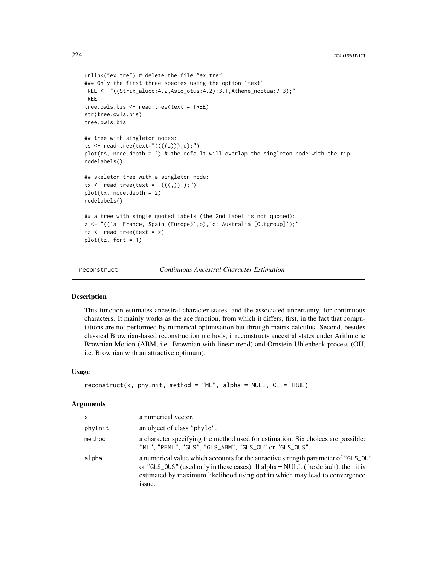```
unlink("ex.tre") # delete the file "ex.tre"
### Only the first three species using the option `text'
TREE <- "((Strix_aluco:4.2,Asio_otus:4.2):3.1,Athene_noctua:7.3);"
TREE
tree.owls.bis <- read.tree(text = TREE)
str(tree.owls.bis)
tree.owls.bis
## tree with singleton nodes:
ts <- read.tree(text="((((a))),d);")
plot(ts, node.depth = 2) # the default will overlap the singleton node with the tip
nodelabels()
## skeleton tree with a singleton node:
tx < -{\text{ read. tree}}(text = "(((,)),));")
plot(tx, node.depth = 2)
nodelabels()
## a tree with single quoted labels (the 2nd label is not quoted):
z <- "(('a: France, Spain (Europe)',b),'c: Australia [Outgroup]');"
tz < - read.tree(text = z)
plot(tz, font = 1)
```
reconstruct *Continuous Ancestral Character Estimation*

#### Description

This function estimates ancestral character states, and the associated uncertainty, for continuous characters. It mainly works as the ace function, from which it differs, first, in the fact that computations are not performed by numerical optimisation but through matrix calculus. Second, besides classical Brownian-based reconstruction methods, it reconstructs ancestral states under Arithmetic Brownian Motion (ABM, i.e. Brownian with linear trend) and Ornstein-Uhlenbeck process (OU, i.e. Brownian with an attractive optimum).

## Usage

```
reconstruct(x, phyInit, method = "ML", alpha = NULL, CI = TRUE)
```

| $\times$ | a numerical vector.                                                                                                                                                                                                                                             |
|----------|-----------------------------------------------------------------------------------------------------------------------------------------------------------------------------------------------------------------------------------------------------------------|
| phyInit  | an object of class "phylo".                                                                                                                                                                                                                                     |
| method   | a character specifying the method used for estimation. Six choices are possible:<br>"ML", "REML", "GLS", "GLS_ABM", "GLS_OU" or "GLS_OUS".                                                                                                                      |
| alpha    | a numerical value which accounts for the attractive strength parameter of "GLS_0U"<br>or "GLS_0US" (used only in these cases). If alpha = NULL (the default), then it is<br>estimated by maximum likelihood using optim which may lead to convergence<br>issue. |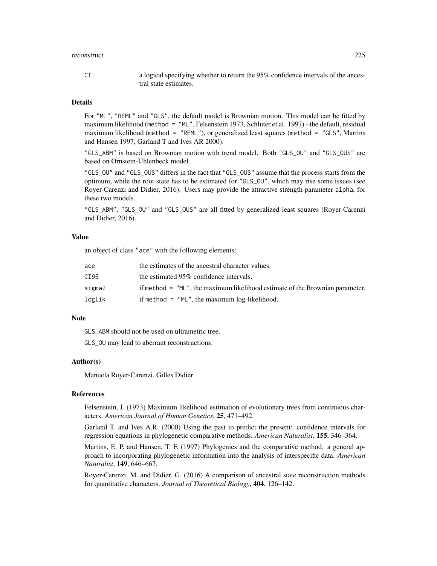#### reconstruct 225

# Details

For "ML", "REML" and "GLS", the default model is Brownian motion. This model can be fitted by maximum likelihood (method = "ML", Felsenstein 1973, Schluter et al. 1997) - the default, residual maximum likelihood (method = "REML"), or generalized least squares (method = "GLS", Martins and Hansen 1997, Garland T and Ives AR 2000).

"GLS\_ABM" is based on Brownian motion with trend model. Both "GLS\_OU" and "GLS\_OUS" are based on Ornstein-Uhlenbeck model.

"GLS\_OU" and "GLS\_OUS" differs in the fact that "GLS\_OUS" assume that the process starts from the optimum, while the root state has to be estimated for "GLS\_OU", which may rise some issues (see Royer-Carenzi and Didier, 2016). Users may provide the attractive strength parameter alpha, for these two models.

"GLS\_ABM", "GLS\_OU" and "GLS\_OUS" are all fitted by generalized least squares (Royer-Carenzi and Didier, 2016).

## Value

an object of class "ace" with the following elements:

| ace    | the estimates of the ancestral character values.                             |
|--------|------------------------------------------------------------------------------|
| CI 95  | the estimated 95% confidence intervals.                                      |
| sigma2 | if method = "ML", the maximum likelihood estimate of the Brownian parameter. |
| loglik | if method $=$ "ML", the maximum log-likelihood.                              |

## Note

GLS ABM should not be used on ultrametric tree.

GLS\_OU may lead to aberrant reconstructions.

#### Author(s)

Manuela Royer-Carenzi, Gilles Didier

# References

Felsenstein, J. (1973) Maximum likelihood estimation of evolutionary trees from continuous characters. *American Journal of Human Genetics*, 25, 471–492.

Garland T. and Ives A.R. (2000) Using the past to predict the present: confidence intervals for regression equations in phylogenetic comparative methods. *American Naturalist*, 155, 346–364.

Martins, E. P. and Hansen, T. F. (1997) Phylogenies and the comparative method: a general approach to incorporating phylogenetic information into the analysis of interspecific data. *American Naturalist*, 149, 646–667.

Royer-Carenzi, M. and Didier, G. (2016) A comparison of ancestral state reconstruction methods for quantitative characters. *Journal of Theoretical Biology*, 404, 126–142.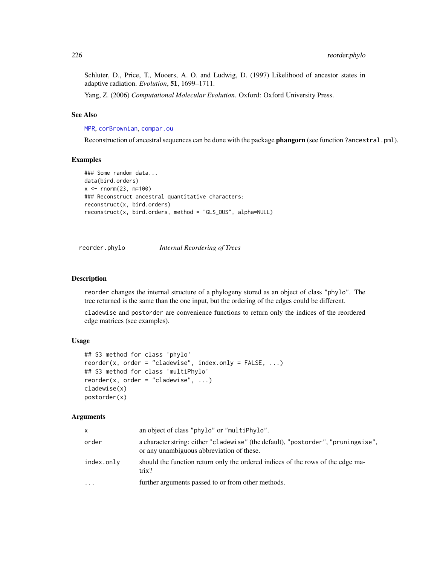Schluter, D., Price, T., Mooers, A. O. and Ludwig, D. (1997) Likelihood of ancestor states in adaptive radiation. *Evolution*, 51, 1699–1711.

Yang, Z. (2006) *Computational Molecular Evolution*. Oxford: Oxford University Press.

# See Also

[MPR](#page-166-0), [corBrownian](#page-91-0), [compar.ou](#page-81-0)

Reconstruction of ancestral sequences can be done with the package **phangorn** (see function ?ancestral.pml).

# Examples

```
### Some random data...
data(bird.orders)
x < - rnorm(23, m=100)
### Reconstruct ancestral quantitative characters:
reconstruct(x, bird.orders)
reconstruct(x, bird.orders, method = "GLS_OUS", alpha=NULL)
```
reorder.phylo *Internal Reordering of Trees*

## Description

reorder changes the internal structure of a phylogeny stored as an object of class "phylo". The tree returned is the same than the one input, but the ordering of the edges could be different.

cladewise and postorder are convenience functions to return only the indices of the reordered edge matrices (see examples).

# Usage

```
## S3 method for class 'phylo'
reorder(x, order = "cladewise", index.only = FALSE, ...)
## S3 method for class 'multiPhylo'
reorder(x, order = "cladewise", ...)cladewise(x)
postorder(x)
```

| $\mathsf{x}$ | an object of class "phylo" or "multiPhylo".                                                                                    |
|--------------|--------------------------------------------------------------------------------------------------------------------------------|
| order        | a character string: either "cladewise" (the default), "postorder", "pruningwise",<br>or any unambiguous abbreviation of these. |
| index.only   | should the function return only the ordered indices of the rows of the edge ma-<br>trix?                                       |
| $\ddots$ .   | further arguments passed to or from other methods.                                                                             |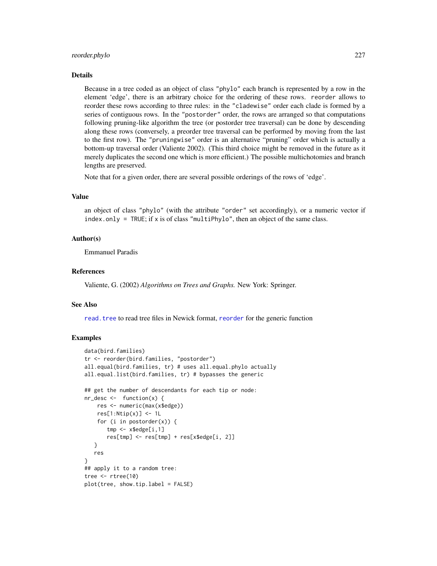#### reorder.phylo 227

#### Details

Because in a tree coded as an object of class "phylo" each branch is represented by a row in the element 'edge', there is an arbitrary choice for the ordering of these rows. reorder allows to reorder these rows according to three rules: in the "cladewise" order each clade is formed by a series of contiguous rows. In the "postorder" order, the rows are arranged so that computations following pruning-like algorithm the tree (or postorder tree traversal) can be done by descending along these rows (conversely, a preorder tree traversal can be performed by moving from the last to the first row). The "pruningwise" order is an alternative "pruning" order which is actually a bottom-up traversal order (Valiente 2002). (This third choice might be removed in the future as it merely duplicates the second one which is more efficient.) The possible multichotomies and branch lengths are preserved.

Note that for a given order, there are several possible orderings of the rows of 'edge'.

# Value

an object of class "phylo" (with the attribute "order" set accordingly), or a numeric vector if index.only = TRUE; if x is of class "multiPhylo", then an object of the same class.

## Author(s)

Emmanuel Paradis

## References

Valiente, G. (2002) *Algorithms on Trees and Graphs.* New York: Springer.

## See Also

read. tree to read tree files in Newick format, [reorder](#page-0-0) for the generic function

```
data(bird.families)
tr <- reorder(bird.families, "postorder")
all.equal(bird.families, tr) # uses all.equal.phylo actually
all.equal.list(bird.families, tr) # bypasses the generic
## get the number of descendants for each tip or node:
nr\_desc \leftarrow function(x) {
   res <- numeric(max(x$edge))
    res[1:Ntip(x)] \leftarrow 1Lfor (i in postorder(x)) {
       tmp <- x$edge[i,1]
       res[tmp] <- res[tmp] + res[x$edge[i, 2]]
   }
  res
}
## apply it to a random tree:
tree <- rtree(10)
plot(tree, show.tip.label = FALSE)
```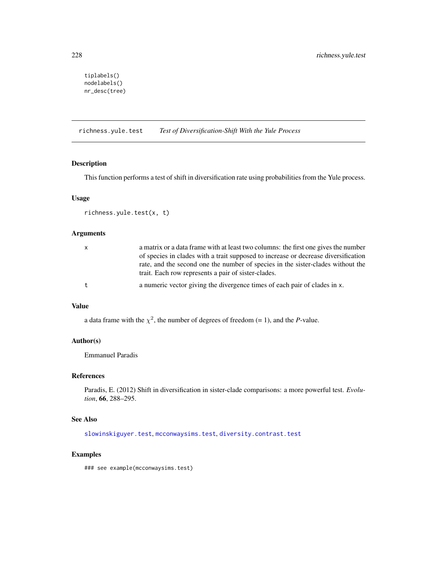```
tiplabels()
nodelabels()
nr_desc(tree)
```
<span id="page-227-0"></span>richness.yule.test *Test of Diversification-Shift With the Yule Process*

# Description

This function performs a test of shift in diversification rate using probabilities from the Yule process.

## Usage

```
richness.yule.test(x, t)
```
# Arguments

| $\mathsf{X}$ | a matrix or a data frame with at least two columns: the first one gives the number<br>of species in clades with a trait supposed to increase or decrease diversification<br>rate, and the second one the number of species in the sister-clades without the<br>trait. Each row represents a pair of sister-clades. |
|--------------|--------------------------------------------------------------------------------------------------------------------------------------------------------------------------------------------------------------------------------------------------------------------------------------------------------------------|
| t            | a numeric vector giving the divergence times of each pair of clades in x.                                                                                                                                                                                                                                          |

## Value

a data frame with the  $\chi^2$ , the number of degrees of freedom (= 1), and the *P*-value.

# Author(s)

Emmanuel Paradis

# References

Paradis, E. (2012) Shift in diversification in sister-clade comparisons: a more powerful test. *Evolution*, 66, 288–295.

# See Also

[slowinskiguyer.test](#page-248-0), [mcconwaysims.test](#page-159-0), [diversity.contrast.test](#page-119-0)

#### Examples

### see example(mcconwaysims.test)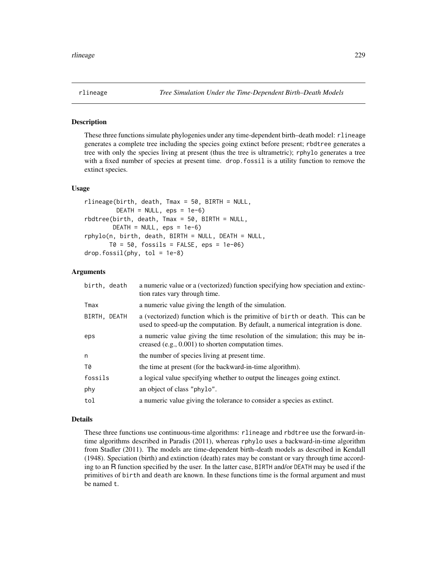<span id="page-228-0"></span>

## Description

These three functions simulate phylogenies under any time-dependent birth–death model: rlineage generates a complete tree including the species going extinct before present; rbdtree generates a tree with only the species living at present (thus the tree is ultrametric); rphylo generates a tree with a fixed number of species at present time. drop.fossil is a utility function to remove the extinct species.

## Usage

```
rlineage(birth, death, Tmax = 50, BIRTH = NULL,
        DEATH = NULL, eps = 1e-6)
rbdtree(birth, death, Tmax = 50, BIRTH = NULL,
       DEATH = NULL, eps = 1e-6rphylo(n, birth, death, BIRTH = NULL, DEATH = NULL,
      T0 = 50, fossils = FALSE, eps = 1e-06)
drop.fossil(phy, tol = 1e-8)
```
## Arguments

| birth, death | a numeric value or a (vectorized) function specifying how speciation and extinc-<br>tion rates vary through time.                                               |
|--------------|-----------------------------------------------------------------------------------------------------------------------------------------------------------------|
| Tmax         | a numeric value giving the length of the simulation.                                                                                                            |
| BIRTH, DEATH | a (vectorized) function which is the primitive of birth or death. This can be<br>used to speed-up the computation. By default, a numerical integration is done. |
| eps          | a numeric value giving the time resolution of the simulation; this may be in-<br>creased $(e.g., 0.001)$ to shorten computation times.                          |
| n            | the number of species living at present time.                                                                                                                   |
| T0           | the time at present (for the backward-in-time algorithm).                                                                                                       |
| fossils      | a logical value specifying whether to output the lineages going extinct.                                                                                        |
| phy          | an object of class "phylo".                                                                                                                                     |
| tol          | a numeric value giving the tolerance to consider a species as extinct.                                                                                          |

#### Details

These three functions use continuous-time algorithms: rlineage and rbdtree use the forward-intime algorithms described in Paradis (2011), whereas rphylo uses a backward-in-time algorithm from Stadler (2011). The models are time-dependent birth–death models as described in Kendall (1948). Speciation (birth) and extinction (death) rates may be constant or vary through time according to an R function specified by the user. In the latter case, BIRTH and/or DEATH may be used if the primitives of birth and death are known. In these functions time is the formal argument and must be named t.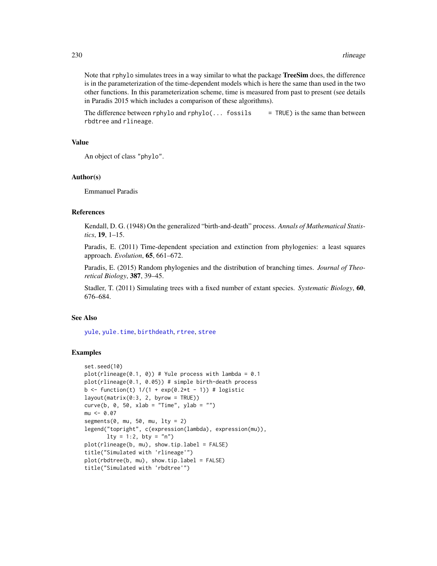Note that rphylo simulates trees in a way similar to what the package **TreeSim** does, the difference is in the parameterization of the time-dependent models which is here the same than used in the two other functions. In this parameterization scheme, time is measured from past to present (see details in Paradis 2015 which includes a comparison of these algorithms).

The difference between rphylo and rphylo $(\dots$  fossils = TRUE) is the same than between rbdtree and rlineage.

# Value

An object of class "phylo".

#### Author(s)

Emmanuel Paradis

# References

Kendall, D. G. (1948) On the generalized "birth-and-death" process. *Annals of Mathematical Statistics*, 19, 1–15.

Paradis, E. (2011) Time-dependent speciation and extinction from phylogenies: a least squares approach. *Evolution*, 65, 661–672.

Paradis, E. (2015) Random phylogenies and the distribution of branching times. *Journal of Theoretical Biology*, 387, 39–45.

Stadler, T. (2011) Simulating trees with a fixed number of extant species. *Systematic Biology*, 60, 676–684.

# See Also

[yule](#page-276-0), [yule.time](#page-279-0), [birthdeath](#page-46-0), [rtree](#page-239-0), [stree](#page-250-0)

```
set.seed(10)
plot(rlineage(0.1, 0)) # Yule process with lambda = 0.1
plot(rlineage(0.1, 0.05)) # simple birth-death process
b <- function(t) 1/(1 + \exp(0.2*t - 1)) # logistic
layout(matrix(0:3, 2, byrow = TRUE))curve(b, 0, 50, xlab = "Time", ylab = "")
mu < -0.07segments(0, mu, 50, mu, 1ty = 2)
legend("topright", c(expression(lambda), expression(mu)),
      lty = 1:2, bty = "n")plot(rlineage(b, mu), show.tip.label = FALSE)
title("Simulated with 'rlineage'")
plot(rbdtree(b, mu), show.tip.label = FALSE)
title("Simulated with 'rbdtree'")
```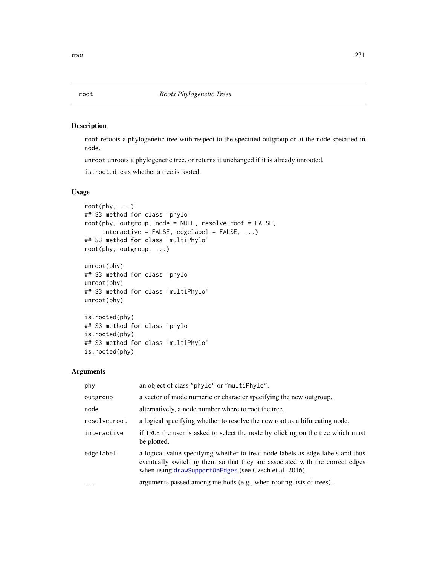# Description

root reroots a phylogenetic tree with respect to the specified outgroup or at the node specified in node.

unroot unroots a phylogenetic tree, or returns it unchanged if it is already unrooted.

is.rooted tests whether a tree is rooted.

# Usage

```
root(phy, ...)
## S3 method for class 'phylo'
root(phy, outgroup, node = NULL, resolve.root = FALSE,
     interactive = FALSE, edgelabel = FALSE, ...)## S3 method for class 'multiPhylo'
root(phy, outgroup, ...)
unroot(phy)
## S3 method for class 'phylo'
unroot(phy)
## S3 method for class 'multiPhylo'
unroot(phy)
is.rooted(phy)
## S3 method for class 'phylo'
is.rooted(phy)
## S3 method for class 'multiPhylo'
is.rooted(phy)
```

| phy          | an object of class "phylo" or "multiPhylo".                                                                                                                                                                               |
|--------------|---------------------------------------------------------------------------------------------------------------------------------------------------------------------------------------------------------------------------|
| outgroup     | a vector of mode numeric or character specifying the new outgroup.                                                                                                                                                        |
| node         | alternatively, a node number where to root the tree.                                                                                                                                                                      |
| resolve.root | a logical specifying whether to resolve the new root as a bifurcating node.                                                                                                                                               |
| interactive  | if TRUE the user is asked to select the node by clicking on the tree which must<br>be plotted.                                                                                                                            |
| edgelabel    | a logical value specifying whether to treat node labels as edge labels and thus<br>eventually switching them so that they are associated with the correct edges<br>when using drawSupportOnEdges (see Czech et al. 2016). |
| .            | arguments passed among methods (e.g., when rooting lists of trees).                                                                                                                                                       |

<span id="page-230-0"></span>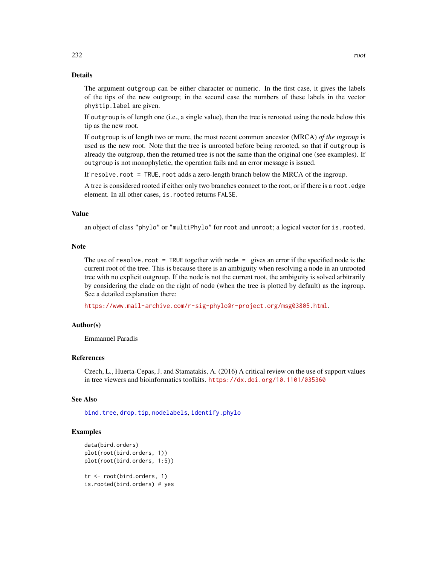The argument outgroup can be either character or numeric. In the first case, it gives the labels of the tips of the new outgroup; in the second case the numbers of these labels in the vector phy\$tip.label are given.

If outgroup is of length one (i.e., a single value), then the tree is rerooted using the node below this tip as the new root.

If outgroup is of length two or more, the most recent common ancestor (MRCA) *of the ingroup* is used as the new root. Note that the tree is unrooted before being rerooted, so that if outgroup is already the outgroup, then the returned tree is not the same than the original one (see examples). If outgroup is not monophyletic, the operation fails and an error message is issued.

If resolve.root = TRUE, root adds a zero-length branch below the MRCA of the ingroup.

A tree is considered rooted if either only two branches connect to the root, or if there is a root. edge element. In all other cases, is.rooted returns FALSE.

#### Value

an object of class "phylo" or "multiPhylo" for root and unroot; a logical vector for is.rooted.

#### Note

The use of resolve.root = TRUE together with node = gives an error if the specified node is the current root of the tree. This is because there is an ambiguity when resolving a node in an unrooted tree with no explicit outgroup. If the node is not the current root, the ambiguity is solved arbitrarily by considering the clade on the right of node (when the tree is plotted by default) as the ingroup. See a detailed explanation there:

<https://www.mail-archive.com/r-sig-phylo@r-project.org/msg03805.html>.

## Author(s)

Emmanuel Paradis

## References

Czech, L., Huerta-Cepas, J. and Stamatakis, A. (2016) A critical review on the use of support values in tree viewers and bioinformatics toolkits. <https://dx.doi.org/10.1101/035360>

## See Also

[bind.tree](#page-41-0), [drop.tip](#page-125-0), [nodelabels](#page-180-0), [identify.phylo](#page-135-0)

```
data(bird.orders)
plot(root(bird.orders, 1))
plot(root(bird.orders, 1:5))
tr <- root(bird.orders, 1)
is.rooted(bird.orders) # yes
```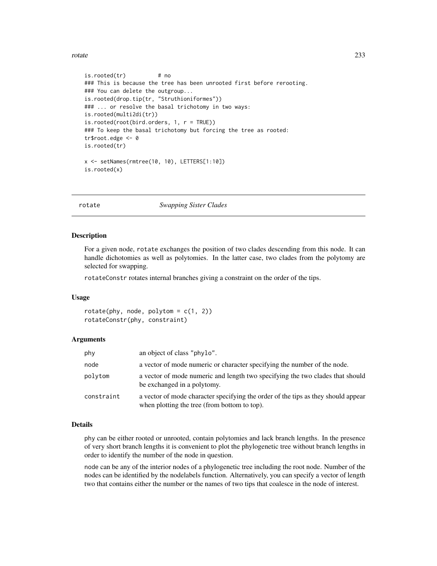rotate 233

```
is.rooted(tr) # no
### This is because the tree has been unrooted first before rerooting.
### You can delete the outgroup...
is.rooted(drop.tip(tr, "Struthioniformes"))
### ... or resolve the basal trichotomy in two ways:
is.rooted(multi2di(tr))
is.rooted(root(bird.orders, 1, r = TRUE))
### To keep the basal trichotomy but forcing the tree as rooted:
tr$root.edge <- 0
is.rooted(tr)
x <- setNames(rmtree(10, 10), LETTERS[1:10])
is.rooted(x)
```
rotate *Swapping Sister Clades*

#### Description

For a given node, rotate exchanges the position of two clades descending from this node. It can handle dichotomies as well as polytomies. In the latter case, two clades from the polytomy are selected for swapping.

rotateConstr rotates internal branches giving a constraint on the order of the tips.

#### Usage

 $rotate(\text{phy}, node, polytom = c(1, 2))$ rotateConstr(phy, constraint)

#### Arguments

| phy        | an object of class "phylo".                                                                                                       |
|------------|-----------------------------------------------------------------------------------------------------------------------------------|
| node       | a vector of mode numeric or character specifying the number of the node.                                                          |
| polytom    | a vector of mode numeric and length two specifying the two clades that should<br>be exchanged in a polytomy.                      |
| constraint | a vector of mode character specifying the order of the tips as they should appear<br>when plotting the tree (from bottom to top). |

## Details

phy can be either rooted or unrooted, contain polytomies and lack branch lengths. In the presence of very short branch lengths it is convenient to plot the phylogenetic tree without branch lengths in order to identify the number of the node in question.

node can be any of the interior nodes of a phylogenetic tree including the root node. Number of the nodes can be identified by the nodelabels function. Alternatively, you can specify a vector of length two that contains either the number or the names of two tips that coalesce in the node of interest.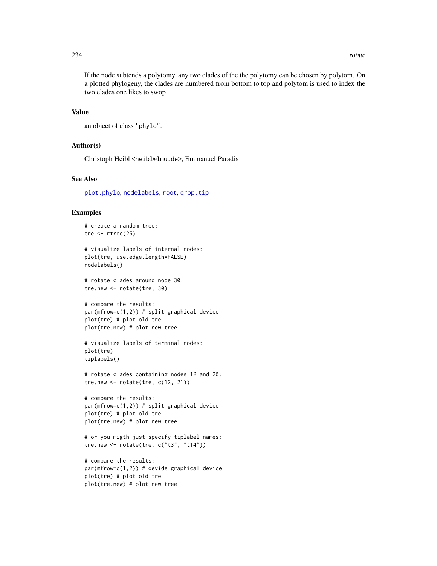If the node subtends a polytomy, any two clades of the the polytomy can be chosen by polytom. On a plotted phylogeny, the clades are numbered from bottom to top and polytom is used to index the two clades one likes to swop.

## Value

```
an object of class "phylo".
```
# Author(s)

Christoph Heibl <heibl@lmu.de>, Emmanuel Paradis

#### See Also

[plot.phylo](#page-200-0), [nodelabels](#page-180-0), [root](#page-230-0), [drop.tip](#page-125-0)

## Examples

```
# create a random tree:
tre \leftarrow rtree(25)
```

```
# visualize labels of internal nodes:
plot(tre, use.edge.length=FALSE)
nodelabels()
```
# rotate clades around node 30: tre.new <- rotate(tre, 30)

```
# compare the results:
par(mfrow=c(1,2)) # split graphical device
plot(tre) # plot old tre
plot(tre.new) # plot new tree
```

```
# visualize labels of terminal nodes:
plot(tre)
tiplabels()
```

```
# rotate clades containing nodes 12 and 20:
tre.new \le rotate(tre, c(12, 21))
```

```
# compare the results:
par(mfrow=c(1,2)) # split graphical device
plot(tre) # plot old tre
plot(tre.new) # plot new tree
```

```
# or you migth just specify tiplabel names:
tre.new <- rotate(tre, c("t3", "t14"))
```

```
# compare the results:
par(mfrow=c(1,2)) # devide graphical device
plot(tre) # plot old tre
plot(tre.new) # plot new tree
```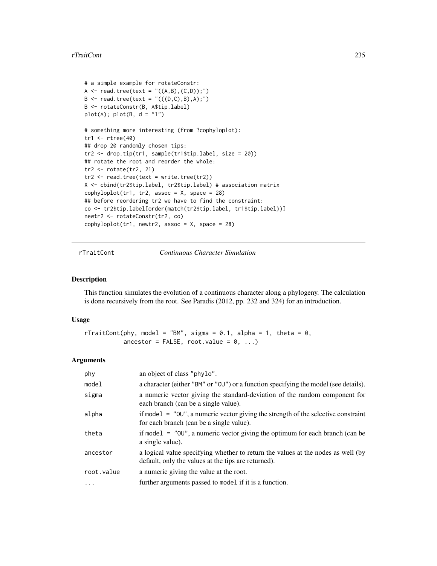#### rTraitCont 235

```
# a simple example for rotateConstr:
A <- read.tree(text = "((A,B),(C,D));")B \le - read.tree(text = "(((D,C),B),A);")
B <- rotateConstr(B, A$tip.label)
plot(A); plot(B, d = "l")# something more interesting (from ?cophyloplot):
tr1 < -rtree(40)## drop 20 randomly chosen tips:
tr2 <- drop.tip(tr1, sample(tr1$tip.label, size = 20))
## rotate the root and reorder the whole:
tr2 <- rotate(tr2, 21)
tr2 < - read.tree(text = write.tree(tr2))
X <- cbind(tr2$tip.label, tr2$tip.label) # association matrix
cophyloplot(tr1, tr2, assoc = X, space = 28)## before reordering tr2 we have to find the constraint:
co <- tr2$tip.label[order(match(tr2$tip.label, tr1$tip.label))]
newtr2 <- rotateConstr(tr2, co)
cophyloplot(tr1, newtr2, assoc = X, space = 28)
```
<span id="page-234-0"></span>rTraitCont *Continuous Character Simulation*

# Description

This function simulates the evolution of a continuous character along a phylogeny. The calculation is done recursively from the root. See Paradis (2012, pp. 232 and 324) for an introduction.

## Usage

```
rTraitCont(phy, model = "BM", sigma = 0.1, alpha = 1, theta = 0,
           ancestor = FALSE, root.value = 0, ...)
```

| phy        | an object of class "phylo".                                                                                                             |
|------------|-----------------------------------------------------------------------------------------------------------------------------------------|
| model      | a character (either "BM" or "OU") or a function specifying the model (see details).                                                     |
| sigma      | a numeric vector giving the standard-deviation of the random component for<br>each branch (can be a single value).                      |
| alpha      | if model $=$ "00", a numeric vector giving the strength of the selective constraint<br>for each branch (can be a single value).         |
| theta      | if model $=$ "00", a numeric vector giving the optimum for each branch (can be<br>a single value).                                      |
| ancestor   | a logical value specifying whether to return the values at the nodes as well (by<br>default, only the values at the tips are returned). |
| root.value | a numeric giving the value at the root.                                                                                                 |
| $\cdots$   | further arguments passed to model if it is a function.                                                                                  |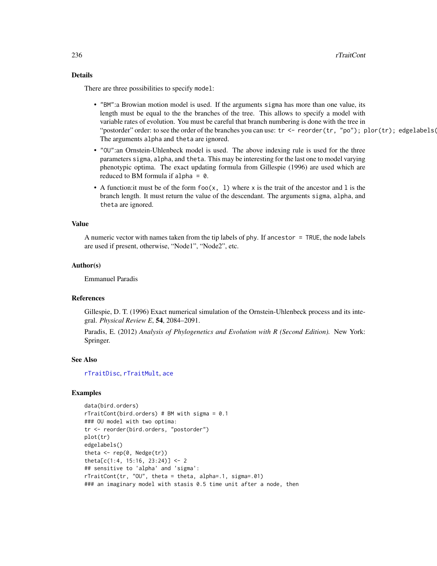# Details

There are three possibilities to specify model:

- "BM":a Browian motion model is used. If the arguments sigma has more than one value, its length must be equal to the the branches of the tree. This allows to specify a model with variable rates of evolution. You must be careful that branch numbering is done with the tree in "postorder" order: to see the order of the branches you can use:  $tr < -$  reorder $(tr, "po")$ ; plor $(tr)$ ; edgelabels( The arguments alpha and theta are ignored.
- "OU":an Ornstein-Uhlenbeck model is used. The above indexing rule is used for the three parameters sigma, alpha, and theta. This may be interesting for the last one to model varying phenotypic optima. The exact updating formula from Gillespie (1996) are used which are reduced to BM formula if alpha =  $0$ .
- A function: it must be of the form  $foo(x, 1)$  where x is the trait of the ancestor and 1 is the branch length. It must return the value of the descendant. The arguments sigma, alpha, and theta are ignored.

#### Value

A numeric vector with names taken from the tip labels of phy. If ancestor = TRUE, the node labels are used if present, otherwise, "Node1", "Node2", etc.

#### Author(s)

Emmanuel Paradis

# References

Gillespie, D. T. (1996) Exact numerical simulation of the Ornstein-Uhlenbeck process and its integral. *Physical Review E*, 54, 2084–2091.

Paradis, E. (2012) *Analysis of Phylogenetics and Evolution with R (Second Edition).* New York: Springer.

#### See Also

[rTraitDisc](#page-236-0), [rTraitMult](#page-238-0), [ace](#page-8-0)

```
data(bird.orders)
rTraitCont(bird.orders) # BM with sigma = 0.1
### OU model with two optima:
tr <- reorder(bird.orders, "postorder")
plot(tr)
edgelabels()
theta \leq rep(0, Nedge(tr))
theta[c(1:4, 15:16, 23:24)] <- 2
## sensitive to 'alpha' and 'sigma':
rTraitCont(tr, "OU", theta = theta, alpha=.1, sigma=.01)
### an imaginary model with stasis 0.5 time unit after a node, then
```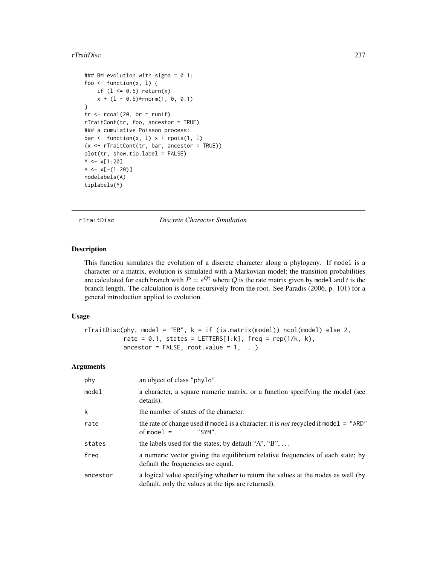## rTraitDisc 237

```
### BM evolution with sigma = 0.1:
foo \le function(x, 1) {
    if (1 \le 0.5) return(x)x + (1 - 0.5) * rnorm(1, 0, 0.1)}
tr < -r \text{coal}(20, br = runif)rTraitCont(tr, foo, ancestor = TRUE)
### a cumulative Poisson process:
bar \le function(x, 1) x + rpois(1, 1)
(x \leq r \text{TrainCont}(tr, bar, ancestor = TRUE))plot(tr, show.tip.label = FALSE)
Y < -x[1:20]A \leftarrow x[-(1:20)]nodelabels(A)
tiplabels(Y)
```
<span id="page-236-0"></span>rTraitDisc *Discrete Character Simulation*

## Description

This function simulates the evolution of a discrete character along a phylogeny. If model is a character or a matrix, evolution is simulated with a Markovian model; the transition probabilities are calculated for each branch with  $P = e^{Qt}$  where Q is the rate matrix given by model and t is the branch length. The calculation is done recursively from the root. See Paradis (2006, p. 101) for a general introduction applied to evolution.

## Usage

```
rTraitDisc(phy, model = "ER", k = if (is.matrix(model)) ncol(model) else 2,
           rate = 0.1, states = LETTERS[1:k], freq = rep(1/k, k),
           ancestor = FALSE, root.value = 1, ...)
```

| phy      | an object of class "phylo".                                                                                                             |
|----------|-----------------------------------------------------------------------------------------------------------------------------------------|
| model    | a character, a square numeric matrix, or a function specifying the model (see<br>details).                                              |
| k        | the number of states of the character.                                                                                                  |
| rate     | the rate of change used if model is a character; it is <i>not</i> recycled if model = "ARD"<br>of model $=$<br>$"SYM"$ .                |
| states   | the labels used for the states; by default "A", "B", $\dots$                                                                            |
| freg     | a numeric vector giving the equilibrium relative frequencies of each state; by<br>default the frequencies are equal.                    |
| ancestor | a logical value specifying whether to return the values at the nodes as well (by<br>default, only the values at the tips are returned). |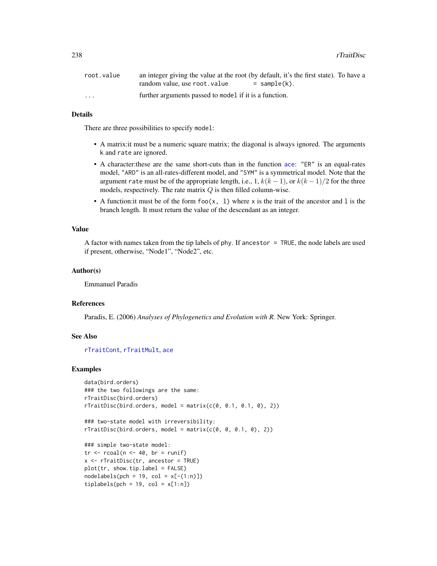| root.value              | an integer giving the value at the root (by default, it's the first state). To have a |              |
|-------------------------|---------------------------------------------------------------------------------------|--------------|
|                         | random value, use root value                                                          | = sample(k). |
| $\cdot$ $\cdot$ $\cdot$ | further arguments passed to model if it is a function.                                |              |

# Details

There are three possibilities to specify model:

- A matrix:it must be a numeric square matrix; the diagonal is always ignored. The arguments k and rate are ignored.
- A character:these are the same short-cuts than in the function [ace](#page-8-0): "ER" is an equal-rates model, "ARD" is an all-rates-different model, and "SYM" is a symmetrical model. Note that the argument rate must be of the appropriate length, i.e., 1,  $k(k-1)$ , or  $k(k-1)/2$  for the three models, respectively. The rate matrix  $Q$  is then filled column-wise.
- A function: it must be of the form  $foo(x, 1)$  where x is the trait of the ancestor and 1 is the branch length. It must return the value of the descendant as an integer.

## Value

A factor with names taken from the tip labels of phy. If ancestor = TRUE, the node labels are used if present, otherwise, "Node1", "Node2", etc.

# Author(s)

Emmanuel Paradis

#### References

Paradis, E. (2006) *Analyses of Phylogenetics and Evolution with R.* New York: Springer.

# See Also

[rTraitCont](#page-234-0), [rTraitMult](#page-238-0), [ace](#page-8-0)

```
data(bird.orders)
### the two followings are the same:
rTraitDisc(bird.orders)
rTrainDisc(bird.orders, model = matrix(c(0, 0.1, 0.1, 0), 2))
```

```
### two-state model with irreversibility:
rTrainDisc(bird.orders, model = matrix(c(0, 0, 0.1, 0), 2))
```

```
### simple two-state model:
tr < -r \cosh(n < -40, br = runif)x <- rTraitDisc(tr, ancestor = TRUE)
plot(tr, show.tip.label = FALSE)
nodelabels(pch = 19, col = x[-(1:n)])tiplabels(pch = 19, col = x[1:n])
```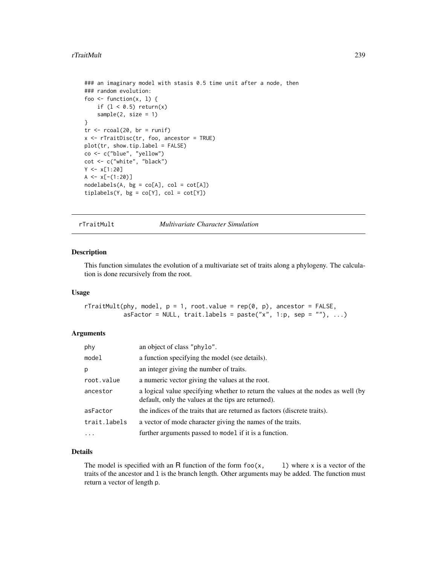#### rTraitMult 239

```
### an imaginary model with stasis 0.5 time unit after a node, then
### random evolution:
foo \leq function(x, 1) {
    if (1 < 0.5) return(x)sample(2, size = 1)}
tr < -r \text{coal}(20, br = runif)x <- rTraitDisc(tr, foo, ancestor = TRUE)
plot(tr, show.tip.label = FALSE)
co <- c("blue", "yellow")
cot <- c("white", "black")
Y < -x[1:20]A \leftarrow x[-(1:20)]nodelabels(A, bg = co[A], col = cot[A])tiplabels(Y, bg = co[Y], col = cot[Y])
```
<span id="page-238-0"></span>rTraitMult *Multivariate Character Simulation*

## Description

This function simulates the evolution of a multivariate set of traits along a phylogeny. The calculation is done recursively from the root.

## Usage

```
rTrainult(phy, model, p = 1, root.value = rep(0, p), ancestor = FALSE,asFactor = NULL, trait.labels = paste("x", 1:p, sep = ""), ...)
```
## Arguments

| phy          | an object of class "phylo".                                                                                                             |
|--------------|-----------------------------------------------------------------------------------------------------------------------------------------|
| model        | a function specifying the model (see details).                                                                                          |
| p            | an integer giving the number of traits.                                                                                                 |
| root.value   | a numeric vector giving the values at the root.                                                                                         |
| ancestor     | a logical value specifying whether to return the values at the nodes as well (by<br>default, only the values at the tips are returned). |
| asFactor     | the indices of the traits that are returned as factors (discrete traits).                                                               |
| trait.labels | a vector of mode character giving the names of the traits.                                                                              |
|              | further arguments passed to model if it is a function.                                                                                  |

# Details

The model is specified with an R function of the form  $f \circ \alpha(x, \cdot)$  l) where x is a vector of the traits of the ancestor and l is the branch length. Other arguments may be added. The function must return a vector of length p.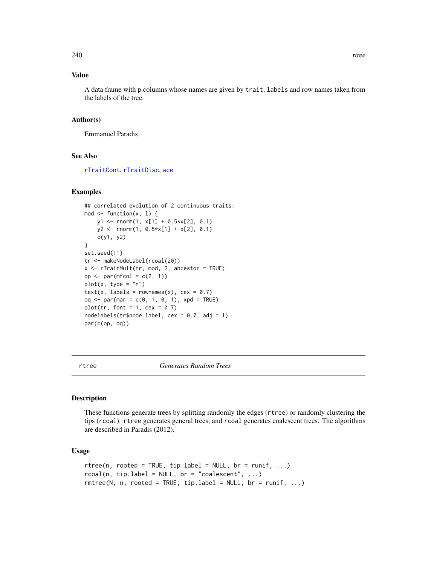# Value

A data frame with p columns whose names are given by trait.labels and row names taken from the labels of the tree.

#### Author(s)

Emmanuel Paradis

## See Also

[rTraitCont](#page-234-0), [rTraitDisc](#page-236-0), [ace](#page-8-0)

## Examples

```
## correlated evolution of 2 continuous traits:
mod \leq function(x, 1) {
    y1 \leftarrow \text{norm}(1, x[1] + 0.5*x[2], 0.1)y2 <- rnorm(1, 0.5*x[1] + x[2], 0.1)
    c(y1, y2)
}
set.seed(11)
tr <- makeNodeLabel(rcoal(20))
x <- rTraitMult(tr, mod, 2, ancestor = TRUE)
op \leq par(mfcol = c(2, 1))
plot(x, type = "n")text(x, labels = rownames(x), cex = 0.7)
oq \leq par(mar = c(0, 1, 0, 1), xpd = TRUE)
plot(tr, font = 1, cex = 0.7)
nodelabels(tr$node.label, cex = 0.7, adj = 1)
par(c(op, oq))
```
<span id="page-239-0"></span>rtree *Generates Random Trees*

#### Description

These functions generate trees by splitting randomly the edges (rtree) or randomly clustering the tips (rcoal). rtree generates general trees, and rcoal generates coalescent trees. The algorithms are described in Paradis (2012).

## Usage

```
rtree(n, rooted = TRUE, tip.load = NULL, br = runif, ...)rcoal(n, tip. label = NULL, br = "coalescent", ...)rmtree(N, n, rooted = TRUE, tip.label = NULL, br = runif, ...)
```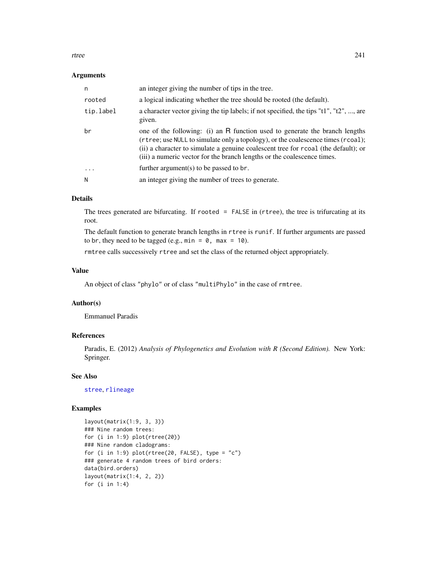rtree 241

## Arguments

| n                       | an integer giving the number of tips in the tree.                                                                                                                                                                                                                                                                                 |
|-------------------------|-----------------------------------------------------------------------------------------------------------------------------------------------------------------------------------------------------------------------------------------------------------------------------------------------------------------------------------|
| rooted                  | a logical indicating whether the tree should be rooted (the default).                                                                                                                                                                                                                                                             |
| tip.label               | a character vector giving the tip labels; if not specified, the tips "t1", "t2", , are<br>given.                                                                                                                                                                                                                                  |
| br                      | one of the following: (i) an R function used to generate the branch lengths<br>(rtree; use NULL to simulate only a topology), or the coalescence times (rcoal);<br>(ii) a character to simulate a genuine coalescent tree for recoal (the default); or<br>(iii) a numeric vector for the branch lengths or the coalescence times. |
| $\cdot$ $\cdot$ $\cdot$ | further argument(s) to be passed to $\mathsf{br}$ .                                                                                                                                                                                                                                                                               |
| N                       | an integer giving the number of trees to generate.                                                                                                                                                                                                                                                                                |

# Details

The trees generated are bifurcating. If rooted = FALSE in (rtree), the tree is trifurcating at its root.

The default function to generate branch lengths in rtree is runif. If further arguments are passed to br, they need to be tagged (e.g.,  $min = 0$ ,  $max = 10$ ).

rmtree calls successively rtree and set the class of the returned object appropriately.

# Value

An object of class "phylo" or of class "multiPhylo" in the case of rmtree.

# Author(s)

Emmanuel Paradis

# References

Paradis, E. (2012) *Analysis of Phylogenetics and Evolution with R (Second Edition).* New York: Springer.

# See Also

[stree](#page-250-0), [rlineage](#page-228-0)

```
layout(matrix(1:9, 3, 3))
### Nine random trees:
for (i in 1:9) plot(rtree(20))
### Nine random cladograms:
for (i in 1:9) plot(rtree(20, FALSE), type = "c")### generate 4 random trees of bird orders:
data(bird.orders)
layout(matrix(1:4, 2, 2))
for (i in 1:4)
```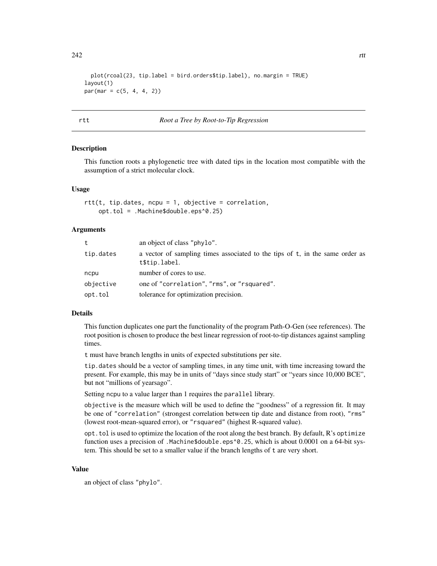```
242 rtt
```

```
plot(rcoal(23, tip.label = bird.orders$tip.label), no.margin = TRUE)
layout(1)
par(max = c(5, 4, 4, 2))
```
#### rtt *Root a Tree by Root-to-Tip Regression*

#### **Description**

This function roots a phylogenetic tree with dated tips in the location most compatible with the assumption of a strict molecular clock.

### Usage

 $rtt(t, tip.dates, ncpu = 1, objective = correlation,$ opt.tol = .Machine\$double.eps^0.25)

#### Arguments

| t         | an object of class "phylo".                                                                   |
|-----------|-----------------------------------------------------------------------------------------------|
| tip.dates | a vector of sampling times associated to the tips of t, in the same order as<br>t\$tip.label. |
| ncpu      | number of cores to use.                                                                       |
| objective | one of "correlation", "rms", or "rsquared".                                                   |
| opt.tol   | tolerance for optimization precision.                                                         |

## Details

This function duplicates one part the functionality of the program Path-O-Gen (see references). The root position is chosen to produce the best linear regression of root-to-tip distances against sampling times.

t must have branch lengths in units of expected substitutions per site.

tip.dates should be a vector of sampling times, in any time unit, with time increasing toward the present. For example, this may be in units of "days since study start" or "years since 10,000 BCE", but not "millions of yearsago".

Setting ncpu to a value larger than 1 requires the parallel library.

objective is the measure which will be used to define the "goodness" of a regression fit. It may be one of "correlation" (strongest correlation between tip date and distance from root), "rms" (lowest root-mean-squared error), or "rsquared" (highest R-squared value).

opt.tol is used to optimize the location of the root along the best branch. By default, R's optimize function uses a precision of .Machine\$double.eps^0.25, which is about 0.0001 on a 64-bit system. This should be set to a smaller value if the branch lengths of t are very short.

## Value

an object of class "phylo".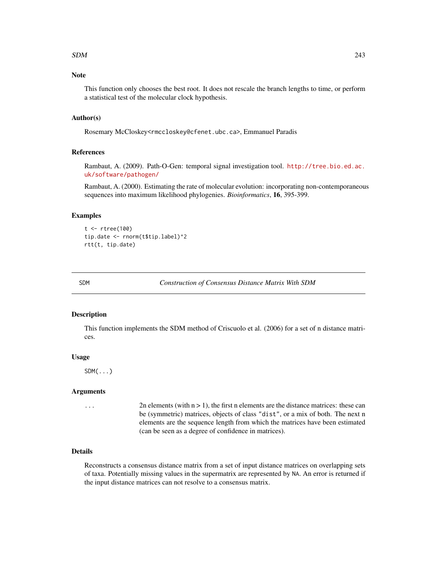#### $SDM$  243

# Note

This function only chooses the best root. It does not rescale the branch lengths to time, or perform a statistical test of the molecular clock hypothesis.

# Author(s)

Rosemary McCloskey<rmccloskey@cfenet.ubc.ca>, Emmanuel Paradis

## References

Rambaut, A. (2009). Path-O-Gen: temporal signal investigation tool. [http://tree.bio.ed.ac.](http://tree.bio.ed.ac.uk/software/pathogen/) [uk/software/pathogen/](http://tree.bio.ed.ac.uk/software/pathogen/)

Rambaut, A. (2000). Estimating the rate of molecular evolution: incorporating non-contemporaneous sequences into maximum likelihood phylogenies. *Bioinformatics*, 16, 395-399.

#### Examples

```
t <- rtree(100)
tip.date <- rnorm(t$tip.label)^2
rtt(t, tip.date)
```
SDM *Construction of Consensus Distance Matrix With SDM*

## Description

This function implements the SDM method of Criscuolo et al. (2006) for a set of n distance matrices.

## Usage

 $SDM(\ldots)$ 

#### Arguments

 $\ldots$  2n elements (with  $n > 1$ ), the first n elements are the distance matrices: these can be (symmetric) matrices, objects of class "dist", or a mix of both. The next n elements are the sequence length from which the matrices have been estimated (can be seen as a degree of confidence in matrices).

#### Details

Reconstructs a consensus distance matrix from a set of input distance matrices on overlapping sets of taxa. Potentially missing values in the supermatrix are represented by NA. An error is returned if the input distance matrices can not resolve to a consensus matrix.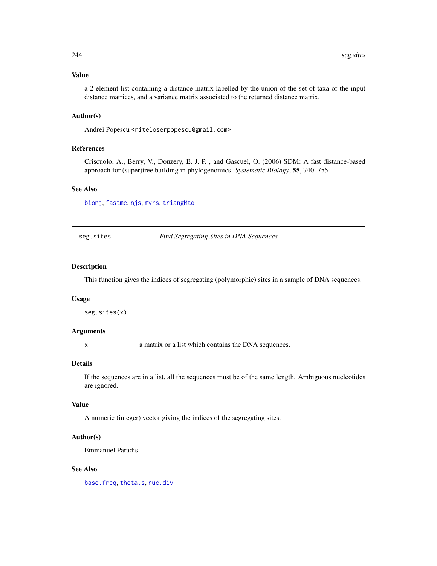## Value

a 2-element list containing a distance matrix labelled by the union of the set of taxa of the input distance matrices, and a variance matrix associated to the returned distance matrix.

## Author(s)

Andrei Popescu <niteloserpopescu@gmail.com>

#### References

Criscuolo, A., Berry, V., Douzery, E. J. P. , and Gascuel, O. (2006) SDM: A fast distance-based approach for (super)tree building in phylogenomics. *Systematic Biology*, 55, 740–755.

## See Also

[bionj](#page-43-0), [fastme](#page-131-0), [njs](#page-175-0), [mvrs](#page-173-0), [triangMtd](#page-259-0)

seg.sites *Find Segregating Sites in DNA Sequences*

#### Description

This function gives the indices of segregating (polymorphic) sites in a sample of DNA sequences.

#### Usage

seg.sites(x)

# Arguments

x a matrix or a list which contains the DNA sequences.

#### Details

If the sequences are in a list, all the sequences must be of the same length. Ambiguous nucleotides are ignored.

# Value

A numeric (integer) vector giving the indices of the segregating sites.

## Author(s)

Emmanuel Paradis

## See Also

[base.freq](#page-31-0), [theta.s](#page-0-0), [nuc.div](#page-0-0)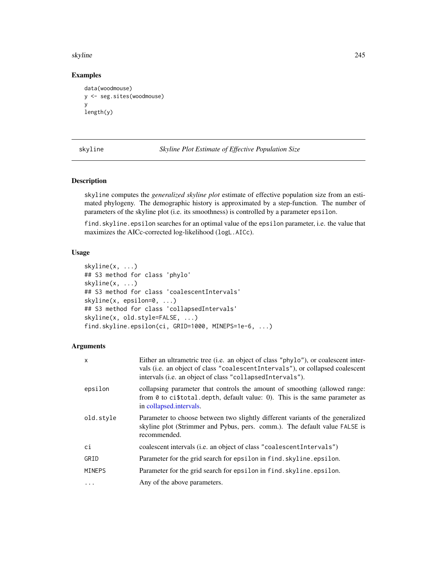skyline 245

## Examples

```
data(woodmouse)
y <- seg.sites(woodmouse)
y
length(y)
```
<span id="page-244-0"></span>skyline *Skyline Plot Estimate of Effective Population Size*

# Description

skyline computes the *generalized skyline plot* estimate of effective population size from an estimated phylogeny. The demographic history is approximated by a step-function. The number of parameters of the skyline plot (i.e. its smoothness) is controlled by a parameter epsilon.

find.skyline.epsilon searches for an optimal value of the epsilon parameter, i.e. the value that maximizes the AICc-corrected log-likelihood (logL.AICc).

## Usage

```
skyline(x, ...)
## S3 method for class 'phylo'
skyline(x, ...)
## S3 method for class 'coalescentIntervals'
skyline(x, epsilon=0, ...)
## S3 method for class 'collapsedIntervals'
skyline(x, old.style=FALSE, ...)
find.skyline.epsilon(ci, GRID=1000, MINEPS=1e-6, ...)
```

| X             | Either an ultrametric tree (i.e. an object of class "phylo"), or coalescent inter-<br>vals (i.e. an object of class "coalescentIntervals"), or collapsed coalescent<br>intervals (i.e. an object of class "collapsedIntervals"). |
|---------------|----------------------------------------------------------------------------------------------------------------------------------------------------------------------------------------------------------------------------------|
| epsilon       | collapsing parameter that controls the amount of smoothing (allowed range:<br>from $\theta$ to ci\$total.depth, default value: 0). This is the same parameter as<br>in collapsed.intervals.                                      |
| old.style     | Parameter to choose between two slightly different variants of the generalized<br>skyline plot (Strimmer and Pybus, pers. comm.). The default value FALSE is<br>recommended.                                                     |
| ci            | coalescent intervals (i.e. an object of class "coalescent Intervals")                                                                                                                                                            |
| GRID          | Parameter for the grid search for epsilon in find. skyline. epsilon.                                                                                                                                                             |
| <b>MINEPS</b> | Parameter for the grid search for epsilon in find. skyline. epsilon.                                                                                                                                                             |
| $\ddots$      | Any of the above parameters.                                                                                                                                                                                                     |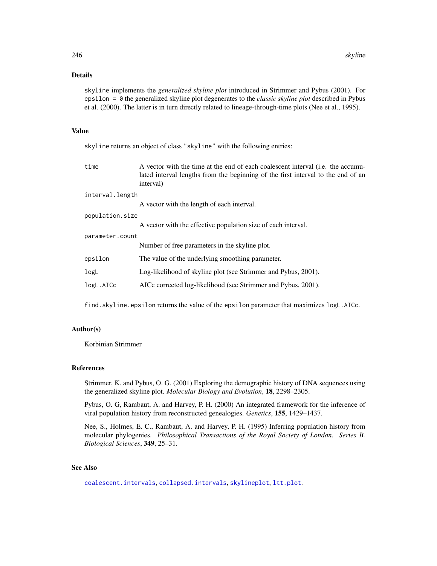# Details

skyline implements the *generalized skyline plot* introduced in Strimmer and Pybus (2001). For epsilon = 0 the generalized skyline plot degenerates to the *classic skyline plot* described in Pybus et al. (2000). The latter is in turn directly related to lineage-through-time plots (Nee et al., 1995).

# Value

skyline returns an object of class "skyline" with the following entries:

| time            | A vector with the time at the end of each coalescent interval (i.e. the accumu-<br>lated interval lengths from the beginning of the first interval to the end of an<br>interval) |  |
|-----------------|----------------------------------------------------------------------------------------------------------------------------------------------------------------------------------|--|
| interval.length |                                                                                                                                                                                  |  |
|                 | A vector with the length of each interval.                                                                                                                                       |  |
| population.size |                                                                                                                                                                                  |  |
|                 | A vector with the effective population size of each interval.                                                                                                                    |  |
| parameter.count |                                                                                                                                                                                  |  |
|                 | Number of free parameters in the skyline plot.                                                                                                                                   |  |
| epsilon         | The value of the underlying smoothing parameter.                                                                                                                                 |  |
| logL            | Log-likelihood of skyline plot (see Strimmer and Pybus, 2001).                                                                                                                   |  |
| logL.AICc       | AICc corrected log-likelihood (see Strimmer and Pybus, 2001).                                                                                                                    |  |
|                 |                                                                                                                                                                                  |  |

find.skyline.epsilon returns the value of the epsilon parameter that maximizes logL.AICc.

## Author(s)

Korbinian Strimmer

#### References

Strimmer, K. and Pybus, O. G. (2001) Exploring the demographic history of DNA sequences using the generalized skyline plot. *Molecular Biology and Evolution*, 18, 2298–2305.

Pybus, O. G, Rambaut, A. and Harvey, P. H. (2000) An integrated framework for the inference of viral population history from reconstructed genealogies. *Genetics*, 155, 1429–1437.

Nee, S., Holmes, E. C., Rambaut, A. and Harvey, P. H. (1995) Inferring population history from molecular phylogenies. *Philosophical Transactions of the Royal Society of London. Series B. Biological Sciences*, 349, 25–31.

# See Also

[coalescent.intervals](#page-71-0), [collapsed.intervals](#page-73-0), [skylineplot](#page-246-0), [ltt.plot](#page-150-0).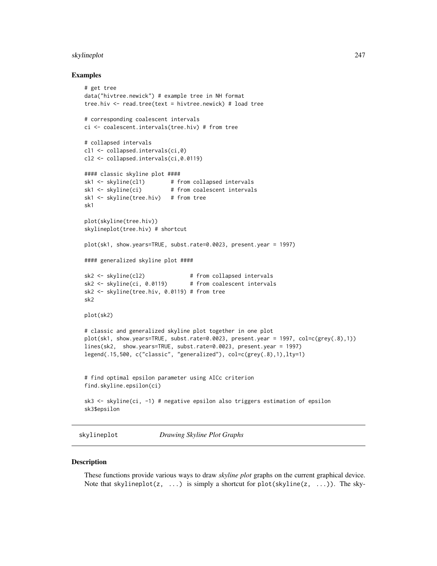#### skylineplot 247

#### Examples

```
# get tree
data("hivtree.newick") # example tree in NH format
tree.hiv <- read.tree(text = hivtree.newick) # load tree
# corresponding coalescent intervals
ci <- coalescent.intervals(tree.hiv) # from tree
# collapsed intervals
cl1 <- collapsed.intervals(ci,0)
cl2 <- collapsed.intervals(ci,0.0119)
#### classic skyline plot ####
sk1 <- skyline(cl1) # from collapsed intervals
sk1 \leftarrow skyline(ci) # from coalescent intervals
sk1 <- skyline(tree.hiv) # from tree
sk1
plot(skyline(tree.hiv))
skylineplot(tree.hiv) # shortcut
plot(sk1, show.years=TRUE, subst.rate=0.0023, present.year = 1997)
#### generalized skyline plot ####
sk2 <- skyline(cl2) # from collapsed intervals
sk2 <- skyline(ci, 0.0119) # from coalescent intervals
sk2 <- skyline(tree.hiv, 0.0119) # from tree
sk2
plot(sk2)
# classic and generalized skyline plot together in one plot
plot(sk1, show.years=TRUE, subst.rate=0.0023, present.year = 1997, col=c(grey(.8),1))
lines(sk2, show.years=TRUE, subst.rate=0.0023, present.year = 1997)
legend(.15,500, c("classic", "generalized"), col=c(grey(.8),1),lty=1)
# find optimal epsilon parameter using AICc criterion
find.skyline.epsilon(ci)
sk3 <- skyline(ci, -1) # negative epsilon also triggers estimation of epsilon
sk3$epsilon
```
<span id="page-246-0"></span>

skylineplot *Drawing Skyline Plot Graphs*

#### Description

These functions provide various ways to draw *skyline plot* graphs on the current graphical device. Note that skylineplot(z,  $\dots$ ) is simply a shortcut for plot(skyline(z,  $\dots$ )). The sky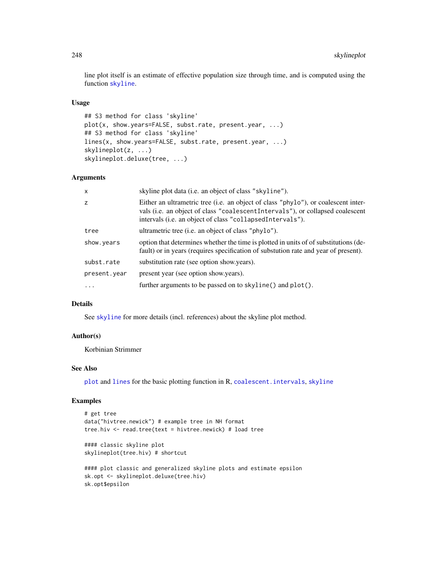line plot itself is an estimate of effective population size through time, and is computed using the function [skyline](#page-244-0).

### Usage

```
## S3 method for class 'skyline'
plot(x, show.years=FALSE, subst.rate, present.year, ...)
## S3 method for class 'skyline'
lines(x, show.years=FALSE, subst.rate, present.year, ...)
skylineplot(z, ...)
skylineplot.deluxe(tree, ...)
```
# Arguments

| X            | skyline plot data (i.e. an object of class "skyline").                                                                                                                                                                           |
|--------------|----------------------------------------------------------------------------------------------------------------------------------------------------------------------------------------------------------------------------------|
| z            | Either an ultrametric tree (i.e. an object of class "phylo"), or coalescent inter-<br>vals (i.e. an object of class "coalescentIntervals"), or collapsed coalescent<br>intervals (i.e. an object of class "collapsedIntervals"). |
| tree         | ultrametric tree (i.e. an object of class "phylo").                                                                                                                                                                              |
| show.years   | option that determines whether the time is plotted in units of of substitutions (de-<br>fault) or in years (requires specification of substution rate and year of present).                                                      |
| subst.rate   | substitution rate (see option show years).                                                                                                                                                                                       |
| present.year | present year (see option show years).                                                                                                                                                                                            |
| $\ddotsc$    | further arguments to be passed on to skyline() and plot().                                                                                                                                                                       |

## Details

See [skyline](#page-244-0) for more details (incl. references) about the skyline plot method.

## Author(s)

Korbinian Strimmer

# See Also

[plot](#page-0-0) and [lines](#page-0-0) for the basic plotting function in R, [coalescent.intervals](#page-71-0), [skyline](#page-244-0)

# Examples

```
# get tree
data("hivtree.newick") # example tree in NH format
tree.hiv <- read.tree(text = hivtree.newick) # load tree
#### classic skyline plot
skylineplot(tree.hiv) # shortcut
#### plot classic and generalized skyline plots and estimate epsilon
sk.opt <- skylineplot.deluxe(tree.hiv)
```
sk.opt\$epsilon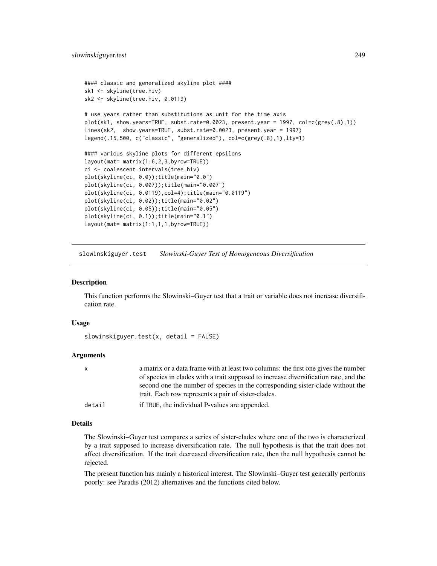```
#### classic and generalized skyline plot ####
sk1 <- skyline(tree.hiv)
sk2 <- skyline(tree.hiv, 0.0119)
# use years rather than substitutions as unit for the time axis
plot(sk1, show.years=TRUE, subst.rate=0.0023, present.year = 1997, col=c(grey(.8),1))
lines(sk2, show.years=TRUE, subst.rate=0.0023, present.year = 1997)
legend(.15,500, c("classic", "generalized"), col=c(grey(.8),1),lty=1)
#### various skyline plots for different epsilons
layout(mat= matrix(1:6,2,3,byrow=TRUE))
ci <- coalescent.intervals(tree.hiv)
plot(skyline(ci, 0.0));title(main="0.0")
plot(skyline(ci, 0.007));title(main="0.007")
plot(skyline(ci, 0.0119),col=4);title(main="0.0119")
plot(skyline(ci, 0.02));title(main="0.02")
plot(skyline(ci, 0.05));title(main="0.05")
plot(skyline(ci, 0.1));title(main="0.1")
layout(mat= matrix(1:1,1,1,byrow=TRUE))
```
<span id="page-248-0"></span>slowinskiguyer.test *Slowinski-Guyer Test of Homogeneous Diversification*

#### Description

This function performs the Slowinski–Guyer test that a trait or variable does not increase diversification rate.

# Usage

```
slowinskiguyer.test(x, detail = FALSE)
```
#### Arguments

| $\mathsf{X}$ | a matrix or a data frame with at least two columns: the first one gives the number   |
|--------------|--------------------------------------------------------------------------------------|
|              | of species in clades with a trait supposed to increase diversification rate, and the |
|              | second one the number of species in the corresponding sister-clade without the       |
|              | trait. Each row represents a pair of sister-clades.                                  |
| detail       | if TRUE, the individual P-values are appended.                                       |

#### Details

The Slowinski–Guyer test compares a series of sister-clades where one of the two is characterized by a trait supposed to increase diversification rate. The null hypothesis is that the trait does not affect diversification. If the trait decreased diversification rate, then the null hypothesis cannot be rejected.

The present function has mainly a historical interest. The Slowinski–Guyer test generally performs poorly: see Paradis (2012) alternatives and the functions cited below.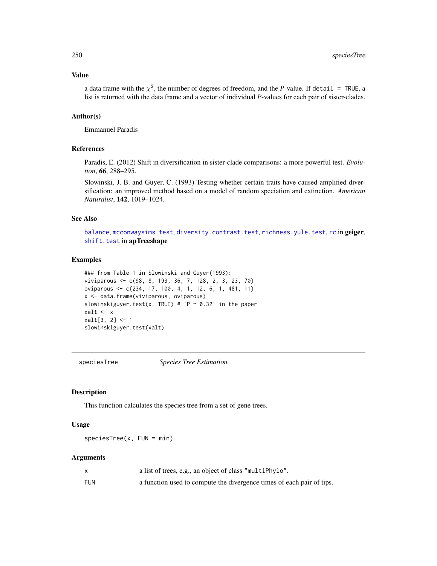#### Value

a data frame with the  $\chi^2$ , the number of degrees of freedom, and the *P*-value. If detail = TRUE, a list is returned with the data frame and a vector of individual *P*-values for each pair of sister-clades.

## Author(s)

Emmanuel Paradis

## References

Paradis, E. (2012) Shift in diversification in sister-clade comparisons: a more powerful test. *Evolution*, 66, 288–295.

Slowinski, J. B. and Guyer, C. (1993) Testing whether certain traits have caused amplified diversification: an improved method based on a model of random speciation and extinction. *American Naturalist*, 142, 1019–1024.

#### See Also

[balance](#page-30-0), [mcconwaysims.test](#page-159-0), [diversity.contrast.test](#page-119-0), [richness.yule.test](#page-227-0), [rc](#page-0-0) in geiger, [shift.test](#page-0-0) in apTreeshape

#### Examples

```
### from Table 1 in Slowinski and Guyer(1993):
viviparous <- c(98, 8, 193, 36, 7, 128, 2, 3, 23, 70)
oviparous <- c(234, 17, 100, 4, 1, 12, 6, 1, 481, 11)
x <- data.frame(viviparous, oviparous)
slowinskiguyer.test(x, TRUE) # 'P \sim 0.32' in the paper
xalt <- x
xalt[3, 2] <- 1
slowinskiguyer.test(xalt)
```
speciesTree *Species Tree Estimation*

## Description

This function calculates the species tree from a set of gene trees.

## Usage

 $speciesTree(x, FUN = min)$ 

|     | a list of trees, e.g., an object of class "multiPhylo".               |
|-----|-----------------------------------------------------------------------|
| FUN | a function used to compute the divergence times of each pair of tips. |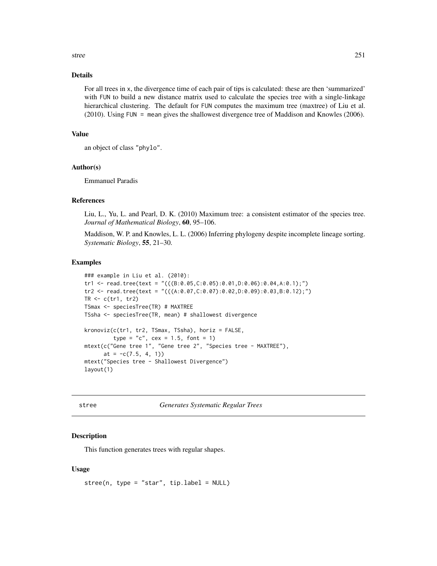stree 251

## Details

For all trees in x, the divergence time of each pair of tips is calculated: these are then 'summarized' with FUN to build a new distance matrix used to calculate the species tree with a single-linkage hierarchical clustering. The default for FUN computes the maximum tree (maxtree) of Liu et al. (2010). Using FUN = mean gives the shallowest divergence tree of Maddison and Knowles (2006).

## Value

```
an object of class "phylo".
```
#### Author(s)

Emmanuel Paradis

# References

Liu, L., Yu, L. and Pearl, D. K. (2010) Maximum tree: a consistent estimator of the species tree. *Journal of Mathematical Biology*, 60, 95–106.

Maddison, W. P. and Knowles, L. L. (2006) Inferring phylogeny despite incomplete lineage sorting. *Systematic Biology*, 55, 21–30.

## Examples

```
### example in Liu et al. (2010):
tr1 <- read.tree(text = "(((B: 0.05, C: 0.05) : 0.01, D: 0.06) : 0.04, A: 0.1);")
tr2 <- read.tree(text = "(((A:0.07,C:0.07):0.02,D:0.09):0.03,B:0.12);")
TR \leq c(tr1, tr2)
TSmax <- speciesTree(TR) # MAXTREE
TSsha <- speciesTree(TR, mean) # shallowest divergence
kronoviz(c(tr1, tr2, TSmax, TSsha), horiz = FALSE,
         type = "c", cex = 1.5, font = 1)mtext(c("Gene tree 1", "Gene tree 2", "Species tree - MAXTREE"),
      at = -c(7.5, 4, 1)mtext("Species tree - Shallowest Divergence")
layout(1)
```
<span id="page-250-0"></span>

stree *Generates Systematic Regular Trees*

#### Description

This function generates trees with regular shapes.

## Usage

```
stree(n, type = "star", tip-label = NULL)
```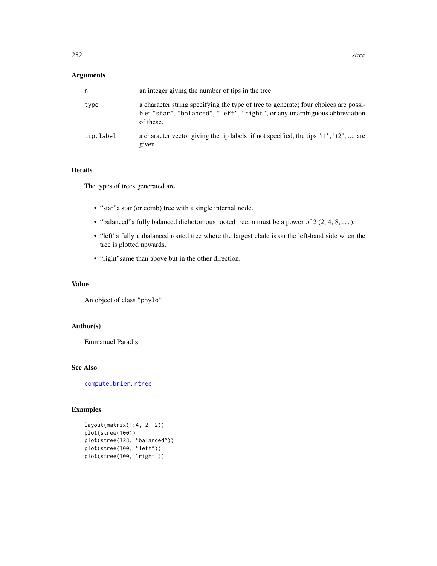# Arguments

| n         | an integer giving the number of tips in the tree.                                                                                                                             |
|-----------|-------------------------------------------------------------------------------------------------------------------------------------------------------------------------------|
| type      | a character string specifying the type of tree to generate; four choices are possi-<br>ble: "star", "balanced", "left", "right", or any unambiguous abbreviation<br>of these. |
| tip.label | a character vector giving the tip labels; if not specified, the tips " $t1$ ", " $t2$ ", , are<br>given.                                                                      |

# Details

The types of trees generated are:

- "star"a star (or comb) tree with a single internal node.
- "balanced"a fully balanced dichotomous rooted tree; n must be a power of 2 (2, 4, 8, . . . ).
- "left"a fully unbalanced rooted tree where the largest clade is on the left-hand side when the tree is plotted upwards.
- "right"same than above but in the other direction.

## Value

An object of class "phylo".

# Author(s)

Emmanuel Paradis

# See Also

[compute.brlen](#page-84-0), [rtree](#page-239-0)

```
layout(matrix(1:4, 2, 2))
plot(stree(100))
plot(stree(128, "balanced"))
plot(stree(100, "left"))
plot(stree(100, "right"))
```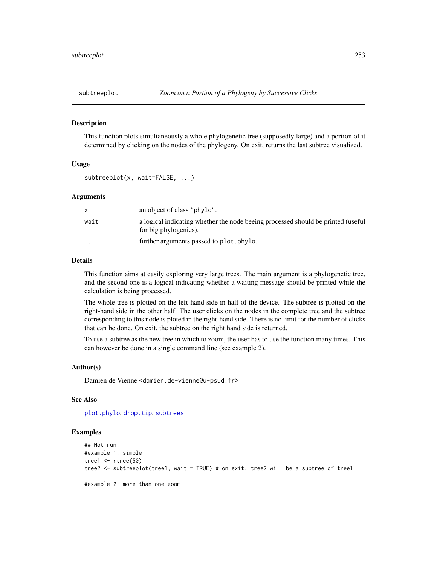<span id="page-252-1"></span><span id="page-252-0"></span>

This function plots simultaneously a whole phylogenetic tree (supposedly large) and a portion of it determined by clicking on the nodes of the phylogeny. On exit, returns the last subtree visualized.

### Usage

subtreeplot(x, wait=FALSE, ...)

# Arguments

|                      | an object of class "phylo".                                                                               |
|----------------------|-----------------------------------------------------------------------------------------------------------|
| wait                 | a logical indicating whether the node beeing processed should be printed (useful<br>for big phylogenies). |
| $\ddot{\phantom{0}}$ | further arguments passed to plot. phylo.                                                                  |

### Details

This function aims at easily exploring very large trees. The main argument is a phylogenetic tree, and the second one is a logical indicating whether a waiting message should be printed while the calculation is being processed.

The whole tree is plotted on the left-hand side in half of the device. The subtree is plotted on the right-hand side in the other half. The user clicks on the nodes in the complete tree and the subtree corresponding to this node is ploted in the right-hand side. There is no limit for the number of clicks that can be done. On exit, the subtree on the right hand side is returned.

To use a subtree as the new tree in which to zoom, the user has to use the function many times. This can however be done in a single command line (see example 2).

### Author(s)

Damien de Vienne <damien.de-vienne@u-psud.fr>

### See Also

[plot.phylo](#page-200-0), [drop.tip](#page-125-0), [subtrees](#page-253-0)

```
## Not run:
#example 1: simple
tree1 <- rtree(50)
tree2 <- subtreeplot(tree1, wait = TRUE) # on exit, tree2 will be a subtree of tree1
#example 2: more than one zoom
```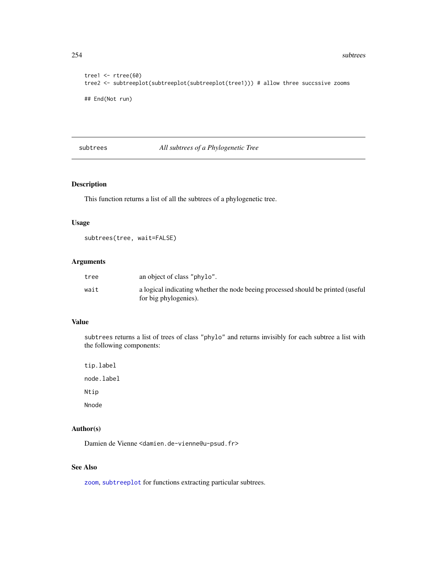<span id="page-253-1"></span>254 subtrees and the contract of the contract of the contract of the contract of the contract of the contract of the contract of the contract of the contract of the contract of the contract of the contract of the contract

```
tree1 <- rtree(60)
tree2 <- subtreeplot(subtreeplot(subtreeplot(tree1))) # allow three succssive zooms
## End(Not run)
```
# <span id="page-253-0"></span>subtrees *All subtrees of a Phylogenetic Tree*

# Description

This function returns a list of all the subtrees of a phylogenetic tree.

### Usage

```
subtrees(tree, wait=FALSE)
```
# Arguments

| tree | an object of class "phylo".                                                                               |
|------|-----------------------------------------------------------------------------------------------------------|
| wait | a logical indicating whether the node beeing processed should be printed (useful<br>for big phylogenies). |

### Value

subtrees returns a list of trees of class "phylo" and returns invisibly for each subtree a list with the following components:

tip.label node.label Ntip Nnode

# Author(s)

Damien de Vienne <damien.de-vienne@u-psud.fr>

# See Also

[zoom](#page-280-0), [subtreeplot](#page-252-0) for functions extracting particular subtrees.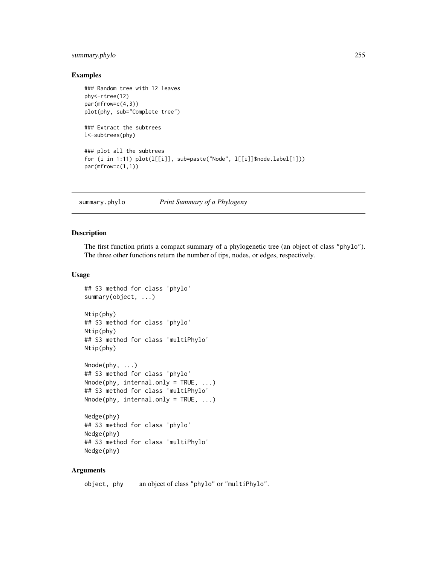# <span id="page-254-0"></span>summary.phylo 255

### Examples

```
### Random tree with 12 leaves
phy<-rtree(12)
par(mfrow=c(4,3))
plot(phy, sub="Complete tree")
### Extract the subtrees
l<-subtrees(phy)
```

```
### plot all the subtrees
for (i in 1:11) plot(l[[i]], sub=paste("Node", l[[i]]$node.label[1]))
par(mfrow=c(1,1))
```
summary.phylo *Print Summary of a Phylogeny*

# Description

The first function prints a compact summary of a phylogenetic tree (an object of class "phylo"). The three other functions return the number of tips, nodes, or edges, respectively.

### Usage

```
## S3 method for class 'phylo'
summary(object, ...)
Ntip(phy)
## S3 method for class 'phylo'
Ntip(phy)
## S3 method for class 'multiPhylo'
Ntip(phy)
Nnode(phy, ...)
## S3 method for class 'phylo'
Nnode(phy, internal-only = TRUE, ...)## S3 method for class 'multiPhylo'
Nnode(phy, internal-only = TRUE, ...)Nedge(phy)
## S3 method for class 'phylo'
Nedge(phy)
## S3 method for class 'multiPhylo'
Nedge(phy)
```
# Arguments

object, phy an object of class "phylo" or "multiPhylo".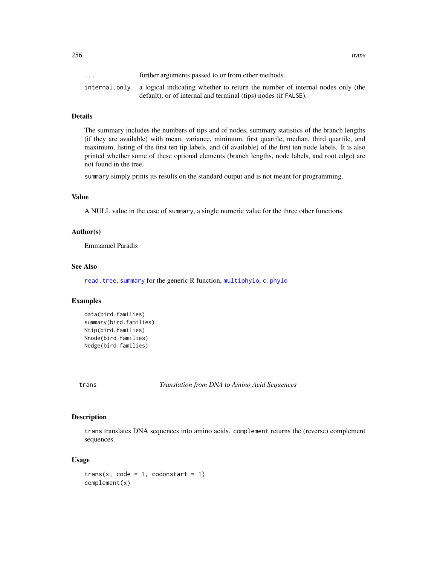... further arguments passed to or from other methods. internal.only a logical indicating whether to return the number of internal nodes only (the default), or of internal and terminal (tips) nodes (if FALSE).

### Details

The summary includes the numbers of tips and of nodes, summary statistics of the branch lengths (if they are available) with mean, variance, minimum, first quartile, median, third quartile, and maximum, listing of the first ten tip labels, and (if available) of the first ten node labels. It is also printed whether some of these optional elements (branch lengths, node labels, and root edge) are not found in the tree.

summary simply prints its results on the standard output and is not meant for programming.

# Value

A NULL value in the case of summary, a single numeric value for the three other functions.

### Author(s)

Emmanuel Paradis

### See Also

[read.tree](#page-221-0), [summary](#page-0-0) for the generic R function, [multiphylo](#page-172-0), [c.phylo](#page-52-0)

### Examples

```
data(bird.families)
summary(bird.families)
Ntip(bird.families)
Nnode(bird.families)
Nedge(bird.families)
```
trans *Translation from DNA to Amino Acid Sequences*

### Description

trans translates DNA sequences into amino acids. complement returns the (reverse) complement sequences.

### Usage

```
trans(x, code = 1, codonstart = 1)complement(x)
```
<span id="page-255-0"></span>256 transfer that the control of the control of the control of the control of the control of the control of the control of the control of the control of the control of the control of the control of the control of the contr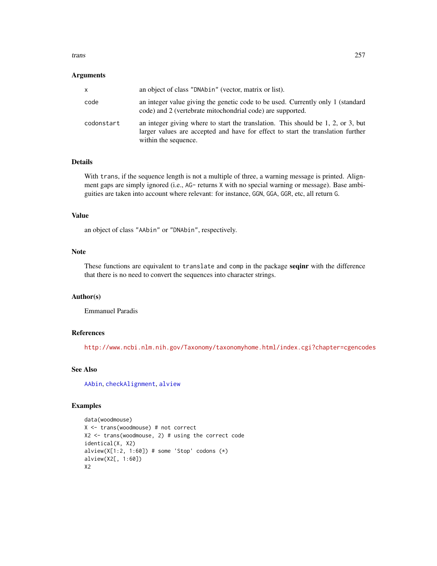### <span id="page-256-0"></span>trans 257

### **Arguments**

| x          | an object of class "DNAbin" (vector, matrix or list).                                                                                                                                            |
|------------|--------------------------------------------------------------------------------------------------------------------------------------------------------------------------------------------------|
| code       | an integer value giving the genetic code to be used. Currently only 1 (standard<br>code) and 2 (vertebrate mitochondrial code) are supported.                                                    |
| codonstart | an integer giving where to start the translation. This should be $1, 2,$ or $3$ , but<br>larger values are accepted and have for effect to start the translation further<br>within the sequence. |

### Details

With trans, if the sequence length is not a multiple of three, a warning message is printed. Alignment gaps are simply ignored (i.e., AG- returns X with no special warning or message). Base ambiguities are taken into account where relevant: for instance, GGN, GGA, GGR, etc, all return G.

### Value

an object of class "AAbin" or "DNAbin", respectively.

# Note

These functions are equivalent to translate and comp in the package seqinr with the difference that there is no need to convert the sequences into character strings.

### Author(s)

Emmanuel Paradis

### References

<http://www.ncbi.nlm.nih.gov/Taxonomy/taxonomyhome.html/index.cgi?chapter=cgencodes>

# See Also

[AAbin](#page-6-0), [checkAlignment](#page-58-0), [alview](#page-19-0)

```
data(woodmouse)
X <- trans(woodmouse) # not correct
X2 <- trans(woodmouse, 2) # using the correct code
identical(X, X2)
alview(X[1:2, 1:60]) # some 'Stop' codons (*)alview(X2[, 1:60])
X2
```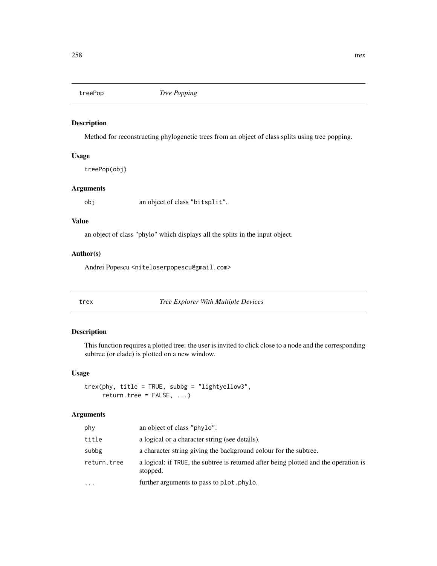<span id="page-257-0"></span>

Method for reconstructing phylogenetic trees from an object of class splits using tree popping.

# Usage

treePop(obj)

# Arguments

obj an object of class "bitsplit".

# Value

an object of class "phylo" which displays all the splits in the input object.

# Author(s)

Andrei Popescu <niteloserpopescu@gmail.com>

trex *Tree Explorer With Multiple Devices*

# Description

This function requires a plotted tree: the user is invited to click close to a node and the corresponding subtree (or clade) is plotted on a new window.

# Usage

trex(phy, title = TRUE, subbg = "lightyellow3", return.tree = FALSE, ...)

# Arguments

| phy         | an object of class "phylo".                                                                      |
|-------------|--------------------------------------------------------------------------------------------------|
| title       | a logical or a character string (see details).                                                   |
| subbg       | a character string giving the background colour for the subtree.                                 |
| return.tree | a logical: if TRUE, the subtree is returned after being plotted and the operation is<br>stopped. |
| $\ddotsc$   | further arguments to pass to plot. phylo.                                                        |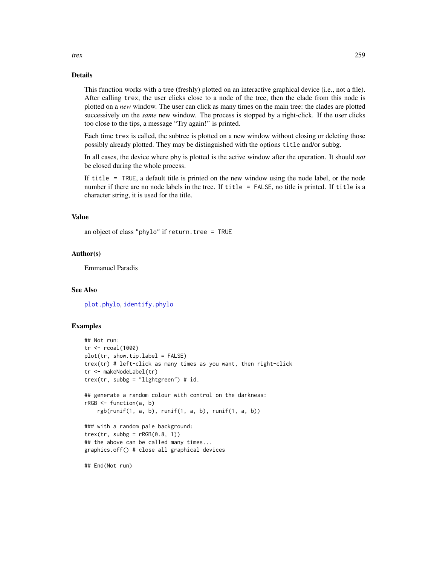### Details

This function works with a tree (freshly) plotted on an interactive graphical device (i.e., not a file). After calling trex, the user clicks close to a node of the tree, then the clade from this node is plotted on a *new* window. The user can click as many times on the main tree: the clades are plotted successively on the *same* new window. The process is stopped by a right-click. If the user clicks too close to the tips, a message "Try again!" is printed.

Each time trex is called, the subtree is plotted on a new window without closing or deleting those possibly already plotted. They may be distinguished with the options title and/or subbg.

In all cases, the device where phy is plotted is the active window after the operation. It should *not* be closed during the whole process.

If title = TRUE, a default title is printed on the new window using the node label, or the node number if there are no node labels in the tree. If title = FALSE, no title is printed. If title is a character string, it is used for the title.

# Value

an object of class "phylo" if  $return.tree = TRUE$ 

### Author(s)

Emmanuel Paradis

# See Also

[plot.phylo](#page-200-0), [identify.phylo](#page-135-0)

```
## Not run:
tr <- rcoal(1000)
plot(tr, show.tip.label = FALSE)
trex(tr) # left-click as many times as you want, then right-click
tr <- makeNodeLabel(tr)
trex(tr, subbg = "lightgreen") # id.
## generate a random colour with control on the darkness:
rRGB \leq function(a, b)rgb(runif(1, a, b), runif(1, a, b), runif(1, a, b))
### with a random pale background:
\text{trex}(\text{tr}, \text{subbg} = \text{rRGB}(0.8, 1))## the above can be called many times...
graphics.off() # close all graphical devices
## End(Not run)
```
<span id="page-258-0"></span>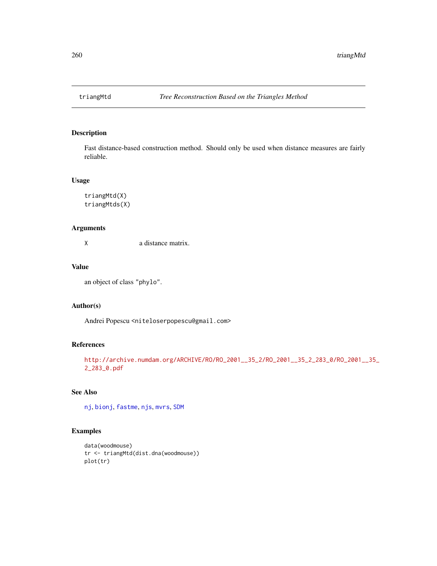<span id="page-259-0"></span>

Fast distance-based construction method. Should only be used when distance measures are fairly reliable.

### Usage

triangMtd(X) triangMtds(X)

# Arguments

X a distance matrix.

# Value

an object of class "phylo".

# Author(s)

Andrei Popescu <niteloserpopescu@gmail.com>

# References

[http://archive.numdam.org/ARCHIVE/RO/RO\\_2001\\_\\_35\\_2/RO\\_2001\\_\\_35\\_2\\_283\\_0/RO\\_2001\\_\\_](http://archive.numdam.org/ARCHIVE/RO/RO_2001__35_2/RO_2001__35_2_283_0/RO_2001__35_2_283_0.pdf)35\_ [2\\_283\\_0.pdf](http://archive.numdam.org/ARCHIVE/RO/RO_2001__35_2/RO_2001__35_2_283_0/RO_2001__35_2_283_0.pdf)

### See Also

[nj](#page-174-0), [bionj](#page-43-0), [fastme](#page-131-0), [njs](#page-175-0), [mvrs](#page-173-0), [SDM](#page-242-0)

```
data(woodmouse)
tr <- triangMtd(dist.dna(woodmouse))
plot(tr)
```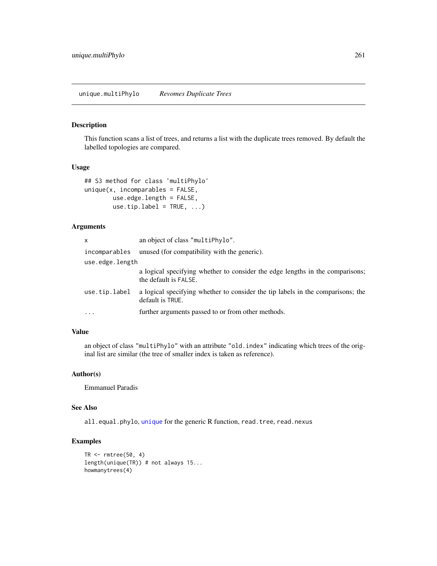<span id="page-260-0"></span>This function scans a list of trees, and returns a list with the duplicate trees removed. By default the labelled topologies are compared.

### Usage

```
## S3 method for class 'multiPhylo'
unique(x, incomparables = FALSE,
       use.edge.length = FALSE,
       use.tip.label = TRUE, ...)
```
# Arguments

| X               | an object of class "multiPhylo".                                                                       |
|-----------------|--------------------------------------------------------------------------------------------------------|
| incomparables   | unused (for compatibility with the generic).                                                           |
| use.edge.length |                                                                                                        |
|                 | a logical specifying whether to consider the edge lengths in the comparisons;<br>the default is FALSE. |
| use.tip.label   | a logical specifying whether to consider the tip labels in the comparisons; the<br>default is TRUE.    |
| $\ddotsc$       | further arguments passed to or from other methods.                                                     |

### Value

an object of class "multiPhylo" with an attribute "old.index" indicating which trees of the original list are similar (the tree of smaller index is taken as reference).

# Author(s)

Emmanuel Paradis

### See Also

all.equal.phylo, [unique](#page-0-0) for the generic R function, read.tree, read.nexus

```
TR \leq rmtree(50, 4)
length(unique(TR)) # not always 15...
howmanytrees(4)
```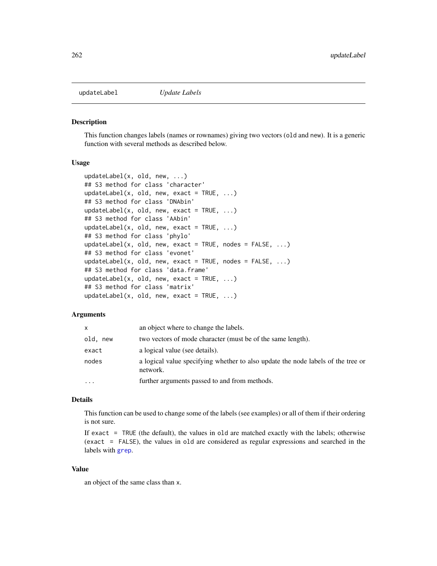<span id="page-261-0"></span>

This function changes labels (names or rownames) giving two vectors (old and new). It is a generic function with several methods as described below.

# Usage

```
updateLabel(x, old, new, ...)
## S3 method for class 'character'
updateLabel(x, old, new, exact = TRUE, ...)## S3 method for class 'DNAbin'
updateLabel(x, old, new, exact = TRUE, \dots)
## S3 method for class 'AAbin'
updateLabel(x, old, new, exact = TRUE, ...)## S3 method for class 'phylo'
updateLabel(x, old, new, exact = TRUE, nodes = FALSE, \ldots)
## S3 method for class 'evonet'
updateLabel(x, old, new, exact = TRUE, nodes = FALSE, \ldots)
## S3 method for class 'data.frame'
updateLabel(x, old, new, exact = TRUE, ...)## S3 method for class 'matrix'
updateLabel(x, old, new, exact = TRUE, ...)
```
### Arguments

| X           | an object where to change the labels.                                                        |
|-------------|----------------------------------------------------------------------------------------------|
| old.<br>new | two vectors of mode character (must be of the same length).                                  |
| exact       | a logical value (see details).                                                               |
| nodes       | a logical value specifying whether to also update the node labels of the tree or<br>network. |
| $\ddotsc$   | further arguments passed to and from methods.                                                |

### Details

This function can be used to change some of the labels (see examples) or all of them if their ordering is not sure.

If exact  $=$  TRUE (the default), the values in old are matched exactly with the labels; otherwise (exact = FALSE), the values in old are considered as regular expressions and searched in the labels with [grep](#page-0-0).

# Value

an object of the same class than x.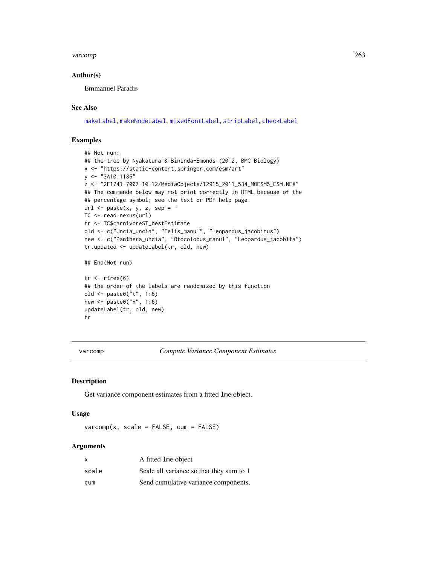### <span id="page-262-0"></span>varcomp 263

## Author(s)

Emmanuel Paradis

# See Also

[makeLabel](#page-153-0), [makeNodeLabel](#page-154-0), [mixedFontLabel](#page-163-0), [stripLabel](#page-144-0), [checkLabel](#page-59-0)

# Examples

```
## Not run:
## the tree by Nyakatura & Bininda-Emonds (2012, BMC Biology)
x <- "https://static-content.springer.com/esm/art"
y <- "3A10.1186"
z <- "2F1741-7007-10-12/MediaObjects/12915_2011_534_MOESM5_ESM.NEX"
## The commande below may not print correctly in HTML because of the
## percentage symbol; see the text or PDF help page.
url \leftarrow paste(x, y, z, sep = "TC <- read.nexus(url)
tr <- TC$carnivoreST_bestEstimate
old <- c("Uncia_uncia", "Felis_manul", "Leopardus_jacobitus")
new <- c("Panthera_uncia", "Otocolobus_manul", "Leopardus_jacobita")
tr.updated <- updateLabel(tr, old, new)
## End(Not run)
tr < -rtree(6)## the order of the labels are randomized by this function
old <- paste0("t", 1:6)
```
new <- paste0("x", 1:6) updateLabel(tr, old, new)

tr

varcomp *Compute Variance Component Estimates*

# Description

Get variance component estimates from a fitted lme object.

# Usage

 $varcomp(x, scale = FALSE, cum = FALSE)$ 

### Arguments

| x     | A fitted lme object                      |
|-------|------------------------------------------|
| scale | Scale all variance so that they sum to 1 |
| cum   | Send cumulative variance components.     |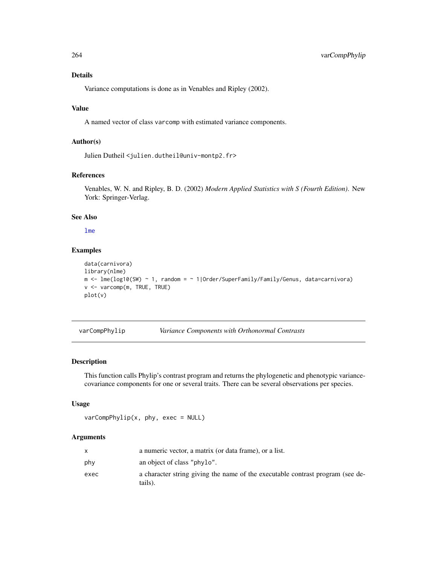# Details

Variance computations is done as in Venables and Ripley (2002).

# Value

A named vector of class varcomp with estimated variance components.

# Author(s)

Julien Dutheil <julien.dutheil@univ-montp2.fr>

# References

Venables, W. N. and Ripley, B. D. (2002) *Modern Applied Statistics with S (Fourth Edition)*. New York: Springer-Verlag.

# See Also

### [lme](#page-0-0)

### Examples

```
data(carnivora)
library(nlme)
m <- lme(log10(SW) ~ 1, random = ~ 1|Order/SuperFamily/Family/Genus, data=carnivora)
v <- varcomp(m, TRUE, TRUE)
plot(v)
```
varCompPhylip *Variance Components with Orthonormal Contrasts*

# Description

This function calls Phylip's contrast program and returns the phylogenetic and phenotypic variancecovariance components for one or several traits. There can be several observations per species.

### Usage

```
varCompPhylip(x, phy, exec = NULL)
```
# Arguments

|      | a numeric vector, a matrix (or data frame), or a list.                                    |
|------|-------------------------------------------------------------------------------------------|
| phy  | an object of class "phylo".                                                               |
| exec | a character string giving the name of the executable contrast program (see de-<br>tails). |

<span id="page-263-0"></span>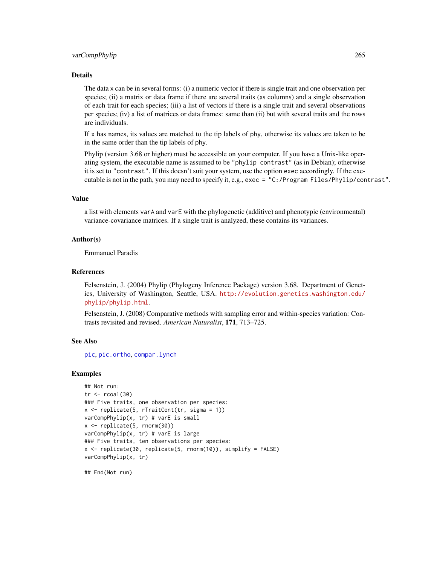### <span id="page-264-0"></span>varCompPhylip 265

### Details

The data x can be in several forms: (i) a numeric vector if there is single trait and one observation per species; (ii) a matrix or data frame if there are several traits (as columns) and a single observation of each trait for each species; (iii) a list of vectors if there is a single trait and several observations per species; (iv) a list of matrices or data frames: same than (ii) but with several traits and the rows are individuals.

If x has names, its values are matched to the tip labels of phy, otherwise its values are taken to be in the same order than the tip labels of phy.

Phylip (version 3.68 or higher) must be accessible on your computer. If you have a Unix-like operating system, the executable name is assumed to be "phylip contrast" (as in Debian); otherwise it is set to "contrast". If this doesn't suit your system, use the option exec accordingly. If the executable is not in the path, you may need to specify it, e.g., exec = "C:/Program Files/Phylip/contrast".

### Value

a list with elements varA and varE with the phylogenetic (additive) and phenotypic (environmental) variance-covariance matrices. If a single trait is analyzed, these contains its variances.

### Author(s)

Emmanuel Paradis

### References

Felsenstein, J. (2004) Phylip (Phylogeny Inference Package) version 3.68. Department of Genetics, University of Washington, Seattle, USA. [http://evolution.genetics.washington.edu/](http://evolution.genetics.washington.edu/phylip/phylip.html) [phylip/phylip.html](http://evolution.genetics.washington.edu/phylip/phylip.html).

Felsenstein, J. (2008) Comparative methods with sampling error and within-species variation: Contrasts revisited and revised. *American Naturalist*, 171, 713–725.

### See Also

[pic](#page-196-0), [pic.ortho](#page-197-0), [compar.lynch](#page-79-0)

### Examples

```
## Not run:
tr < -r \text{coal}(30)### Five traits, one observation per species:
x <- replicate(5, rTraitCont(tr, sigma = 1))
varCompPhylip(x, tr) # varE is small
x <- replicate(5, rnorm(30))
varCompPhylip(x, tr) # varE is large
### Five traits, ten observations per species:
x \le replicate(30, replicate(5, rnorm(10)), simplify = FALSE)
varCompPhylip(x, tr)
```
## End(Not run)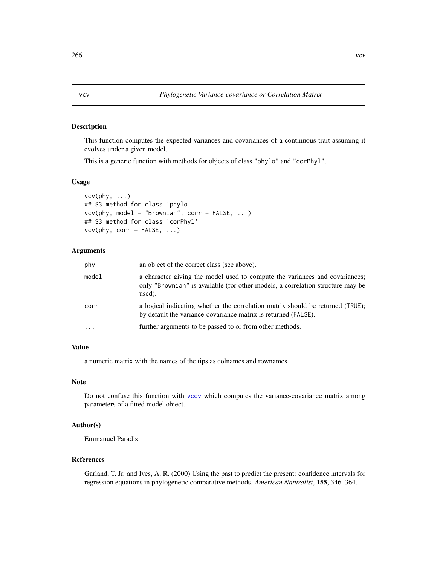This function computes the expected variances and covariances of a continuous trait assuming it evolves under a given model.

This is a generic function with methods for objects of class "phylo" and "corPhyl".

### Usage

```
vcv(phy, ...)
## S3 method for class 'phylo'
vcv(phy, model = "Brownian", corr = FALSE, ...)## S3 method for class 'corPhyl'
vcv(\text{phy}, corr = FALSE, ...)
```
# Arguments

| phy       | an object of the correct class (see above).                                                                                                                             |
|-----------|-------------------------------------------------------------------------------------------------------------------------------------------------------------------------|
| model     | a character giving the model used to compute the variances and covariances;<br>only "Brownian" is available (for other models, a correlation structure may be<br>used). |
| corr      | a logical indicating whether the correlation matrix should be returned (TRUE);<br>by default the variance-covariance matrix is returned (FALSE).                        |
| $\ddotsc$ | further arguments to be passed to or from other methods.                                                                                                                |

### Value

a numeric matrix with the names of the tips as colnames and rownames.

# Note

Do not confuse this function with [vcov](#page-0-0) which computes the variance-covariance matrix among parameters of a fitted model object.

# Author(s)

Emmanuel Paradis

# References

Garland, T. Jr. and Ives, A. R. (2000) Using the past to predict the present: confidence intervals for regression equations in phylogenetic comparative methods. *American Naturalist*, 155, 346–364.

<span id="page-265-1"></span><span id="page-265-0"></span>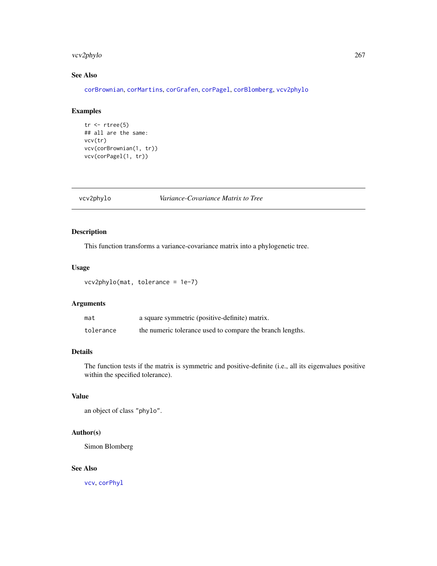# <span id="page-266-1"></span>vcv2phylo 267

# See Also

[corBrownian](#page-91-0), [corMartins](#page-94-0), [corGrafen](#page-93-0), [corPagel](#page-96-0), [corBlomberg](#page-90-0), [vcv2phylo](#page-266-0)

# Examples

```
tr < -rtree(5)## all are the same:
vcv(tr)
vcv(corBrownian(1, tr))
vcv(corPagel(1, tr))
```
<span id="page-266-0"></span>vcv2phylo *Variance-Covariance Matrix to Tree*

# Description

This function transforms a variance-covariance matrix into a phylogenetic tree.

# Usage

vcv2phylo(mat, tolerance = 1e-7)

# Arguments

| mat       | a square symmetric (positive-definite) matrix.            |
|-----------|-----------------------------------------------------------|
| tolerance | the numeric tolerance used to compare the branch lengths. |

# Details

The function tests if the matrix is symmetric and positive-definite (i.e., all its eigenvalues positive within the specified tolerance).

# Value

an object of class "phylo".

# Author(s)

Simon Blomberg

# See Also

[vcv](#page-265-0), [corPhyl](#page-92-0)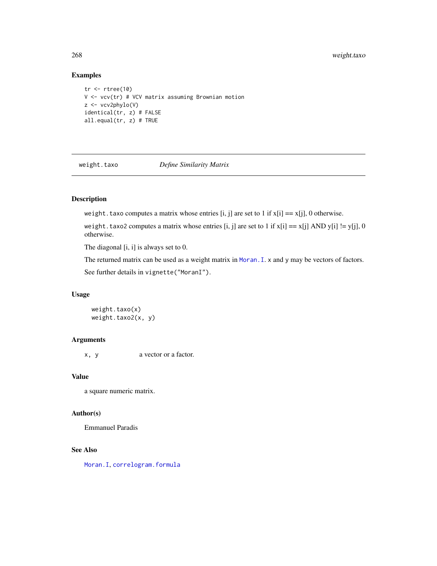# <span id="page-267-0"></span>Examples

```
tr < -rtree(10)V <- vcv(tr) # VCV matrix assuming Brownian motion
z <- vcv2phylo(V)
identical(tr, z) # FALSE
all.equal(tr, z) # TRUE
```
weight.taxo *Define Similarity Matrix*

# Description

weight.taxo computes a matrix whose entries [i, j] are set to 1 if  $x[i] == x[i]$ , 0 otherwise.

weight.taxo2 computes a matrix whose entries [i, j] are set to 1 if  $x[i] == x[j]$  AND  $y[i] != y[j], 0$ otherwise.

The diagonal [i, i] is always set to 0.

The returned matrix can be used as a weight matrix in [Moran.I](#page-165-0). x and y may be vectors of factors. See further details in vignette("MoranI").

# Usage

 $weight.taxo(x)$ weight.taxo2(x, y)

# Arguments

x, y a vector or a factor.

### Value

a square numeric matrix.

# Author(s)

Emmanuel Paradis

# See Also

[Moran.I](#page-165-0), [correlogram.formula](#page-102-0)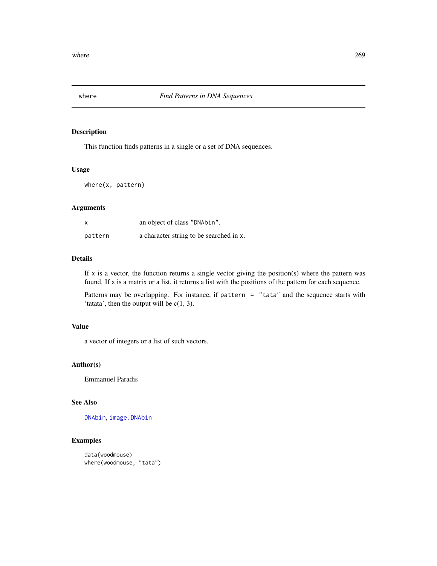<span id="page-268-0"></span>

This function finds patterns in a single or a set of DNA sequences.

# Usage

where(x, pattern)

# Arguments

| X       | an object of class "DNAbin".            |
|---------|-----------------------------------------|
| pattern | a character string to be searched in x. |

# Details

If  $x$  is a vector, the function returns a single vector giving the position(s) where the pattern was found. If x is a matrix or a list, it returns a list with the positions of the pattern for each sequence.

Patterns may be overlapping. For instance, if pattern = "tata" and the sequence starts with 'tatata', then the output will be  $c(1, 3)$ .

# Value

a vector of integers or a list of such vectors.

# Author(s)

Emmanuel Paradis

# See Also

[DNAbin](#page-121-0), [image.DNAbin](#page-137-0)

```
data(woodmouse)
where(woodmouse, "tata")
```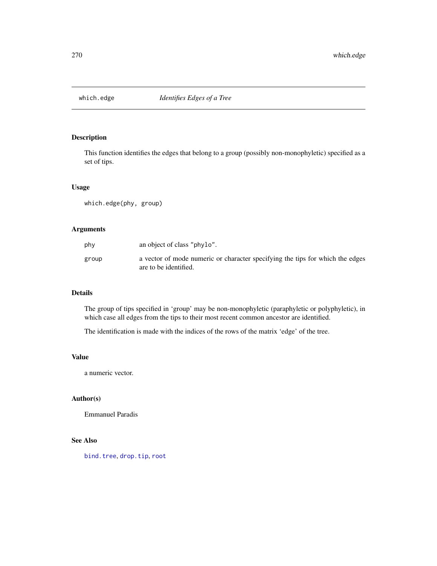<span id="page-269-0"></span>

This function identifies the edges that belong to a group (possibly non-monophyletic) specified as a set of tips.

# Usage

which.edge(phy, group)

# Arguments

| phy   | an object of class "phylo".                                                                            |
|-------|--------------------------------------------------------------------------------------------------------|
| group | a vector of mode numeric or character specifying the tips for which the edges<br>are to be identified. |

### Details

The group of tips specified in 'group' may be non-monophyletic (paraphyletic or polyphyletic), in which case all edges from the tips to their most recent common ancestor are identified.

The identification is made with the indices of the rows of the matrix 'edge' of the tree.

### Value

a numeric vector.

# Author(s)

Emmanuel Paradis

# See Also

[bind.tree](#page-41-0), [drop.tip](#page-125-0), [root](#page-230-0)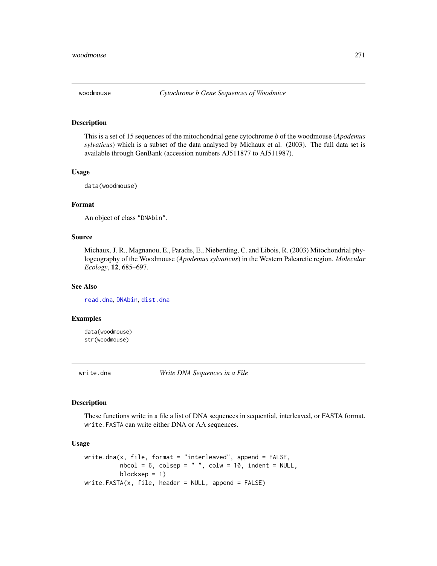<span id="page-270-0"></span>

This is a set of 15 sequences of the mitochondrial gene cytochrome *b* of the woodmouse (*Apodemus sylvaticus*) which is a subset of the data analysed by Michaux et al. (2003). The full data set is available through GenBank (accession numbers AJ511877 to AJ511987).

# Usage

data(woodmouse)

# Format

An object of class "DNAbin".

### Source

Michaux, J. R., Magnanou, E., Paradis, E., Nieberding, C. and Libois, R. (2003) Mitochondrial phylogeography of the Woodmouse (*Apodemus sylvaticus*) in the Western Palearctic region. *Molecular Ecology*, 12, 685–697.

### See Also

[read.dna](#page-211-0), [DNAbin](#page-121-0), [dist.dna](#page-110-0)

# Examples

data(woodmouse) str(woodmouse)

write.dna *Write DNA Sequences in a File*

### Description

These functions write in a file a list of DNA sequences in sequential, interleaved, or FASTA format. write.FASTA can write either DNA or AA sequences.

# Usage

```
write.dna(x, file, format = "interleaved", append = FALSE,nbcol = 6, colsep = " ", colw = 10, indent = NULL,
         blocksep = 1)
write.FASTA(x, file, header = NULL, append = FALSE)
```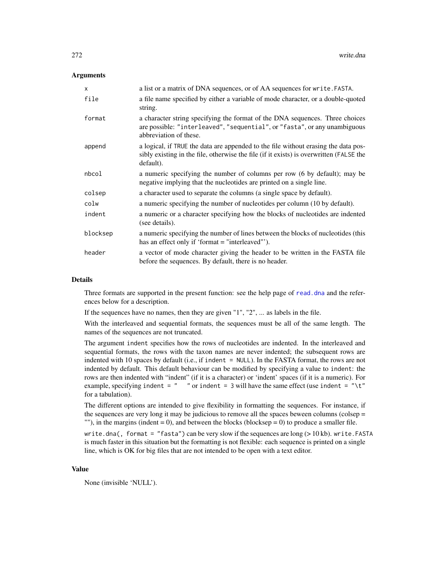## Arguments

| x        | a list or a matrix of DNA sequences, or of AA sequences for write. FASTA.                                                                                                                  |
|----------|--------------------------------------------------------------------------------------------------------------------------------------------------------------------------------------------|
| file     | a file name specified by either a variable of mode character, or a double-quoted<br>string.                                                                                                |
| format   | a character string specifying the format of the DNA sequences. Three choices<br>are possible: "interleaved", "sequential", or "fasta", or any unambiguous<br>abbreviation of these.        |
| append   | a logical, if TRUE the data are appended to the file without erasing the data pos-<br>sibly existing in the file, otherwise the file (if it exists) is overwritten (FALSE the<br>default). |
| nbcol    | a numeric specifying the number of columns per row (6 by default); may be<br>negative implying that the nucleotides are printed on a single line.                                          |
| colsep   | a character used to separate the columns (a single space by default).                                                                                                                      |
| colw     | a numeric specifying the number of nucleotides per column (10 by default).                                                                                                                 |
| indent   | a numeric or a character specifying how the blocks of nucleotides are indented<br>(see details).                                                                                           |
| blocksep | a numeric specifying the number of lines between the blocks of nucleotides (this<br>has an effect only if 'format $=$ "interleaved"').                                                     |
| header   | a vector of mode character giving the header to be written in the FASTA file<br>before the sequences. By default, there is no header.                                                      |

### Details

Three formats are supported in the present function: see the help page of [read.dna](#page-211-0) and the references below for a description.

If the sequences have no names, then they are given "1", "2", ... as labels in the file.

With the interleaved and sequential formats, the sequences must be all of the same length. The names of the sequences are not truncated.

The argument indent specifies how the rows of nucleotides are indented. In the interleaved and sequential formats, the rows with the taxon names are never indented; the subsequent rows are indented with 10 spaces by default (i.e., if indent = NULL). In the FASTA format, the rows are not indented by default. This default behaviour can be modified by specifying a value to indent: the rows are then indented with "indent" (if it is a character) or 'indent' spaces (if it is a numeric). For example, specifying indent =  $"$  " or indent = 3 will have the same effect (use indent = "\t") for a tabulation).

The different options are intended to give flexibility in formatting the sequences. For instance, if the sequences are very long it may be judicious to remove all the spaces beween columns (colsep = ""), in the margins (indent = 0), and between the blocks (blocksep = 0) to produce a smaller file.

write.dna(, format = "fasta") can be very slow if the sequences are long ( $> 10$  kb). write.FASTA is much faster in this situation but the formatting is not flexible: each sequence is printed on a single line, which is OK for big files that are not intended to be open with a text editor.

### Value

None (invisible 'NULL').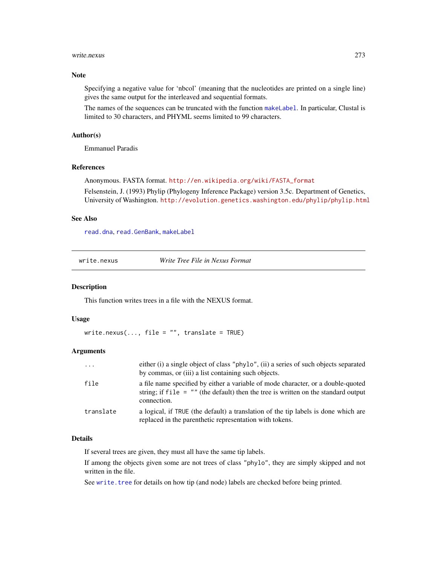### <span id="page-272-1"></span>write.nexus 273

# Note

Specifying a negative value for 'nbcol' (meaning that the nucleotides are printed on a single line) gives the same output for the interleaved and sequential formats.

The names of the sequences can be truncated with the function [makeLabel](#page-153-0). In particular, Clustal is limited to 30 characters, and PHYML seems limited to 99 characters.

### Author(s)

Emmanuel Paradis

# References

Anonymous. FASTA format. [http://en.wikipedia.org/wiki/FASTA\\_format](http://en.wikipedia.org/wiki/FASTA_format)

Felsenstein, J. (1993) Phylip (Phylogeny Inference Package) version 3.5c. Department of Genetics, University of Washington. <http://evolution.genetics.washington.edu/phylip/phylip.html>

### See Also

[read.dna](#page-211-0), [read.GenBank](#page-215-0), [makeLabel](#page-153-0)

<span id="page-272-0"></span>

| Write Tree File in Nexus Format |
|---------------------------------|
|---------------------------------|

# Description

This function writes trees in a file with the NEXUS format.

# Usage

write.nexus(..., file =  $"$ , translate = TRUE)

### Arguments

| $\cdots$  | either (i) a single object of class "phylo", (ii) a series of such objects separated                                                                                                    |
|-----------|-----------------------------------------------------------------------------------------------------------------------------------------------------------------------------------------|
|           | by commas, or (iii) a list containing such objects.                                                                                                                                     |
| file      | a file name specified by either a variable of mode character, or a double-quoted<br>string; if $file = ""$ (the default) then the tree is written on the standard output<br>connection. |
| translate | a logical, if TRUE (the default) a translation of the tip labels is done which are<br>replaced in the parenthetic representation with tokens.                                           |

# **Details**

If several trees are given, they must all have the same tip labels.

If among the objects given some are not trees of class "phylo", they are simply skipped and not written in the file.

See [write.tree](#page-275-0) for details on how tip (and node) labels are checked before being printed.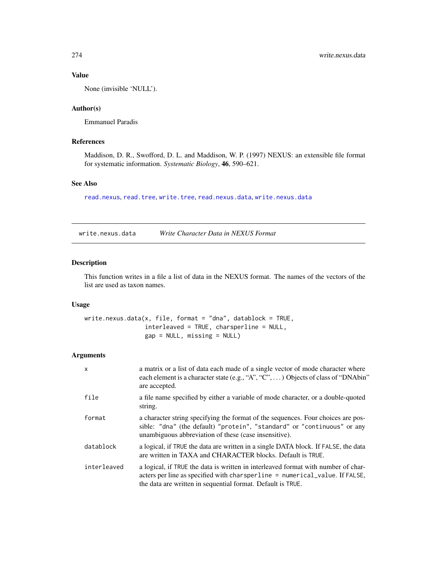# Value

None (invisible 'NULL').

# Author(s)

Emmanuel Paradis

# References

Maddison, D. R., Swofford, D. L. and Maddison, W. P. (1997) NEXUS: an extensible file format for systematic information. *Systematic Biology*, 46, 590–621.

# See Also

[read.nexus](#page-217-0), [read.tree](#page-221-0), [write.tree](#page-275-0), [read.nexus.data](#page-219-0), [write.nexus.data](#page-273-0)

<span id="page-273-0"></span>write.nexus.data *Write Character Data in NEXUS Format*

# Description

This function writes in a file a list of data in the NEXUS format. The names of the vectors of the list are used as taxon names.

# Usage

```
write.nexus.data(x, file, format = "dna", datablock = TRUE,
                 interleaved = TRUE, charsperline = NULL,
                 gap = NULL, missing = NULL)
```
# Arguments

| $\mathsf{x}$ | a matrix or a list of data each made of a single vector of mode character where<br>each element is a character state (e.g., "A", "C", ) Objects of class of "DNAbin"<br>are accepted.                                           |
|--------------|---------------------------------------------------------------------------------------------------------------------------------------------------------------------------------------------------------------------------------|
| file         | a file name specified by either a variable of mode character, or a double-quoted<br>string.                                                                                                                                     |
| format       | a character string specifying the format of the sequences. Four choices are pos-<br>sible: "dna" (the default) "protein", "standard" or "continuous" or any<br>unambiguous abbreviation of these (case insensitive).            |
| datablock    | a logical, if TRUE the data are written in a single DATA block. If FALSE, the data<br>are written in TAXA and CHARACTER blocks. Default is TRUE.                                                                                |
| interleaved  | a logical, if TRUE the data is written in interleaved format with number of char-<br>acters per line as specified with charsperline = numerical_value. If FALSE,<br>the data are written in sequential format. Default is TRUE. |

<span id="page-273-1"></span>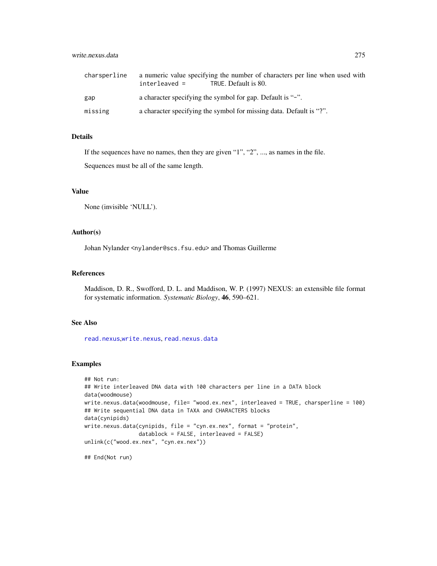# write.nexus.data 275

| charsperline | a numeric value specifying the number of characters per line when used with<br>interleaved =<br>TRUE. Default is 80. |
|--------------|----------------------------------------------------------------------------------------------------------------------|
| gap          | a character specifying the symbol for gap. Default is "-".                                                           |
| missing      | a character specifying the symbol for missing data. Default is "?".                                                  |

# Details

If the sequences have no names, then they are given "1", "2", ..., as names in the file.

Sequences must be all of the same length.

# Value

None (invisible 'NULL').

# Author(s)

Johan Nylander <nylander@scs.fsu.edu> and Thomas Guillerme

### References

Maddison, D. R., Swofford, D. L. and Maddison, W. P. (1997) NEXUS: an extensible file format for systematic information. *Systematic Biology*, 46, 590–621.

# See Also

[read.nexus](#page-217-0),[write.nexus](#page-272-0), [read.nexus.data](#page-219-0)

### Examples

```
## Not run:
## Write interleaved DNA data with 100 characters per line in a DATA block
data(woodmouse)
write.nexus.data(woodmouse, file= "wood.ex.nex", interleaved = TRUE, charsperline = 100)
## Write sequential DNA data in TAXA and CHARACTERS blocks
data(cynipids)
write.nexus.data(cynipids, file = "cyn.ex.nex", format = "protein",
                 \frac{1}{10} datablock = FALSE, interleaved = FALSE)
unlink(c("wood.ex.nex", "cyn.ex.nex"))
```
## End(Not run)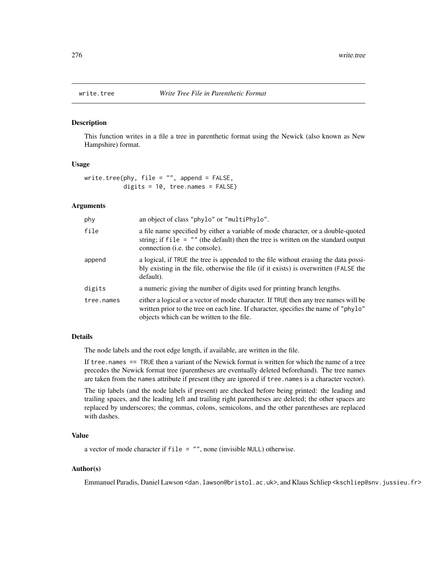<span id="page-275-1"></span><span id="page-275-0"></span>

This function writes in a file a tree in parenthetic format using the Newick (also known as New Hampshire) format.

# Usage

```
write.tree(phy, file = ", append = FALSE,
           digits = 10, tree.names = FALSE)
```
### Arguments

| phy        | an object of class "phylo" or "multiPhylo".                                                                                                                                                                             |
|------------|-------------------------------------------------------------------------------------------------------------------------------------------------------------------------------------------------------------------------|
| file       | a file name specified by either a variable of mode character, or a double-quoted<br>string; if $file = ""$ (the default) then the tree is written on the standard output<br>connection (i.e. the console).              |
| append     | a logical, if TRUE the tree is appended to the file without erasing the data possi-<br>bly existing in the file, otherwise the file (if it exists) is overwritten (FALSE the<br>default).                               |
| digits     | a numeric giving the number of digits used for printing branch lengths.                                                                                                                                                 |
| tree.names | either a logical or a vector of mode character. If TRUE then any tree names will be<br>written prior to the tree on each line. If character, specifies the name of "phylo"<br>objects which can be written to the file. |

# Details

The node labels and the root edge length, if available, are written in the file.

If tree.names == TRUE then a variant of the Newick format is written for which the name of a tree precedes the Newick format tree (parentheses are eventually deleted beforehand). The tree names are taken from the names attribute if present (they are ignored if tree. names is a character vector).

The tip labels (and the node labels if present) are checked before being printed: the leading and trailing spaces, and the leading left and trailing right parentheses are deleted; the other spaces are replaced by underscores; the commas, colons, semicolons, and the other parentheses are replaced with dashes.

# Value

```
a vector of mode character if file = "", none (invisible NULL) otherwise.
```
### Author(s)

Emmanuel Paradis, Daniel Lawson <dan.lawson@bristol.ac.uk>, and Klaus Schliep <kschliep@snv.jussieu.fr>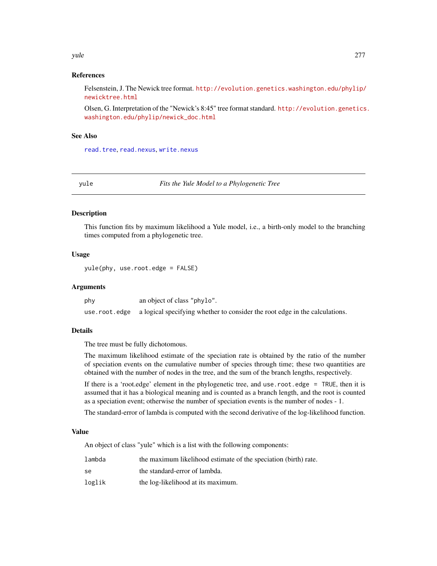### <span id="page-276-1"></span>yule 277

# References

Felsenstein, J. The Newick tree format. [http://evolution.genetics.washington.edu/phylip/](http://evolution.genetics.washington.edu/phylip/newicktree.html) [newicktree.html](http://evolution.genetics.washington.edu/phylip/newicktree.html)

Olsen, G. Interpretation of the "Newick's 8:45" tree format standard. [http://evolution.genetics](http://evolution.genetics.washington.edu/phylip/newick_doc.html). [washington.edu/phylip/newick\\_doc.html](http://evolution.genetics.washington.edu/phylip/newick_doc.html)

# See Also

[read.tree](#page-221-0), [read.nexus](#page-217-0), [write.nexus](#page-272-0)

<span id="page-276-0"></span>yule *Fits the Yule Model to a Phylogenetic Tree*

### Description

This function fits by maximum likelihood a Yule model, i.e., a birth-only model to the branching times computed from a phylogenetic tree.

# Usage

yule(phy, use.root.edge = FALSE)

# Arguments

| phy | an object of class "phylo".                                                                 |
|-----|---------------------------------------------------------------------------------------------|
|     | use, root, edge a logical specifying whether to consider the root edge in the calculations. |

# Details

The tree must be fully dichotomous.

The maximum likelihood estimate of the speciation rate is obtained by the ratio of the number of speciation events on the cumulative number of species through time; these two quantities are obtained with the number of nodes in the tree, and the sum of the branch lengths, respectively.

If there is a 'root.edge' element in the phylogenetic tree, and use.root.edge = TRUE, then it is assumed that it has a biological meaning and is counted as a branch length, and the root is counted as a speciation event; otherwise the number of speciation events is the number of nodes - 1.

The standard-error of lambda is computed with the second derivative of the log-likelihood function.

### Value

An object of class "yule" which is a list with the following components:

| lambda | the maximum likelihood estimate of the speciation (birth) rate. |
|--------|-----------------------------------------------------------------|
| se     | the standard-error of lambda.                                   |
| loglik | the log-likelihood at its maximum.                              |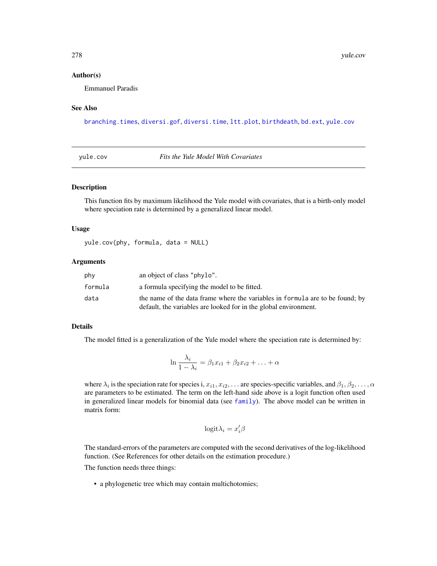### Author(s)

Emmanuel Paradis

# See Also

[branching.times](#page-51-0), [diversi.gof](#page-116-0), [diversi.time](#page-118-0), [ltt.plot](#page-150-0), [birthdeath](#page-46-0), [bd.ext](#page-32-0), [yule.cov](#page-277-0)

<span id="page-277-0"></span>yule.cov *Fits the Yule Model With Covariates*

### Description

This function fits by maximum likelihood the Yule model with covariates, that is a birth-only model where speciation rate is determined by a generalized linear model.

### Usage

yule.cov(phy, formula, data = NULL)

### Arguments

| phy     | an object of class "phylo".                                                                                                                       |
|---------|---------------------------------------------------------------------------------------------------------------------------------------------------|
| formula | a formula specifying the model to be fitted.                                                                                                      |
| data    | the name of the data frame where the variables in formula are to be found; by<br>default, the variables are looked for in the global environment. |

### Details

The model fitted is a generalization of the Yule model where the speciation rate is determined by:

$$
\ln \frac{\lambda_i}{1 - \lambda_i} = \beta_1 x_{i1} + \beta_2 x_{i2} + \ldots + \alpha
$$

where  $\lambda_i$  is the speciation rate for species i,  $x_{i1}, x_{i2}, \ldots$  are species-specific variables, and  $\beta_1, \beta_2, \ldots, \alpha$ are parameters to be estimated. The term on the left-hand side above is a logit function often used in generalized linear models for binomial data (see [family](#page-0-0)). The above model can be written in matrix form:

$$
\mathrm{logit}\lambda_i=x_i'\beta
$$

The standard-errors of the parameters are computed with the second derivatives of the log-likelihood function. (See References for other details on the estimation procedure.)

The function needs three things:

• a phylogenetic tree which may contain multichotomies;

<span id="page-277-1"></span>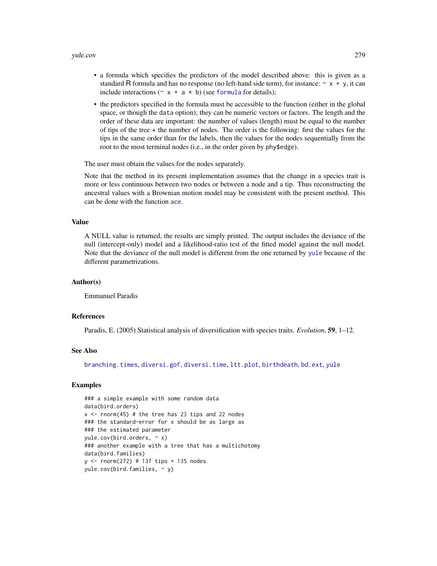- <span id="page-278-0"></span>• a formula which specifies the predictors of the model described above: this is given as a standard R formula and has no response (no left-hand side term), for instance:  $\sim x + y$ , it can include interactions ( $\sim x + a \cdot b$ ) (see [formula](#page-0-0) for details);
- the predictors specified in the formula must be accessible to the function (either in the global space, or though the data option); they can be numeric vectors or factors. The length and the order of these data are important: the number of values (length) must be equal to the number of tips of the tree + the number of nodes. The order is the following: first the values for the tips in the same order than for the labels, then the values for the nodes sequentially from the root to the most terminal nodes (i.e., in the order given by phy\$edge).

The user must obtain the values for the nodes separately.

Note that the method in its present implementation assumes that the change in a species trait is more or less continuous between two nodes or between a node and a tip. Thus reconstructing the ancestral values with a Brownian motion model may be consistent with the present method. This can be done with the function [ace](#page-8-0).

### Value

A NULL value is returned, the results are simply printed. The output includes the deviance of the null (intercept-only) model and a likelihood-ratio test of the fitted model against the null model. Note that the deviance of the null model is different from the one returned by [yule](#page-276-0) because of the different parametrizations.

### Author(s)

Emmanuel Paradis

### References

Paradis, E. (2005) Statistical analysis of diversification with species traits. *Evolution*, 59, 1–12.

### See Also

[branching.times](#page-51-0), [diversi.gof](#page-116-0), [diversi.time](#page-118-0), [ltt.plot](#page-150-0), [birthdeath](#page-46-0), [bd.ext](#page-32-0), [yule](#page-276-0)

```
### a simple example with some random data
data(bird.orders)
x \le rnorm(45) # the tree has 23 tips and 22 nodes
### the standard-error for x should be as large as
### the estimated parameter
value.cov(bird.orders, ~ x)### another example with a tree that has a multichotomy
data(bird.families)
y <- rnorm(272) # 137 tips + 135 nodes
yule.cov(bird.families, \sim y)
```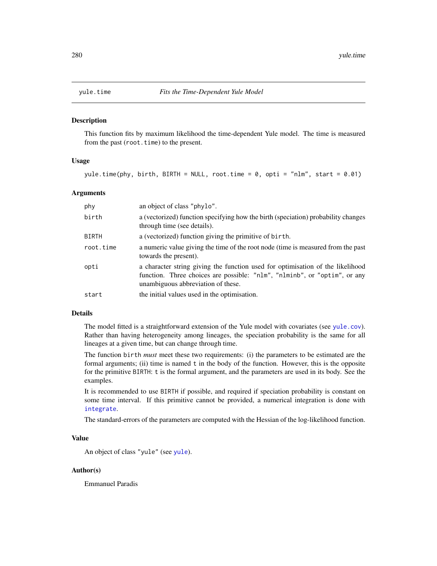<span id="page-279-0"></span>

This function fits by maximum likelihood the time-dependent Yule model. The time is measured from the past (root.time) to the present.

# Usage

yule.time(phy, birth, BIRTH = NULL, root.time = 0, opti = "nlm", start = 0.01)

### **Arguments**

| phy          | an object of class "phylo".                                                                                                                                                                       |
|--------------|---------------------------------------------------------------------------------------------------------------------------------------------------------------------------------------------------|
| birth        | a (vectorized) function specifying how the birth (speciation) probability changes<br>through time (see details).                                                                                  |
| <b>BIRTH</b> | a (vectorized) function giving the primitive of birth.                                                                                                                                            |
| root.time    | a numeric value giving the time of the root node (time is measured from the past<br>towards the present).                                                                                         |
| opti         | a character string giving the function used for optimisation of the likelihood<br>function. Three choices are possible: "nlm", "nlminb", or "optim", or any<br>unambiguous abbreviation of these. |
| start        | the initial values used in the optimisation.                                                                                                                                                      |

### Details

The model fitted is a straightforward extension of the Yule model with covariates (see [yule.cov](#page-277-0)). Rather than having heterogeneity among lineages, the speciation probability is the same for all lineages at a given time, but can change through time.

The function birth *must* meet these two requirements: (i) the parameters to be estimated are the formal arguments; (ii) time is named t in the body of the function. However, this is the opposite for the primitive BIRTH: t is the formal argument, and the parameters are used in its body. See the examples.

It is recommended to use BIRTH if possible, and required if speciation probability is constant on some time interval. If this primitive cannot be provided, a numerical integration is done with [integrate](#page-0-0).

The standard-errors of the parameters are computed with the Hessian of the log-likelihood function.

# Value

An object of class "yule" (see [yule](#page-276-0)).

### Author(s)

Emmanuel Paradis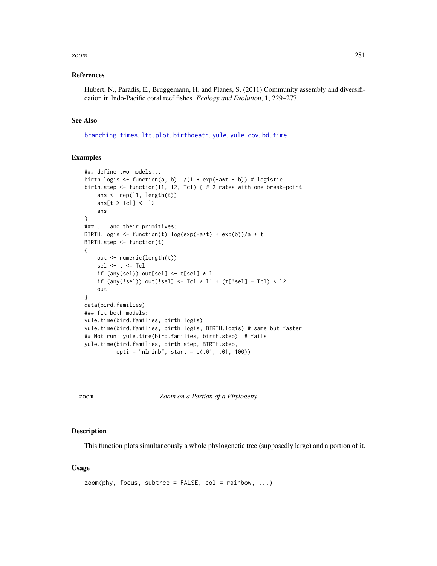### <span id="page-280-1"></span>zoom 281

### References

Hubert, N., Paradis, E., Bruggemann, H. and Planes, S. (2011) Community assembly and diversification in Indo-Pacific coral reef fishes. *Ecology and Evolution*, 1, 229–277.

### See Also

[branching.times](#page-51-0), [ltt.plot](#page-150-0), [birthdeath](#page-46-0), [yule](#page-276-0), [yule.cov](#page-277-0), [bd.time](#page-33-0)

# Examples

```
### define two models...
birth.logis \leq function(a, b) 1/(1 + \exp(-a*t - b)) # logistic
birth.step <- function(l1, l2, Tcl) { # 2 rates with one break-point
    ans \leq rep(11, length(t))
    ans[t > Tcl] <- l2
    ans
}
### ... and their primitives:
BIRTH.logis <- function(t) log(exp(-a*t) + exp(b))/a + t
BIRTH.step <- function(t)
{
   out <- numeric(length(t))
   sel \leq t \leq Tcl
    if (any(sel)) out[sel] \le t[sel] \ne 11
    if (any(!sel)) out[!sel] <- Tcl * l1 + (t[!sel] - Tcl) * l2
    out
}
data(bird.families)
### fit both models:
yule.time(bird.families, birth.logis)
yule.time(bird.families, birth.logis, BIRTH.logis) # same but faster
## Not run: yule.time(bird.families, birth.step) # fails
yule.time(bird.families, birth.step, BIRTH.step,
          opti = "nlminb", start = c(.01, .01, 100))
```
<span id="page-280-0"></span>zoom *Zoom on a Portion of a Phylogeny*

### Description

This function plots simultaneously a whole phylogenetic tree (supposedly large) and a portion of it.

### Usage

```
zoom(\text{phy}, \text{focus}, \text{subtree} = \text{FALSE}, \text{col} = \text{rainbow}, \dots)
```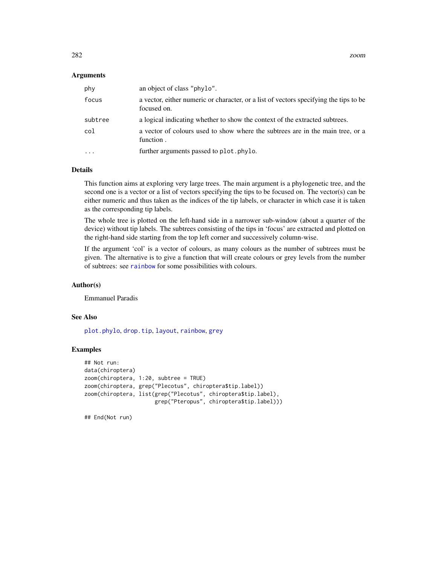### <span id="page-281-0"></span>**Arguments**

| phy     | an object of class "phylo".                                                                          |
|---------|------------------------------------------------------------------------------------------------------|
| focus   | a vector, either numeric or character, or a list of vectors specifying the tips to be<br>focused on. |
| subtree | a logical indicating whether to show the context of the extracted subtrees.                          |
| col     | a vector of colours used to show where the subtrees are in the main tree, or a<br>function.          |
|         | further arguments passed to plot. phylo.                                                             |

# Details

This function aims at exploring very large trees. The main argument is a phylogenetic tree, and the second one is a vector or a list of vectors specifying the tips to be focused on. The vector(s) can be either numeric and thus taken as the indices of the tip labels, or character in which case it is taken as the corresponding tip labels.

The whole tree is plotted on the left-hand side in a narrower sub-window (about a quarter of the device) without tip labels. The subtrees consisting of the tips in 'focus' are extracted and plotted on the right-hand side starting from the top left corner and successively column-wise.

If the argument 'col' is a vector of colours, as many colours as the number of subtrees must be given. The alternative is to give a function that will create colours or grey levels from the number of subtrees: see [rainbow](#page-0-0) for some possibilities with colours.

### Author(s)

Emmanuel Paradis

### See Also

[plot.phylo](#page-200-0), [drop.tip](#page-125-0), [layout](#page-0-0), [rainbow](#page-0-0), [grey](#page-0-0)

# Examples

```
## Not run:
data(chiroptera)
zoom(chiroptera, 1:20, subtree = TRUE)
zoom(chiroptera, grep("Plecotus", chiroptera$tip.label))
zoom(chiroptera, list(grep("Plecotus", chiroptera$tip.label),
                      grep("Pteropus", chiroptera$tip.label)))
```
## End(Not run)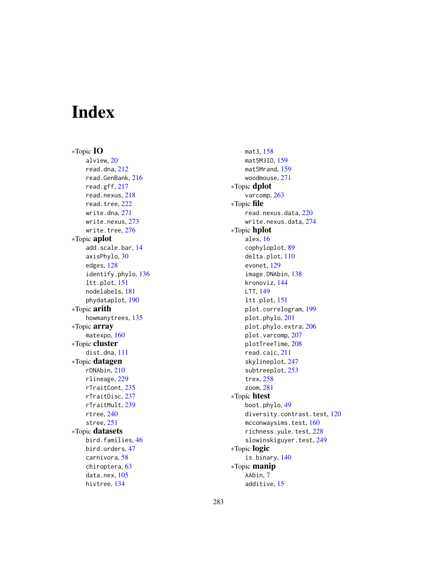# Index

∗Topic IO alview, [20](#page-19-1) read.dna, [212](#page-211-1) read.GenBank, [216](#page-215-1) read.gff, [217](#page-216-0) read.nexus, [218](#page-217-1) read.tree, [222](#page-221-1) write.dna, [271](#page-270-0) write.nexus, [273](#page-272-1) write.tree, [276](#page-275-1) ∗Topic aplot add.scale.bar, [14](#page-13-0) axisPhylo, [30](#page-29-0) edges, [128](#page-127-0) identify.phylo, [136](#page-135-1) ltt.plot, [151](#page-150-1) nodelabels, [181](#page-180-0) phydataplot, [190](#page-189-0) ∗Topic arith howmanytrees, [135](#page-134-0) ∗Topic array matexpo, [160](#page-159-0) ∗Topic cluster dist.dna, [111](#page-110-1) ∗Topic datagen rDNAbin, [210](#page-209-0) rlineage, [229](#page-228-0) rTraitCont, [235](#page-234-0) rTraitDisc, [237](#page-236-0) rTraitMult, [239](#page-238-0) rtree, [240](#page-239-0) stree, [251](#page-250-0) ∗Topic datasets bird.families, [46](#page-45-0) bird.orders, [47](#page-46-1) carnivora, [58](#page-57-0) chiroptera, [63](#page-62-0) data.nex, [105](#page-104-0) hivtree, [134](#page-133-0)

mat3, [158](#page-157-0) mat5M3ID, [159](#page-158-0) mat5Mrand, [159](#page-158-0) woodmouse, [271](#page-270-0) ∗Topic dplot varcomp, [263](#page-262-0) ∗Topic file read.nexus.data, [220](#page-219-1) write.nexus.data, [274](#page-273-1) ∗Topic hplot alex, [16](#page-15-0) cophyloplot, [89](#page-88-0) delta.plot, [110](#page-109-0) evonet, [129](#page-128-0) image.DNAbin, [138](#page-137-1) kronoviz, [144](#page-143-0) LTT, [149](#page-148-0) ltt.plot, [151](#page-150-1) plot.correlogram, [199](#page-198-0) plot.phylo, [201](#page-200-1) plot.phylo.extra, [206](#page-205-0) plot.varcomp, [207](#page-206-0) plotTreeTime, [208](#page-207-0) read.caic, [211](#page-210-0) skylineplot, [247](#page-246-0) subtreeplot, [253](#page-252-1) trex, [258](#page-257-0) zoom, [281](#page-280-1) ∗Topic htest boot.phylo, [49](#page-48-0) diversity.contrast.test, [120](#page-119-0) mcconwaysims.test, [160](#page-159-0) richness.yule.test, [228](#page-227-0) slowinskiguyer.test, [249](#page-248-0) ∗Topic logic is.binary, [140](#page-139-0) ∗Topic manip AAbin, [7](#page-6-1) additive, [15](#page-14-0)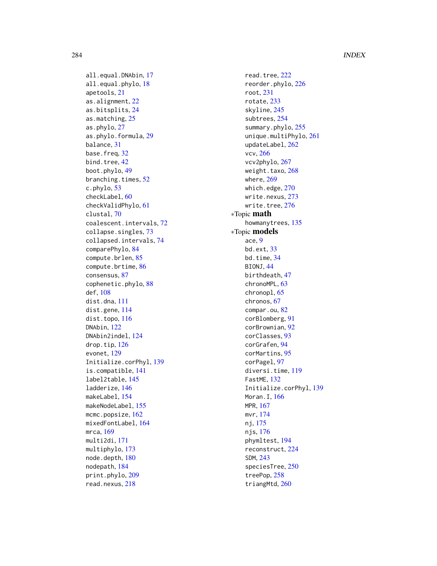all.equal.DNAbin, [17](#page-16-0) all.equal.phylo, [18](#page-17-0) apetools, [21](#page-20-0) as.alignment, [22](#page-21-0) as.bitsplits, [24](#page-23-0) as.matching, [25](#page-24-0) as.phylo, [27](#page-26-0) as.phylo.formula, [29](#page-28-0) balance, [31](#page-30-0) base.freq, [32](#page-31-0) bind.tree, [42](#page-41-1) boot.phylo, [49](#page-48-0) branching.times, [52](#page-51-1) c.phylo, [53](#page-52-1) checkLabel, [60](#page-59-1) checkValidPhylo, [61](#page-60-0) clustal, [70](#page-69-0) coalescent.intervals, [72](#page-71-0) collapse.singles, [73](#page-72-0) collapsed.intervals, [74](#page-73-0) comparePhylo, [84](#page-83-0) compute.brlen, [85](#page-84-0) compute.brtime, [86](#page-85-0) consensus, [87](#page-86-0) cophenetic.phylo, [88](#page-87-0) def, [108](#page-107-0) dist.dna, [111](#page-110-1) dist.gene, [114](#page-113-0) dist.topo, [116](#page-115-0) DNAbin, [122](#page-121-1) DNAbin2indel, [124](#page-123-0) drop.tip, [126](#page-125-1) evonet, [129](#page-128-0) Initialize.corPhyl, [139](#page-138-0) is.compatible, [141](#page-140-0) label2table, [145](#page-144-1) ladderize, [146](#page-145-0) makeLabel, [154](#page-153-1) makeNodeLabel, [155](#page-154-1) mcmc.popsize, [162](#page-161-0) mixedFontLabel, [164](#page-163-1) mrca, [169](#page-168-0) multi2di, [171](#page-170-0) multiphylo, [173](#page-172-1) node.depth, [180](#page-179-0) nodepath, [184](#page-183-0) print.phylo, [209](#page-208-0) read.nexus, [218](#page-217-1)

read.tree, [222](#page-221-1) reorder.phylo, [226](#page-225-0) root, [231](#page-230-1) rotate, [233](#page-232-0) skyline, [245](#page-244-0) subtrees, [254](#page-253-1) summary.phylo, [255](#page-254-0) unique.multiPhylo, [261](#page-260-0) updateLabel, [262](#page-261-0) vcv, [266](#page-265-1) vcv2phylo, [267](#page-266-1) weight.taxo, [268](#page-267-0) where, [269](#page-268-0) which.edge, [270](#page-269-0) write.nexus, [273](#page-272-1) write.tree, [276](#page-275-1) ∗Topic math howmanytrees, [135](#page-134-0) ∗Topic models ace, [9](#page-8-1) bd.ext, [33](#page-32-1) bd.time, [34](#page-33-1) BIONJ, [44](#page-43-1) birthdeath, [47](#page-46-1) chronoMPL, [63](#page-62-0) chronopl, [65](#page-64-0) chronos, [67](#page-66-0) compar.ou, [82](#page-81-0) corBlomberg, [91](#page-90-1) corBrownian, [92](#page-91-1) corClasses, [93](#page-92-1) corGrafen, [94](#page-93-1) corMartins, [95](#page-94-1) corPagel, [97](#page-96-1) diversi.time, [119](#page-118-1) FastME, [132](#page-131-1) Initialize.corPhyl, [139](#page-138-0) Moran.I, [166](#page-165-1) MPR, [167](#page-166-0) mvr, [174](#page-173-1) nj, [175](#page-174-1) njs, [176](#page-175-1) phymltest, [194](#page-193-0) reconstruct, [224](#page-223-0) SDM, [243](#page-242-1) speciesTree, [250](#page-249-0) treePop, [258](#page-257-0) triangMtd, [260](#page-259-0)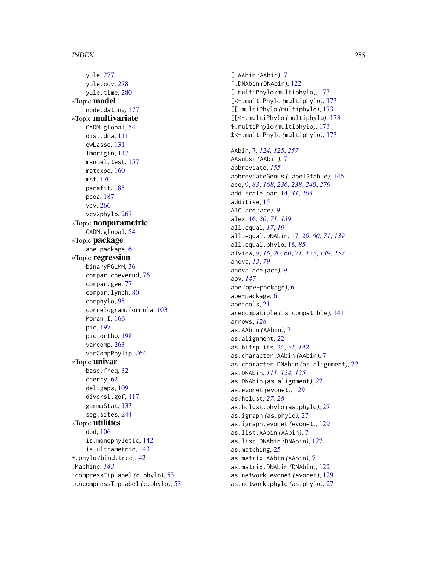# INDEX 285

yule, [277](#page-276-1) yule.cov, [278](#page-277-1) yule.time, [280](#page-279-0) ∗Topic model node.dating, [177](#page-176-0) ∗Topic multivariate CADM.global, [54](#page-53-0) dist.dna, [111](#page-110-1) ewLasso, [131](#page-130-0) lmorigin, [147](#page-146-0) mantel.test, [157](#page-156-0) matexpo, [160](#page-159-0) mst, [170](#page-169-0) parafit, [185](#page-184-0) pcoa, [187](#page-186-0) vcv, [266](#page-265-1) vcv2phylo, [267](#page-266-1) ∗Topic nonparametric CADM.global, [54](#page-53-0) ∗Topic package ape-package, [6](#page-5-0) ∗Topic regression binaryPGLMM, [36](#page-35-0) compar.cheverud, [76](#page-75-0) compar.gee, [77](#page-76-0) compar.lynch, [80](#page-79-1) corphylo, [98](#page-97-0) correlogram.formula, [103](#page-102-1) Moran.I, [166](#page-165-1) pic, [197](#page-196-1) pic.ortho, [198](#page-197-1) varcomp, [263](#page-262-0) varCompPhylip, [264](#page-263-0) ∗Topic univar base.freq, [32](#page-31-0) cherry, [62](#page-61-0) del.gaps, [109](#page-108-0) diversi.gof, [117](#page-116-1) gammaStat, [133](#page-132-0) seg.sites, [244](#page-243-0) ∗Topic utilities dbd, [106](#page-105-0) is.monophyletic, [142](#page-141-0) is.ultrametric, [143](#page-142-0) +.phylo *(*bind.tree*)*, [42](#page-41-1) .Machine, *[143](#page-142-0)* .compressTipLabel *(*c.phylo*)*, [53](#page-52-1) .uncompressTipLabel *(*c.phylo*)*, [53](#page-52-1)

[.AAbin *(*AAbin*)*, [7](#page-6-1) [.DNAbin *(*DNAbin*)*, [122](#page-121-1) [.multiPhylo *(*multiphylo*)*, [173](#page-172-1) [<-.multiPhylo *(*multiphylo*)*, [173](#page-172-1) [[.multiPhylo *(*multiphylo*)*, [173](#page-172-1) [[<-.multiPhylo *(*multiphylo*)*, [173](#page-172-1) \$.multiPhylo *(*multiphylo*)*, [173](#page-172-1) \$<-.multiPhylo *(*multiphylo*)*, [173](#page-172-1) AAbin, [7,](#page-6-1) *[124,](#page-123-0) [125](#page-124-0)*, *[257](#page-256-0)* AAsubst *(*AAbin*)*, [7](#page-6-1) abbreviate, *[155](#page-154-1)* abbreviateGenus *(*label2table*)*, [145](#page-144-1) ace, [9,](#page-8-1) *[83](#page-82-0)*, *[168](#page-167-0)*, *[236](#page-235-0)*, *[238](#page-237-0)*, *[240](#page-239-0)*, *[279](#page-278-0)* add.scale.bar, [14,](#page-13-0) *[31](#page-30-0)*, *[204](#page-203-0)* additive, [15](#page-14-0) AIC.ace *(*ace*)*, [9](#page-8-1) alex, [16,](#page-15-0) *[20](#page-19-1)*, *[71](#page-70-0)*, *[139](#page-138-0)* all.equal, *[17](#page-16-0)*, *[19](#page-18-0)* all.equal.DNAbin, [17,](#page-16-0) *[20](#page-19-1)*, *[60](#page-59-1)*, *[71](#page-70-0)*, *[139](#page-138-0)* all.equal.phylo, [18,](#page-17-0) *[85](#page-84-0)* alview, *[9](#page-8-1)*, *[16](#page-15-0)*, [20,](#page-19-1) *[60](#page-59-1)*, *[71](#page-70-0)*, *[125](#page-124-0)*, *[139](#page-138-0)*, *[257](#page-256-0)* anova, *[13](#page-12-0)*, *[79](#page-78-0)* anova.ace *(*ace*)*, [9](#page-8-1) aov, *[147](#page-146-0)* ape *(*ape-package*)*, [6](#page-5-0) ape-package, [6](#page-5-0) apetools, [21](#page-20-0) arecompatible *(*is.compatible*)*, [141](#page-140-0) arrows, *[128](#page-127-0)* as.AAbin *(*AAbin*)*, [7](#page-6-1) as.alignment, [22](#page-21-0) as.bitsplits, [24,](#page-23-0) *[51](#page-50-0)*, *[142](#page-141-0)* as.character.AAbin *(*AAbin*)*, [7](#page-6-1) as.character.DNAbin *(*as.alignment*)*, [22](#page-21-0) as.DNAbin, *[111](#page-110-1)*, *[124,](#page-123-0) [125](#page-124-0)* as.DNAbin *(*as.alignment*)*, [22](#page-21-0) as.evonet *(*evonet*)*, [129](#page-128-0) as.hclust, *[27,](#page-26-0) [28](#page-27-0)* as.hclust.phylo *(*as.phylo*)*, [27](#page-26-0) as.igraph *(*as.phylo*)*, [27](#page-26-0) as.igraph.evonet *(*evonet*)*, [129](#page-128-0) as.list.AAbin *(*AAbin*)*, [7](#page-6-1) as.list.DNAbin *(*DNAbin*)*, [122](#page-121-1) as.matching, [25](#page-24-0) as.matrix.AAbin *(*AAbin*)*, [7](#page-6-1) as.matrix.DNAbin *(*DNAbin*)*, [122](#page-121-1) as.network.evonet *(*evonet*)*, [129](#page-128-0) as.network.phylo *(*as.phylo*)*, [27](#page-26-0)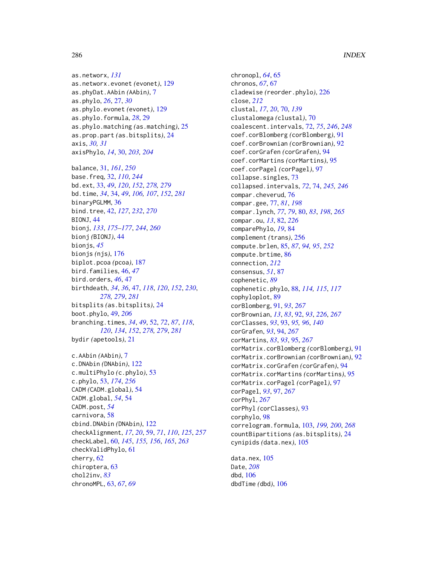as.networx, *[131](#page-130-0)* as.networx.evonet *(*evonet*)*, [129](#page-128-0) as.phyDat.AAbin *(*AAbin*)*, [7](#page-6-1) as.phylo, *[26](#page-25-0)*, [27,](#page-26-0) *[30](#page-29-0)* as.phylo.evonet *(*evonet*)*, [129](#page-128-0) as.phylo.formula, *[28](#page-27-0)*, [29](#page-28-0) as.phylo.matching *(*as.matching*)*, [25](#page-24-0) as.prop.part *(*as.bitsplits*)*, [24](#page-23-0) axis, *[30,](#page-29-0) [31](#page-30-0)* axisPhylo, *[14](#page-13-0)*, [30,](#page-29-0) *[203,](#page-202-0) [204](#page-203-0)*

balance, [31,](#page-30-0) *[161](#page-160-0)*, *[250](#page-249-0)* base.freq, [32,](#page-31-0) *[110](#page-109-0)*, *[244](#page-243-0)* bd.ext, [33,](#page-32-1) *[49](#page-48-0)*, *[120](#page-119-0)*, *[152](#page-151-0)*, *[278,](#page-277-1) [279](#page-278-0)* bd.time, *[34](#page-33-1)*, [34,](#page-33-1) *[49](#page-48-0)*, *[106,](#page-105-0) [107](#page-106-0)*, *[152](#page-151-0)*, *[281](#page-280-1)* binaryPGLMM, [36](#page-35-0) bind.tree, [42,](#page-41-1) *[127](#page-126-0)*, *[232](#page-231-0)*, *[270](#page-269-0)* BIONJ, [44](#page-43-1) bionj, *[133](#page-132-0)*, *[175](#page-174-1)[–177](#page-176-0)*, *[244](#page-243-0)*, *[260](#page-259-0)* bionj *(*BIONJ*)*, [44](#page-43-1) bionjs, *[45](#page-44-0)* bionjs *(*njs*)*, [176](#page-175-1) biplot.pcoa *(*pcoa*)*, [187](#page-186-0) bird.families, [46,](#page-45-0) *[47](#page-46-1)* bird.orders, *[46](#page-45-0)*, [47](#page-46-1) birthdeath, *[34](#page-33-1)*, *[36](#page-35-0)*, [47,](#page-46-1) *[118](#page-117-0)*, *[120](#page-119-0)*, *[152](#page-151-0)*, *[230](#page-229-0)*, *[278,](#page-277-1) [279](#page-278-0)*, *[281](#page-280-1)* bitsplits *(*as.bitsplits*)*, [24](#page-23-0) boot.phylo, [49,](#page-48-0) *[206](#page-205-0)* branching.times, *[34](#page-33-1)*, *[49](#page-48-0)*, [52,](#page-51-1) *[72](#page-71-0)*, *[87](#page-86-0)*, *[118](#page-117-0)*, *[120](#page-119-0)*, *[134](#page-133-0)*, *[152](#page-151-0)*, *[278,](#page-277-1) [279](#page-278-0)*, *[281](#page-280-1)* bydir *(*apetools*)*, [21](#page-20-0) c.AAbin *(*AAbin*)*, [7](#page-6-1) c.DNAbin *(*DNAbin*)*, [122](#page-121-1) c.multiPhylo *(*c.phylo*)*, [53](#page-52-1) c.phylo, [53,](#page-52-1) *[174](#page-173-1)*, *[256](#page-255-0)* CADM *(*CADM.global*)*, [54](#page-53-0) CADM.global, *[54](#page-53-0)*, [54](#page-53-0) CADM.post, *[54](#page-53-0)* carnivora, [58](#page-57-0)

cbind.DNAbin *(*DNAbin*)*, [122](#page-121-1)

checkValidPhylo, [61](#page-60-0)

chronoMPL, [63,](#page-62-0) *[67](#page-66-0)*, *[69](#page-68-0)*

cherry, [62](#page-61-0) chiroptera, [63](#page-62-0) chol2inv, *[83](#page-82-0)*

checkAlignment, *[17](#page-16-0)*, *[20](#page-19-1)*, [59,](#page-58-1) *[71](#page-70-0)*, *[110](#page-109-0)*, *[125](#page-124-0)*, *[257](#page-256-0)* checkLabel, [60,](#page-59-1) *[145](#page-144-1)*, *[155,](#page-154-1) [156](#page-155-0)*, *[165](#page-164-0)*, *[263](#page-262-0)*

chronopl, *[64](#page-63-0)*, [65](#page-64-0) chronos, *[67](#page-66-0)*, [67](#page-66-0) cladewise *(*reorder.phylo*)*, [226](#page-225-0) close, *[212](#page-211-1)* clustal, *[17](#page-16-0)*, *[20](#page-19-1)*, [70,](#page-69-0) *[139](#page-138-0)* clustalomega *(*clustal*)*, [70](#page-69-0) coalescent.intervals, [72,](#page-71-0) *[75](#page-74-0)*, *[246](#page-245-0)*, *[248](#page-247-0)* coef.corBlomberg *(*corBlomberg*)*, [91](#page-90-1) coef.corBrownian *(*corBrownian*)*, [92](#page-91-1) coef.corGrafen *(*corGrafen*)*, [94](#page-93-1) coef.corMartins *(*corMartins*)*, [95](#page-94-1) coef.corPagel *(*corPagel*)*, [97](#page-96-1) collapse.singles, [73](#page-72-0) collapsed.intervals, *[72](#page-71-0)*, [74,](#page-73-0) *[245,](#page-244-0) [246](#page-245-0)* compar.cheverud, [76](#page-75-0) compar.gee, [77,](#page-76-0) *[81](#page-80-0)*, *[198](#page-197-1)* compar.lynch, *[77](#page-76-0)*, *[79](#page-78-0)*, [80,](#page-79-1) *[83](#page-82-0)*, *[198](#page-197-1)*, *[265](#page-264-0)* compar.ou, *[13](#page-12-0)*, [82,](#page-81-0) *[226](#page-225-0)* comparePhylo, *[19](#page-18-0)*, [84](#page-83-0) complement *(*trans*)*, [256](#page-255-0) compute.brlen, [85,](#page-84-0) *[87](#page-86-0)*, *[94,](#page-93-1) [95](#page-94-1)*, *[252](#page-251-0)* compute.brtime, [86](#page-85-0) connection, *[212](#page-211-1)* consensus, *[51](#page-50-0)*, [87](#page-86-0) cophenetic, *[89](#page-88-0)* cophenetic.phylo, [88,](#page-87-0) *[114,](#page-113-0) [115](#page-114-0)*, *[117](#page-116-1)* cophyloplot, [89](#page-88-0) corBlomberg, [91,](#page-90-1) *[93](#page-92-1)*, *[267](#page-266-1)* corBrownian, *[13](#page-12-0)*, *[83](#page-82-0)*, [92,](#page-91-1) *[93](#page-92-1)*, *[226](#page-225-0)*, *[267](#page-266-1)* corClasses, *[93](#page-92-1)*, [93,](#page-92-1) *[95,](#page-94-1) [96](#page-95-0)*, *[140](#page-139-0)* corGrafen, *[93](#page-92-1)*, [94,](#page-93-1) *[267](#page-266-1)* corMartins, *[83](#page-82-0)*, *[93](#page-92-1)*, [95,](#page-94-1) *[267](#page-266-1)* corMatrix.corBlomberg *(*corBlomberg*)*, [91](#page-90-1) corMatrix.corBrownian *(*corBrownian*)*, [92](#page-91-1) corMatrix.corGrafen *(*corGrafen*)*, [94](#page-93-1) corMatrix.corMartins *(*corMartins*)*, [95](#page-94-1) corMatrix.corPagel *(*corPagel*)*, [97](#page-96-1) corPagel, *[93](#page-92-1)*, [97,](#page-96-1) *[267](#page-266-1)* corPhyl, *[267](#page-266-1)* corPhyl *(*corClasses*)*, [93](#page-92-1) corphylo, [98](#page-97-0) correlogram.formula, [103,](#page-102-1) *[199,](#page-198-0) [200](#page-199-0)*, *[268](#page-267-0)* countBipartitions *(*as.bitsplits*)*, [24](#page-23-0) cynipids *(*data.nex*)*, [105](#page-104-0) data.nex, [105](#page-104-0)

Date, *[208](#page-207-0)* dbd, [106](#page-105-0) dbdTime *(*dbd*)*, [106](#page-105-0)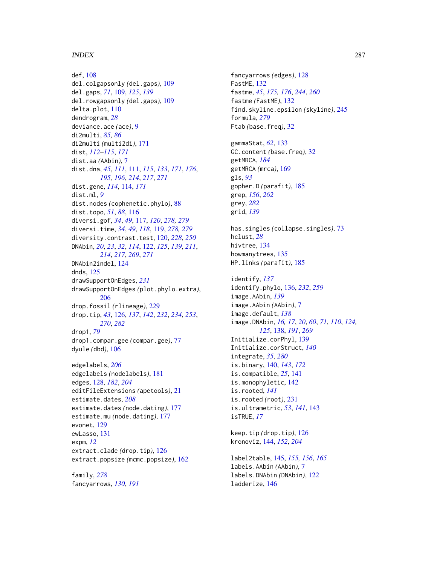### INDEX  $287$

def, [108](#page-107-0) del.colgapsonly *(*del.gaps*)*, [109](#page-108-0) del.gaps, *[71](#page-70-0)*, [109,](#page-108-0) *[125](#page-124-0)*, *[139](#page-138-0)* del.rowgapsonly *(*del.gaps*)*, [109](#page-108-0) delta.plot, [110](#page-109-0) dendrogram, *[28](#page-27-0)* deviance.ace *(*ace*)*, [9](#page-8-1) di2multi, *[85,](#page-84-0) [86](#page-85-0)* di2multi *(*multi2di*)*, [171](#page-170-0) dist, *[112](#page-111-0)[–115](#page-114-0)*, *[171](#page-170-0)* dist.aa *(*AAbin*)*, [7](#page-6-1) dist.dna, *[45](#page-44-0)*, *[111](#page-110-1)*, [111,](#page-110-1) *[115](#page-114-0)*, *[133](#page-132-0)*, *[171](#page-170-0)*, *[176](#page-175-1)*, *[195,](#page-194-0) [196](#page-195-0)*, *[214](#page-213-0)*, *[217](#page-216-0)*, *[271](#page-270-0)* dist.gene, *[114](#page-113-0)*, [114,](#page-113-0) *[171](#page-170-0)* dist.ml, *[9](#page-8-1)* dist.nodes *(*cophenetic.phylo*)*, [88](#page-87-0) dist.topo, *[51](#page-50-0)*, *[88](#page-87-0)*, [116](#page-115-0) diversi.gof, *[34](#page-33-1)*, *[49](#page-48-0)*, [117,](#page-116-1) *[120](#page-119-0)*, *[278,](#page-277-1) [279](#page-278-0)* diversi.time, *[34](#page-33-1)*, *[49](#page-48-0)*, *[118](#page-117-0)*, [119,](#page-118-1) *[278,](#page-277-1) [279](#page-278-0)* diversity.contrast.test, [120,](#page-119-0) *[228](#page-227-0)*, *[250](#page-249-0)* DNAbin, *[20](#page-19-1)*, *[23](#page-22-0)*, *[32](#page-31-0)*, *[114](#page-113-0)*, [122,](#page-121-1) *[125](#page-124-0)*, *[139](#page-138-0)*, *[211](#page-210-0)*, *[214](#page-213-0)*, *[217](#page-216-0)*, *[269](#page-268-0)*, *[271](#page-270-0)* DNAbin2indel, [124](#page-123-0) dnds, [125](#page-124-0) drawSupportOnEdges, *[231](#page-230-1)* drawSupportOnEdges *(*plot.phylo.extra*)*, [206](#page-205-0) drop.fossil *(*rlineage*)*, [229](#page-228-0) drop.tip, *[43](#page-42-0)*, [126,](#page-125-1) *[137](#page-136-0)*, *[142](#page-141-0)*, *[232](#page-231-0)*, *[234](#page-233-0)*, *[253](#page-252-1)*, *[270](#page-269-0)*, *[282](#page-281-0)* drop1, *[79](#page-78-0)* drop1.compar.gee *(*compar.gee*)*, [77](#page-76-0) dyule *(*dbd*)*, [106](#page-105-0) edgelabels, *[206](#page-205-0)* edgelabels *(*nodelabels*)*, [181](#page-180-0) edges, [128,](#page-127-0) *[182](#page-181-0)*, *[204](#page-203-0)* editFileExtensions *(*apetools*)*, [21](#page-20-0) estimate.dates, *[208](#page-207-0)* estimate.dates *(*node.dating*)*, [177](#page-176-0) estimate.mu *(*node.dating*)*, [177](#page-176-0) evonet, [129](#page-128-0) ewLasso, [131](#page-130-0) expm, *[12](#page-11-0)* extract.clade *(*drop.tip*)*, [126](#page-125-1) extract.popsize *(*mcmc.popsize*)*, [162](#page-161-0)

family, *[278](#page-277-1)* fancyarrows, *[130](#page-129-0)*, *[191](#page-190-0)*

fancyarrows *(*edges*)*, [128](#page-127-0) FastME, [132](#page-131-1) fastme, *[45](#page-44-0)*, *[175,](#page-174-1) [176](#page-175-1)*, *[244](#page-243-0)*, *[260](#page-259-0)* fastme *(*FastME*)*, [132](#page-131-1) find.skyline.epsilon *(*skyline*)*, [245](#page-244-0) formula, *[279](#page-278-0)* Ftab *(*base.freq*)*, [32](#page-31-0) gammaStat, *[62](#page-61-0)*, [133](#page-132-0) GC.content *(*base.freq*)*, [32](#page-31-0) getMRCA, *[184](#page-183-0)* getMRCA *(*mrca*)*, [169](#page-168-0) gls, *[93](#page-92-1)* gopher.D *(*parafit*)*, [185](#page-184-0) grep, *[156](#page-155-0)*, *[262](#page-261-0)* grey, *[282](#page-281-0)* grid, *[139](#page-138-0)* has.singles *(*collapse.singles*)*, [73](#page-72-0) hclust, *[28](#page-27-0)* hivtree, [134](#page-133-0) howmanytrees, [135](#page-134-0) HP.links *(*parafit*)*, [185](#page-184-0) identify, *[137](#page-136-0)* identify.phylo, [136,](#page-135-1) *[232](#page-231-0)*, *[259](#page-258-0)* image.AAbin, *[139](#page-138-0)* image.AAbin *(*AAbin*)*, [7](#page-6-1) image.default, *[138](#page-137-1)* image.DNAbin, *[16,](#page-15-0) [17](#page-16-0)*, *[20](#page-19-1)*, *[60](#page-59-1)*, *[71](#page-70-0)*, *[110](#page-109-0)*, *[124,](#page-123-0) [125](#page-124-0)*, [138,](#page-137-1) *[191](#page-190-0)*, *[269](#page-268-0)* Initialize.corPhyl, [139](#page-138-0) Initialize.corStruct, *[140](#page-139-0)* integrate, *[35](#page-34-0)*, *[280](#page-279-0)* is.binary, [140,](#page-139-0) *[143](#page-142-0)*, *[172](#page-171-0)* is.compatible, *[25](#page-24-0)*, [141](#page-140-0) is.monophyletic, [142](#page-141-0) is.rooted, *[141](#page-140-0)* is.rooted *(*root*)*, [231](#page-230-1) is.ultrametric, *[53](#page-52-1)*, *[141](#page-140-0)*, [143](#page-142-0) isTRUE, *[17](#page-16-0)* keep.tip *(*drop.tip*)*, [126](#page-125-1) kronoviz, [144,](#page-143-0) *[152](#page-151-0)*, *[204](#page-203-0)* label2table, [145,](#page-144-1) *[155,](#page-154-1) [156](#page-155-0)*, *[165](#page-164-0)*

labels.AAbin *(*AAbin*)*, [7](#page-6-1) labels.DNAbin *(*DNAbin*)*, [122](#page-121-1) ladderize, [146](#page-145-0)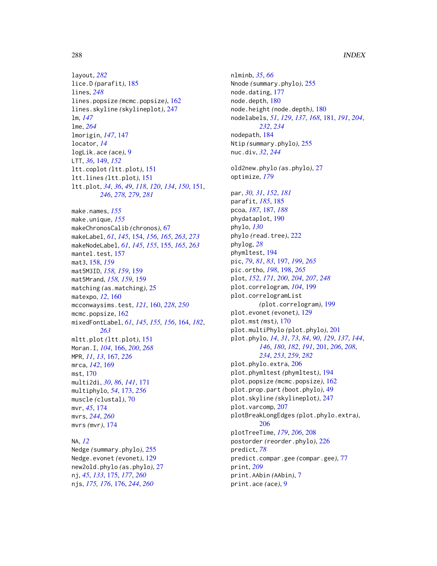layout, *[282](#page-281-0)* lice.D *(*parafit*)*, [185](#page-184-0) lines, *[248](#page-247-0)* lines.popsize *(*mcmc.popsize*)*, [162](#page-161-0) lines.skyline *(*skylineplot*)*, [247](#page-246-0) lm, *[147](#page-146-0)* lme, *[264](#page-263-0)* lmorigin, *[147](#page-146-0)*, [147](#page-146-0) locator, *[14](#page-13-0)* logLik.ace *(*ace*)*, [9](#page-8-1) LTT, *[36](#page-35-0)*, [149,](#page-148-0) *[152](#page-151-0)* ltt.coplot *(*ltt.plot*)*, [151](#page-150-1) ltt.lines *(*ltt.plot*)*, [151](#page-150-1) ltt.plot, *[34](#page-33-1)*, *[36](#page-35-0)*, *[49](#page-48-0)*, *[118](#page-117-0)*, *[120](#page-119-0)*, *[134](#page-133-0)*, *[150](#page-149-0)*, [151,](#page-150-1) *[246](#page-245-0)*, *[278,](#page-277-1) [279](#page-278-0)*, *[281](#page-280-1)* make.names, *[155](#page-154-1)* make.unique, *[155](#page-154-1)* makeChronosCalib *(*chronos*)*, [67](#page-66-0) makeLabel, *[61](#page-60-0)*, *[145](#page-144-1)*, [154,](#page-153-1) *[156](#page-155-0)*, *[165](#page-164-0)*, *[263](#page-262-0)*, *[273](#page-272-1)* makeNodeLabel, *[61](#page-60-0)*, *[145](#page-144-1)*, *[155](#page-154-1)*, [155,](#page-154-1) *[165](#page-164-0)*, *[263](#page-262-0)* mantel.test, [157](#page-156-0) mat3, [158,](#page-157-0) *[159](#page-158-0)* mat5M3ID, *[158,](#page-157-0) [159](#page-158-0)*, [159](#page-158-0) mat5Mrand, *[158,](#page-157-0) [159](#page-158-0)*, [159](#page-158-0) matching *(*as.matching*)*, [25](#page-24-0) matexpo, *[12](#page-11-0)*, [160](#page-159-0) mcconwaysims.test, *[121](#page-120-0)*, [160,](#page-159-0) *[228](#page-227-0)*, *[250](#page-249-0)* mcmc.popsize, [162](#page-161-0) mixedFontLabel, *[61](#page-60-0)*, *[145](#page-144-1)*, *[155,](#page-154-1) [156](#page-155-0)*, [164,](#page-163-1) *[182](#page-181-0)*, *[263](#page-262-0)* mltt.plot *(*ltt.plot*)*, [151](#page-150-1) Moran.I, *[104](#page-103-0)*, [166,](#page-165-1) *[200](#page-199-0)*, *[268](#page-267-0)* MPR, *[11](#page-10-0)*, *[13](#page-12-0)*, [167,](#page-166-0) *[226](#page-225-0)* mrca, *[142](#page-141-0)*, [169](#page-168-0) mst, [170](#page-169-0) multi2di, *[30](#page-29-0)*, *[86](#page-85-0)*, *[141](#page-140-0)*, [171](#page-170-0) multiphylo, *[54](#page-53-0)*, [173,](#page-172-1) *[256](#page-255-0)* muscle *(*clustal*)*, [70](#page-69-0) mvr, *[45](#page-44-0)*, [174](#page-173-1) mvrs, *[244](#page-243-0)*, *[260](#page-259-0)* mvrs *(*mvr*)*, [174](#page-173-1)

NA, *[12](#page-11-0)* Nedge *(*summary.phylo*)*, [255](#page-254-0) Nedge.evonet *(*evonet*)*, [129](#page-128-0) new2old.phylo *(*as.phylo*)*, [27](#page-26-0) nj, *[45](#page-44-0)*, *[133](#page-132-0)*, [175,](#page-174-1) *[177](#page-176-0)*, *[260](#page-259-0)* njs, *[175,](#page-174-1) [176](#page-175-1)*, [176,](#page-175-1) *[244](#page-243-0)*, *[260](#page-259-0)*

nlminb, *[35](#page-34-0)*, *[66](#page-65-0)* Nnode *(*summary.phylo*)*, [255](#page-254-0) node.dating, [177](#page-176-0) node.depth, [180](#page-179-0) node.height *(*node.depth*)*, [180](#page-179-0) nodelabels, *[51](#page-50-0)*, *[129](#page-128-0)*, *[137](#page-136-0)*, *[168](#page-167-0)*, [181,](#page-180-0) *[191](#page-190-0)*, *[204](#page-203-0)*, *[232](#page-231-0)*, *[234](#page-233-0)* nodepath, [184](#page-183-0) Ntip *(*summary.phylo*)*, [255](#page-254-0) nuc.div, *[32](#page-31-0)*, *[244](#page-243-0)* old2new.phylo *(*as.phylo*)*, [27](#page-26-0) optimize, *[179](#page-178-0)* par, *[30,](#page-29-0) [31](#page-30-0)*, *[152](#page-151-0)*, *[181](#page-180-0)* parafit, *[185](#page-184-0)*, [185](#page-184-0) pcoa, *[187](#page-186-0)*, [187,](#page-186-0) *[188](#page-187-0)* phydataplot, [190](#page-189-0) phylo, *[130](#page-129-0)* phylo *(*read.tree*)*, [222](#page-221-1) phylog, *[28](#page-27-0)* phymltest, [194](#page-193-0) pic, *[79](#page-78-0)*, *[81](#page-80-0)*, *[83](#page-82-0)*, [197,](#page-196-1) *[199](#page-198-0)*, *[265](#page-264-0)* pic.ortho, *[198](#page-197-1)*, [198,](#page-197-1) *[265](#page-264-0)* plot, *[152](#page-151-0)*, *[171](#page-170-0)*, *[200](#page-199-0)*, *[204](#page-203-0)*, *[207](#page-206-0)*, *[248](#page-247-0)* plot.correlogram, *[104](#page-103-0)*, [199](#page-198-0) plot.correlogramList *(*plot.correlogram*)*, [199](#page-198-0) plot.evonet *(*evonet*)*, [129](#page-128-0) plot.mst *(*mst*)*, [170](#page-169-0) plot.multiPhylo *(*plot.phylo*)*, [201](#page-200-1) plot.phylo, *[14](#page-13-0)*, *[31](#page-30-0)*, *[73](#page-72-0)*, *[84](#page-83-0)*, *[90](#page-89-0)*, *[129](#page-128-0)*, *[137](#page-136-0)*, *[144](#page-143-0)*, *[146](#page-145-0)*, *[180](#page-179-0)*, *[182](#page-181-0)*, *[191](#page-190-0)*, [201,](#page-200-1) *[206](#page-205-0)*, *[208](#page-207-0)*, *[234](#page-233-0)*, *[253](#page-252-1)*, *[259](#page-258-0)*, *[282](#page-281-0)* plot.phylo.extra, [206](#page-205-0) plot.phymltest *(*phymltest*)*, [194](#page-193-0) plot.popsize *(*mcmc.popsize*)*, [162](#page-161-0) plot.prop.part *(*boot.phylo*)*, [49](#page-48-0) plot.skyline *(*skylineplot*)*, [247](#page-246-0) plot.varcomp, [207](#page-206-0) plotBreakLongEdges *(*plot.phylo.extra*)*, [206](#page-205-0) plotTreeTime, *[179](#page-178-0)*, *[206](#page-205-0)*, [208](#page-207-0) postorder *(*reorder.phylo*)*, [226](#page-225-0) predict, *[78](#page-77-0)* predict.compar.gee *(*compar.gee*)*, [77](#page-76-0) print, *[209](#page-208-0)* print.AAbin *(*AAbin*)*, [7](#page-6-1) print.ace *(*ace*)*, [9](#page-8-1)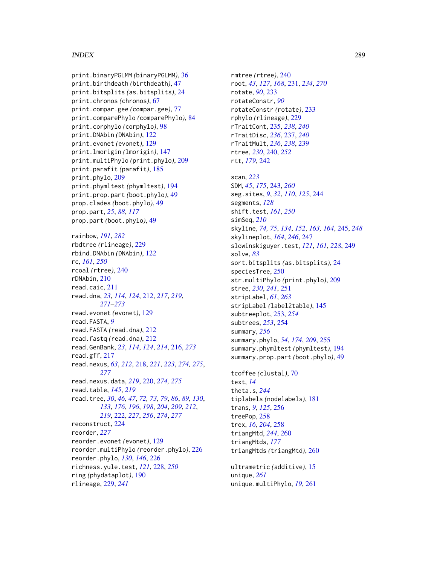## INDEX 289

print.binaryPGLMM *(*binaryPGLMM*)*, [36](#page-35-0) print.birthdeath *(*birthdeath*)*, [47](#page-46-0) print.bitsplits *(*as.bitsplits*)*, [24](#page-23-0) print.chronos *(*chronos*)*, [67](#page-66-0) print.compar.gee *(*compar.gee*)*, [77](#page-76-0) print.comparePhylo *(*comparePhylo*)*, [84](#page-83-0) print.corphylo *(*corphylo*)*, [98](#page-97-0) print.DNAbin *(*DNAbin*)*, [122](#page-121-0) print.evonet *(*evonet*)*, [129](#page-128-0) print.lmorigin *(*lmorigin*)*, [147](#page-146-0) print.multiPhylo *(*print.phylo*)*, [209](#page-208-0) print.parafit *(*parafit*)*, [185](#page-184-0) print.phylo, [209](#page-208-0) print.phymltest *(*phymltest*)*, [194](#page-193-0) print.prop.part *(*boot.phylo*)*, [49](#page-48-0) prop.clades *(*boot.phylo*)*, [49](#page-48-0) prop.part, *[25](#page-24-0)*, *[88](#page-87-0)*, *[117](#page-116-0)* prop.part *(*boot.phylo*)*, [49](#page-48-0) rainbow, *[191](#page-190-0)*, *[282](#page-281-0)* rbdtree *(*rlineage*)*, [229](#page-228-0) rbind.DNAbin *(*DNAbin*)*, [122](#page-121-0) rc, *[161](#page-160-0)*, *[250](#page-249-0)* rcoal *(*rtree*)*, [240](#page-239-0) rDNAbin, [210](#page-209-0) read.caic, [211](#page-210-0) read.dna, *[23](#page-22-0)*, *[114](#page-113-0)*, *[124](#page-123-0)*, [212,](#page-211-0) *[217](#page-216-0)*, *[219](#page-218-0)*, *[271](#page-270-0)[–273](#page-272-0)* read.evonet *(*evonet*)*, [129](#page-128-0) read.FASTA, *[9](#page-8-0)* read.FASTA *(*read.dna*)*, [212](#page-211-0) read.fastq *(*read.dna*)*, [212](#page-211-0) read.GenBank, *[23](#page-22-0)*, *[114](#page-113-0)*, *[124](#page-123-0)*, *[214](#page-213-0)*, [216,](#page-215-0) *[273](#page-272-0)* read.gff, [217](#page-216-0) read.nexus, *[63](#page-62-0)*, *[212](#page-211-0)*, [218,](#page-217-0) *[221](#page-220-0)*, *[223](#page-222-0)*, *[274,](#page-273-0) [275](#page-274-0)*, *[277](#page-276-0)* read.nexus.data, *[219](#page-218-0)*, [220,](#page-219-0) *[274,](#page-273-0) [275](#page-274-0)* read.table, *[145](#page-144-0)*, *[219](#page-218-0)* read.tree, *[30](#page-29-0)*, *[46,](#page-45-0) [47](#page-46-0)*, *[72,](#page-71-0) [73](#page-72-0)*, *[79](#page-78-0)*, *[86](#page-85-0)*, *[89](#page-88-0)*, *[130](#page-129-0)*, *[133](#page-132-0)*, *[176](#page-175-0)*, *[196](#page-195-0)*, *[198](#page-197-0)*, *[204](#page-203-0)*, *[209](#page-208-0)*, *[212](#page-211-0)*, *[219](#page-218-0)*, [222,](#page-221-0) *[227](#page-226-0)*, *[256](#page-255-0)*, *[274](#page-273-0)*, *[277](#page-276-0)* reconstruct, [224](#page-223-0) reorder, *[227](#page-226-0)* reorder.evonet *(*evonet*)*, [129](#page-128-0) reorder.multiPhylo *(*reorder.phylo*)*, [226](#page-225-0) reorder.phylo, *[130](#page-129-0)*, *[146](#page-145-0)*, [226](#page-225-0) richness.yule.test, *[121](#page-120-0)*, [228,](#page-227-0) *[250](#page-249-0)* ring *(*phydataplot*)*, [190](#page-189-0) rlineage, [229,](#page-228-0) *[241](#page-240-0)*

rmtree *(*rtree*)*, [240](#page-239-0) root, *[43](#page-42-0)*, *[127](#page-126-0)*, *[168](#page-167-0)*, [231,](#page-230-0) *[234](#page-233-0)*, *[270](#page-269-0)* rotate, *[90](#page-89-0)*, [233](#page-232-0) rotateConstr, *[90](#page-89-0)* rotateConstr *(*rotate*)*, [233](#page-232-0) rphylo *(*rlineage*)*, [229](#page-228-0) rTraitCont, [235,](#page-234-0) *[238](#page-237-0)*, *[240](#page-239-0)* rTraitDisc, *[236](#page-235-0)*, [237,](#page-236-0) *[240](#page-239-0)* rTraitMult, *[236](#page-235-0)*, *[238](#page-237-0)*, [239](#page-238-0) rtree, *[230](#page-229-0)*, [240,](#page-239-0) *[252](#page-251-0)* rtt, *[179](#page-178-0)*, [242](#page-241-0) scan, *[223](#page-222-0)* SDM, *[45](#page-44-0)*, *[175](#page-174-0)*, [243,](#page-242-0) *[260](#page-259-0)* seg.sites, *[9](#page-8-0)*, *[32](#page-31-0)*, *[110](#page-109-0)*, *[125](#page-124-0)*, [244](#page-243-0) segments, *[128](#page-127-0)* shift.test, *[161](#page-160-0)*, *[250](#page-249-0)* simSeq, *[210](#page-209-0)* skyline, *[74,](#page-73-0) [75](#page-74-0)*, *[134](#page-133-0)*, *[152](#page-151-0)*, *[163,](#page-162-0) [164](#page-163-0)*, [245,](#page-244-0) *[248](#page-247-0)* skylineplot, *[164](#page-163-0)*, *[246](#page-245-0)*, [247](#page-246-0) slowinskiguyer.test, *[121](#page-120-0)*, *[161](#page-160-0)*, *[228](#page-227-0)*, [249](#page-248-0) solve, *[83](#page-82-0)* sort.bitsplits *(*as.bitsplits*)*, [24](#page-23-0) speciesTree, [250](#page-249-0) str.multiPhylo *(*print.phylo*)*, [209](#page-208-0) stree, *[230](#page-229-0)*, *[241](#page-240-0)*, [251](#page-250-0) stripLabel, *[61](#page-60-0)*, *[263](#page-262-0)* stripLabel *(*label2table*)*, [145](#page-144-0) subtreeplot, [253,](#page-252-0) *[254](#page-253-0)* subtrees, *[253](#page-252-0)*, [254](#page-253-0) summary, *[256](#page-255-0)* summary.phylo, *[54](#page-53-0)*, *[174](#page-173-0)*, *[209](#page-208-0)*, [255](#page-254-0) summary.phymltest *(*phymltest*)*, [194](#page-193-0) summary.prop.part *(*boot.phylo*)*, [49](#page-48-0) tcoffee *(*clustal*)*, [70](#page-69-0) text, *[14](#page-13-0)* theta.s, *[244](#page-243-0)* tiplabels *(*nodelabels*)*, [181](#page-180-0) trans, *[9](#page-8-0)*, *[125](#page-124-0)*, [256](#page-255-0) treePop, [258](#page-257-0) trex, *[16](#page-15-0)*, *[204](#page-203-0)*, [258](#page-257-0) triangMtd, *[244](#page-243-0)*, [260](#page-259-0) triangMtds, *[177](#page-176-0)* triangMtds *(*triangMtd*)*, [260](#page-259-0)

ultrametric *(*additive*)*, [15](#page-14-0) unique, *[261](#page-260-0)* unique.multiPhylo, *[19](#page-18-0)*, [261](#page-260-0)